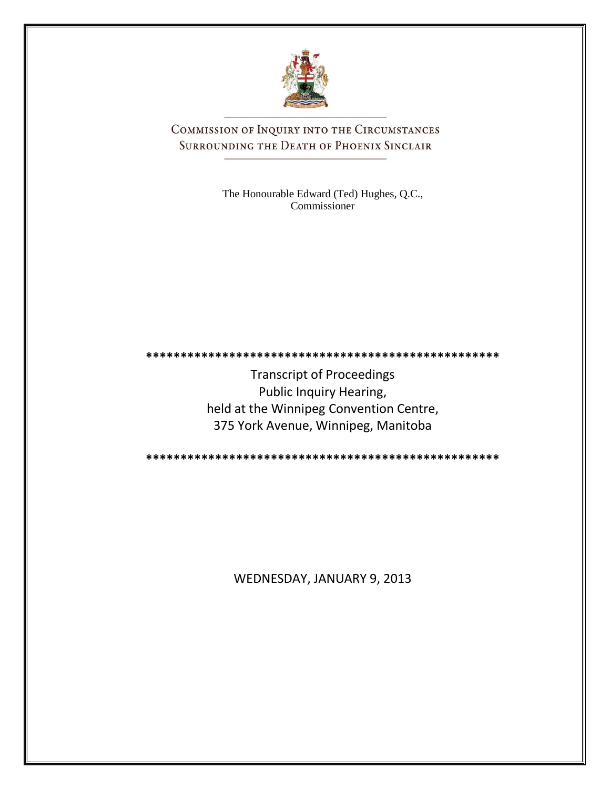

COMMISSION OF INQUIRY INTO THE CIRCUMSTANCES SURROUNDING THE DEATH OF PHOENIX SINCLAIR

> The Honourable Edward (Ted) Hughes, Q.C., Commissioner

**\*\*\*\*\*\*\*\*\*\*\*\*\*\*\*\*\*\*\*\*\*\*\*\*\*\*\*\*\*\*\*\*\*\*\*\*\*\*\*\*\*\*\*\*\*\*\*\*\*\*\***

Transcript of Proceedings Public Inquiry Hearing, held at the Winnipeg Convention Centre, 375 York Avenue, Winnipeg, Manitoba

**\*\*\*\*\*\*\*\*\*\*\*\*\*\*\*\*\*\*\*\*\*\*\*\*\*\*\*\*\*\*\*\*\*\*\*\*\*\*\*\*\*\*\*\*\*\*\*\*\*\*\***

WEDNESDAY, JANUARY 9, 2013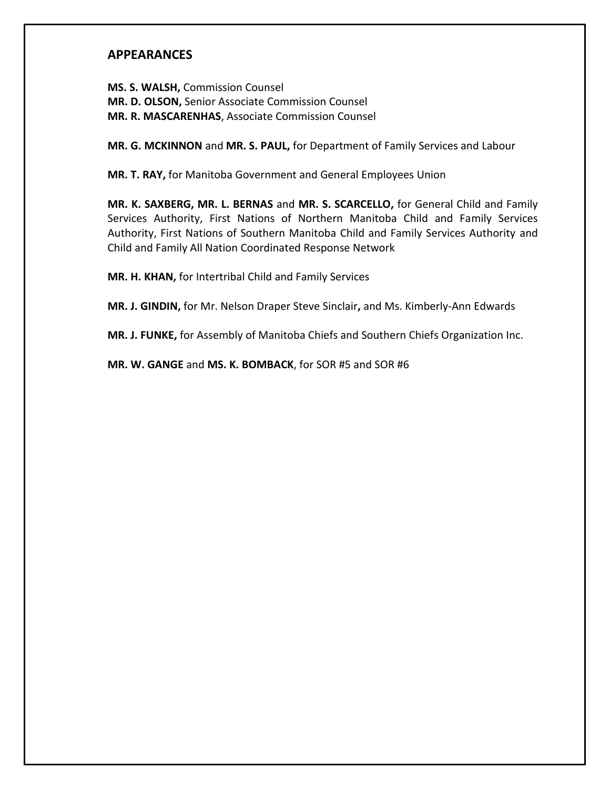## **APPEARANCES**

**MS. S. WALSH,** Commission Counsel **MR. D. OLSON,** Senior Associate Commission Counsel **MR. R. MASCARENHAS**, Associate Commission Counsel

**MR. G. MCKINNON** and **MR. S. PAUL,** for Department of Family Services and Labour

**MR. T. RAY,** for Manitoba Government and General Employees Union

**MR. K. SAXBERG, MR. L. BERNAS** and **MR. S. SCARCELLO,** for General Child and Family Services Authority, First Nations of Northern Manitoba Child and Family Services Authority, First Nations of Southern Manitoba Child and Family Services Authority and Child and Family All Nation Coordinated Response Network

**MR. H. KHAN,** for Intertribal Child and Family Services

**MR. J. GINDIN,** for Mr. Nelson Draper Steve Sinclair**,** and Ms. Kimberly-Ann Edwards

**MR. J. FUNKE,** for Assembly of Manitoba Chiefs and Southern Chiefs Organization Inc.

**MR. W. GANGE** and **MS. K. BOMBACK**, for SOR #5 and SOR #6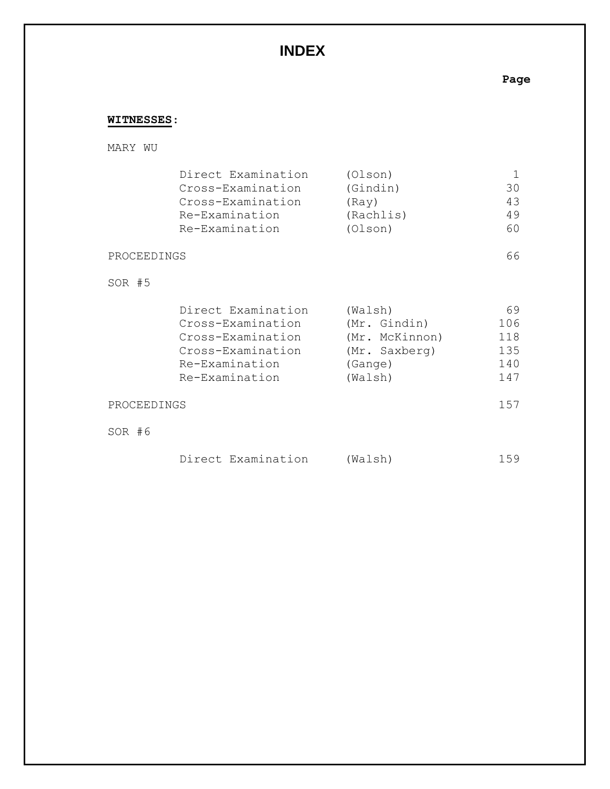# **INDEX**

**Page**

## **WITNESSES**:

## MARY WU

| Direct Examination | (Olson)   |    |
|--------------------|-----------|----|
| Cross-Examination  | (Gindin)  | 30 |
| Cross-Examination  | (Rav)     | 43 |
| Re-Examination     | (Rachlis) | 49 |
| Re-Examination     | (Olson)   | 60 |
|                    |           |    |

### PROCEEDINGS 66

## SOR #5

| Direct Examination | (Walsh)        | 69  |
|--------------------|----------------|-----|
| Cross-Examination  | (Mr. Gindin)   | 106 |
| Cross-Examination  | (Mr. McKinnon) | 118 |
| Cross-Examination  | (Mr. Saxberg)  | 135 |
| Re-Examination     | (Gange)        | 140 |
| Re-Examination     | (Walsh)        | 147 |

#### PROCEEDINGS 157

SOR #6

| Direct Examination | (Walsh) | 159 |  |  |
|--------------------|---------|-----|--|--|
|--------------------|---------|-----|--|--|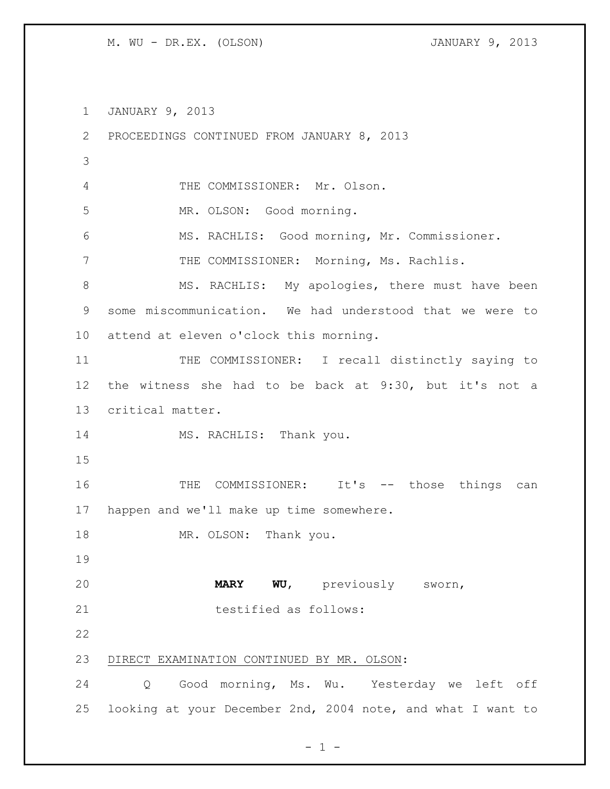JANUARY 9, 2013 PROCEEDINGS CONTINUED FROM JANUARY 8, 2013 THE COMMISSIONER: Mr. Olson. MR. OLSON: Good morning. MS. RACHLIS: Good morning, Mr. Commissioner. 7 THE COMMISSIONER: Morning, Ms. Rachlis. 8 MS. RACHLIS: My apologies, there must have been some miscommunication. We had understood that we were to attend at eleven o'clock this morning. THE COMMISSIONER: I recall distinctly saying to the witness she had to be back at 9:30, but it's not a critical matter. 14 MS. RACHLIS: Thank you. 16 THE COMMISSIONER: It's -- those things can happen and we'll make up time somewhere. 18 MR. OLSON: Thank you. **MARY WU**, previously sworn, 21 testified as follows: DIRECT EXAMINATION CONTINUED BY MR. OLSON: Q Good morning, Ms. Wu. Yesterday we left off looking at your December 2nd, 2004 note, and what I want to

 $- 1 -$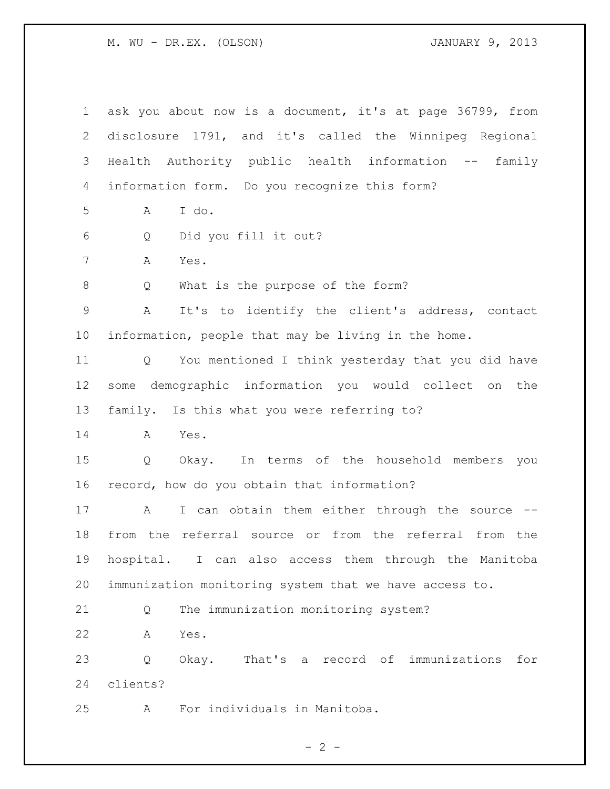ask you about now is a document, it's at page 36799, from disclosure 1791, and it's called the Winnipeg Regional Health Authority public health information -- family information form. Do you recognize this form? A I do. Q Did you fill it out? A Yes. Q What is the purpose of the form? A It's to identify the client's address, contact information, people that may be living in the home. Q You mentioned I think yesterday that you did have some demographic information you would collect on the family. Is this what you were referring to? A Yes. Q Okay. In terms of the household members you record, how do you obtain that information? 17 A I can obtain them either through the source -- from the referral source or from the referral from the hospital. I can also access them through the Manitoba immunization monitoring system that we have access to. Q The immunization monitoring system? A Yes. Q Okay. That's a record of immunizations for clients? A For individuals in Manitoba.

 $- 2 -$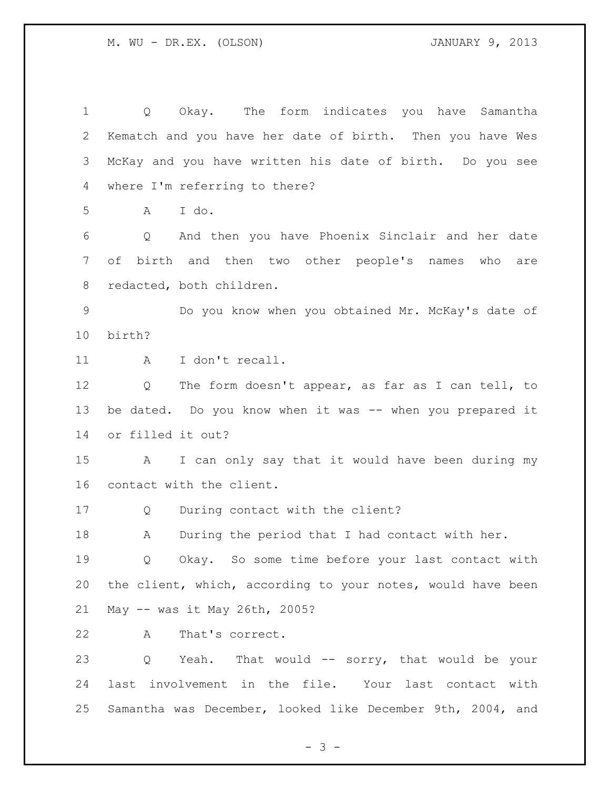Q Okay. The form indicates you have Samantha Kematch and you have her date of birth. Then you have Wes McKay and you have written his date of birth. Do you see where I'm referring to there? A I do. Q And then you have Phoenix Sinclair and her date of birth and then two other people's names who are redacted, both children. Do you know when you obtained Mr. McKay's date of birth? 11 A I don't recall. Q The form doesn't appear, as far as I can tell, to 13 be dated. Do you know when it was -- when you prepared it or filled it out? A I can only say that it would have been during my contact with the client. Q During contact with the client? A During the period that I had contact with her. 19 0 Okay. So some time before your last contact with the client, which, according to your notes, would have been May -- was it May 26th, 2005? A That's correct. 23 Q Yeah. That would -- sorry, that would be your last involvement in the file. Your last contact with Samantha was December, looked like December 9th, 2004, and

- 3 -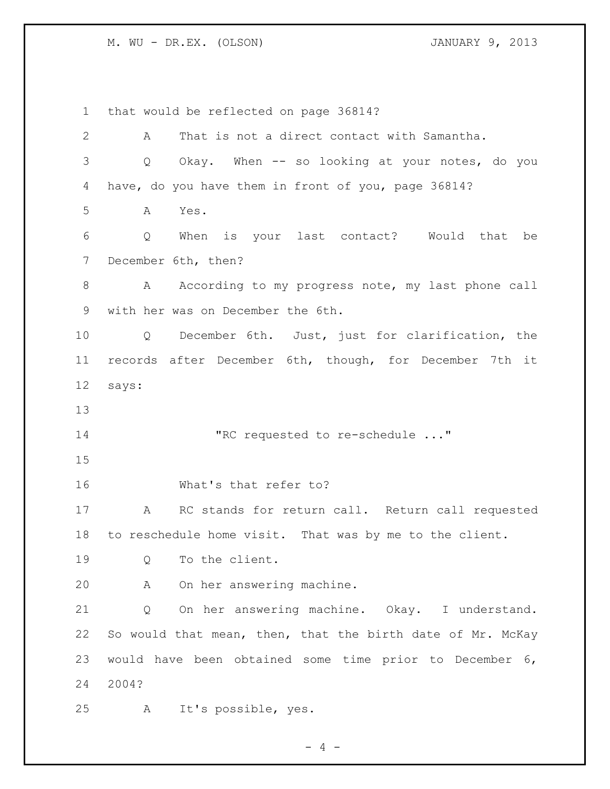that would be reflected on page 36814? A That is not a direct contact with Samantha. Q Okay. When -- so looking at your notes, do you have, do you have them in front of you, page 36814? A Yes. Q When is your last contact? Would that be December 6th, then? 8 A According to my progress note, my last phone call with her was on December the 6th. Q December 6th. Just, just for clarification, the records after December 6th, though, for December 7th it says: "RC requested to re-schedule ..." What's that refer to? A RC stands for return call. Return call requested to reschedule home visit. That was by me to the client. Q To the client. A On her answering machine. Q On her answering machine. Okay. I understand. 22 So would that mean, then, that the birth date of Mr. McKay would have been obtained some time prior to December 6, 2004? A It's possible, yes.

 $- 4 -$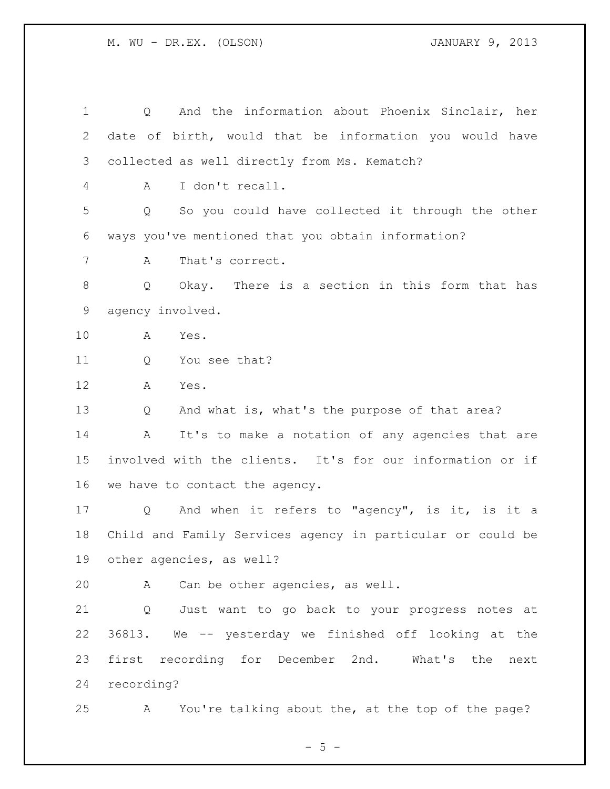Q And the information about Phoenix Sinclair, her date of birth, would that be information you would have collected as well directly from Ms. Kematch? A I don't recall. Q So you could have collected it through the other ways you've mentioned that you obtain information? A That's correct. Q Okay. There is a section in this form that has agency involved. A Yes. 11 Q You see that? A Yes. Q And what is, what's the purpose of that area? A It's to make a notation of any agencies that are involved with the clients. It's for our information or if we have to contact the agency. Q And when it refers to "agency", is it, is it a Child and Family Services agency in particular or could be other agencies, as well? A Can be other agencies, as well. Q Just want to go back to your progress notes at 36813. We -- yesterday we finished off looking at the first recording for December 2nd. What's the next recording? A You're talking about the, at the top of the page?

 $- 5 -$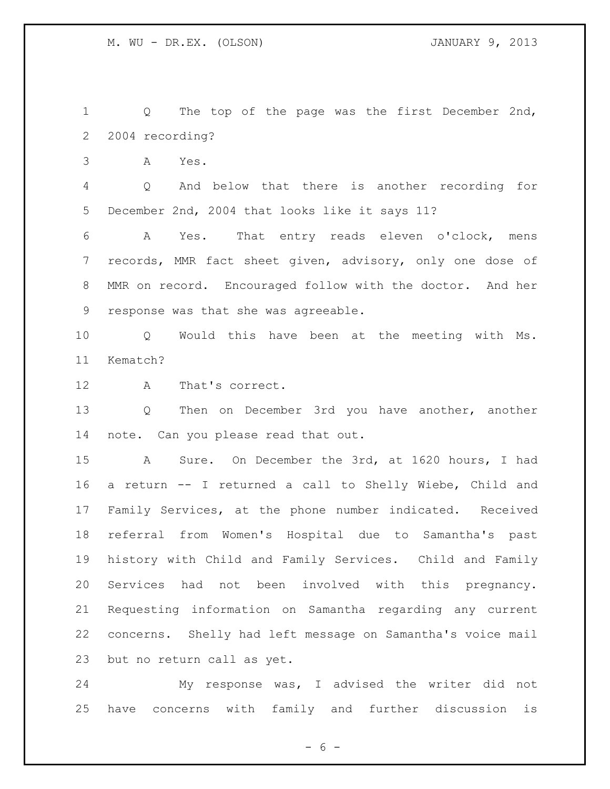Q The top of the page was the first December 2nd, 2004 recording?

A Yes.

 Q And below that there is another recording for December 2nd, 2004 that looks like it says 11?

 A Yes. That entry reads eleven o'clock, mens records, MMR fact sheet given, advisory, only one dose of MMR on record. Encouraged follow with the doctor. And her response was that she was agreeable.

 Q Would this have been at the meeting with Ms. Kematch?

A That's correct.

 Q Then on December 3rd you have another, another note. Can you please read that out.

 A Sure. On December the 3rd, at 1620 hours, I had a return -- I returned a call to Shelly Wiebe, Child and Family Services, at the phone number indicated. Received referral from Women's Hospital due to Samantha's past history with Child and Family Services. Child and Family Services had not been involved with this pregnancy. Requesting information on Samantha regarding any current concerns. Shelly had left message on Samantha's voice mail but no return call as yet.

 My response was, I advised the writer did not have concerns with family and further discussion is

 $- 6 -$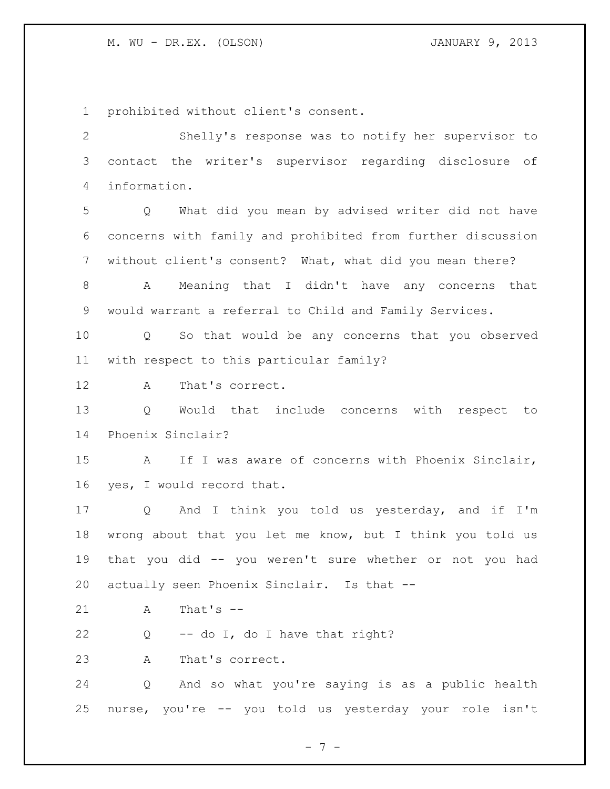prohibited without client's consent.

 Shelly's response was to notify her supervisor to contact the writer's supervisor regarding disclosure of information. Q What did you mean by advised writer did not have concerns with family and prohibited from further discussion without client's consent? What, what did you mean there? A Meaning that I didn't have any concerns that would warrant a referral to Child and Family Services. Q So that would be any concerns that you observed with respect to this particular family? A That's correct. Q Would that include concerns with respect to Phoenix Sinclair? A If I was aware of concerns with Phoenix Sinclair, yes, I would record that. Q And I think you told us yesterday, and if I'm wrong about that you let me know, but I think you told us that you did -- you weren't sure whether or not you had actually seen Phoenix Sinclair. Is that -- A That's -- Q -- do I, do I have that right? A That's correct. Q And so what you're saying is as a public health nurse, you're -- you told us yesterday your role isn't

- 7 -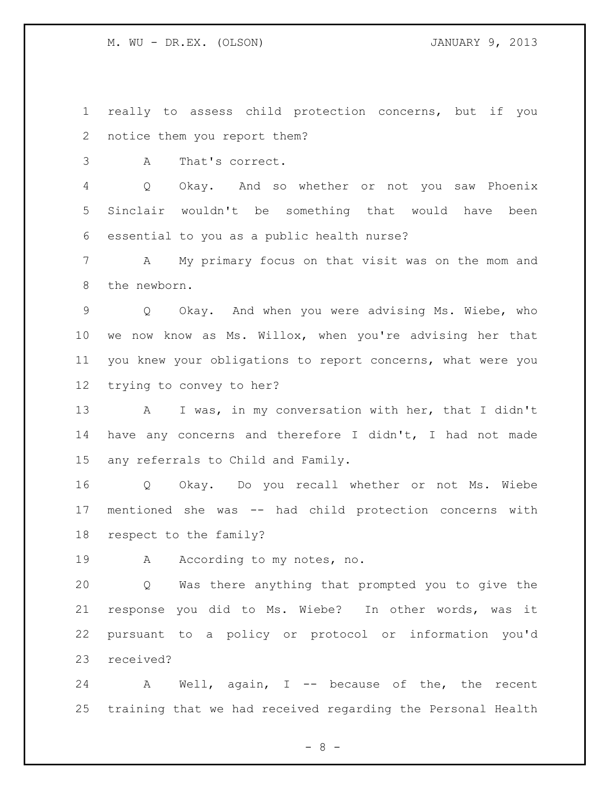really to assess child protection concerns, but if you notice them you report them?

A That's correct.

 Q Okay. And so whether or not you saw Phoenix Sinclair wouldn't be something that would have been essential to you as a public health nurse?

 A My primary focus on that visit was on the mom and the newborn.

 Q Okay. And when you were advising Ms. Wiebe, who we now know as Ms. Willox, when you're advising her that you knew your obligations to report concerns, what were you trying to convey to her?

 A I was, in my conversation with her, that I didn't have any concerns and therefore I didn't, I had not made any referrals to Child and Family.

 Q Okay. Do you recall whether or not Ms. Wiebe mentioned she was -- had child protection concerns with respect to the family?

19 A According to my notes, no.

 Q Was there anything that prompted you to give the response you did to Ms. Wiebe? In other words, was it pursuant to a policy or protocol or information you'd received?

 A Well, again, I -- because of the, the recent training that we had received regarding the Personal Health

- 8 -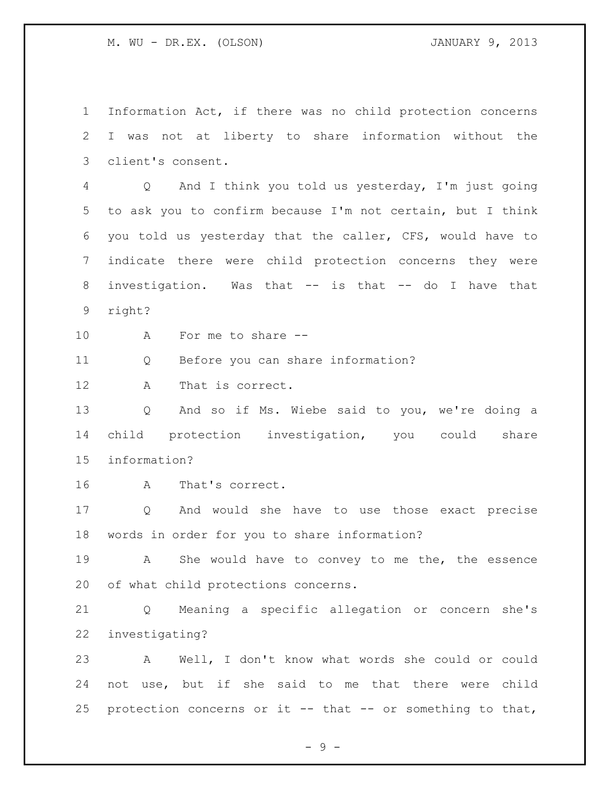Information Act, if there was no child protection concerns I was not at liberty to share information without the client's consent. Q And I think you told us yesterday, I'm just going to ask you to confirm because I'm not certain, but I think you told us yesterday that the caller, CFS, would have to indicate there were child protection concerns they were investigation. Was that -- is that -- do I have that right? A For me to share -- Q Before you can share information? A That is correct. Q And so if Ms. Wiebe said to you, we're doing a child protection investigation, you could share information? A That's correct. Q And would she have to use those exact precise words in order for you to share information? A She would have to convey to me the, the essence of what child protections concerns. Q Meaning a specific allegation or concern she's investigating? A Well, I don't know what words she could or could not use, but if she said to me that there were child protection concerns or it -- that -- or something to that,

 $-9 -$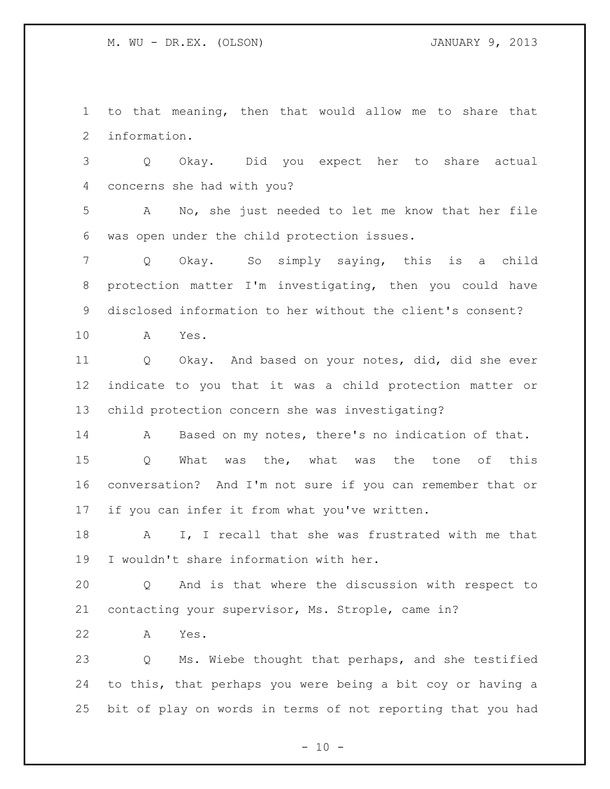to that meaning, then that would allow me to share that information.

 Q Okay. Did you expect her to share actual concerns she had with you?

 A No, she just needed to let me know that her file was open under the child protection issues.

 Q Okay. So simply saying, this is a child protection matter I'm investigating, then you could have disclosed information to her without the client's consent?

A Yes.

 Q Okay. And based on your notes, did, did she ever indicate to you that it was a child protection matter or child protection concern she was investigating?

A Based on my notes, there's no indication of that.

 Q What was the, what was the tone of this conversation? And I'm not sure if you can remember that or if you can infer it from what you've written.

 A I, I recall that she was frustrated with me that I wouldn't share information with her.

 Q And is that where the discussion with respect to contacting your supervisor, Ms. Strople, came in?

A Yes.

 Q Ms. Wiebe thought that perhaps, and she testified to this, that perhaps you were being a bit coy or having a bit of play on words in terms of not reporting that you had

 $- 10 -$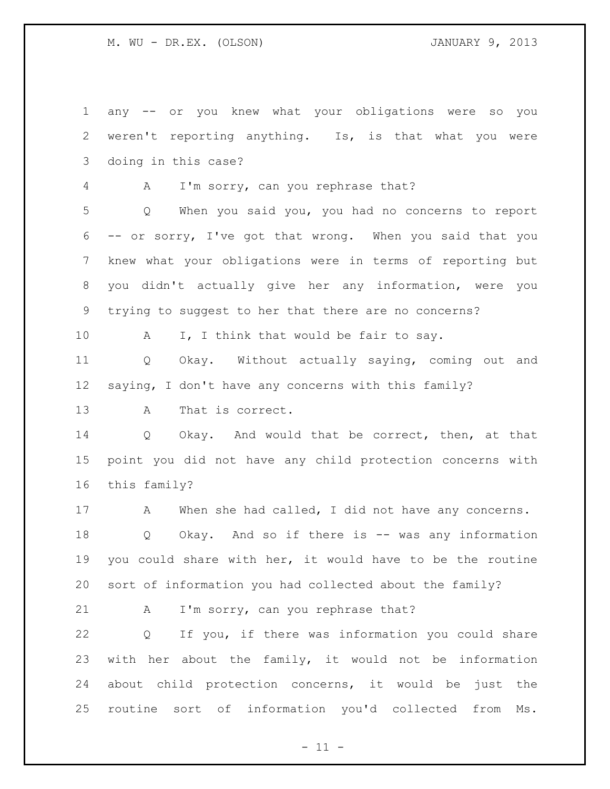any -- or you knew what your obligations were so you weren't reporting anything. Is, is that what you were doing in this case?

A I'm sorry, can you rephrase that?

 Q When you said you, you had no concerns to report -- or sorry, I've got that wrong. When you said that you knew what your obligations were in terms of reporting but you didn't actually give her any information, were you trying to suggest to her that there are no concerns?

10 A I, I think that would be fair to say.

 Q Okay. Without actually saying, coming out and saying, I don't have any concerns with this family?

A That is correct.

 Q Okay. And would that be correct, then, at that point you did not have any child protection concerns with this family?

17 A When she had called, I did not have any concerns. Q Okay. And so if there is -- was any information you could share with her, it would have to be the routine sort of information you had collected about the family?

21 A I'm sorry, can you rephrase that?

 Q If you, if there was information you could share with her about the family, it would not be information about child protection concerns, it would be just the routine sort of information you'd collected from Ms.

 $- 11 -$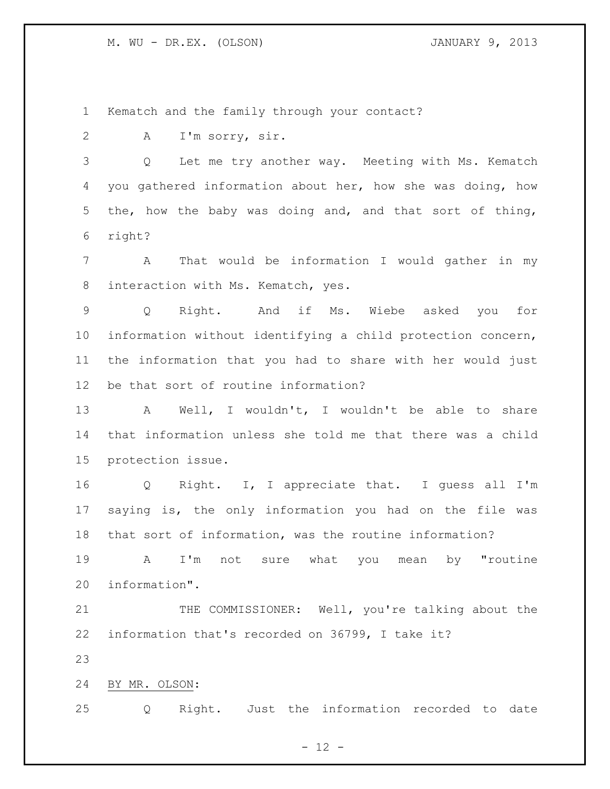Kematch and the family through your contact?

A I'm sorry, sir.

 Q Let me try another way. Meeting with Ms. Kematch you gathered information about her, how she was doing, how the, how the baby was doing and, and that sort of thing, right?

 A That would be information I would gather in my interaction with Ms. Kematch, yes.

 Q Right. And if Ms. Wiebe asked you for information without identifying a child protection concern, the information that you had to share with her would just be that sort of routine information?

 A Well, I wouldn't, I wouldn't be able to share that information unless she told me that there was a child protection issue.

 Q Right. I, I appreciate that. I guess all I'm saying is, the only information you had on the file was that sort of information, was the routine information?

 A I'm not sure what you mean by "routine information".

21 THE COMMISSIONER: Well, you're talking about the information that's recorded on 36799, I take it?

BY MR. OLSON:

Q Right. Just the information recorded to date

 $- 12 -$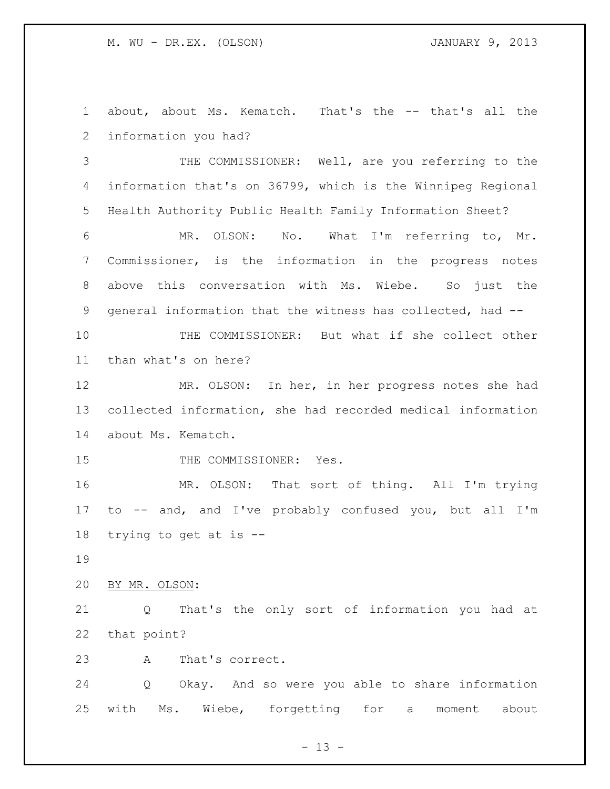about, about Ms. Kematch. That's the -- that's all the information you had?

 THE COMMISSIONER: Well, are you referring to the information that's on 36799, which is the Winnipeg Regional Health Authority Public Health Family Information Sheet?

 MR. OLSON: No. What I'm referring to, Mr. Commissioner, is the information in the progress notes above this conversation with Ms. Wiebe. So just the general information that the witness has collected, had --

 THE COMMISSIONER: But what if she collect other than what's on here?

 MR. OLSON: In her, in her progress notes she had collected information, she had recorded medical information about Ms. Kematch.

15 THE COMMISSIONER: Yes.

 MR. OLSON: That sort of thing. All I'm trying to -- and, and I've probably confused you, but all I'm trying to get at is --

BY MR. OLSON:

 Q That's the only sort of information you had at that point?

A That's correct.

 Q Okay. And so were you able to share information with Ms. Wiebe, forgetting for a moment about

 $- 13 -$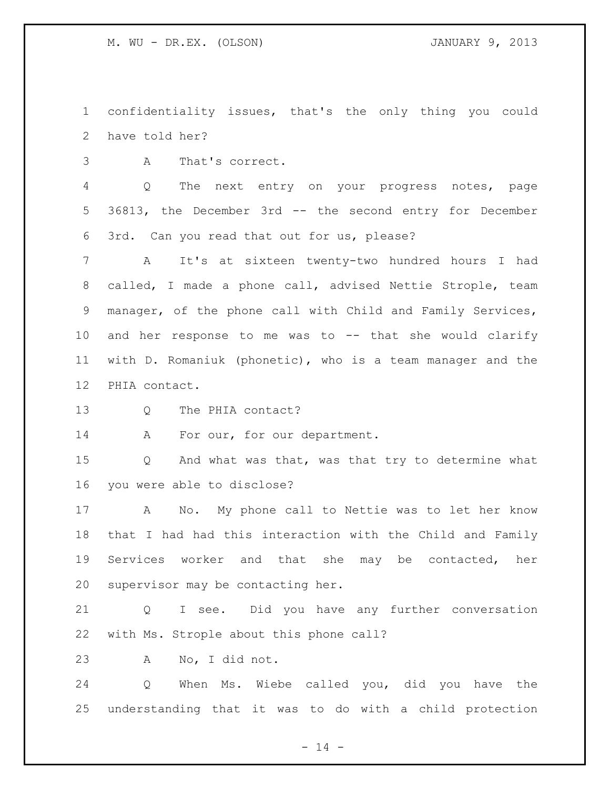confidentiality issues, that's the only thing you could have told her?

A That's correct.

 Q The next entry on your progress notes, page 36813, the December 3rd -- the second entry for December 3rd. Can you read that out for us, please?

 A It's at sixteen twenty-two hundred hours I had called, I made a phone call, advised Nettie Strople, team manager, of the phone call with Child and Family Services, and her response to me was to -- that she would clarify with D. Romaniuk (phonetic), who is a team manager and the PHIA contact.

13 O The PHIA contact?

14 A For our, for our department.

 Q And what was that, was that try to determine what you were able to disclose?

 A No. My phone call to Nettie was to let her know that I had had this interaction with the Child and Family Services worker and that she may be contacted, her supervisor may be contacting her.

 Q I see. Did you have any further conversation with Ms. Strople about this phone call?

A No, I did not.

 Q When Ms. Wiebe called you, did you have the understanding that it was to do with a child protection

 $- 14 -$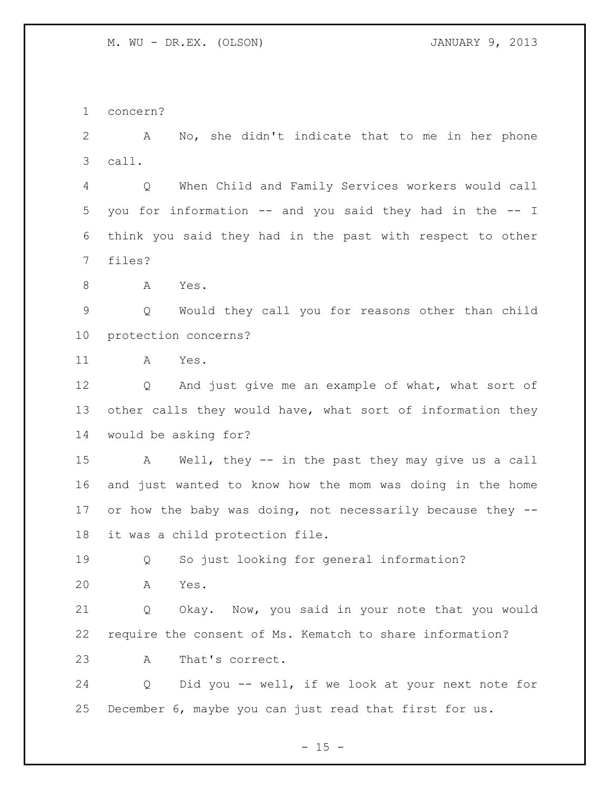concern?

 A No, she didn't indicate that to me in her phone call.

 Q When Child and Family Services workers would call you for information -- and you said they had in the -- I think you said they had in the past with respect to other files?

A Yes.

 Q Would they call you for reasons other than child protection concerns?

A Yes.

 Q And just give me an example of what, what sort of 13 other calls they would have, what sort of information they would be asking for?

 A Well, they -- in the past they may give us a call and just wanted to know how the mom was doing in the home 17 or how the baby was doing, not necessarily because they --it was a child protection file.

Q So just looking for general information?

A Yes.

 Q Okay. Now, you said in your note that you would require the consent of Ms. Kematch to share information? A That's correct.

 Q Did you -- well, if we look at your next note for December 6, maybe you can just read that first for us.

 $- 15 -$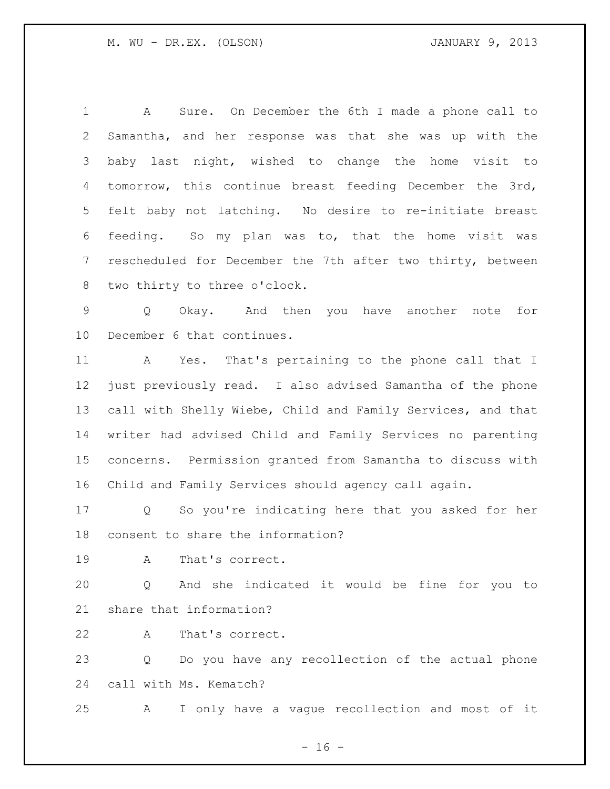A Sure. On December the 6th I made a phone call to Samantha, and her response was that she was up with the baby last night, wished to change the home visit to tomorrow, this continue breast feeding December the 3rd, felt baby not latching. No desire to re-initiate breast feeding. So my plan was to, that the home visit was rescheduled for December the 7th after two thirty, between two thirty to three o'clock.

 Q Okay. And then you have another note for December 6 that continues.

 A Yes. That's pertaining to the phone call that I just previously read. I also advised Samantha of the phone call with Shelly Wiebe, Child and Family Services, and that writer had advised Child and Family Services no parenting concerns. Permission granted from Samantha to discuss with Child and Family Services should agency call again.

 Q So you're indicating here that you asked for her consent to share the information?

A That's correct.

 Q And she indicated it would be fine for you to share that information?

A That's correct.

 Q Do you have any recollection of the actual phone call with Ms. Kematch?

A I only have a vague recollection and most of it

 $- 16 -$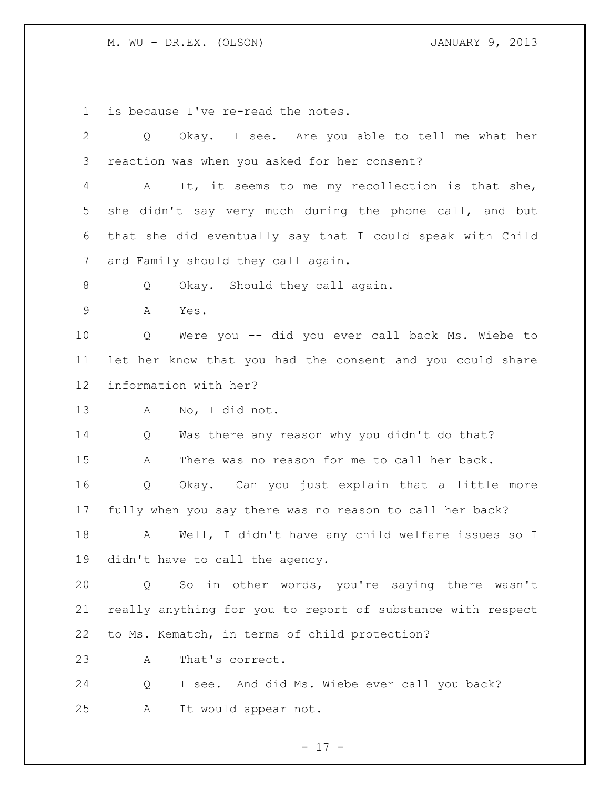is because I've re-read the notes.

 Q Okay. I see. Are you able to tell me what her reaction was when you asked for her consent? A It, it seems to me my recollection is that she, she didn't say very much during the phone call, and but that she did eventually say that I could speak with Child and Family should they call again. 8 Q Okay. Should they call again. A Yes. Q Were you -- did you ever call back Ms. Wiebe to let her know that you had the consent and you could share information with her? A No, I did not. Q Was there any reason why you didn't do that? A There was no reason for me to call her back. Q Okay. Can you just explain that a little more fully when you say there was no reason to call her back? A Well, I didn't have any child welfare issues so I didn't have to call the agency. Q So in other words, you're saying there wasn't really anything for you to report of substance with respect to Ms. Kematch, in terms of child protection? A That's correct. Q I see. And did Ms. Wiebe ever call you back? A It would appear not.

- 17 -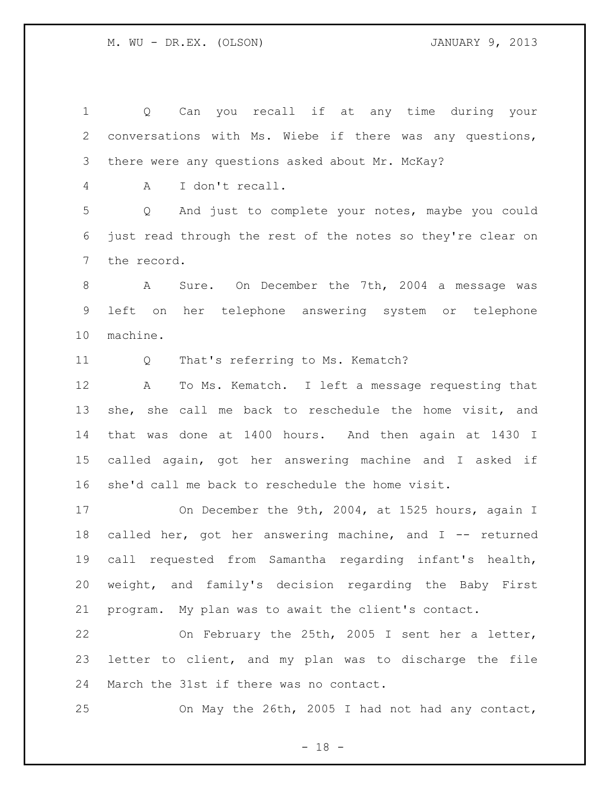Q Can you recall if at any time during your conversations with Ms. Wiebe if there was any questions, there were any questions asked about Mr. McKay? A I don't recall. Q And just to complete your notes, maybe you could just read through the rest of the notes so they're clear on the record. A Sure. On December the 7th, 2004 a message was left on her telephone answering system or telephone machine. Q That's referring to Ms. Kematch? A To Ms. Kematch. I left a message requesting that she, she call me back to reschedule the home visit, and that was done at 1400 hours. And then again at 1430 I called again, got her answering machine and I asked if she'd call me back to reschedule the home visit. On December the 9th, 2004, at 1525 hours, again I 18 called her, got her answering machine, and I -- returned call requested from Samantha regarding infant's health, weight, and family's decision regarding the Baby First program. My plan was to await the client's contact. On February the 25th, 2005 I sent her a letter, letter to client, and my plan was to discharge the file March the 31st if there was no contact. On May the 26th, 2005 I had not had any contact,

 $- 18 -$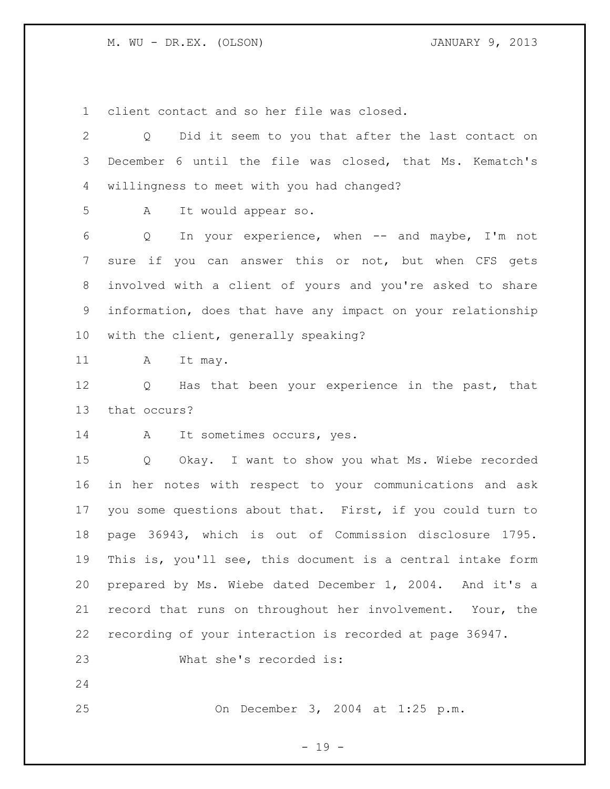client contact and so her file was closed.

| 2  | Did it seem to you that after the last contact on<br>Q               |
|----|----------------------------------------------------------------------|
| 3  | December 6 until the file was closed, that Ms. Kematch's             |
| 4  | willingness to meet with you had changed?                            |
| 5  | It would appear so.<br>A                                             |
| 6  | In your experience, when $--$ and maybe, I'm not<br>Q                |
| 7  | sure if you can answer this or not, but when CFS gets                |
| 8  | involved with a client of yours and you're asked to share            |
| 9  | information, does that have any impact on your relationship          |
| 10 | with the client, generally speaking?                                 |
| 11 | It may.<br>A                                                         |
| 12 | Has that been your experience in the past, that<br>$Q \qquad \qquad$ |
| 13 | that occurs?                                                         |
| 14 | It sometimes occurs, yes.<br>A                                       |
| 15 | Okay. I want to show you what Ms. Wiebe recorded<br>Q                |
| 16 | in her notes with respect to your communications and ask             |
| 17 | you some questions about that. First, if you could turn to           |
| 18 | page 36943, which is out of Commission disclosure 1795.              |
| 19 | This is, you'll see, this document is a central intake form          |
| 20 | prepared by Ms. Wiebe dated December 1, 2004. And it's a             |
| 21 | record that runs on throughout her involvement. Your, the            |
| 22 | recording of your interaction is recorded at page 36947.             |
| 23 | What she's recorded is:                                              |
| 24 |                                                                      |
| 25 | On December 3, 2004 at 1:25 p.m.                                     |

- 19 -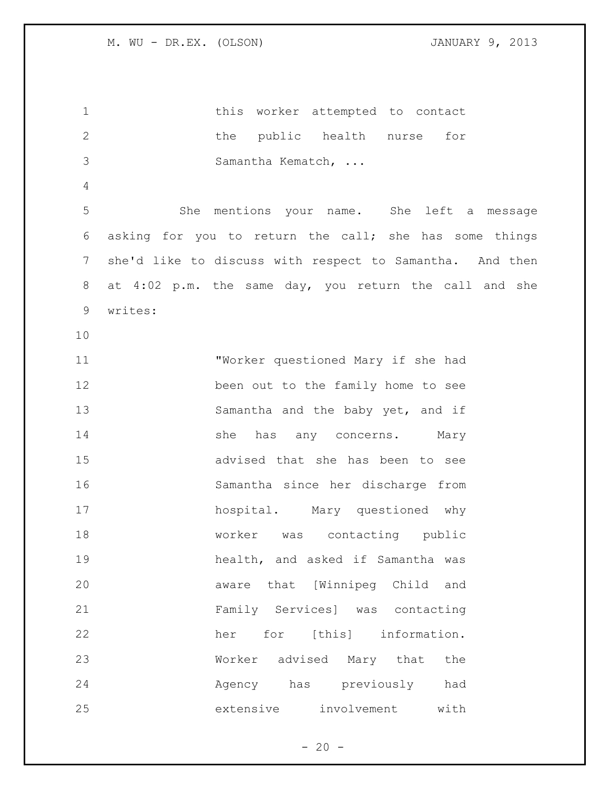| $\mathbf 1$    |         | this worker attempted to contact                         |
|----------------|---------|----------------------------------------------------------|
| $\mathbf{2}$   |         | the public health nurse<br>for                           |
| 3              |         | Samantha Kematch,                                        |
| $\overline{4}$ |         |                                                          |
| 5              |         | She mentions your name. She left a message               |
| 6              |         | asking for you to return the call; she has some things   |
| 7              |         | she'd like to discuss with respect to Samantha. And then |
| 8              |         | at 4:02 p.m. the same day, you return the call and she   |
| 9              | writes: |                                                          |
| 10             |         |                                                          |
| 11             |         | "Worker questioned Mary if she had                       |
| 12             |         | been out to the family home to see                       |
| 13             |         | Samantha and the baby yet, and if                        |
| 14             |         | she<br>has any concerns. Mary                            |
| 15             |         | advised that she has been to see                         |
| 16             |         | Samantha since her discharge from                        |
| 17             |         | hospital. Mary questioned why                            |
| 18             |         | worker was contacting public                             |
| 19             |         | health, and asked if Samantha was                        |
| 20             |         | aware that [Winnipeg Child and                           |
| 21             |         | Family Services] was contacting                          |
| 22             |         | for [this] information.<br>her                           |
| 23             |         | Worker advised Mary that the                             |
| 24             |         | Agency has previously had                                |
| 25             |         | extensive involvement with                               |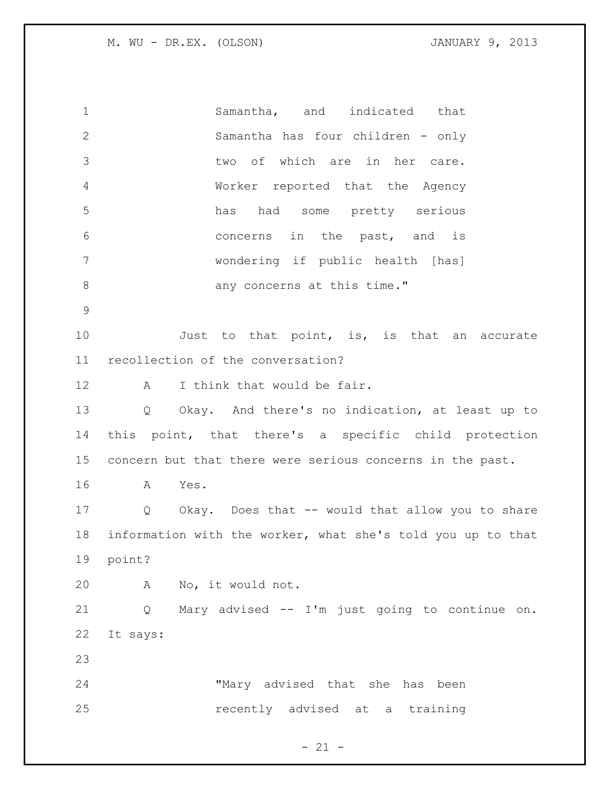Samantha, and indicated that Samantha has four children - only two of which are in her care. Worker reported that the Agency has had some pretty serious concerns in the past, and is wondering if public health [has] 8 any concerns at this time." 10 Just to that point, is, is that an accurate recollection of the conversation? 12 A I think that would be fair. Q Okay. And there's no indication, at least up to this point, that there's a specific child protection concern but that there were serious concerns in the past. A Yes. Q Okay. Does that -- would that allow you to share information with the worker, what she's told you up to that point? A No, it would not. Q Mary advised -- I'm just going to continue on. It says: "Mary advised that she has been recently advised at a training

 $- 21 -$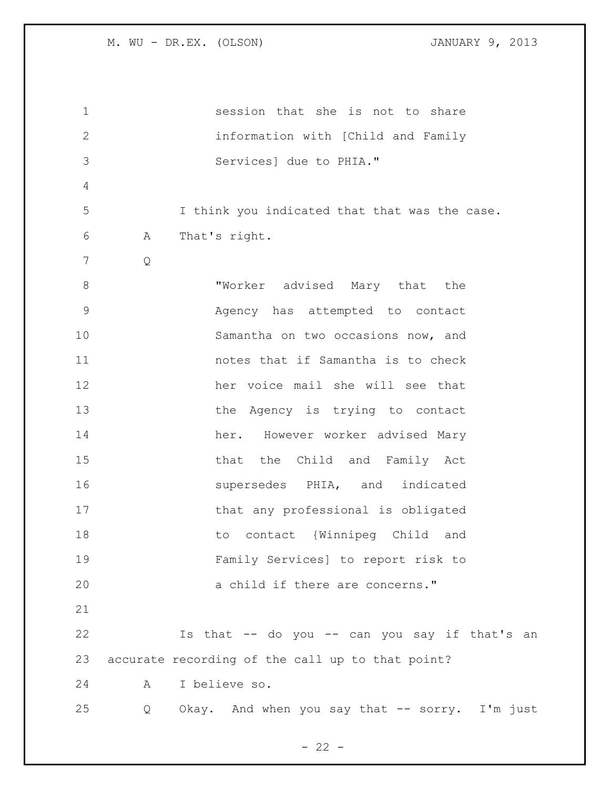session that she is not to share information with [Child and Family Services] due to PHIA." I think you indicated that that was the case. A That's right. Q "Worker advised Mary that the Agency has attempted to contact Samantha on two occasions now, and notes that if Samantha is to check her voice mail she will see that 13 the Agency is trying to contact her. However worker advised Mary 15 that the Child and Family Act supersedes PHIA, and indicated that any professional is obligated to contact {Winnipeg Child and Family Services] to report risk to a child if there are concerns." Is that -- do you -- can you say if that's an accurate recording of the call up to that point? A I believe so. Q Okay. And when you say that -- sorry. I'm just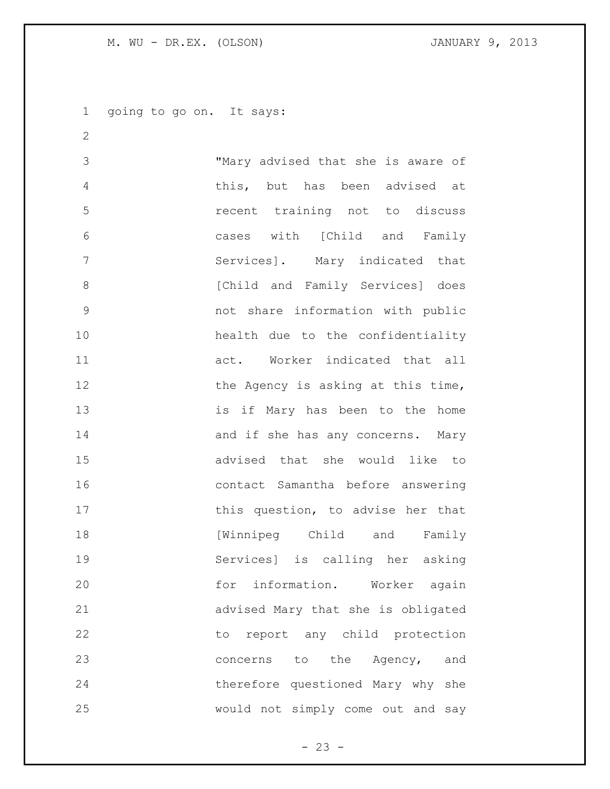going to go on. It says:

 "Mary advised that she is aware of this, but has been advised at recent training not to discuss cases with [Child and Family Services]. Mary indicated that **8** [Child and Family Services] does not share information with public health due to the confidentiality act. Worker indicated that all 12 the Agency is asking at this time, is if Mary has been to the home 14 and if she has any concerns. Mary advised that she would like to contact Samantha before answering 17 this question, to advise her that [Winnipeg Child and Family Services] is calling her asking 20 for information. Worker again advised Mary that she is obligated 22 to report any child protection 23 concerns to the Agency, and therefore questioned Mary why she would not simply come out and say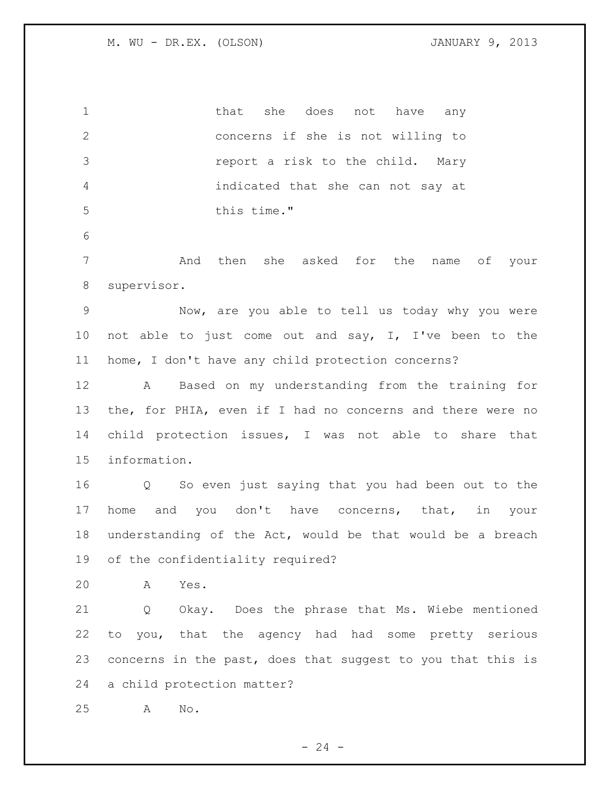1 that she does not have any concerns if she is not willing to report a risk to the child. Mary indicated that she can not say at this time." And then she asked for the name of your supervisor. Now, are you able to tell us today why you were not able to just come out and say, I, I've been to the home, I don't have any child protection concerns? A Based on my understanding from the training for the, for PHIA, even if I had no concerns and there were no child protection issues, I was not able to share that information. Q So even just saying that you had been out to the home and you don't have concerns, that, in your understanding of the Act, would be that would be a breach of the confidentiality required? A Yes. Q Okay. Does the phrase that Ms. Wiebe mentioned to you, that the agency had had some pretty serious concerns in the past, does that suggest to you that this is a child protection matter? A No.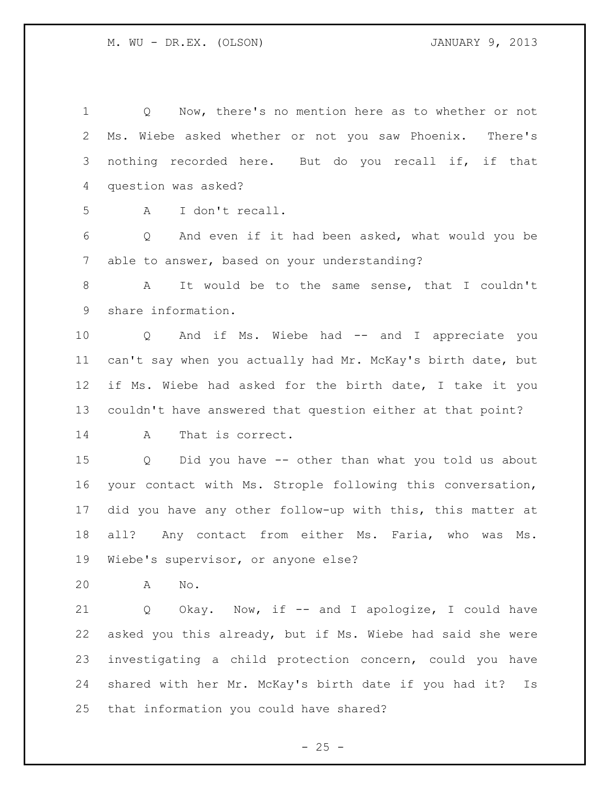Q Now, there's no mention here as to whether or not Ms. Wiebe asked whether or not you saw Phoenix. There's nothing recorded here. But do you recall if, if that question was asked? A I don't recall. Q And even if it had been asked, what would you be able to answer, based on your understanding? A It would be to the same sense, that I couldn't share information. 10 Q And if Ms. Wiebe had -- and I appreciate you can't say when you actually had Mr. McKay's birth date, but if Ms. Wiebe had asked for the birth date, I take it you couldn't have answered that question either at that point? A That is correct. Q Did you have -- other than what you told us about your contact with Ms. Strople following this conversation, did you have any other follow-up with this, this matter at all? Any contact from either Ms. Faria, who was Ms. Wiebe's supervisor, or anyone else? A No. Q Okay. Now, if -- and I apologize, I could have asked you this already, but if Ms. Wiebe had said she were investigating a child protection concern, could you have shared with her Mr. McKay's birth date if you had it? Is that information you could have shared?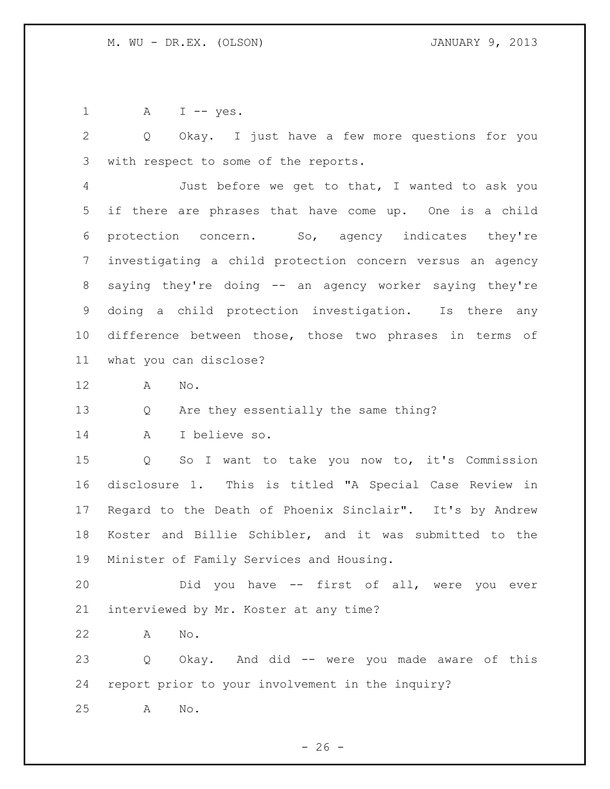1 A I -- yes.

 Q Okay. I just have a few more questions for you with respect to some of the reports.

 Just before we get to that, I wanted to ask you if there are phrases that have come up. One is a child protection concern. So, agency indicates they're investigating a child protection concern versus an agency saying they're doing -- an agency worker saying they're doing a child protection investigation. Is there any difference between those, those two phrases in terms of what you can disclose?

A No.

Q Are they essentially the same thing?

A I believe so.

 Q So I want to take you now to, it's Commission disclosure 1. This is titled "A Special Case Review in Regard to the Death of Phoenix Sinclair". It's by Andrew Koster and Billie Schibler, and it was submitted to the Minister of Family Services and Housing.

 Did you have -- first of all, were you ever interviewed by Mr. Koster at any time?

A No.

 Q Okay. And did -- were you made aware of this report prior to your involvement in the inquiry?

A No.

 $- 26 -$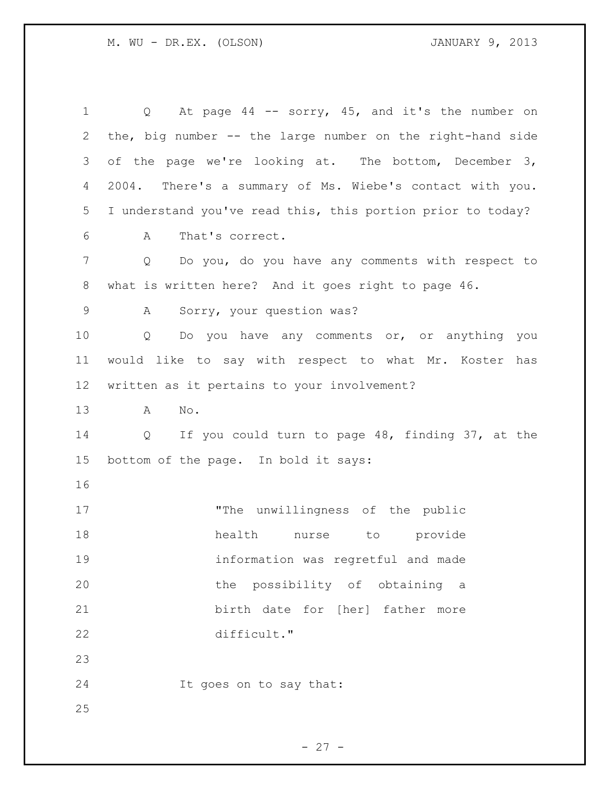| 1               | At page $44$ -- sorry, $45$ , and it's the number on<br>$Q \qquad \qquad$ |
|-----------------|---------------------------------------------------------------------------|
| $\mathbf{2}$    | the, big number -- the large number on the right-hand side                |
| 3               | of the page we're looking at. The bottom, December 3,                     |
| 4               | 2004. There's a summary of Ms. Wiebe's contact with you.                  |
| 5               | I understand you've read this, this portion prior to today?               |
| 6               | That's correct.<br>A                                                      |
| 7               | Do you, do you have any comments with respect to<br>Q                     |
| 8               | what is written here? And it goes right to page 46.                       |
| $\mathsf 9$     | Sorry, your question was?<br>A                                            |
| 10              | Do you have any comments or, or anything you<br>Q                         |
| 11              | would like to say with respect to what Mr. Koster has                     |
| 12 <sup>°</sup> | written as it pertains to your involvement?                               |
| 13              | No.<br>A                                                                  |
| 14              | If you could turn to page 48, finding 37, at the<br>Q                     |
| 15              | bottom of the page. In bold it says:                                      |
| 16              |                                                                           |
| 17              | "The unwillingness of the public                                          |
| 18              | nurse to provide<br>health                                                |
| 19              | information was regretful and made                                        |
| 20              | the possibility of obtaining a                                            |
| 21              | birth date for [her] father more                                          |
| 22              | difficult."                                                               |
| 23              |                                                                           |
| 24              | It goes on to say that:                                                   |
| 25              |                                                                           |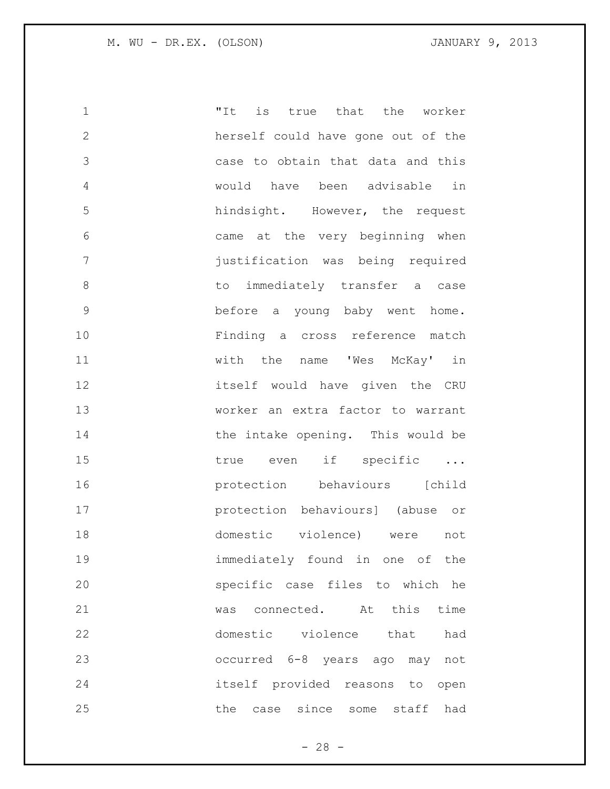"It is true that the worker herself could have gone out of the case to obtain that data and this would have been advisable in hindsight. However, the request came at the very beginning when justification was being required 8 b to immediately transfer a case before a young baby went home. Finding a cross reference match with the name 'Wes McKay' in itself would have given the CRU worker an extra factor to warrant 14 the intake opening. This would be 15 true even if specific ... **protection** behaviours [child protection behaviours] (abuse or domestic violence) were not immediately found in one of the specific case files to which he was connected. At this time domestic violence that had occurred 6-8 years ago may not itself provided reasons to open the case since some staff had

 $- 28 -$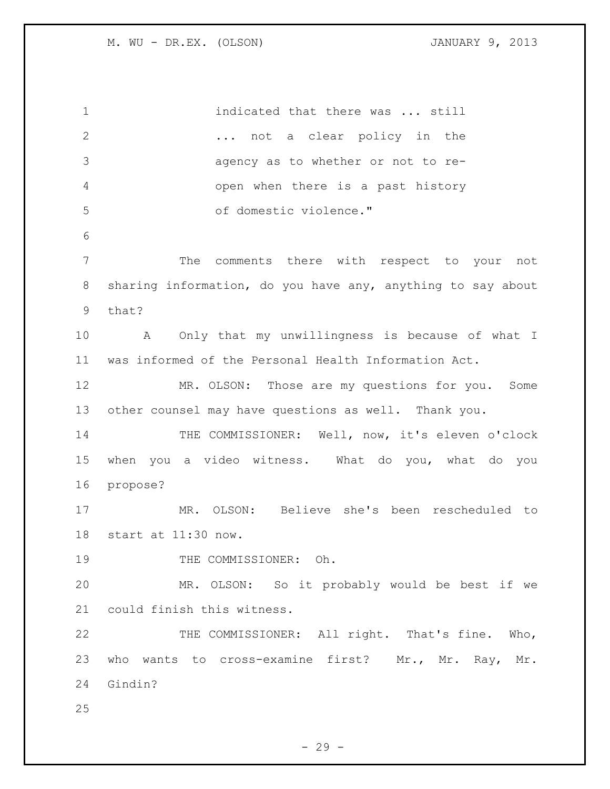1 indicated that there was ... still ... not a clear policy in the agency as to whether or not to re- open when there is a past history of domestic violence." The comments there with respect to your not sharing information, do you have any, anything to say about that? A Only that my unwillingness is because of what I was informed of the Personal Health Information Act. MR. OLSON: Those are my questions for you. Some other counsel may have questions as well. Thank you. 14 THE COMMISSIONER: Well, now, it's eleven o'clock when you a video witness. What do you, what do you propose? MR. OLSON: Believe she's been rescheduled to start at 11:30 now. 19 THE COMMISSIONER: Oh. MR. OLSON: So it probably would be best if we could finish this witness. 22 THE COMMISSIONER: All right. That's fine. Who, who wants to cross-examine first? Mr., Mr. Ray, Mr. Gindin? 

 $-29 -$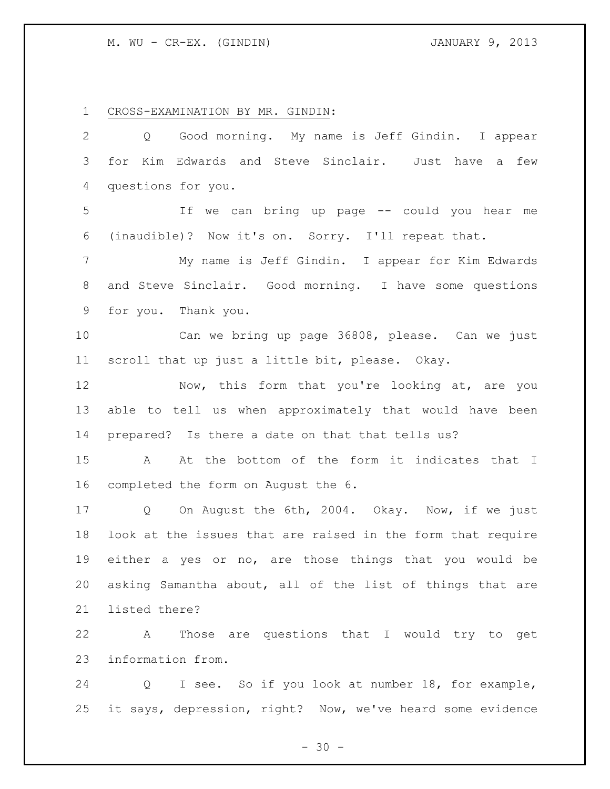CROSS-EXAMINATION BY MR. GINDIN:

| $\overline{2}$ | Q Good morning. My name is Jeff Gindin. I appear            |
|----------------|-------------------------------------------------------------|
| 3              | Kim Edwards and Steve Sinclair. Just have a few<br>for      |
| 4              | questions for you.                                          |
| 5              | Ιf<br>we can bring up page -- could you hear me             |
| 6              | (inaudible)? Now it's on. Sorry. I'll repeat that.          |
| 7              | My name is Jeff Gindin. I appear for Kim Edwards            |
| 8              | and Steve Sinclair. Good morning. I have some questions     |
| 9              | for you. Thank you.                                         |
| 10             | Can we bring up page 36808, please. Can we just             |
| 11             | scroll that up just a little bit, please. Okay.             |
| 12             | Now, this form that you're looking at, are you              |
| 13             | able to tell us when approximately that would have been     |
| 14             | prepared? Is there a date on that that tells us?            |
| 15             | At the bottom of the form it indicates that I<br>A          |
| 16             | completed the form on August the 6.                         |
| 17             | Q On August the 6th, 2004. Okay. Now, if we just            |
| 18             | look at the issues that are raised in the form that require |
| 19             | either a yes or no, are those things that you would be      |
| 20             | asking Samantha about, all of the list of things that are   |
| 21             | listed there?                                               |
| 22             | Those are questions that I would try to get<br>Α            |
| 23             | information from.                                           |
| 24             | I see. So if you look at number 18, for example,<br>Q       |
| 25             | it says, depression, right? Now, we've heard some evidence  |

- 30 -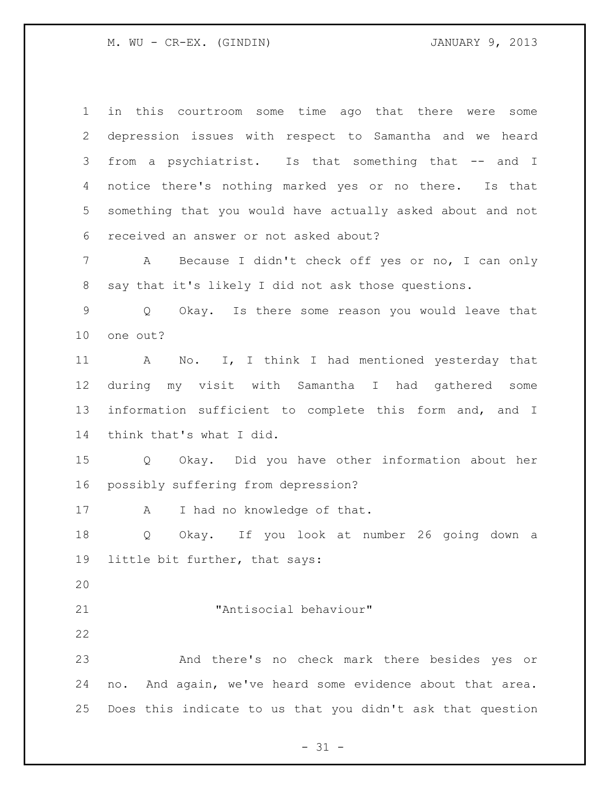in this courtroom some time ago that there were some depression issues with respect to Samantha and we heard from a psychiatrist. Is that something that -- and I notice there's nothing marked yes or no there. Is that something that you would have actually asked about and not received an answer or not asked about?

 A Because I didn't check off yes or no, I can only say that it's likely I did not ask those questions.

 Q Okay. Is there some reason you would leave that one out?

 A No. I, I think I had mentioned yesterday that during my visit with Samantha I had gathered some information sufficient to complete this form and, and I think that's what I did.

 Q Okay. Did you have other information about her possibly suffering from depression?

17 A I had no knowledge of that.

 Q Okay. If you look at number 26 going down a little bit further, that says:

"Antisocial behaviour"

 And there's no check mark there besides yes or no. And again, we've heard some evidence about that area. Does this indicate to us that you didn't ask that question

 $- 31 -$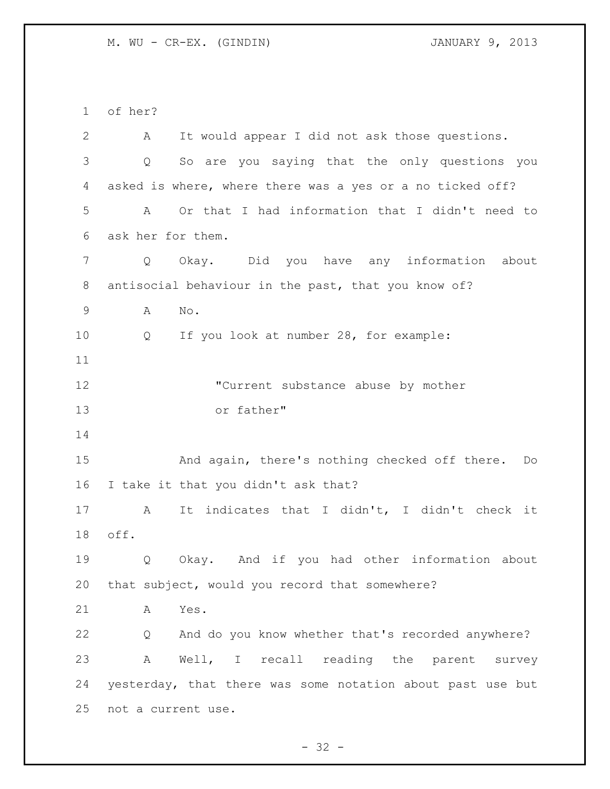of her?

| $\mathbf{2}$ | It would appear I did not ask those questions.<br>A        |
|--------------|------------------------------------------------------------|
| 3            | So are you saying that the only questions you<br>Q         |
| 4            | asked is where, where there was a yes or a no ticked off?  |
| 5            | Or that I had information that I didn't need to<br>A       |
| 6            | ask her for them.                                          |
| 7            | Okay. Did you have any information<br>Q<br>about           |
| $8\,$        | antisocial behaviour in the past, that you know of?        |
| 9            | Α<br>No.                                                   |
| 10           | If you look at number 28, for example:<br>Q                |
| 11           |                                                            |
| 12           | "Current substance abuse by mother                         |
| 13           | or father"                                                 |
| 14           |                                                            |
| 15           | And again, there's nothing checked off there. Do           |
| 16           | I take it that you didn't ask that?                        |
| 17           | It indicates that I didn't, I didn't check it<br>Α         |
| 18           | off.                                                       |
| 19           | Q<br>Okay. And if you had other information about          |
| 20           | that subject, would you record that somewhere?             |
| 21           | Yes.<br>A                                                  |
| 22           | And do you know whether that's recorded anywhere?<br>Q     |
| 23           | Well, I recall reading the parent survey<br>Α              |
| 24           | yesterday, that there was some notation about past use but |
| 25           | not a current use.                                         |

- 32 -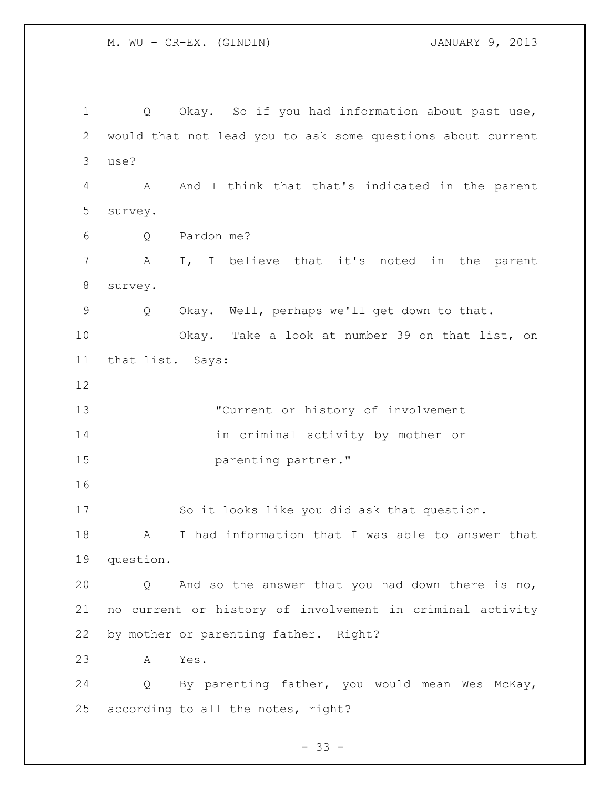Q Okay. So if you had information about past use, would that not lead you to ask some questions about current use? A And I think that that's indicated in the parent survey. Q Pardon me? A I, I believe that it's noted in the parent survey. Q Okay. Well, perhaps we'll get down to that. Okay. Take a look at number 39 on that list, on that list. Says: "Current or history of involvement in criminal activity by mother or **parenting partner.**" So it looks like you did ask that question. A I had information that I was able to answer that question. Q And so the answer that you had down there is no, no current or history of involvement in criminal activity by mother or parenting father. Right? A Yes. Q By parenting father, you would mean Wes McKay, according to all the notes, right?

 $- 33 -$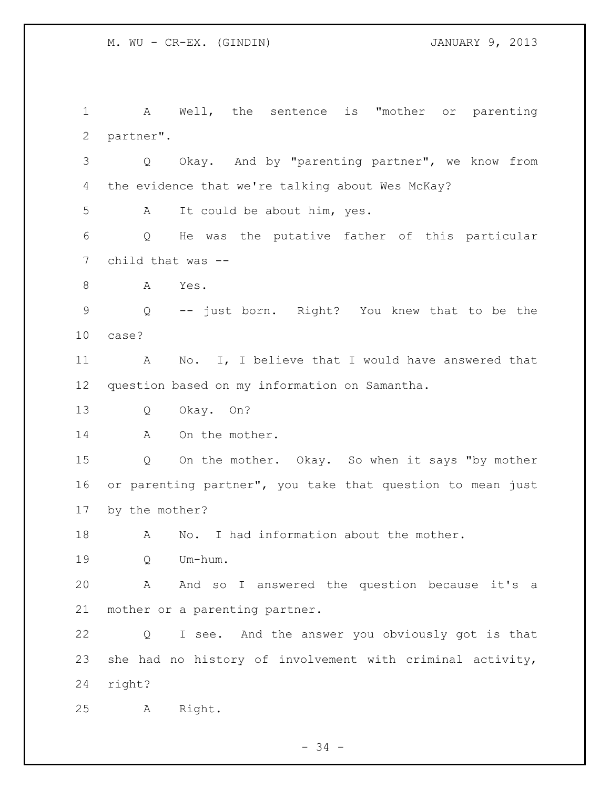A Well, the sentence is "mother or parenting partner". Q Okay. And by "parenting partner", we know from the evidence that we're talking about Wes McKay? A It could be about him, yes. Q He was the putative father of this particular child that was -- 8 A Yes. Q -- just born. Right? You knew that to be the case? A No. I, I believe that I would have answered that question based on my information on Samantha. Q Okay. On? 14 A On the mother. Q On the mother. Okay. So when it says "by mother or parenting partner", you take that question to mean just by the mother? A No. I had information about the mother. Q Um-hum. A And so I answered the question because it's a mother or a parenting partner. Q I see. And the answer you obviously got is that she had no history of involvement with criminal activity, right? A Right.

- 34 -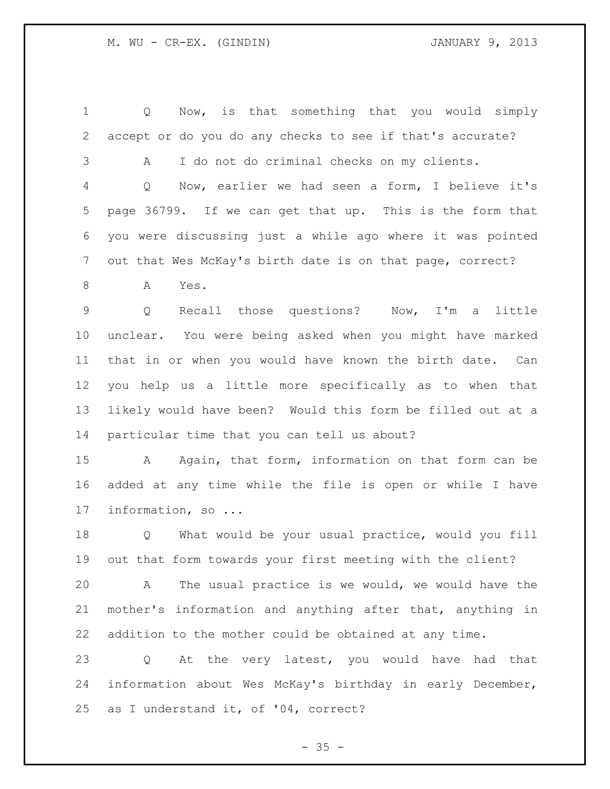Q Now, is that something that you would simply accept or do you do any checks to see if that's accurate? A I do not do criminal checks on my clients. Q Now, earlier we had seen a form, I believe it's page 36799. If we can get that up. This is the form that you were discussing just a while ago where it was pointed out that Wes McKay's birth date is on that page, correct? A Yes. Q Recall those questions? Now, I'm a little unclear. You were being asked when you might have marked that in or when you would have known the birth date. Can you help us a little more specifically as to when that likely would have been? Would this form be filled out at a particular time that you can tell us about? A Again, that form, information on that form can be added at any time while the file is open or while I have information, so ... Q What would be your usual practice, would you fill out that form towards your first meeting with the client? A The usual practice is we would, we would have the mother's information and anything after that, anything in addition to the mother could be obtained at any time. Q At the very latest, you would have had that information about Wes McKay's birthday in early December, as I understand it, of '04, correct?

 $- 35 -$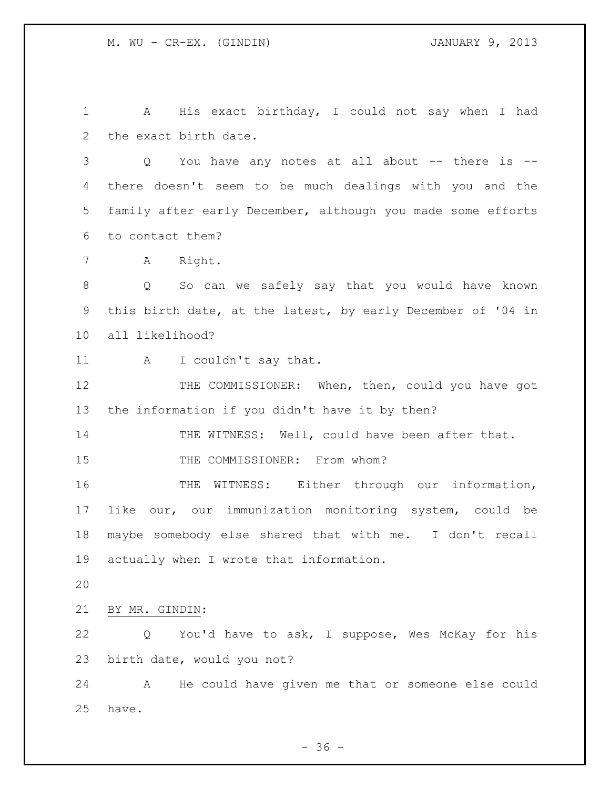A His exact birthday, I could not say when I had the exact birth date.

 Q You have any notes at all about -- there is -- there doesn't seem to be much dealings with you and the family after early December, although you made some efforts to contact them?

A Right.

 Q So can we safely say that you would have known this birth date, at the latest, by early December of '04 in all likelihood?

11 A I couldn't say that.

 THE COMMISSIONER: When, then, could you have got the information if you didn't have it by then?

14 THE WITNESS: Well, could have been after that.

15 THE COMMISSIONER: From whom?

 THE WITNESS: Either through our information, like our, our immunization monitoring system, could be maybe somebody else shared that with me. I don't recall actually when I wrote that information.

BY MR. GINDIN:

 Q You'd have to ask, I suppose, Wes McKay for his birth date, would you not?

 A He could have given me that or someone else could have.

 $-36 -$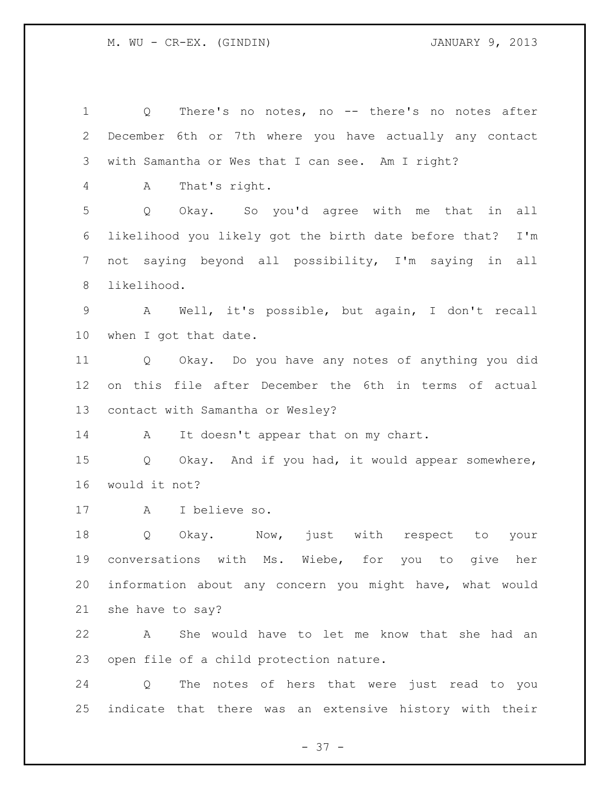Q There's no notes, no -- there's no notes after December 6th or 7th where you have actually any contact with Samantha or Wes that I can see. Am I right? A That's right. Q Okay. So you'd agree with me that in all likelihood you likely got the birth date before that? I'm not saying beyond all possibility, I'm saying in all likelihood. A Well, it's possible, but again, I don't recall when I got that date. Q Okay. Do you have any notes of anything you did on this file after December the 6th in terms of actual contact with Samantha or Wesley? 14 A It doesn't appear that on my chart. Q Okay. And if you had, it would appear somewhere, would it not? A I believe so. Q Okay. Now, just with respect to your conversations with Ms. Wiebe, for you to give her information about any concern you might have, what would she have to say? A She would have to let me know that she had an open file of a child protection nature. Q The notes of hers that were just read to you indicate that there was an extensive history with their

- 37 -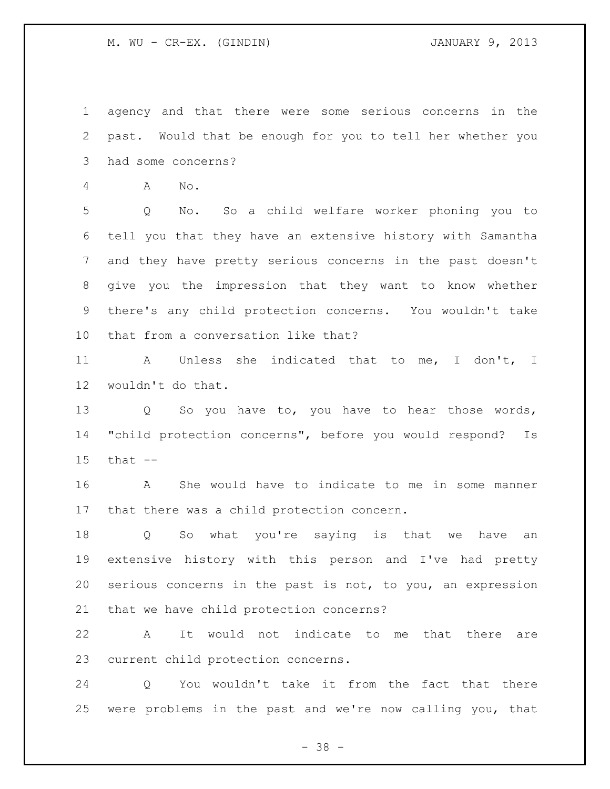## M. WU - CR-EX. (GINDIN) JANUARY 9, 2013

 agency and that there were some serious concerns in the past. Would that be enough for you to tell her whether you had some concerns?

A No.

 Q No. So a child welfare worker phoning you to tell you that they have an extensive history with Samantha and they have pretty serious concerns in the past doesn't give you the impression that they want to know whether there's any child protection concerns. You wouldn't take that from a conversation like that?

 A Unless she indicated that to me, I don't, I wouldn't do that.

13 Q So you have to, you have to hear those words, "child protection concerns", before you would respond? Is that --

 A She would have to indicate to me in some manner that there was a child protection concern.

 Q So what you're saying is that we have an extensive history with this person and I've had pretty serious concerns in the past is not, to you, an expression that we have child protection concerns?

 A It would not indicate to me that there are current child protection concerns.

 Q You wouldn't take it from the fact that there were problems in the past and we're now calling you, that

 $- 38 -$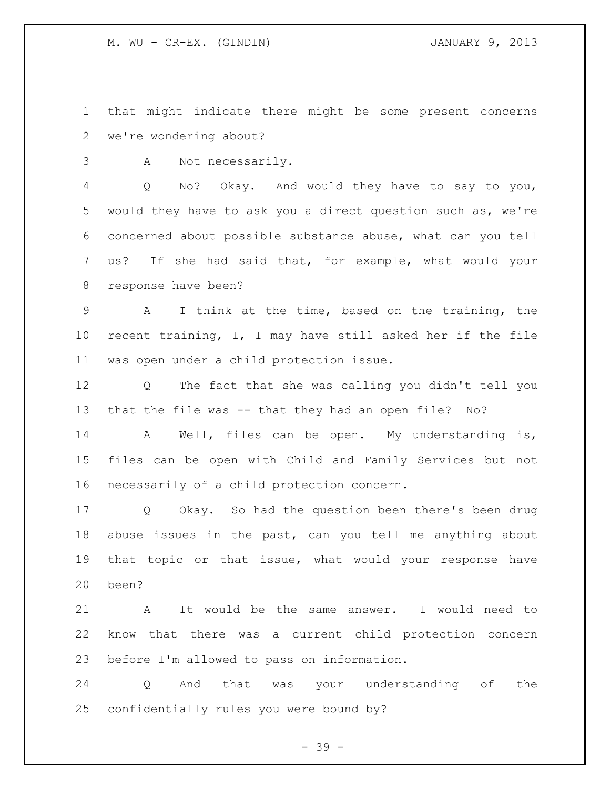M. WU - CR-EX. (GINDIN) JANUARY 9, 2013

 that might indicate there might be some present concerns we're wondering about?

A Not necessarily.

 Q No? Okay. And would they have to say to you, would they have to ask you a direct question such as, we're concerned about possible substance abuse, what can you tell us? If she had said that, for example, what would your response have been?

 A I think at the time, based on the training, the recent training, I, I may have still asked her if the file was open under a child protection issue.

 Q The fact that she was calling you didn't tell you that the file was -- that they had an open file? No?

 A Well, files can be open. My understanding is, files can be open with Child and Family Services but not necessarily of a child protection concern.

 Q Okay. So had the question been there's been drug abuse issues in the past, can you tell me anything about that topic or that issue, what would your response have been?

 A It would be the same answer. I would need to know that there was a current child protection concern before I'm allowed to pass on information.

 Q And that was your understanding of the confidentially rules you were bound by?

- 39 -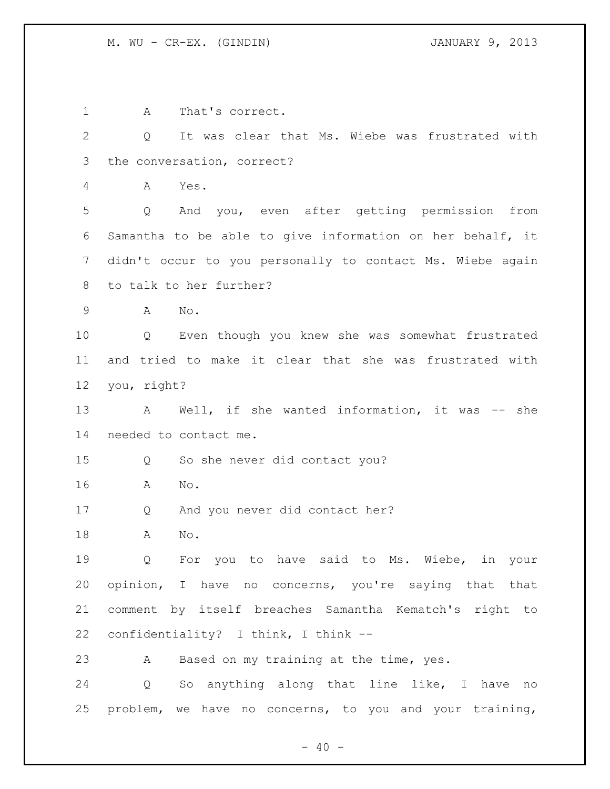A That's correct. Q It was clear that Ms. Wiebe was frustrated with the conversation, correct? A Yes. Q And you, even after getting permission from Samantha to be able to give information on her behalf, it didn't occur to you personally to contact Ms. Wiebe again to talk to her further? A No. Q Even though you knew she was somewhat frustrated and tried to make it clear that she was frustrated with you, right? 13 A Well, if she wanted information, it was -- she needed to contact me. Q So she never did contact you? A No. Q And you never did contact her? A No. Q For you to have said to Ms. Wiebe, in your opinion, I have no concerns, you're saying that that comment by itself breaches Samantha Kematch's right to confidentiality? I think, I think -- A Based on my training at the time, yes. Q So anything along that line like, I have no problem, we have no concerns, to you and your training,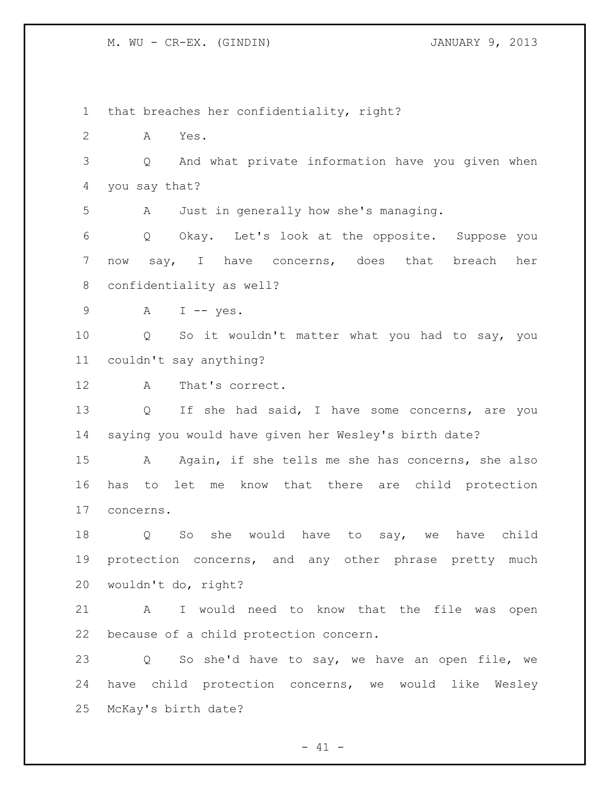M. WU - CR-EX. (GINDIN) JANUARY 9, 2013

 that breaches her confidentiality, right? A Yes. Q And what private information have you given when you say that? A Just in generally how she's managing. Q Okay. Let's look at the opposite. Suppose you now say, I have concerns, does that breach her confidentiality as well? A I -- yes. Q So it wouldn't matter what you had to say, you couldn't say anything? A That's correct. Q If she had said, I have some concerns, are you saying you would have given her Wesley's birth date? A Again, if she tells me she has concerns, she also has to let me know that there are child protection concerns. Q So she would have to say, we have child 19 protection concerns, and any other phrase pretty much wouldn't do, right? A I would need to know that the file was open because of a child protection concern. Q So she'd have to say, we have an open file, we have child protection concerns, we would like Wesley McKay's birth date?

 $- 41 -$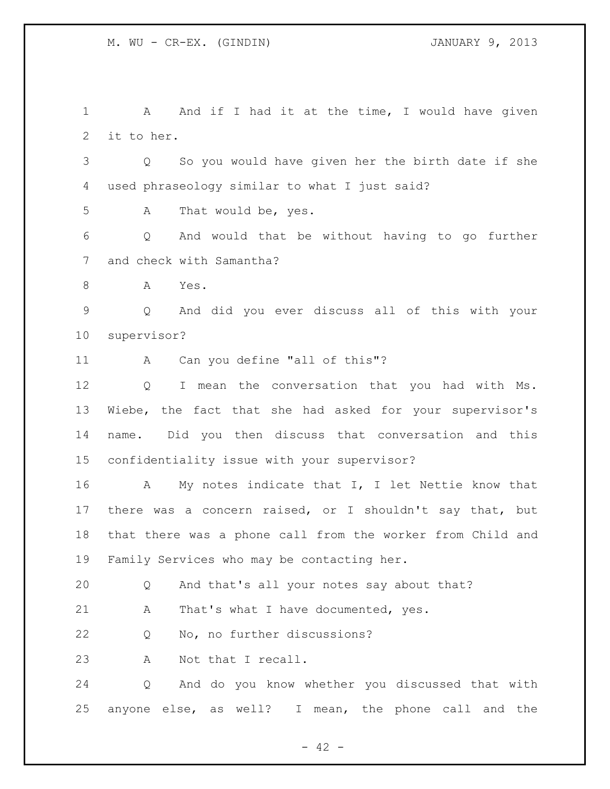1 A And if I had it at the time, I would have given it to her. Q So you would have given her the birth date if she used phraseology similar to what I just said? A That would be, yes. Q And would that be without having to go further and check with Samantha? A Yes. Q And did you ever discuss all of this with your supervisor? A Can you define "all of this"? Q I mean the conversation that you had with Ms. Wiebe, the fact that she had asked for your supervisor's name. Did you then discuss that conversation and this confidentiality issue with your supervisor? A My notes indicate that I, I let Nettie know that there was a concern raised, or I shouldn't say that, but

 that there was a phone call from the worker from Child and Family Services who may be contacting her.

Q And that's all your notes say about that?

21 A That's what I have documented, yes.

Q No, no further discussions?

A Not that I recall.

 Q And do you know whether you discussed that with anyone else, as well? I mean, the phone call and the

 $- 42 -$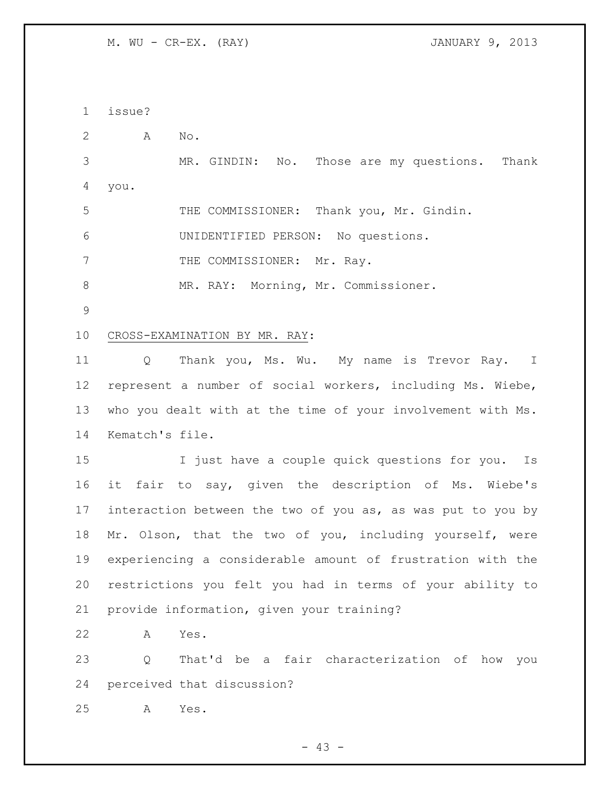M. WU - CR-EX. (RAY) JANUARY 9, 2013

issue?

A No.

 MR. GINDIN: No. Those are my questions. Thank you.

THE COMMISSIONER: Thank you, Mr. Gindin.

UNIDENTIFIED PERSON: No questions.

7 THE COMMISSIONER: Mr. Ray.

8 MR. RAY: Morning, Mr. Commissioner.

## CROSS-EXAMINATION BY MR. RAY:

 Q Thank you, Ms. Wu. My name is Trevor Ray. I represent a number of social workers, including Ms. Wiebe, who you dealt with at the time of your involvement with Ms. Kematch's file.

 I just have a couple quick questions for you. Is it fair to say, given the description of Ms. Wiebe's interaction between the two of you as, as was put to you by Mr. Olson, that the two of you, including yourself, were experiencing a considerable amount of frustration with the restrictions you felt you had in terms of your ability to provide information, given your training?

A Yes.

 Q That'd be a fair characterization of how you perceived that discussion?

A Yes.

 $- 43 -$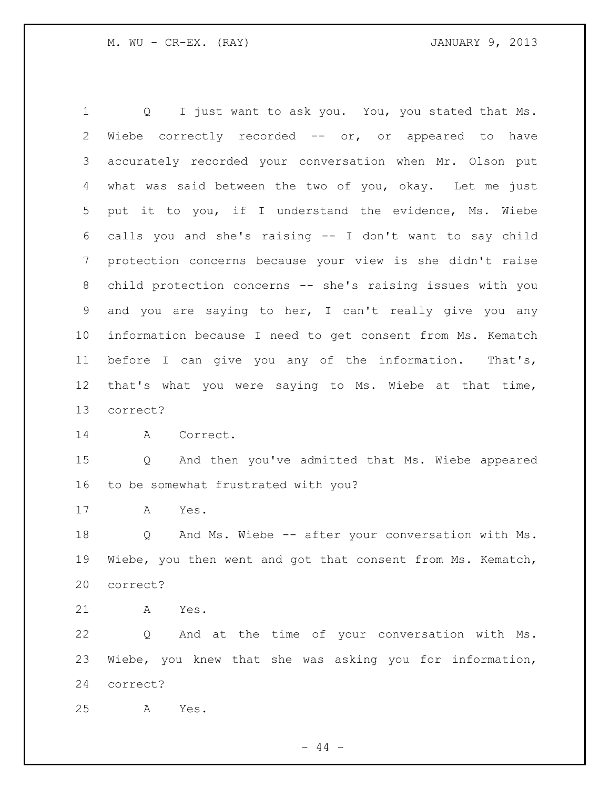Q I just want to ask you. You, you stated that Ms. Wiebe correctly recorded -- or, or appeared to have accurately recorded your conversation when Mr. Olson put what was said between the two of you, okay. Let me just put it to you, if I understand the evidence, Ms. Wiebe calls you and she's raising -- I don't want to say child protection concerns because your view is she didn't raise child protection concerns -- she's raising issues with you and you are saying to her, I can't really give you any information because I need to get consent from Ms. Kematch before I can give you any of the information. That's, that's what you were saying to Ms. Wiebe at that time, correct? 14 A Correct. Q And then you've admitted that Ms. Wiebe appeared to be somewhat frustrated with you? A Yes. Q And Ms. Wiebe -- after your conversation with Ms. Wiebe, you then went and got that consent from Ms. Kematch, correct? A Yes. Q And at the time of your conversation with Ms. Wiebe, you knew that she was asking you for information, correct? A Yes.

 $-44 -$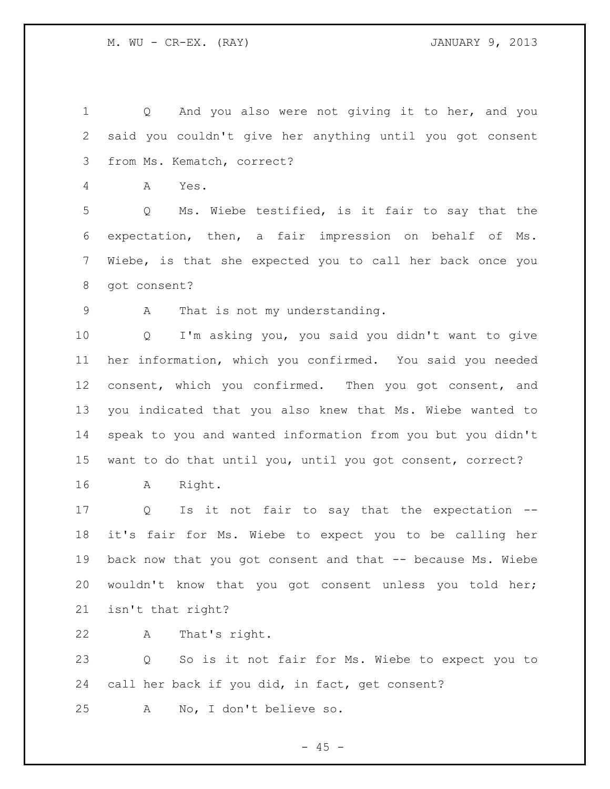Q And you also were not giving it to her, and you said you couldn't give her anything until you got consent from Ms. Kematch, correct?

A Yes.

 Q Ms. Wiebe testified, is it fair to say that the expectation, then, a fair impression on behalf of Ms. Wiebe, is that she expected you to call her back once you got consent?

A That is not my understanding.

 Q I'm asking you, you said you didn't want to give her information, which you confirmed. You said you needed 12 consent, which you confirmed. Then you got consent, and you indicated that you also knew that Ms. Wiebe wanted to speak to you and wanted information from you but you didn't want to do that until you, until you got consent, correct?

A Right.

 Q Is it not fair to say that the expectation -- it's fair for Ms. Wiebe to expect you to be calling her 19 back now that you got consent and that -- because Ms. Wiebe wouldn't know that you got consent unless you told her; isn't that right?

A That's right.

 Q So is it not fair for Ms. Wiebe to expect you to call her back if you did, in fact, get consent?

A No, I don't believe so.

 $- 45 -$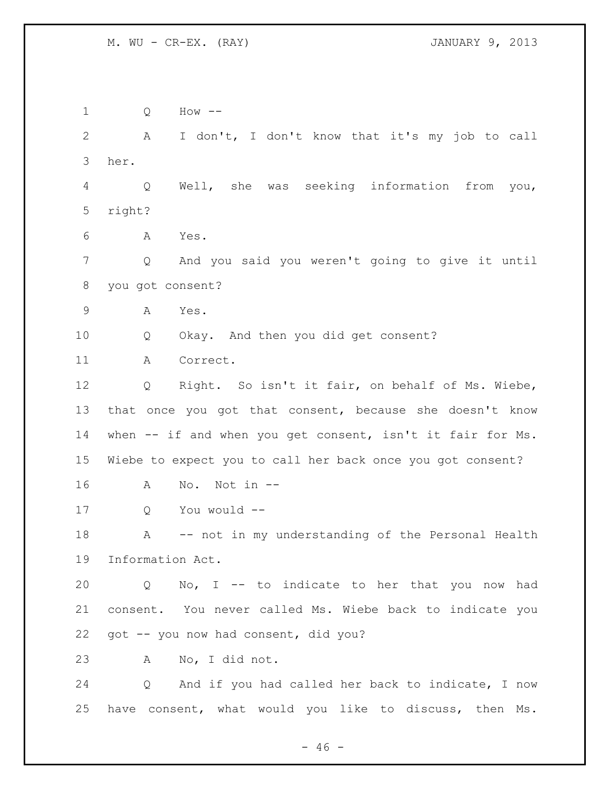Q How -- A I don't, I don't know that it's my job to call her. Q Well, she was seeking information from you, right? A Yes. Q And you said you weren't going to give it until you got consent? A Yes. Q Okay. And then you did get consent? A Correct. Q Right. So isn't it fair, on behalf of Ms. Wiebe, that once you got that consent, because she doesn't know when -- if and when you get consent, isn't it fair for Ms. Wiebe to expect you to call her back once you got consent? A No. Not in -- Q You would -- A -- not in my understanding of the Personal Health Information Act. Q No, I -- to indicate to her that you now had consent. You never called Ms. Wiebe back to indicate you got -- you now had consent, did you? A No, I did not. Q And if you had called her back to indicate, I now have consent, what would you like to discuss, then Ms.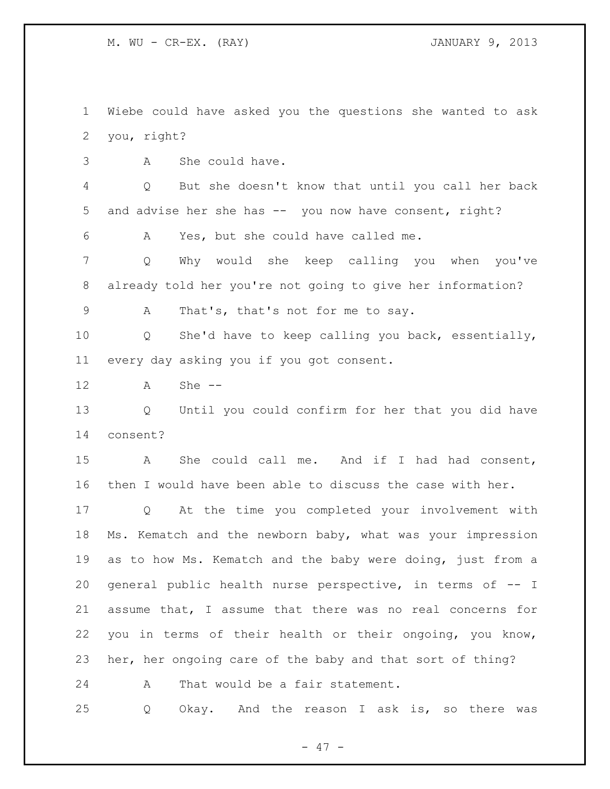M. WU - CR-EX. (RAY) JANUARY 9, 2013

 Wiebe could have asked you the questions she wanted to ask you, right?

A She could have.

 Q But she doesn't know that until you call her back 5 and advise her she has -- you now have consent, right?

A Yes, but she could have called me.

 Q Why would she keep calling you when you've already told her you're not going to give her information?

A That's, that's not for me to say.

 Q She'd have to keep calling you back, essentially, every day asking you if you got consent.

A She --

 Q Until you could confirm for her that you did have consent?

 A She could call me. And if I had had consent, then I would have been able to discuss the case with her.

 Q At the time you completed your involvement with Ms. Kematch and the newborn baby, what was your impression as to how Ms. Kematch and the baby were doing, just from a general public health nurse perspective, in terms of -- I assume that, I assume that there was no real concerns for you in terms of their health or their ongoing, you know, her, her ongoing care of the baby and that sort of thing?

A That would be a fair statement.

Q Okay. And the reason I ask is, so there was

- 47 -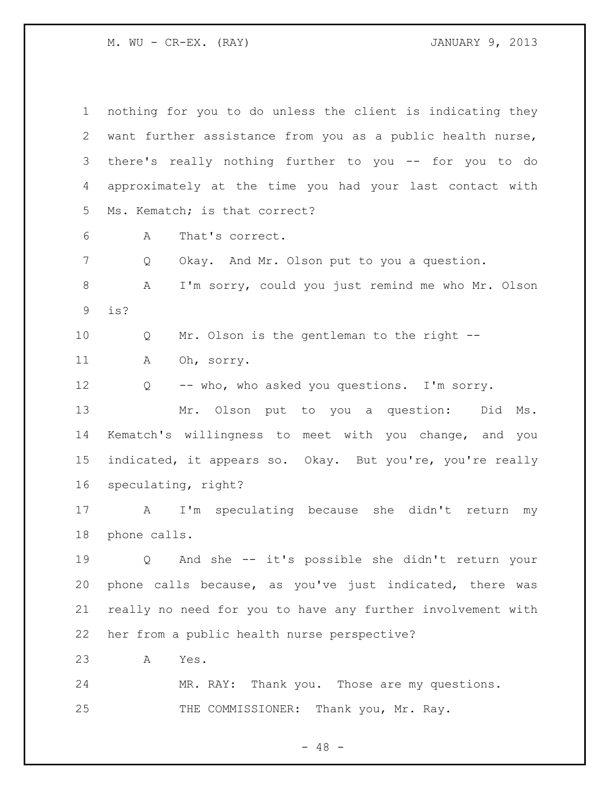M. WU - CR-EX. (RAY) JANUARY 9, 2013

| $\mathbf 1$ | nothing for you to do unless the client is indicating they         |
|-------------|--------------------------------------------------------------------|
| 2           | want further assistance from you as a public health nurse,         |
| 3           | there's really nothing further to you -- for you to do             |
| 4           | approximately at the time you had your last contact with           |
| 5           | Ms. Kematch; is that correct?                                      |
| 6           | That's correct.<br>A                                               |
| 7           | Okay. And Mr. Olson put to you a question.<br>Q                    |
| 8           | I'm sorry, could you just remind me who Mr. Olson<br>Α             |
| $\mathsf 9$ | is?                                                                |
| 10          | Mr. Olson is the gentleman to the right --<br>Q                    |
| 11          | Α<br>Oh, sorry.                                                    |
| 12          | -- who, who asked you questions. I'm sorry.<br>Q                   |
| 13          | Mr. Olson put to you a question:<br>Did<br>Ms.                     |
| 14          | Kematch's willingness to meet with you change, and you             |
| 15          | indicated, it appears so. Okay. But you're, you're really          |
| 16          | speculating, right?                                                |
| 17          | I'm speculating because<br>she didn't return<br>$\mathbf{A}$<br>my |
| 18          | phone calls.                                                       |
| 19          | Q And she -- it's possible she didn't return your                  |
| 20          | phone calls because, as you've just indicated, there was           |
| 21          | really no need for you to have any further involvement with        |
| 22          | her from a public health nurse perspective?                        |
| 23          | Yes.<br>A                                                          |
| 24          | MR. RAY: Thank you. Those are my questions.                        |
| 25          | THE COMMISSIONER: Thank you, Mr. Ray.                              |

- 48 -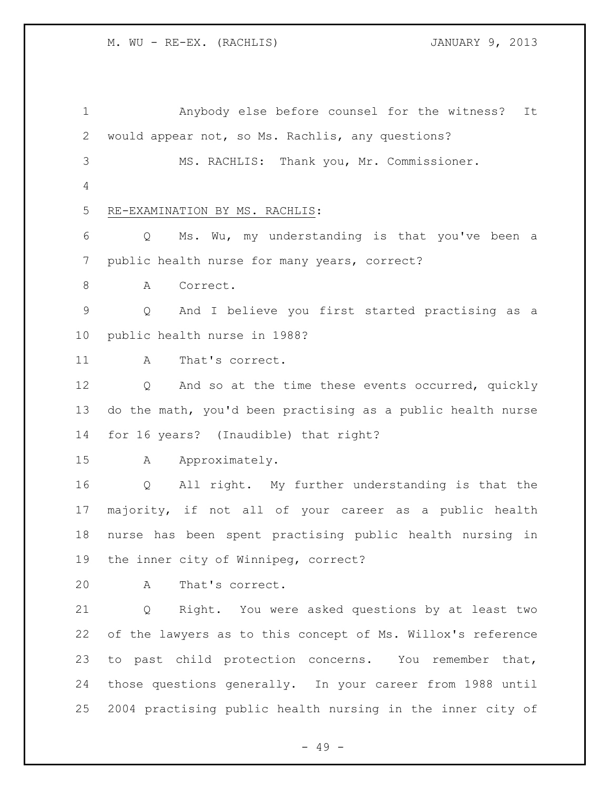| $\mathbf 1$     | Anybody else before counsel for the witness?<br>It          |
|-----------------|-------------------------------------------------------------|
| $\mathbf{2}$    | would appear not, so Ms. Rachlis, any questions?            |
| 3               | MS. RACHLIS: Thank you, Mr. Commissioner.                   |
| 4               |                                                             |
| 5               | RE-EXAMINATION BY MS. RACHLIS:                              |
| 6               | Ms. Wu, my understanding is that you've been a<br>Q         |
| $7\phantom{.0}$ | public health nurse for many years, correct?                |
| $\,8\,$         | A<br>Correct.                                               |
| $\mathsf 9$     | And I believe you first started practising as a<br>Q        |
| 10              | public health nurse in 1988?                                |
| 11              | That's correct.<br>A                                        |
| 12              | And so at the time these events occurred, quickly<br>Q      |
| 13              | do the math, you'd been practising as a public health nurse |
| 14              | for 16 years? (Inaudible) that right?                       |
| 15              | Approximately.<br>A                                         |
| 16              | All right. My further understanding is that the<br>Q        |
| 17              | majority, if not all of your career as a public health      |
| 18              | nurse has been spent practising public health nursing in    |
| 19              | the inner city of Winnipeg, correct?                        |
| 20              | A<br>That's correct.                                        |
|                 |                                                             |
| 21              | Right. You were asked questions by at least two<br>Q        |
| 22              | of the lawyers as to this concept of Ms. Willox's reference |
| 23              | to past child protection concerns. You remember that,       |
| 24              | those questions generally. In your career from 1988 until   |

- 49 -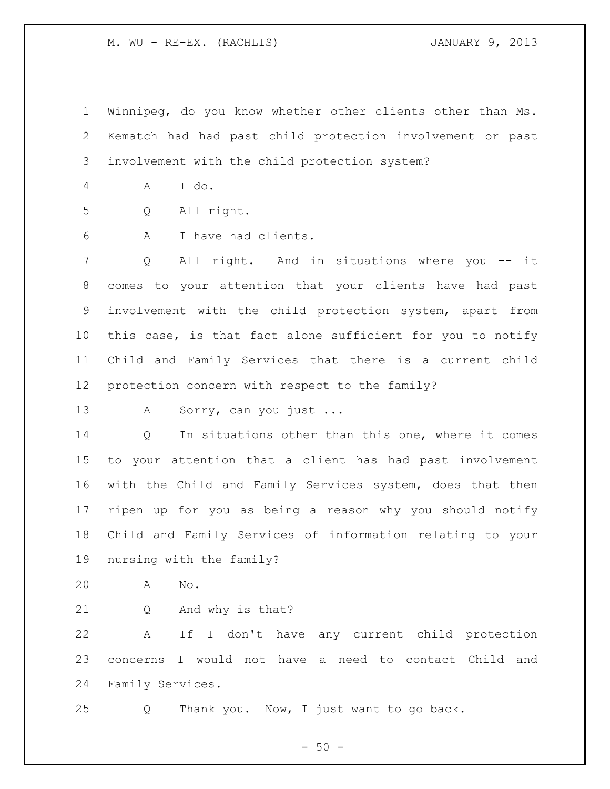Winnipeg, do you know whether other clients other than Ms. Kematch had had past child protection involvement or past involvement with the child protection system?

A I do.

Q All right.

A I have had clients.

 Q All right. And in situations where you -- it comes to your attention that your clients have had past involvement with the child protection system, apart from this case, is that fact alone sufficient for you to notify Child and Family Services that there is a current child protection concern with respect to the family?

13 A Sorry, can you just ...

 Q In situations other than this one, where it comes to your attention that a client has had past involvement with the Child and Family Services system, does that then ripen up for you as being a reason why you should notify Child and Family Services of information relating to your nursing with the family?

- A No.
- Q And why is that?

 A If I don't have any current child protection concerns I would not have a need to contact Child and Family Services.

Q Thank you. Now, I just want to go back.

 $-50 -$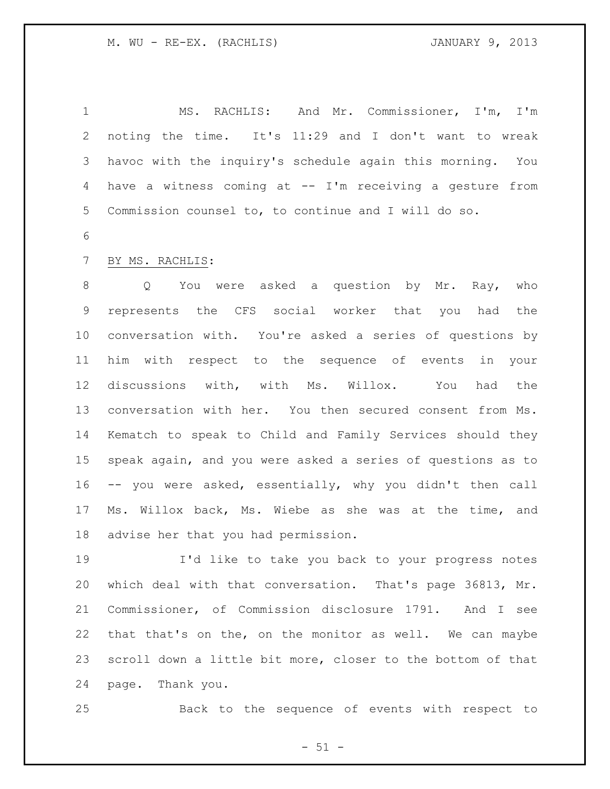MS. RACHLIS: And Mr. Commissioner, I'm, I'm noting the time. It's 11:29 and I don't want to wreak havoc with the inquiry's schedule again this morning. You have a witness coming at -- I'm receiving a gesture from Commission counsel to, to continue and I will do so.

## BY MS. RACHLIS:

8 O You were asked a question by Mr. Ray, who represents the CFS social worker that you had the conversation with. You're asked a series of questions by him with respect to the sequence of events in your discussions with, with Ms. Willox. You had the conversation with her. You then secured consent from Ms. Kematch to speak to Child and Family Services should they speak again, and you were asked a series of questions as to -- you were asked, essentially, why you didn't then call Ms. Willox back, Ms. Wiebe as she was at the time, and advise her that you had permission.

 I'd like to take you back to your progress notes which deal with that conversation. That's page 36813, Mr. Commissioner, of Commission disclosure 1791. And I see that that's on the, on the monitor as well. We can maybe scroll down a little bit more, closer to the bottom of that page. Thank you.

Back to the sequence of events with respect to

 $- 51 -$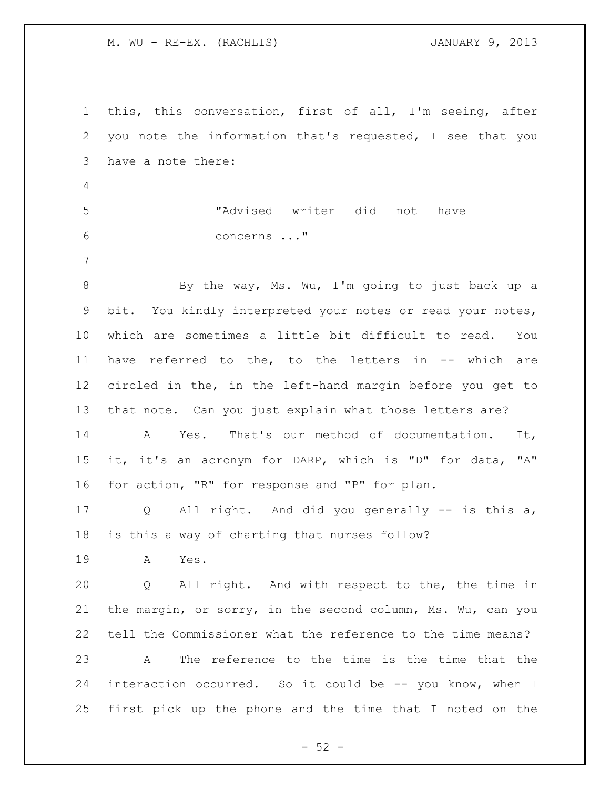this, this conversation, first of all, I'm seeing, after you note the information that's requested, I see that you have a note there: "Advised writer did not have concerns ..." By the way, Ms. Wu, I'm going to just back up a bit. You kindly interpreted your notes or read your notes, which are sometimes a little bit difficult to read. You have referred to the, to the letters in -- which are circled in the, in the left-hand margin before you get to that note. Can you just explain what those letters are? A Yes. That's our method of documentation. It, it, it's an acronym for DARP, which is "D" for data, "A" for action, "R" for response and "P" for plan. Q All right. And did you generally -- is this a, is this a way of charting that nurses follow? A Yes. Q All right. And with respect to the, the time in the margin, or sorry, in the second column, Ms. Wu, can you tell the Commissioner what the reference to the time means? A The reference to the time is the time that the interaction occurred. So it could be -- you know, when I first pick up the phone and the time that I noted on the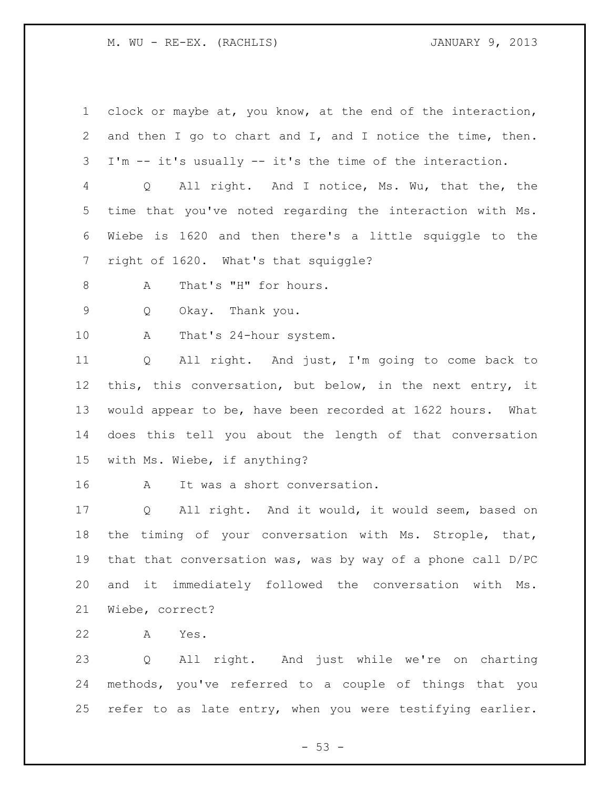clock or maybe at, you know, at the end of the interaction, and then I go to chart and I, and I notice the time, then. I'm -- it's usually -- it's the time of the interaction. Q All right. And I notice, Ms. Wu, that the, the time that you've noted regarding the interaction with Ms. Wiebe is 1620 and then there's a little squiggle to the right of 1620. What's that squiggle? 8 A That's "H" for hours. Q Okay. Thank you. A That's 24-hour system. Q All right. And just, I'm going to come back to this, this conversation, but below, in the next entry, it would appear to be, have been recorded at 1622 hours. What does this tell you about the length of that conversation with Ms. Wiebe, if anything? A It was a short conversation. Q All right. And it would, it would seem, based on the timing of your conversation with Ms. Strople, that, that that conversation was, was by way of a phone call D/PC and it immediately followed the conversation with Ms. Wiebe, correct? A Yes.

 Q All right. And just while we're on charting methods, you've referred to a couple of things that you refer to as late entry, when you were testifying earlier.

 $- 53 -$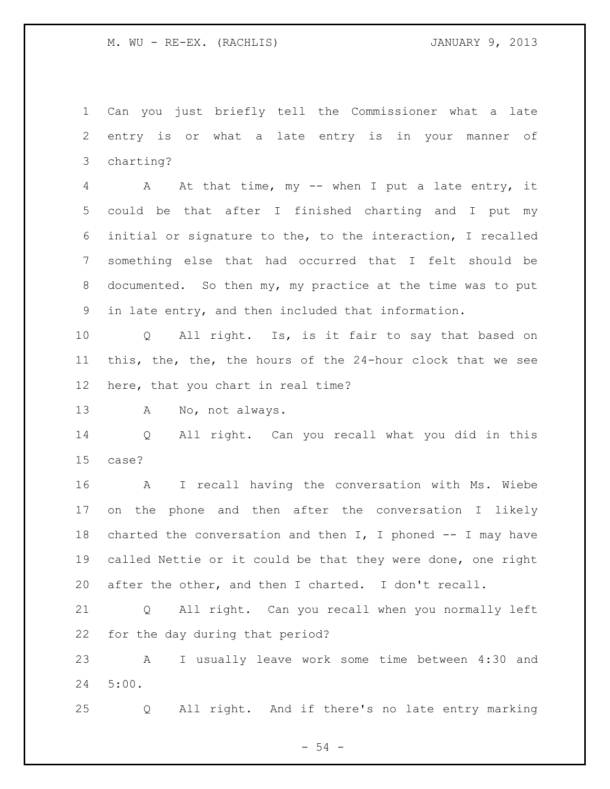Can you just briefly tell the Commissioner what a late entry is or what a late entry is in your manner of charting?

 A At that time, my -- when I put a late entry, it could be that after I finished charting and I put my initial or signature to the, to the interaction, I recalled something else that had occurred that I felt should be documented. So then my, my practice at the time was to put in late entry, and then included that information.

 Q All right. Is, is it fair to say that based on this, the, the, the hours of the 24-hour clock that we see here, that you chart in real time?

A No, not always.

 Q All right. Can you recall what you did in this case?

 A I recall having the conversation with Ms. Wiebe on the phone and then after the conversation I likely 18 charted the conversation and then  $I$ , I phoned  $-$  I may have called Nettie or it could be that they were done, one right after the other, and then I charted. I don't recall.

 Q All right. Can you recall when you normally left for the day during that period?

 A I usually leave work some time between 4:30 and 5:00.

Q All right. And if there's no late entry marking

 $-54 -$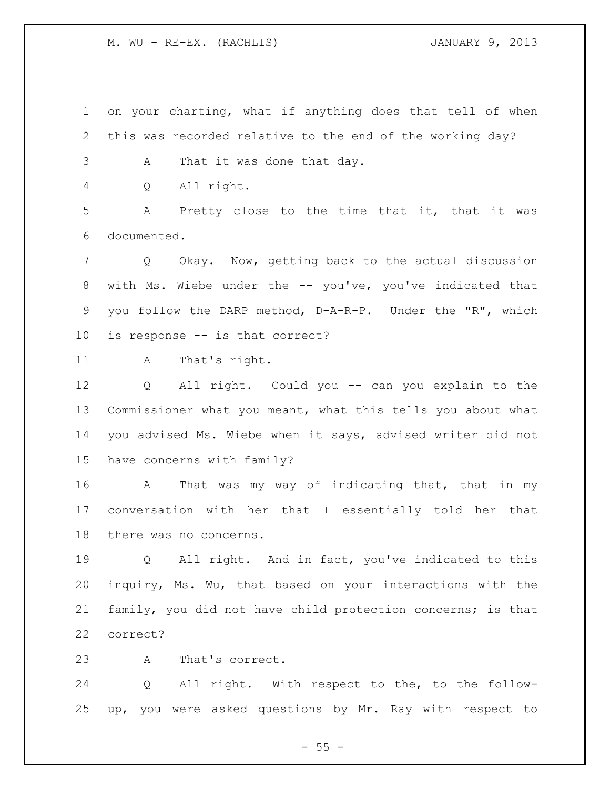on your charting, what if anything does that tell of when this was recorded relative to the end of the working day?

A That it was done that day.

Q All right.

 A Pretty close to the time that it, that it was documented.

 Q Okay. Now, getting back to the actual discussion with Ms. Wiebe under the -- you've, you've indicated that you follow the DARP method, D-A-R-P. Under the "R", which is response -- is that correct?

11 A That's right.

 Q All right. Could you -- can you explain to the Commissioner what you meant, what this tells you about what you advised Ms. Wiebe when it says, advised writer did not have concerns with family?

 A That was my way of indicating that, that in my conversation with her that I essentially told her that there was no concerns.

 Q All right. And in fact, you've indicated to this inquiry, Ms. Wu, that based on your interactions with the family, you did not have child protection concerns; is that correct?

A That's correct.

 Q All right. With respect to the, to the follow-up, you were asked questions by Mr. Ray with respect to

 $- 55 -$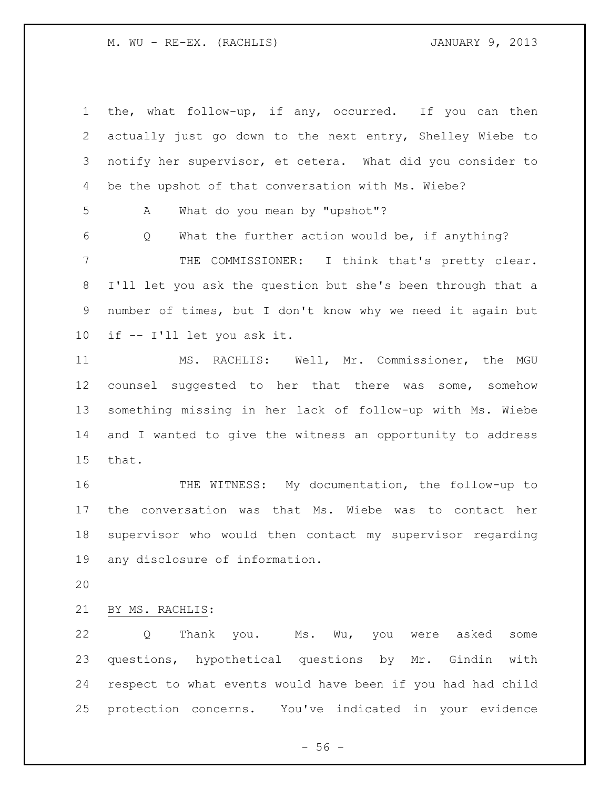the, what follow-up, if any, occurred. If you can then actually just go down to the next entry, Shelley Wiebe to notify her supervisor, et cetera. What did you consider to be the upshot of that conversation with Ms. Wiebe? A What do you mean by "upshot"? Q What the further action would be, if anything? THE COMMISSIONER: I think that's pretty clear. I'll let you ask the question but she's been through that a number of times, but I don't know why we need it again but if -- I'll let you ask it. MS. RACHLIS: Well, Mr. Commissioner, the MGU counsel suggested to her that there was some, somehow something missing in her lack of follow-up with Ms. Wiebe and I wanted to give the witness an opportunity to address that. THE WITNESS: My documentation, the follow-up to the conversation was that Ms. Wiebe was to contact her supervisor who would then contact my supervisor regarding any disclosure of information.

BY MS. RACHLIS:

22 Q Thank you. Ms. Wu, you were asked some questions, hypothetical questions by Mr. Gindin with respect to what events would have been if you had had child protection concerns. You've indicated in your evidence

 $-56 -$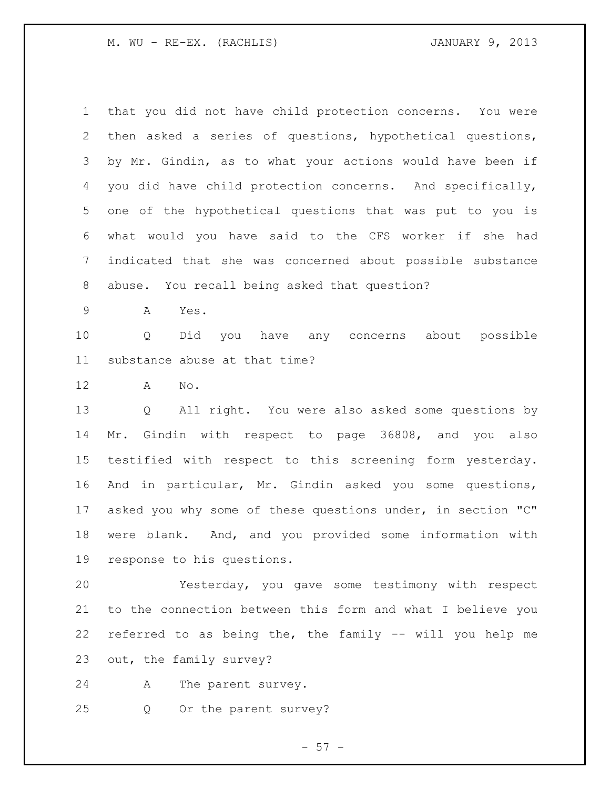| 1              | that you did not have child protection concerns. You were   |
|----------------|-------------------------------------------------------------|
| $\mathbf{2}$   | then asked a series of questions, hypothetical questions,   |
| 3              | by Mr. Gindin, as to what your actions would have been if   |
| 4              | you did have child protection concerns. And specifically,   |
| 5              | one of the hypothetical questions that was put to you is    |
| 6              | what would you have said to the CFS worker if she had       |
| $\overline{7}$ | indicated that she was concerned about possible substance   |
| 8              | abuse. You recall being asked that question?                |
| $\mathsf 9$    | Yes.<br>A                                                   |
| 10             | Q<br>Did<br>you have any concerns about possible            |
| 11             | substance abuse at that time?                               |
| 12             | $\mathrm{No}$ .<br>Α                                        |
| 13             | All right. You were also asked some questions by<br>Q       |
| 14             | Mr. Gindin with respect to page 36808, and you also         |
| 15             | testified with respect to this screening form yesterday.    |
| 16             | And in particular, Mr. Gindin asked you some questions,     |
| 17             | asked you why some of these questions under, in section "C" |
| 18             | were blank. And, and you provided some information with     |
| 19             | response to his questions.                                  |
| 20             | Yesterday, you gave some testimony with respect             |
| 21             | to the connection between this form and what I believe you  |
| 22             | referred to as being the, the family -- will you help me    |
| 23             | out, the family survey?                                     |

A The parent survey.

Q Or the parent survey?

- 57 -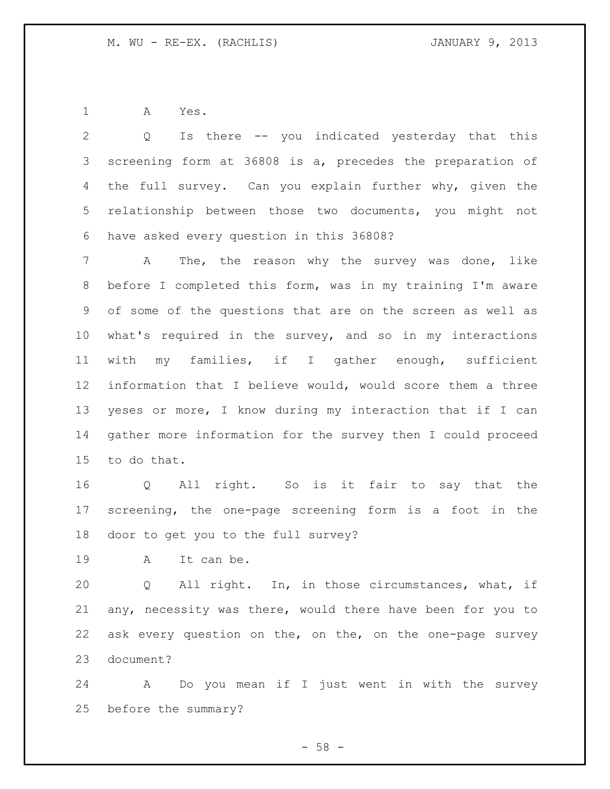A Yes.

 Q Is there -- you indicated yesterday that this screening form at 36808 is a, precedes the preparation of 4 the full survey. Can you explain further why, given the relationship between those two documents, you might not have asked every question in this 36808?

 A The, the reason why the survey was done, like before I completed this form, was in my training I'm aware of some of the questions that are on the screen as well as what's required in the survey, and so in my interactions with my families, if I gather enough, sufficient information that I believe would, would score them a three yeses or more, I know during my interaction that if I can gather more information for the survey then I could proceed to do that.

 Q All right. So is it fair to say that the screening, the one-page screening form is a foot in the door to get you to the full survey?

A It can be.

 Q All right. In, in those circumstances, what, if any, necessity was there, would there have been for you to ask every question on the, on the, on the one-page survey document?

 A Do you mean if I just went in with the survey before the summary?

 $-58 -$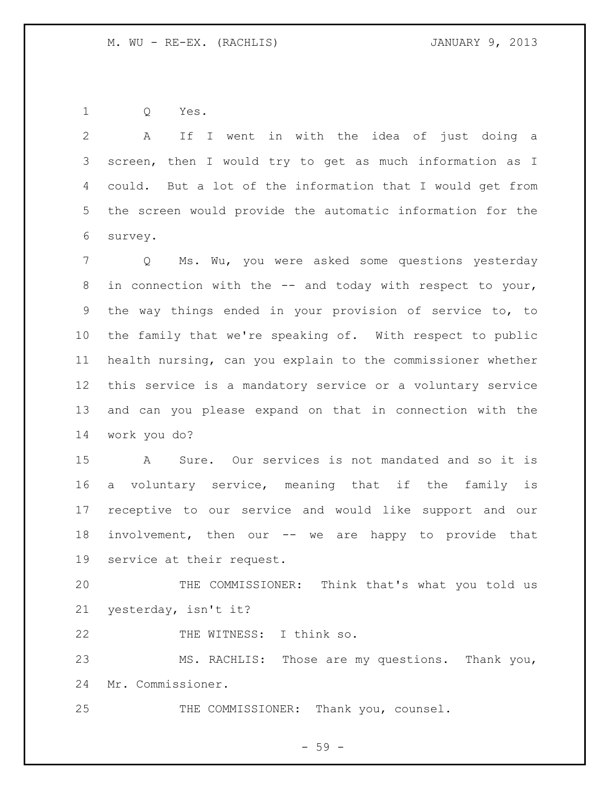Q Yes.

 A If I went in with the idea of just doing a screen, then I would try to get as much information as I could. But a lot of the information that I would get from the screen would provide the automatic information for the survey. Q Ms. Wu, you were asked some questions yesterday in connection with the -- and today with respect to your, the way things ended in your provision of service to, to the family that we're speaking of. With respect to public health nursing, can you explain to the commissioner whether this service is a mandatory service or a voluntary service and can you please expand on that in connection with the work you do? A Sure. Our services is not mandated and so it is a voluntary service, meaning that if the family is

 involvement, then our -- we are happy to provide that service at their request.

receptive to our service and would like support and our

 THE COMMISSIONER: Think that's what you told us yesterday, isn't it?

22 THE WITNESS: I think so.

 MS. RACHLIS: Those are my questions. Thank you, Mr. Commissioner.

THE COMMISSIONER: Thank you, counsel.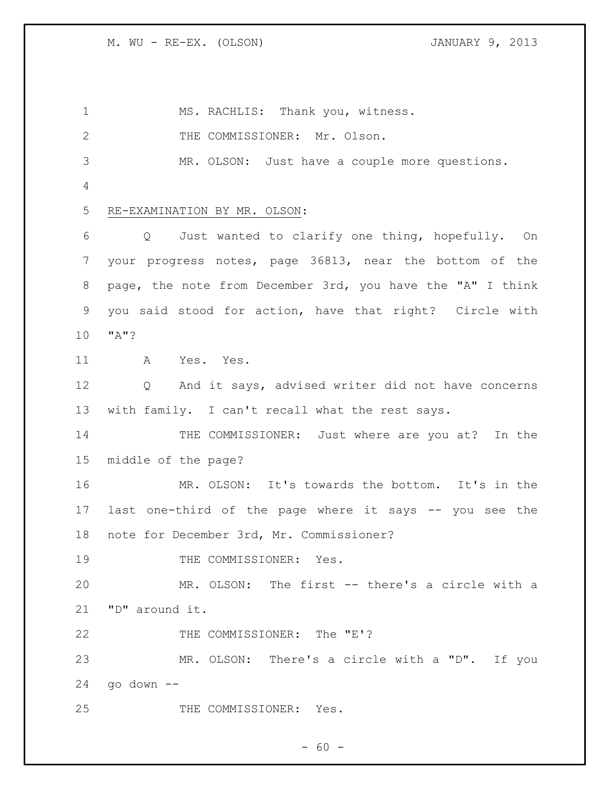MS. RACHLIS: Thank you, witness. 2 THE COMMISSIONER: Mr. Olson. MR. OLSON: Just have a couple more questions. RE-EXAMINATION BY MR. OLSON: Q Just wanted to clarify one thing, hopefully. On your progress notes, page 36813, near the bottom of the page, the note from December 3rd, you have the "A" I think you said stood for action, have that right? Circle with "A"? A Yes. Yes. Q And it says, advised writer did not have concerns with family. I can't recall what the rest says. 14 THE COMMISSIONER: Just where are you at? In the middle of the page? MR. OLSON: It's towards the bottom. It's in the last one-third of the page where it says -- you see the note for December 3rd, Mr. Commissioner? 19 THE COMMISSIONER: Yes. MR. OLSON: The first -- there's a circle with a "D" around it. 22 THE COMMISSIONER: The "E'? MR. OLSON: There's a circle with a "D". If you go down -- THE COMMISSIONER: Yes.

 $- 60 -$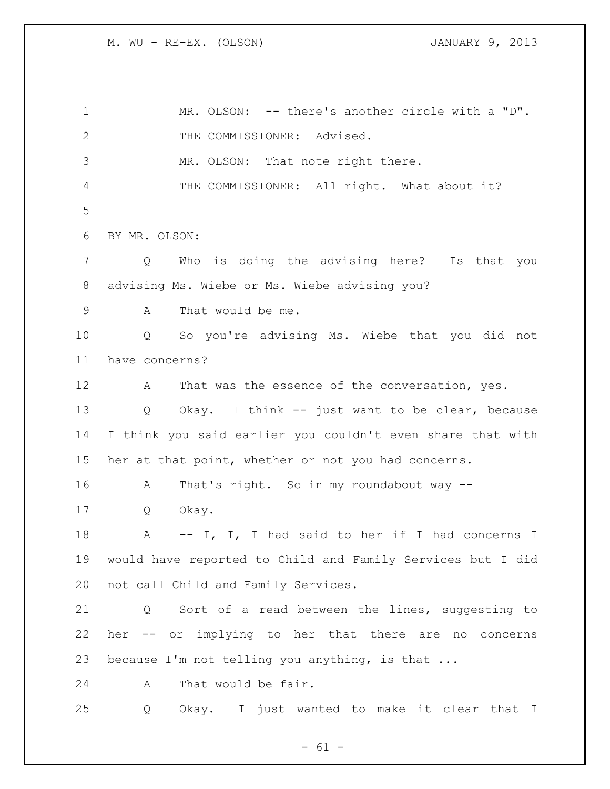MR. OLSON: -- there's another circle with a "D". 2 THE COMMISSIONER: Advised. MR. OLSON: That note right there. THE COMMISSIONER: All right. What about it? BY MR. OLSON: Q Who is doing the advising here? Is that you advising Ms. Wiebe or Ms. Wiebe advising you? A That would be me. Q So you're advising Ms. Wiebe that you did not have concerns? 12 A That was the essence of the conversation, yes. Q Okay. I think -- just want to be clear, because I think you said earlier you couldn't even share that with her at that point, whether or not you had concerns. A That's right. So in my roundabout way -- Q Okay. 18 A -- I, I, I had said to her if I had concerns I would have reported to Child and Family Services but I did not call Child and Family Services. Q Sort of a read between the lines, suggesting to her -- or implying to her that there are no concerns because I'm not telling you anything, is that ... A That would be fair. Q Okay. I just wanted to make it clear that I

 $- 61 -$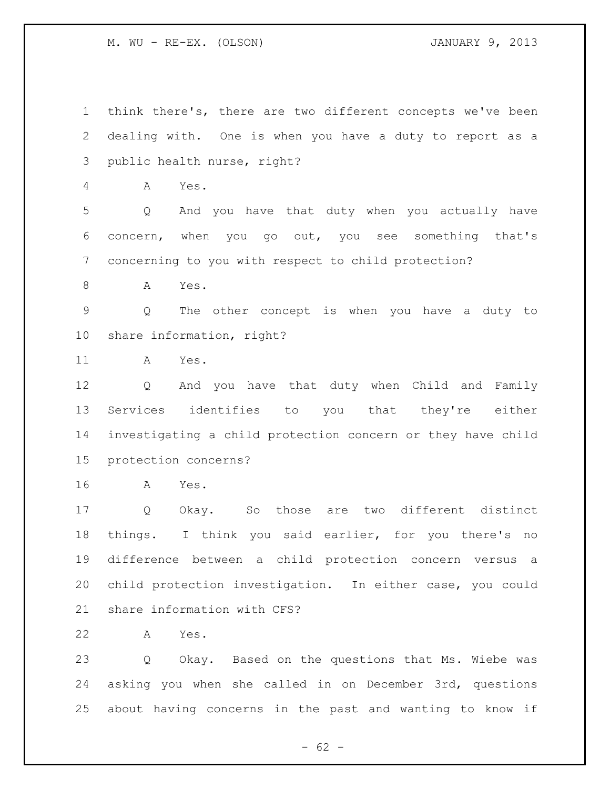think there's, there are two different concepts we've been dealing with. One is when you have a duty to report as a public health nurse, right? A Yes. Q And you have that duty when you actually have concern, when you go out, you see something that's concerning to you with respect to child protection? A Yes. Q The other concept is when you have a duty to share information, right? A Yes. Q And you have that duty when Child and Family Services identifies to you that they're either investigating a child protection concern or they have child protection concerns? A Yes. Q Okay. So those are two different distinct things. I think you said earlier, for you there's no difference between a child protection concern versus a child protection investigation. In either case, you could share information with CFS? A Yes. Q Okay. Based on the questions that Ms. Wiebe was asking you when she called in on December 3rd, questions

 $- 62 -$ 

about having concerns in the past and wanting to know if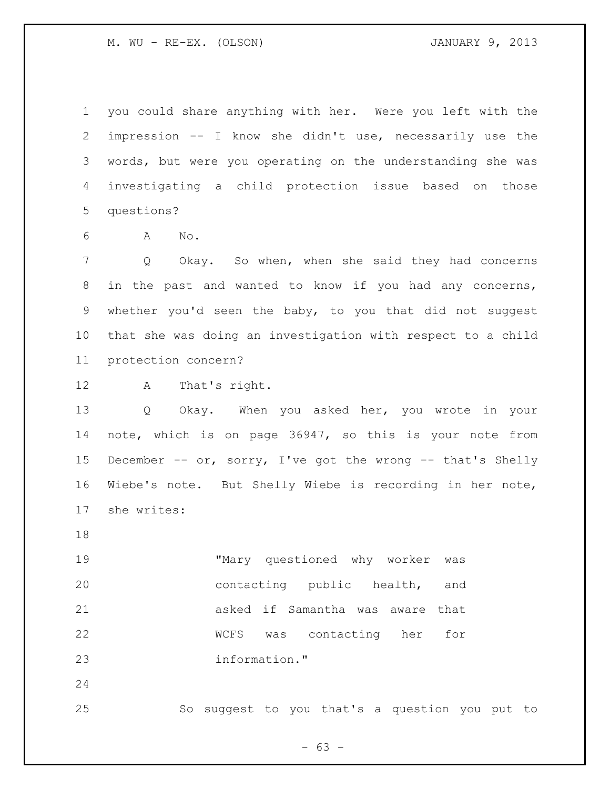you could share anything with her. Were you left with the impression -- I know she didn't use, necessarily use the words, but were you operating on the understanding she was investigating a child protection issue based on those questions?

A No.

 Q Okay. So when, when she said they had concerns in the past and wanted to know if you had any concerns, whether you'd seen the baby, to you that did not suggest that she was doing an investigation with respect to a child protection concern?

A That's right.

 Q Okay. When you asked her, you wrote in your note, which is on page 36947, so this is your note from 15 December -- or, sorry, I've got the wrong -- that's Shelly Wiebe's note. But Shelly Wiebe is recording in her note, she writes:

 "Mary questioned why worker was contacting public health, and asked if Samantha was aware that WCFS was contacting her for information."

So suggest to you that's a question you put to

 $- 63 -$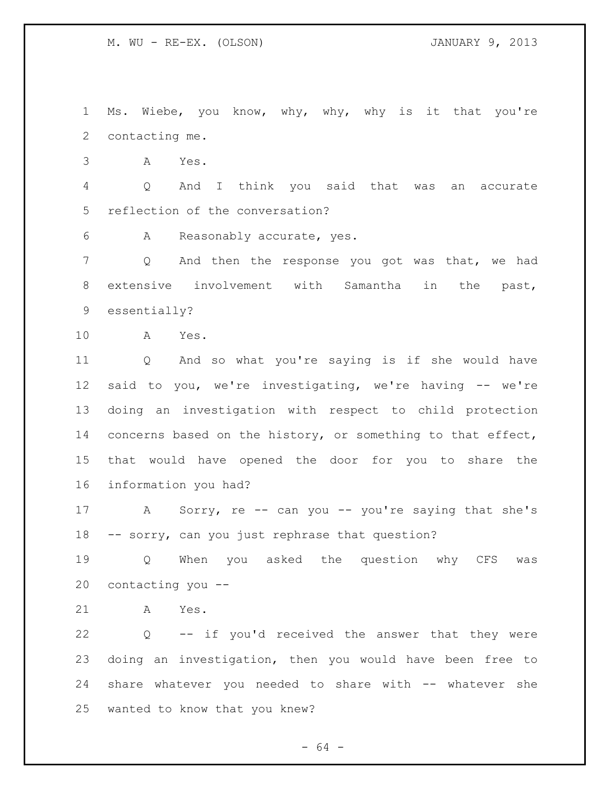Ms. Wiebe, you know, why, why, why is it that you're contacting me.

A Yes.

 Q And I think you said that was an accurate reflection of the conversation?

A Reasonably accurate, yes.

 Q And then the response you got was that, we had extensive involvement with Samantha in the past, essentially?

A Yes.

 Q And so what you're saying is if she would have said to you, we're investigating, we're having -- we're doing an investigation with respect to child protection 14 concerns based on the history, or something to that effect, that would have opened the door for you to share the information you had?

17 A Sorry, re -- can you -- you're saying that she's -- sorry, can you just rephrase that question?

 Q When you asked the question why CFS was contacting you --

A Yes.

 Q -- if you'd received the answer that they were doing an investigation, then you would have been free to share whatever you needed to share with -- whatever she wanted to know that you knew?

- 64 -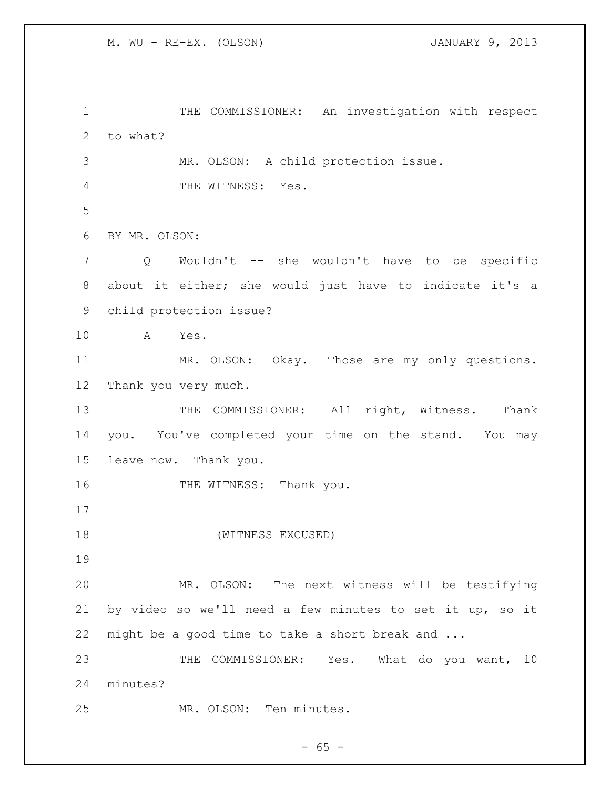1 THE COMMISSIONER: An investigation with respect to what? MR. OLSON: A child protection issue. THE WITNESS: Yes. BY MR. OLSON: Q Wouldn't -- she wouldn't have to be specific about it either; she would just have to indicate it's a child protection issue? A Yes. MR. OLSON: Okay. Those are my only questions. Thank you very much. 13 THE COMMISSIONER: All right, Witness. Thank you. You've completed your time on the stand. You may leave now. Thank you. 16 THE WITNESS: Thank you. (WITNESS EXCUSED) MR. OLSON: The next witness will be testifying by video so we'll need a few minutes to set it up, so it might be a good time to take a short break and ... 23 THE COMMISSIONER: Yes. What do you want, 10 minutes? MR. OLSON: Ten minutes.

 $- 65 -$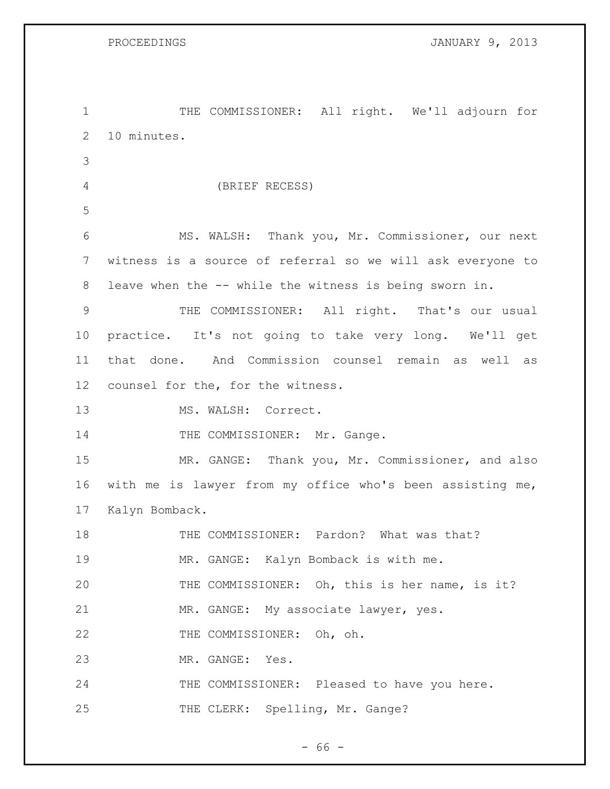THE COMMISSIONER: All right. We'll adjourn for 10 minutes. (BRIEF RECESS) MS. WALSH: Thank you, Mr. Commissioner, our next witness is a source of referral so we will ask everyone to leave when the -- while the witness is being sworn in. THE COMMISSIONER: All right. That's our usual practice. It's not going to take very long. We'll get that done. And Commission counsel remain as well as counsel for the, for the witness. 13 MS. WALSH: Correct. 14 THE COMMISSIONER: Mr. Gange. MR. GANGE: Thank you, Mr. Commissioner, and also with me is lawyer from my office who's been assisting me, Kalyn Bomback. 18 THE COMMISSIONER: Pardon? What was that? MR. GANGE: Kalyn Bomback is with me. THE COMMISSIONER: Oh, this is her name, is it? MR. GANGE: My associate lawyer, yes. 22 THE COMMISSIONER: Oh, oh. MR. GANGE: Yes. 24 THE COMMISSIONER: Pleased to have you here. 25 THE CLERK: Spelling, Mr. Gange?

- 66 -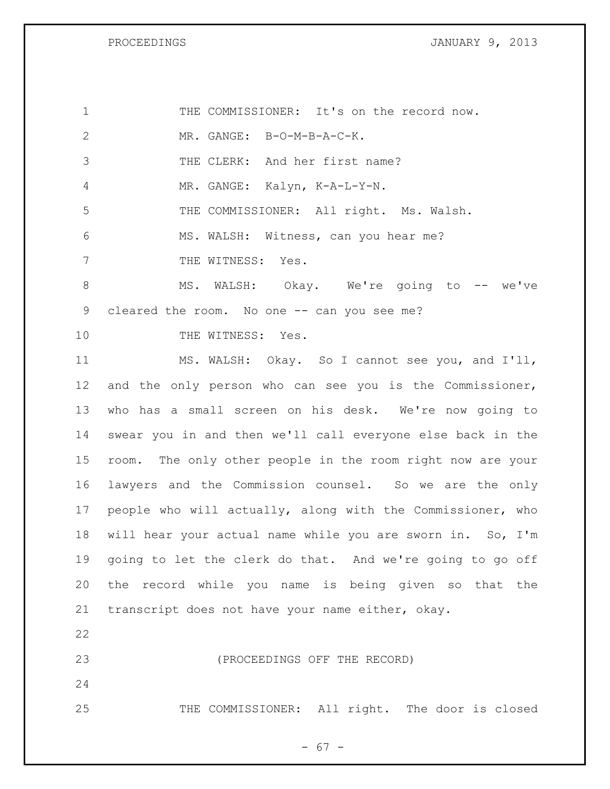PROCEEDINGS **DROCEEDINGS JANUARY 9, 2013** 

| $\mathbf 1$    | THE COMMISSIONER: It's on the record now.                  |
|----------------|------------------------------------------------------------|
| $\mathbf{2}$   | MR. GANGE: B-O-M-B-A-C-K.                                  |
| 3              | THE CLERK: And her first name?                             |
| $\overline{4}$ | MR. GANGE: Kalyn, K-A-L-Y-N.                               |
| 5              | THE COMMISSIONER: All right. Ms. Walsh.                    |
| 6              | MS. WALSH: Witness, can you hear me?                       |
| 7              | THE WITNESS: Yes.                                          |
| $8\,$          | MS. WALSH: Okay. We're going to -- we've                   |
| 9              | cleared the room. No one -- can you see me?                |
| 10             | THE WITNESS: Yes.                                          |
| 11             | MS. WALSH: Okay. So I cannot see you, and I'll,            |
| 12             | and the only person who can see you is the Commissioner,   |
| 13             | who has a small screen on his desk. We're now going to     |
| 14             | swear you in and then we'll call everyone else back in the |
| 15             | room. The only other people in the room right now are your |
| 16             | lawyers and the Commission counsel. So we are the only     |
| 17             | people who will actually, along with the Commissioner, who |
| 18             | will hear your actual name while you are sworn in. So, I'm |
| 19             | going to let the clerk do that. And we're going to go off  |
| 20             | the record while you name is being given so that the       |
| 21             | transcript does not have your name either, okay.           |
| 22             |                                                            |
| 23             | (PROCEEDINGS OFF THE RECORD)                               |
| 24             |                                                            |
| 25             | THE COMMISSIONER: All right. The door is closed            |

- 67 -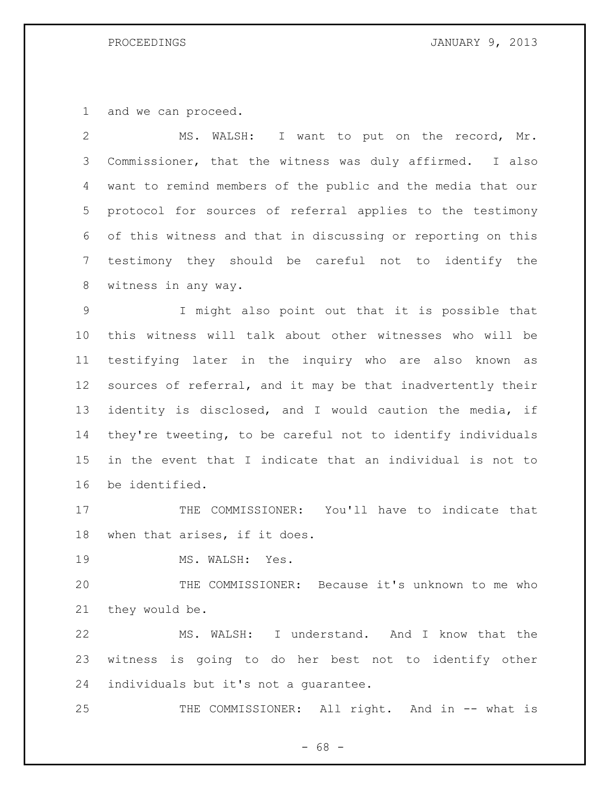and we can proceed.

 MS. WALSH: I want to put on the record, Mr. Commissioner, that the witness was duly affirmed. I also want to remind members of the public and the media that our protocol for sources of referral applies to the testimony of this witness and that in discussing or reporting on this testimony they should be careful not to identify the witness in any way. I might also point out that it is possible that this witness will talk about other witnesses who will be testifying later in the inquiry who are also known as sources of referral, and it may be that inadvertently their identity is disclosed, and I would caution the media, if they're tweeting, to be careful not to identify individuals in the event that I indicate that an individual is not to be identified. 17 THE COMMISSIONER: You'll have to indicate that when that arises, if it does. 19 MS. WALSH: Yes. THE COMMISSIONER: Because it's unknown to me who

they would be.

 MS. WALSH: I understand. And I know that the witness is going to do her best not to identify other individuals but it's not a guarantee.

25 THE COMMISSIONER: All right. And in -- what is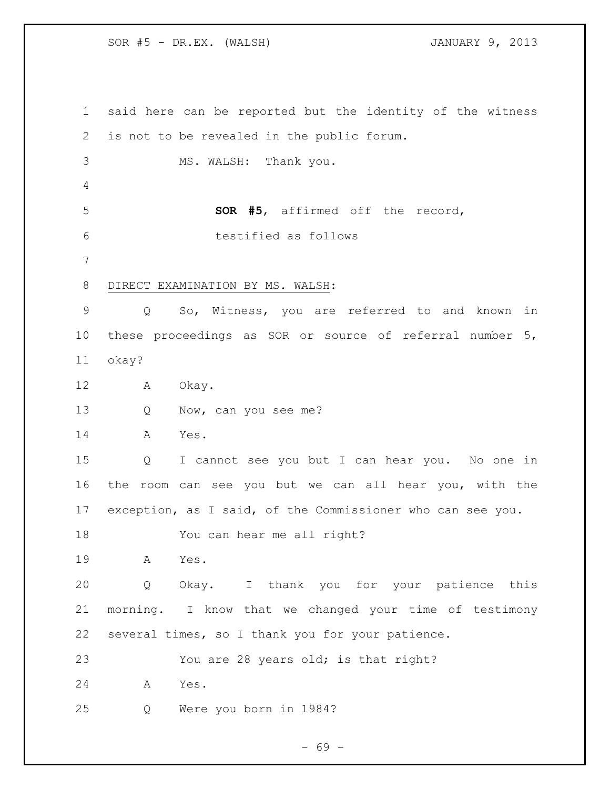SOR #5 - DR.EX. (WALSH) JANUARY 9, 2013

 said here can be reported but the identity of the witness is not to be revealed in the public forum. MS. WALSH: Thank you. **SOR #5**, affirmed off the record, testified as follows DIRECT EXAMINATION BY MS. WALSH: Q So, Witness, you are referred to and known in these proceedings as SOR or source of referral number 5, okay? A Okay. 13 Q Now, can you see me? A Yes. Q I cannot see you but I can hear you. No one in the room can see you but we can all hear you, with the exception, as I said, of the Commissioner who can see you. You can hear me all right? A Yes. Q Okay. I thank you for your patience this morning. I know that we changed your time of testimony several times, so I thank you for your patience. You are 28 years old; is that right? A Yes. Q Were you born in 1984?

- 69 -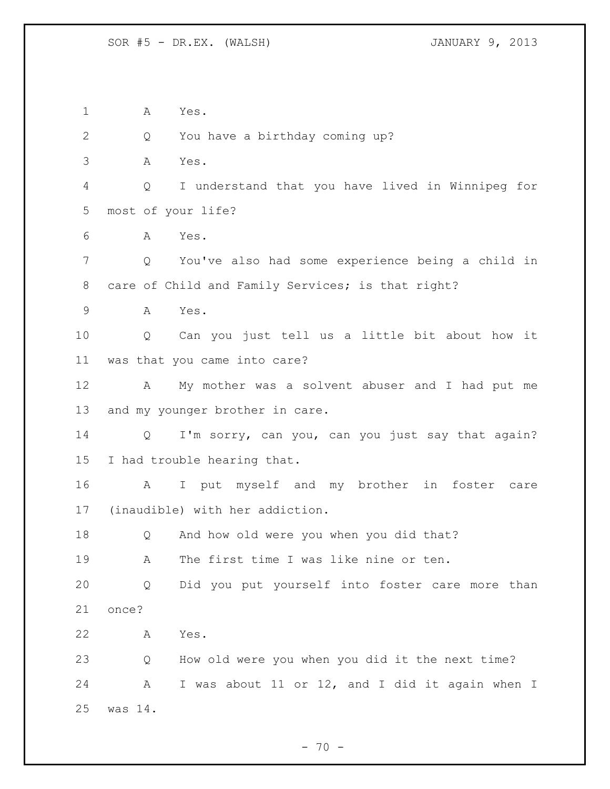A Yes. 2 Q You have a birthday coming up? A Yes. Q I understand that you have lived in Winnipeg for most of your life? A Yes. Q You've also had some experience being a child in care of Child and Family Services; is that right? A Yes. Q Can you just tell us a little bit about how it was that you came into care? A My mother was a solvent abuser and I had put me and my younger brother in care. Q I'm sorry, can you, can you just say that again? I had trouble hearing that. A I put myself and my brother in foster care (inaudible) with her addiction. Q And how old were you when you did that? A The first time I was like nine or ten. Q Did you put yourself into foster care more than once? A Yes. Q How old were you when you did it the next time? A I was about 11 or 12, and I did it again when I was 14.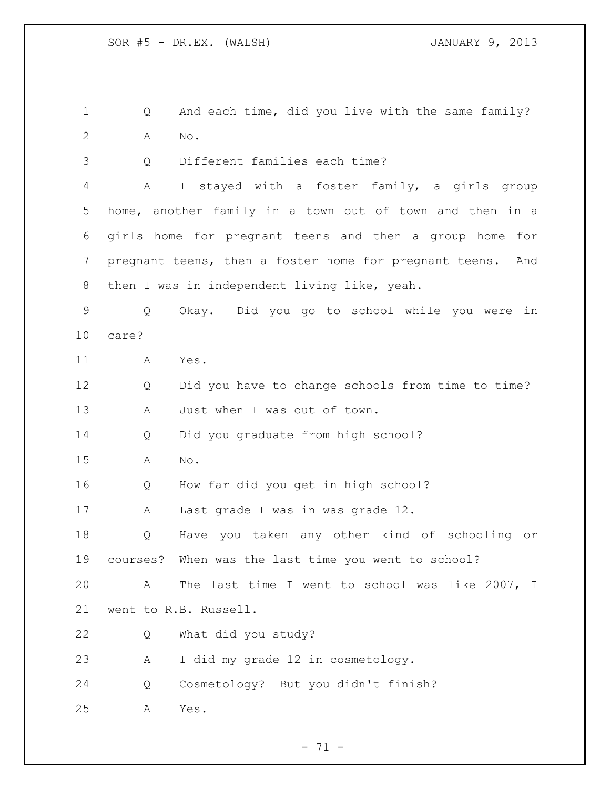Q And each time, did you live with the same family? A No.

Q Different families each time?

 A I stayed with a foster family, a girls group home, another family in a town out of town and then in a girls home for pregnant teens and then a group home for pregnant teens, then a foster home for pregnant teens. And then I was in independent living like, yeah.

 Q Okay. Did you go to school while you were in care?

A Yes.

 Q Did you have to change schools from time to time? A Just when I was out of town.

Q Did you graduate from high school?

A No.

Q How far did you get in high school?

A Last grade I was in was grade 12.

 Q Have you taken any other kind of schooling or courses? When was the last time you went to school?

 A The last time I went to school was like 2007, I went to R.B. Russell.

Q What did you study?

A I did my grade 12 in cosmetology.

Q Cosmetology? But you didn't finish?

A Yes.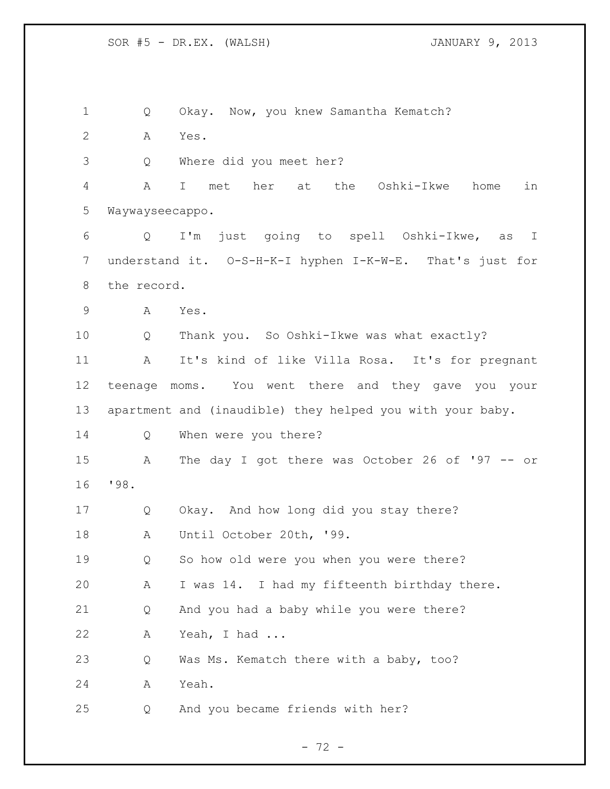Q Okay. Now, you knew Samantha Kematch? A Yes. Q Where did you meet her? A I met her at the Oshki-Ikwe home in Waywayseecappo. Q I'm just going to spell Oshki-Ikwe, as I understand it. O-S-H-K-I hyphen I-K-W-E. That's just for the record. A Yes. Q Thank you. So Oshki-Ikwe was what exactly? A It's kind of like Villa Rosa. It's for pregnant teenage moms. You went there and they gave you your apartment and (inaudible) they helped you with your baby. Q When were you there? A The day I got there was October 26 of '97 -- or '98. Q Okay. And how long did you stay there? A Until October 20th, '99. Q So how old were you when you were there? A I was 14. I had my fifteenth birthday there. Q And you had a baby while you were there? A Yeah, I had ... Q Was Ms. Kematch there with a baby, too? A Yeah. Q And you became friends with her?

 $- 72 -$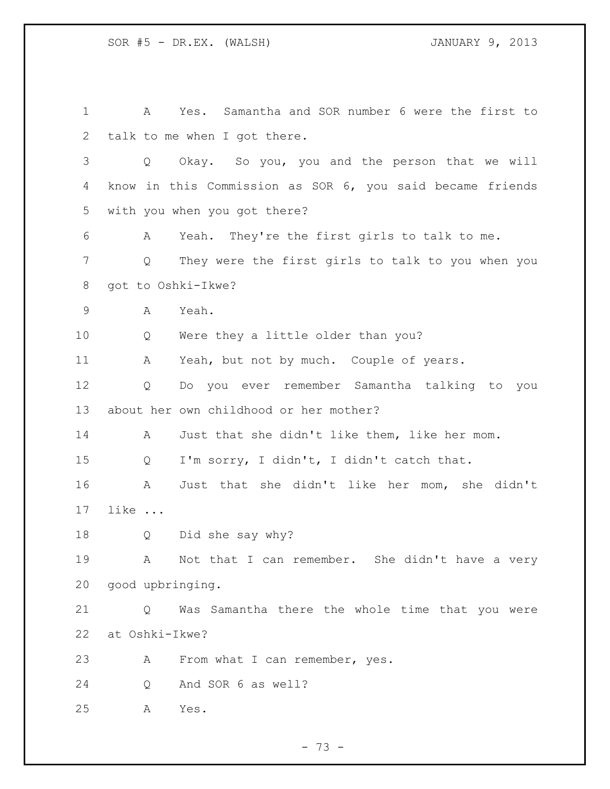| 1  | Yes. Samantha and SOR number 6 were the first to<br>A     |
|----|-----------------------------------------------------------|
| 2  | talk to me when I got there.                              |
| 3  | Okay. So you, you and the person that we will<br>Q        |
| 4  | know in this Commission as SOR 6, you said became friends |
| 5  | with you when you got there?                              |
| 6  | Yeah. They're the first girls to talk to me.<br>A         |
| 7  | They were the first girls to talk to you when you<br>Q    |
| 8  | got to Oshki-Ikwe?                                        |
| 9  | Yeah.<br>A                                                |
| 10 | Were they a little older than you?<br>Q                   |
| 11 | Yeah, but not by much. Couple of years.<br>A              |
| 12 | Do you ever remember Samantha talking to you<br>Q         |
| 13 | about her own childhood or her mother?                    |
| 14 | Just that she didn't like them, like her mom.<br>A        |
| 15 | I'm sorry, I didn't, I didn't catch that.<br>Q            |
| 16 | Just that she didn't like her mom, she didn't<br>A        |
| 17 | like                                                      |
| 18 | Did she say why?<br>Q                                     |
| 19 | Not that I can remember. She didn't have a very<br>A      |
| 20 | good upbringing.                                          |
| 21 | Was Samantha there the whole time that you were<br>Q      |
| 22 | at Oshki-Ikwe?                                            |
| 23 | From what I can remember, yes.<br>A                       |
| 24 | And SOR 6 as well?<br>Q                                   |
| 25 | Yes.<br>A                                                 |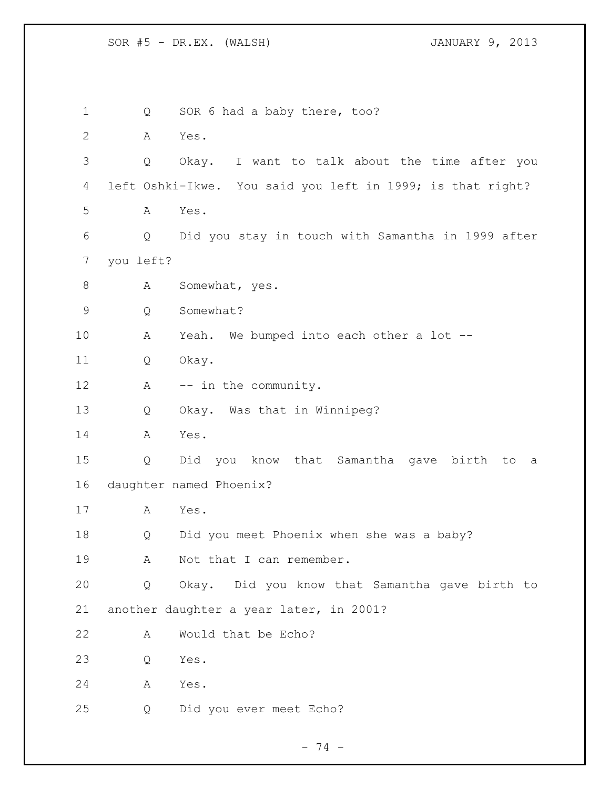1 Q SOR 6 had a baby there, too? A Yes. Q Okay. I want to talk about the time after you left Oshki-Ikwe. You said you left in 1999; is that right? A Yes. Q Did you stay in touch with Samantha in 1999 after you left? 8 A Somewhat, yes. Q Somewhat? A Yeah. We bumped into each other a lot -- Q Okay. 12 A -- in the community. Q Okay. Was that in Winnipeg? A Yes. Q Did you know that Samantha gave birth to a daughter named Phoenix? A Yes. Q Did you meet Phoenix when she was a baby? 19 A Not that I can remember. Q Okay. Did you know that Samantha gave birth to another daughter a year later, in 2001? A Would that be Echo? Q Yes. A Yes. Q Did you ever meet Echo?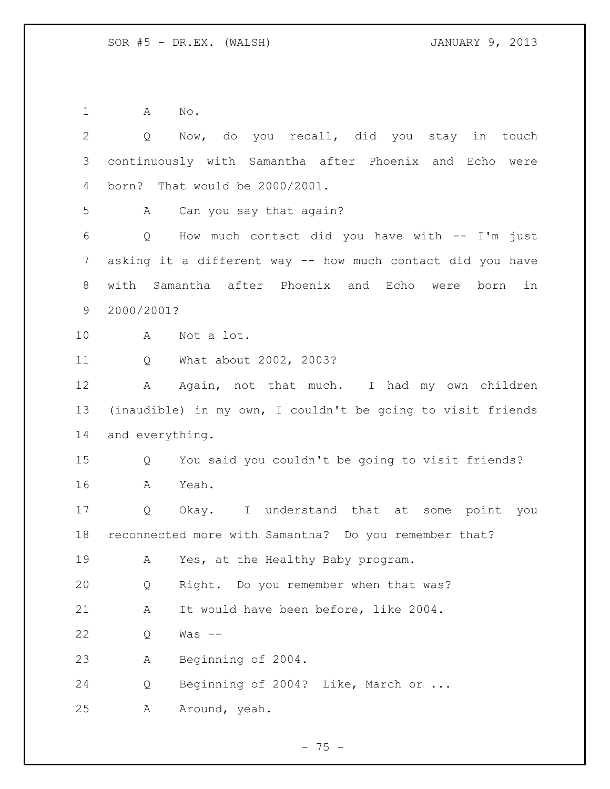A No.

| $\overline{2}$ | Q               | Now, do you recall, did you stay in touch                   |
|----------------|-----------------|-------------------------------------------------------------|
| 3              |                 | continuously with Samantha after Phoenix and Echo were      |
| 4              |                 | born? That would be 2000/2001.                              |
| 5              | A               | Can you say that again?                                     |
| 6              |                 | Q How much contact did you have with -- I'm just            |
| 7              |                 | asking it a different way -- how much contact did you have  |
| 8              |                 | with Samantha after Phoenix and Echo were<br>in<br>born     |
| 9              | 2000/2001?      |                                                             |
| 10             | A               | Not a lot.                                                  |
| 11             | Q               | What about 2002, 2003?                                      |
| 12             | A               | Again, not that much. I had my own children                 |
| 13             |                 | (inaudible) in my own, I couldn't be going to visit friends |
| 14             | and everything. |                                                             |
| 15             | Q               | You said you couldn't be going to visit friends?            |
| 16             | A               | Yeah.                                                       |
| 17             | Q               | Okay. I understand that at some point you                   |
| 18             |                 | reconnected more with Samantha? Do you remember that?       |
| 19             | A               | Yes, at the Healthy Baby program.                           |
| 20             | Q               | Right. Do you remember when that was?                       |
| 21             | Α               | It would have been before, like 2004.                       |
| 22             | Q               | Was $--$                                                    |
| 23             | Α               | Beginning of 2004.                                          |
| 24             | Q               | Beginning of 2004? Like, March or                           |
| 25             | Α               | Around, yeah.                                               |

- 75 -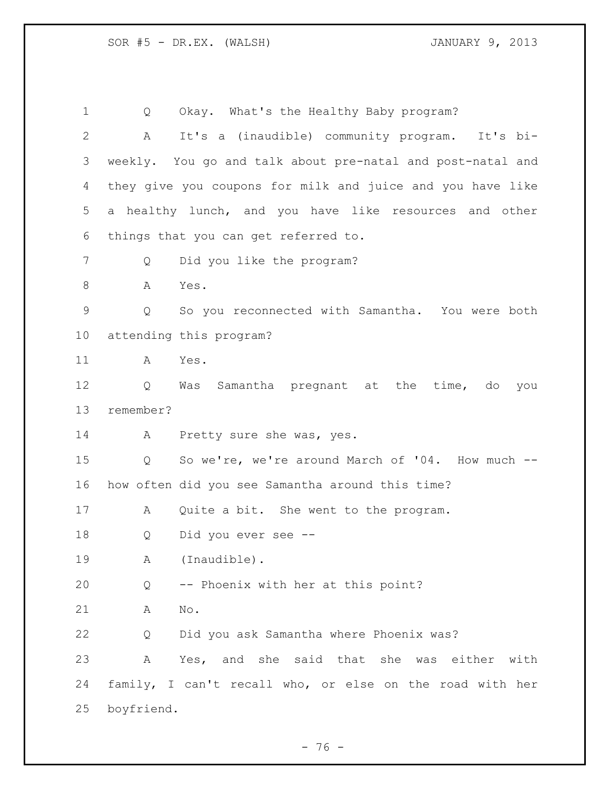Q Okay. What's the Healthy Baby program? A It's a (inaudible) community program. It's bi- weekly. You go and talk about pre-natal and post-natal and they give you coupons for milk and juice and you have like a healthy lunch, and you have like resources and other things that you can get referred to. Q Did you like the program? 8 A Yes. Q So you reconnected with Samantha. You were both attending this program? A Yes. Q Was Samantha pregnant at the time, do you remember? A Pretty sure she was, yes. Q So we're, we're around March of '04. How much -- how often did you see Samantha around this time? A Quite a bit. She went to the program. Q Did you ever see -- A (Inaudible). Q -- Phoenix with her at this point? A No. Q Did you ask Samantha where Phoenix was? A Yes, and she said that she was either with family, I can't recall who, or else on the road with her boyfriend.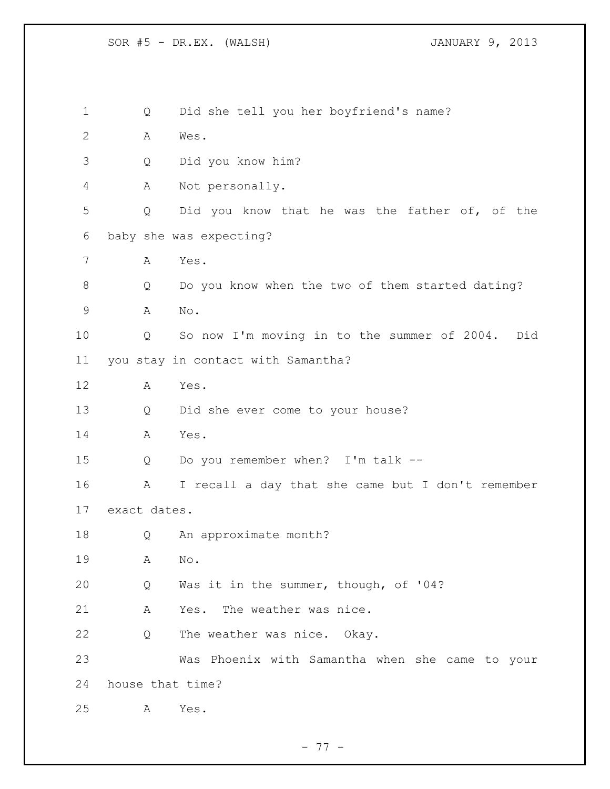Q Did she tell you her boyfriend's name? A Wes. Q Did you know him? A Not personally. Q Did you know that he was the father of, of the baby she was expecting? A Yes. Q Do you know when the two of them started dating? A No. Q So now I'm moving in to the summer of 2004. Did you stay in contact with Samantha? A Yes. Q Did she ever come to your house? A Yes. Q Do you remember when? I'm talk -- A I recall a day that she came but I don't remember exact dates. Q An approximate month? A No. Q Was it in the summer, though, of '04? A Yes. The weather was nice. Q The weather was nice. Okay. Was Phoenix with Samantha when she came to your house that time? A Yes.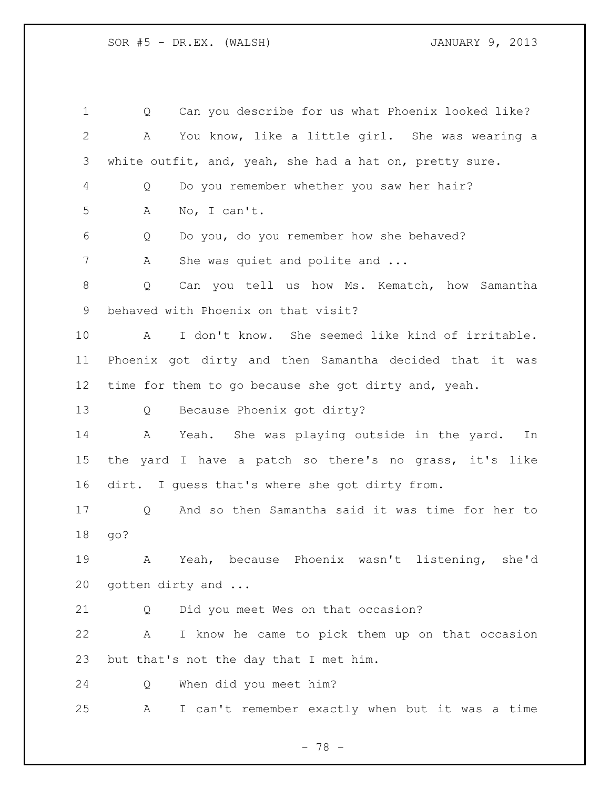| $\mathbf 1$ | Can you describe for us what Phoenix looked like?<br>Q  |
|-------------|---------------------------------------------------------|
| 2           | You know, like a little girl. She was wearing a<br>Α    |
| 3           | white outfit, and, yeah, she had a hat on, pretty sure. |
| 4           | Do you remember whether you saw her hair?<br>Q          |
| 5           | No, I can't.<br>A                                       |
| 6           | Do you, do you remember how she behaved?<br>Q           |
| 7           | She was quiet and polite and<br>А                       |
| 8           | Can you tell us how Ms. Kematch, how Samantha<br>Q      |
| 9           | behaved with Phoenix on that visit?                     |
| 10          | I don't know. She seemed like kind of irritable.<br>A   |
| 11          | Phoenix got dirty and then Samantha decided that it was |
| 12          | time for them to go because she got dirty and, yeah.    |
| 13          | Because Phoenix got dirty?<br>Q                         |
| 14          | Yeah. She was playing outside in the yard.<br>A<br>In   |
| 15          | the yard I have a patch so there's no grass, it's like  |
| 16          | dirt. I quess that's where she got dirty from.          |
| 17          | And so then Samantha said it was time for her to<br>Q   |
| 18          | go?                                                     |
| 19          | Yeah, because Phoenix wasn't listening, she'd<br>A      |
| 20          | gotten dirty and                                        |
| 21          | Did you meet Wes on that occasion?<br>Q                 |
| 22          | I know he came to pick them up on that occasion<br>A    |
| 23          | but that's not the day that I met him.                  |
| 24          | When did you meet him?<br>Q                             |
| 25          | I can't remember exactly when but it was a time<br>А    |

- 78 -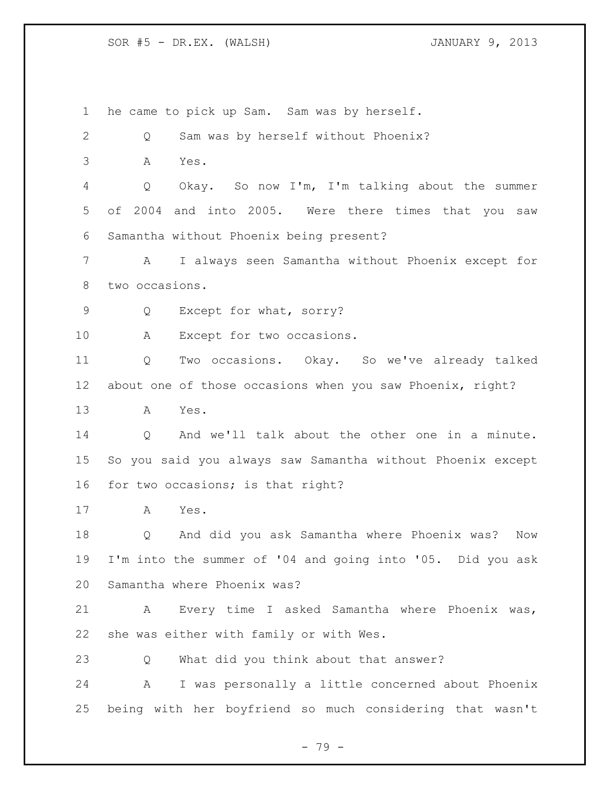he came to pick up Sam. Sam was by herself. Q Sam was by herself without Phoenix? A Yes. Q Okay. So now I'm, I'm talking about the summer of 2004 and into 2005. Were there times that you saw Samantha without Phoenix being present? A I always seen Samantha without Phoenix except for two occasions. Q Except for what, sorry? 10 A Except for two occasions. Q Two occasions. Okay. So we've already talked about one of those occasions when you saw Phoenix, right? A Yes. Q And we'll talk about the other one in a minute. So you said you always saw Samantha without Phoenix except for two occasions; is that right? A Yes. Q And did you ask Samantha where Phoenix was? Now I'm into the summer of '04 and going into '05. Did you ask Samantha where Phoenix was? A Every time I asked Samantha where Phoenix was, she was either with family or with Wes. Q What did you think about that answer? A I was personally a little concerned about Phoenix being with her boyfriend so much considering that wasn't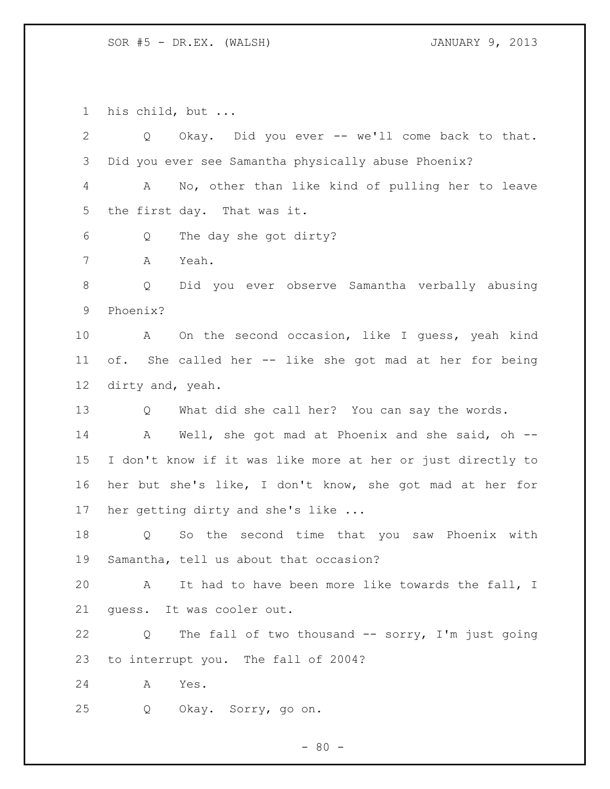his child, but ...

| $\overline{2}$ | Q Okay. Did you ever -- we'll come back to that.            |
|----------------|-------------------------------------------------------------|
| 3              | Did you ever see Samantha physically abuse Phoenix?         |
| 4              | No, other than like kind of pulling her to leave<br>A       |
| 5              | the first day. That was it.                                 |
| 6              | The day she got dirty?<br>Q                                 |
| 7              | Yeah.<br>Α                                                  |
| $8\,$          | Did you ever observe Samantha verbally abusing<br>Q         |
| 9              | Phoenix?                                                    |
| 10             | A On the second occasion, like I guess, yeah kind           |
| 11             | of. She called her -- like she got mad at her for being     |
| 12             | dirty and, yeah.                                            |
| 13             | What did she call her? You can say the words.<br>Q          |
| 14             | A Well, she got mad at Phoenix and she said, oh --          |
| 15             | I don't know if it was like more at her or just directly to |
| 16             | her but she's like, I don't know, she got mad at her for    |
| 17             | her getting dirty and she's like                            |
| 18             | So the second time that you saw Phoenix with<br>Q           |
| 19             | Samantha, tell us about that occasion?                      |
| 20             | A It had to have been more like towards the fall, I         |
| 21             | quess. It was cooler out.                                   |
| 22             | The fall of two thousand -- sorry, I'm just going<br>Q      |
| 23             | to interrupt you. The fall of 2004?                         |
| 24             | Yes.<br>A                                                   |
| 25             | Q<br>Okay. Sorry, go on.                                    |
|                |                                                             |

- 80 -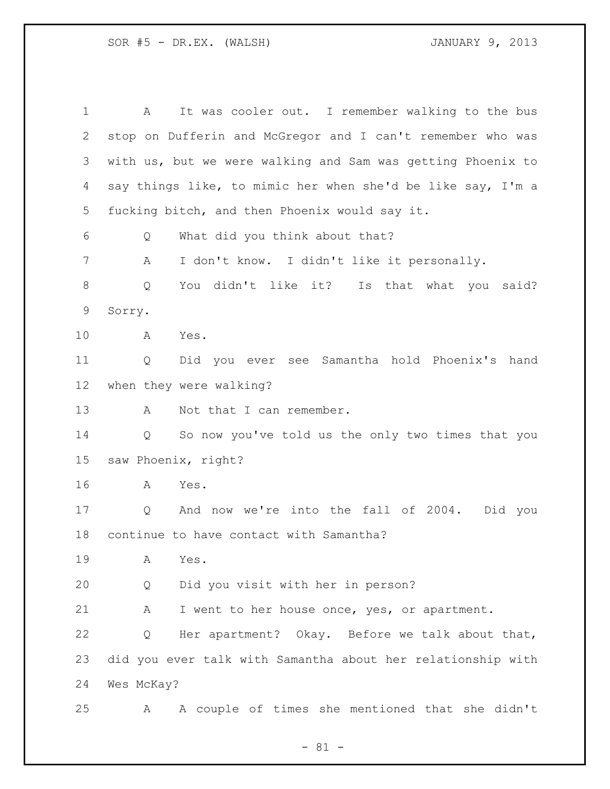A It was cooler out. I remember walking to the bus stop on Dufferin and McGregor and I can't remember who was with us, but we were walking and Sam was getting Phoenix to say things like, to mimic her when she'd be like say, I'm a fucking bitch, and then Phoenix would say it. Q What did you think about that? A I don't know. I didn't like it personally. Q You didn't like it? Is that what you said? Sorry. A Yes. Q Did you ever see Samantha hold Phoenix's hand when they were walking? 13 A Not that I can remember. Q So now you've told us the only two times that you saw Phoenix, right? A Yes. Q And now we're into the fall of 2004. Did you continue to have contact with Samantha? A Yes. Q Did you visit with her in person? 21 A I went to her house once, yes, or apartment. Q Her apartment? Okay. Before we talk about that, did you ever talk with Samantha about her relationship with Wes McKay? A A couple of times she mentioned that she didn't

- 81 -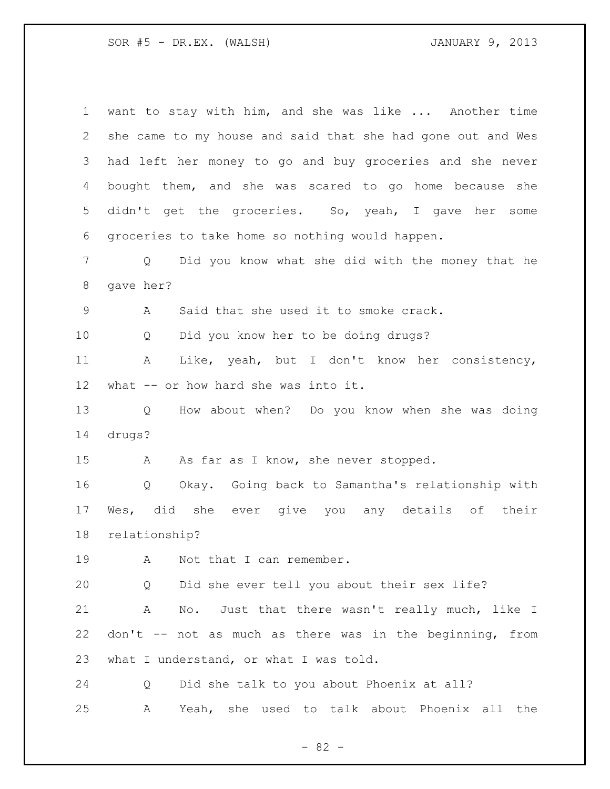| 1                         | want to stay with him, and she was like  Another time                 |
|---------------------------|-----------------------------------------------------------------------|
| $\mathbf{2}^{\mathsf{I}}$ | she came to my house and said that she had gone out and Wes           |
| 3                         | had left her money to go and buy groceries and she never              |
| 4                         | bought them, and she was scared to go home because she                |
| 5                         | didn't get the groceries. So, yeah, I gave her some                   |
| 6                         | groceries to take home so nothing would happen.                       |
| 7                         | Did you know what she did with the money that he<br>$Q \qquad \qquad$ |
| $8\,$                     | gave her?                                                             |
| 9                         | Said that she used it to smoke crack.<br>A                            |
| 10                        | Did you know her to be doing drugs?<br>Q                              |
| 11                        | Like, yeah, but I don't know her consistency,<br>A                    |
| 12                        | what -- or how hard she was into it.                                  |
| 13                        | How about when? Do you know when she was doing<br>Q                   |
| 14                        | drugs?                                                                |
| 15                        | As far as I know, she never stopped.<br>A                             |
| 16                        | Okay. Going back to Samantha's relationship with<br>$Q \qquad \qquad$ |
| 17                        | Wes, did she ever give you any details of their                       |
| 18                        | relationship?                                                         |
| 19                        | Not that I can remember.<br>A                                         |
| 20                        | Did she ever tell you about their sex life?<br>Q                      |
| 21                        | No. Just that there wasn't really much, like I<br>A                   |
| 22                        | don't -- not as much as there was in the beginning, from              |
| 23                        | what I understand, or what I was told.                                |
| 24                        | Did she talk to you about Phoenix at all?<br>Q                        |
|                           |                                                                       |

- 82 -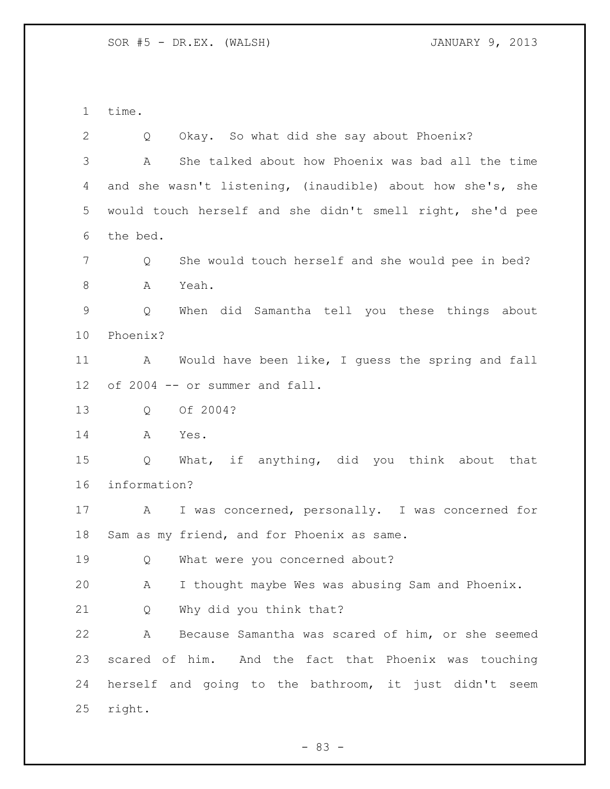time. Q Okay. So what did she say about Phoenix? A She talked about how Phoenix was bad all the time and she wasn't listening, (inaudible) about how she's, she would touch herself and she didn't smell right, she'd pee the bed. Q She would touch herself and she would pee in bed? A Yeah. Q When did Samantha tell you these things about Phoenix? A Would have been like, I guess the spring and fall of 2004 -- or summer and fall. Q Of 2004? A Yes. Q What, if anything, did you think about that information? A I was concerned, personally. I was concerned for Sam as my friend, and for Phoenix as same. 19 O What were you concerned about? A I thought maybe Wes was abusing Sam and Phoenix. Q Why did you think that? A Because Samantha was scared of him, or she seemed scared of him. And the fact that Phoenix was touching herself and going to the bathroom, it just didn't seem right.

- 83 -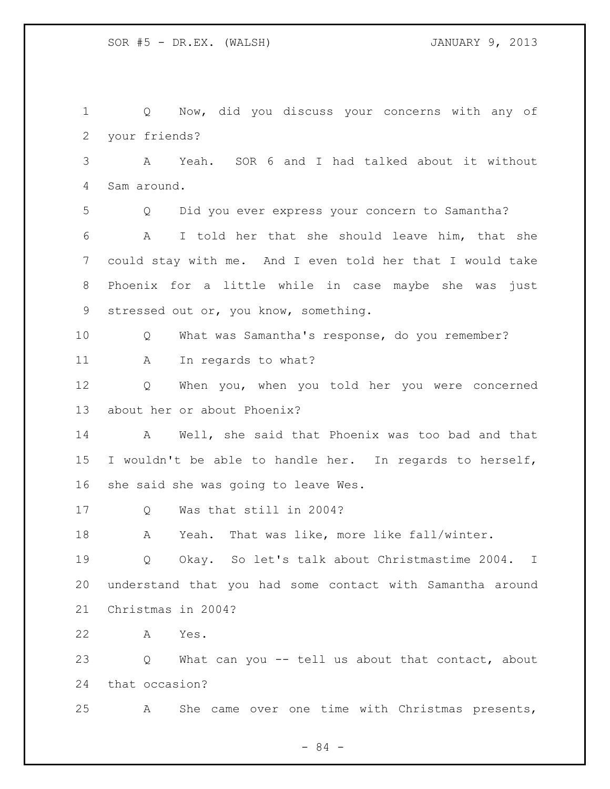Q Now, did you discuss your concerns with any of your friends? A Yeah. SOR 6 and I had talked about it without Sam around. Q Did you ever express your concern to Samantha? A I told her that she should leave him, that she could stay with me. And I even told her that I would take Phoenix for a little while in case maybe she was just stressed out or, you know, something. Q What was Samantha's response, do you remember? 11 A In regards to what? Q When you, when you told her you were concerned about her or about Phoenix? A Well, she said that Phoenix was too bad and that I wouldn't be able to handle her. In regards to herself, she said she was going to leave Wes. Q Was that still in 2004? A Yeah. That was like, more like fall/winter. Q Okay. So let's talk about Christmastime 2004. I understand that you had some contact with Samantha around Christmas in 2004? A Yes. Q What can you -- tell us about that contact, about that occasion? A She came over one time with Christmas presents,

- 84 -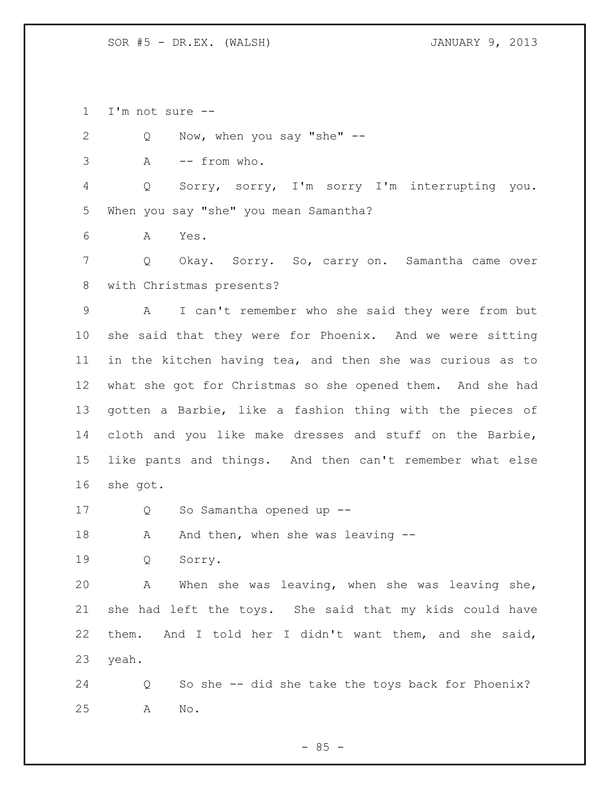I'm not sure --

Q Now, when you say "she" --

A -- from who.

 Q Sorry, sorry, I'm sorry I'm interrupting you. When you say "she" you mean Samantha?

A Yes.

 Q Okay. Sorry. So, carry on. Samantha came over with Christmas presents?

 A I can't remember who she said they were from but she said that they were for Phoenix. And we were sitting in the kitchen having tea, and then she was curious as to what she got for Christmas so she opened them. And she had gotten a Barbie, like a fashion thing with the pieces of cloth and you like make dresses and stuff on the Barbie, like pants and things. And then can't remember what else she got.

Q So Samantha opened up --

18 A And then, when she was leaving --

Q Sorry.

 A When she was leaving, when she was leaving she, she had left the toys. She said that my kids could have them. And I told her I didn't want them, and she said, yeah.

 Q So she -- did she take the toys back for Phoenix? A No.

 $- 85 -$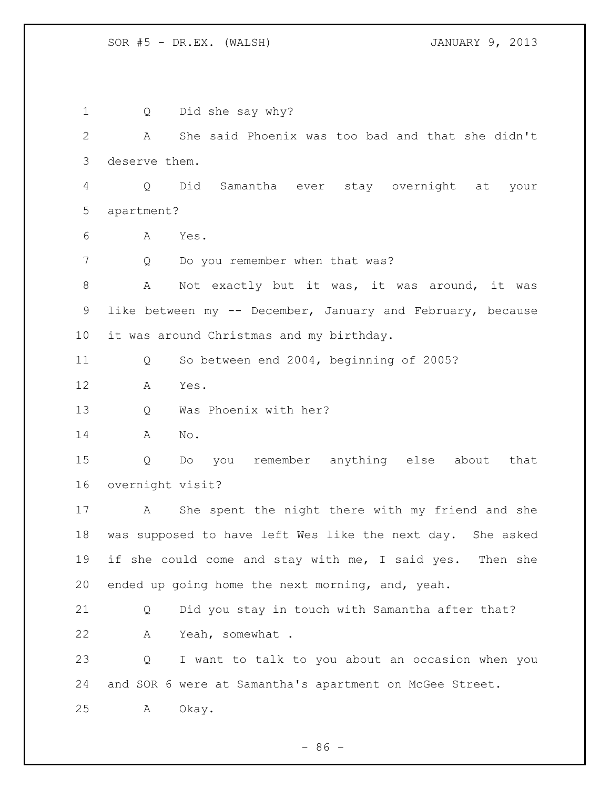Q Did she say why? A She said Phoenix was too bad and that she didn't deserve them. Q Did Samantha ever stay overnight at your apartment? A Yes. 7 Q Do you remember when that was? 8 A Not exactly but it was, it was around, it was like between my -- December, January and February, because it was around Christmas and my birthday. Q So between end 2004, beginning of 2005? A Yes. Q Was Phoenix with her? A No. Q Do you remember anything else about that overnight visit? A She spent the night there with my friend and she was supposed to have left Wes like the next day. She asked 19 if she could come and stay with me, I said yes. Then she ended up going home the next morning, and, yeah. Q Did you stay in touch with Samantha after that? A Yeah, somewhat . Q I want to talk to you about an occasion when you and SOR 6 were at Samantha's apartment on McGee Street. A Okay.

 $-86 -$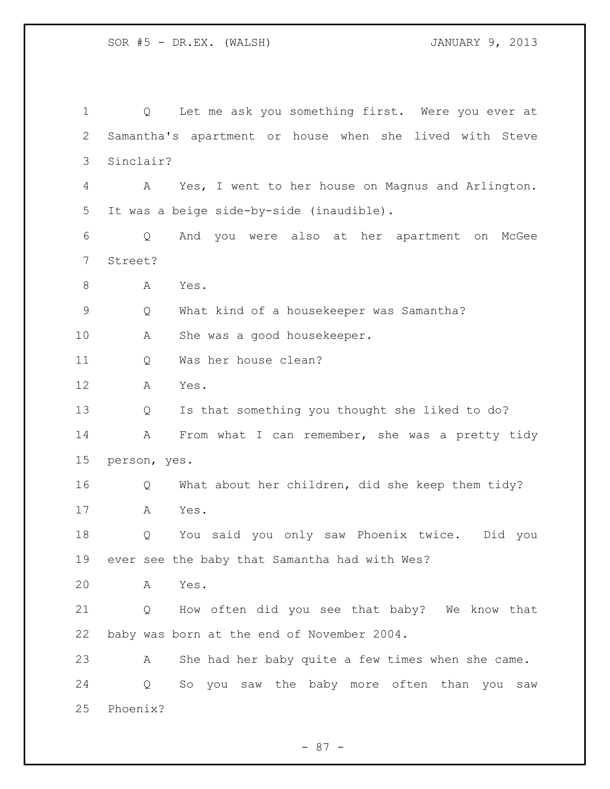Q Let me ask you something first. Were you ever at Samantha's apartment or house when she lived with Steve Sinclair? A Yes, I went to her house on Magnus and Arlington. It was a beige side-by-side (inaudible). Q And you were also at her apartment on McGee Street? 8 A Yes. Q What kind of a housekeeper was Samantha? A She was a good housekeeper. Q Was her house clean? A Yes. Q Is that something you thought she liked to do? 14 A From what I can remember, she was a pretty tidy person, yes. Q What about her children, did she keep them tidy? A Yes. Q You said you only saw Phoenix twice. Did you ever see the baby that Samantha had with Wes? A Yes. Q How often did you see that baby? We know that baby was born at the end of November 2004. A She had her baby quite a few times when she came. Q So you saw the baby more often than you saw Phoenix?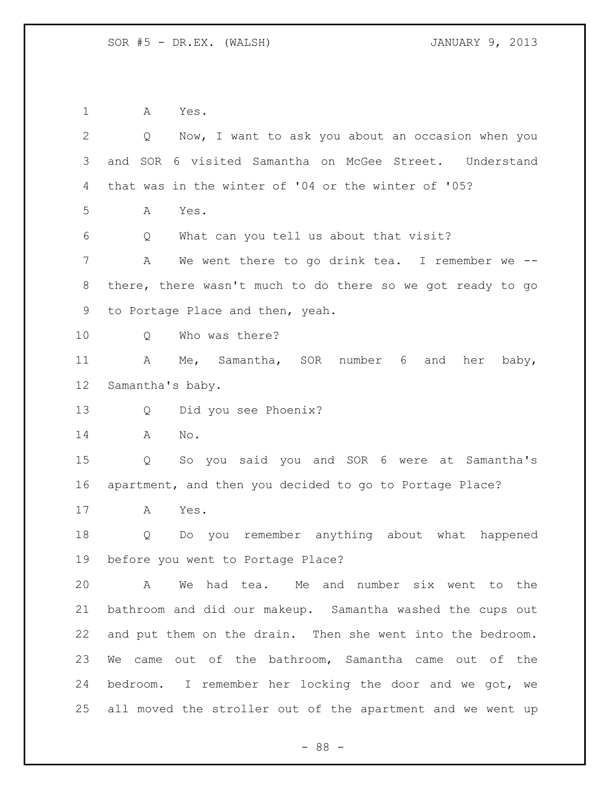A Yes.

| $\mathbf{2}$ | Now, I want to ask you about an occasion when you<br>Q     |
|--------------|------------------------------------------------------------|
| 3            | and SOR 6 visited Samantha on McGee Street. Understand     |
| 4            | that was in the winter of '04 or the winter of '05?        |
| 5            | Yes.<br>A                                                  |
| 6            | What can you tell us about that visit?<br>Q                |
| 7            | A<br>We went there to go drink tea. I remember we $-$      |
| 8            | there, there wasn't much to do there so we got ready to go |
| 9            | to Portage Place and then, yeah.                           |
| 10           | Who was there?<br>Q                                        |
| 11           | Me, Samantha, SOR number 6<br>A<br>and<br>her<br>baby,     |
| 12           | Samantha's baby.                                           |
| 13           | Did you see Phoenix?<br>Q                                  |
| 14           | A<br>No.                                                   |
| 15           | So you said you and SOR 6 were at Samantha's<br>Q          |
| 16           | apartment, and then you decided to go to Portage Place?    |
| 17           | A<br>Yes.                                                  |
| 18           | Do you remember anything about what happened<br>Q          |
| 19           | before you went to Portage Place?                          |
| 20           | We had tea. Me and number six went to the<br>A             |
| 21           | bathroom and did our makeup. Samantha washed the cups out  |
| 22           | and put them on the drain. Then she went into the bedroom. |
| 23           | We came out of the bathroom, Samantha came out of the      |
| 24           | bedroom. I remember her locking the door and we got, we    |
| 25           | all moved the stroller out of the apartment and we went up |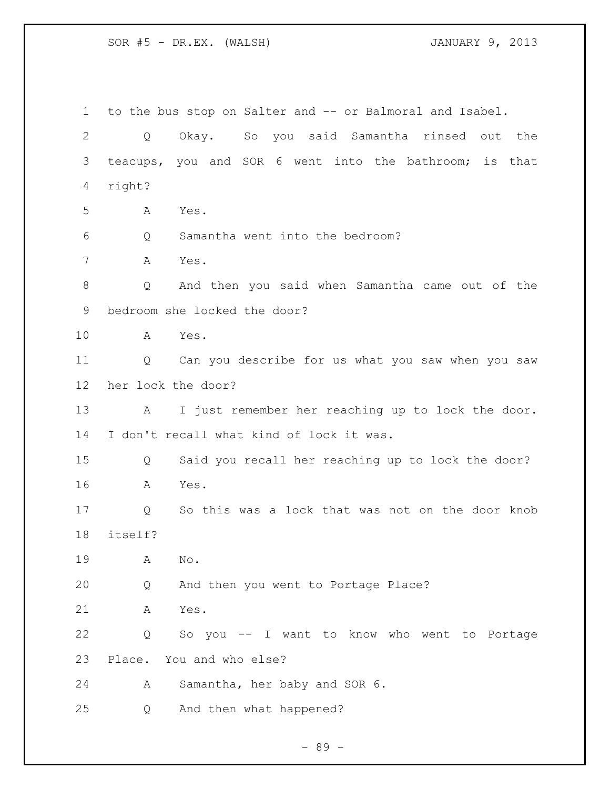to the bus stop on Salter and -- or Balmoral and Isabel. Q Okay. So you said Samantha rinsed out the teacups, you and SOR 6 went into the bathroom; is that right? A Yes. Q Samantha went into the bedroom? A Yes. Q And then you said when Samantha came out of the bedroom she locked the door? A Yes. Q Can you describe for us what you saw when you saw her lock the door? A I just remember her reaching up to lock the door. I don't recall what kind of lock it was. Q Said you recall her reaching up to lock the door? A Yes. Q So this was a lock that was not on the door knob itself? A No. Q And then you went to Portage Place? A Yes. Q So you -- I want to know who went to Portage Place. You and who else? A Samantha, her baby and SOR 6. Q And then what happened?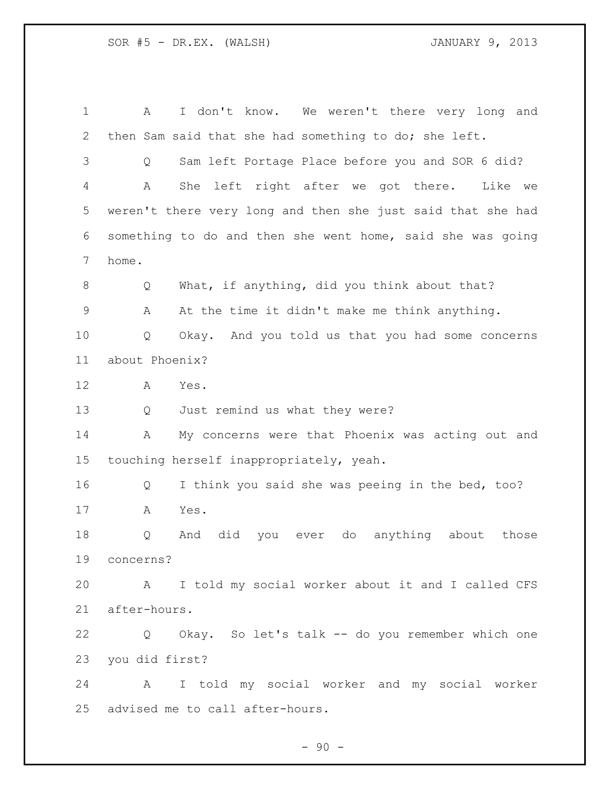A I don't know. We weren't there very long and then Sam said that she had something to do; she left. Q Sam left Portage Place before you and SOR 6 did? A She left right after we got there. Like we weren't there very long and then she just said that she had something to do and then she went home, said she was going home. 8 Q What, if anything, did you think about that? A At the time it didn't make me think anything. Q Okay. And you told us that you had some concerns about Phoenix? A Yes. Q Just remind us what they were? A My concerns were that Phoenix was acting out and touching herself inappropriately, yeah. Q I think you said she was peeing in the bed, too? A Yes. Q And did you ever do anything about those concerns? A I told my social worker about it and I called CFS after-hours. Q Okay. So let's talk -- do you remember which one you did first? A I told my social worker and my social worker advised me to call after-hours.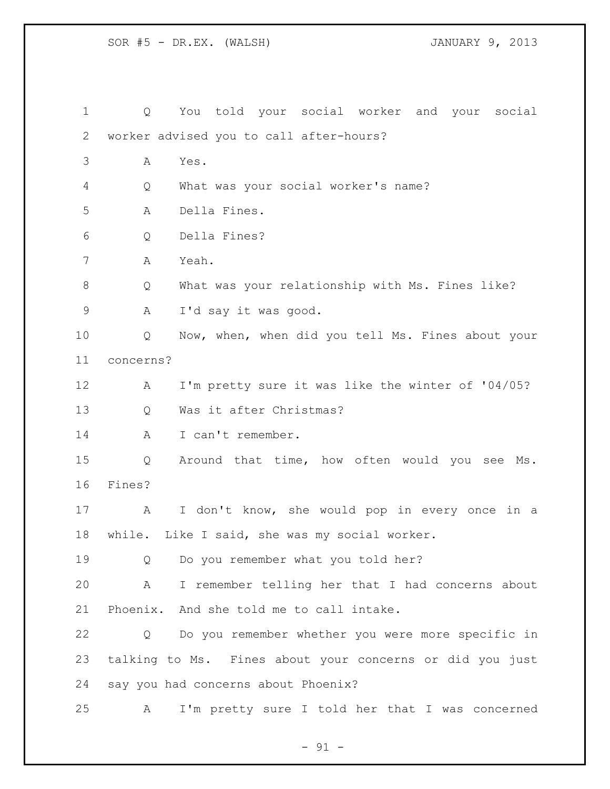Q You told your social worker and your social worker advised you to call after-hours? A Yes. Q What was your social worker's name? A Della Fines. Q Della Fines? A Yeah. Q What was your relationship with Ms. Fines like? A I'd say it was good. Q Now, when, when did you tell Ms. Fines about your concerns? A I'm pretty sure it was like the winter of '04/05? Q Was it after Christmas? A I can't remember. Q Around that time, how often would you see Ms. Fines? A I don't know, she would pop in every once in a while. Like I said, she was my social worker. Q Do you remember what you told her? A I remember telling her that I had concerns about Phoenix. And she told me to call intake. Q Do you remember whether you were more specific in talking to Ms. Fines about your concerns or did you just say you had concerns about Phoenix? A I'm pretty sure I told her that I was concerned

 $-91 -$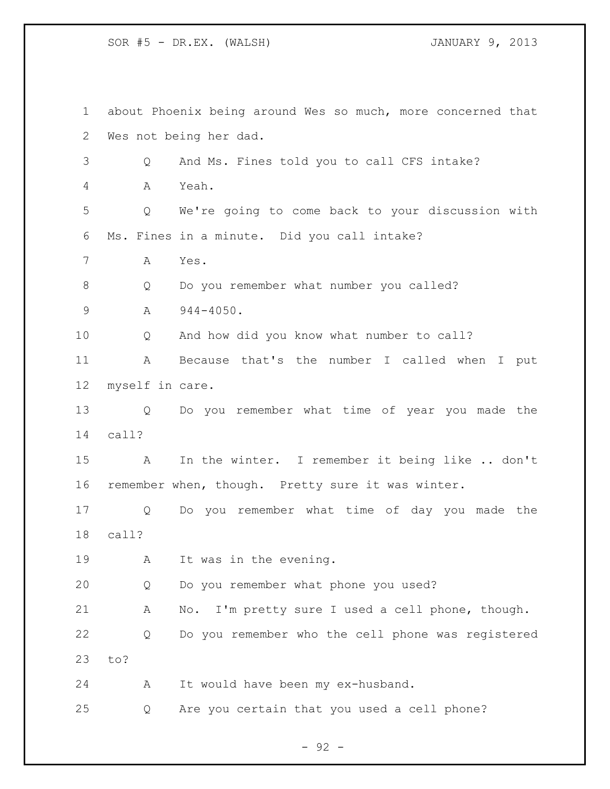about Phoenix being around Wes so much, more concerned that Wes not being her dad. Q And Ms. Fines told you to call CFS intake? A Yeah. Q We're going to come back to your discussion with Ms. Fines in a minute. Did you call intake? A Yes. Q Do you remember what number you called? 9 A 944-4050. Q And how did you know what number to call? A Because that's the number I called when I put myself in care. Q Do you remember what time of year you made the call? A In the winter. I remember it being like .. don't remember when, though. Pretty sure it was winter. Q Do you remember what time of day you made the call? 19 A It was in the evening. Q Do you remember what phone you used? A No. I'm pretty sure I used a cell phone, though. Q Do you remember who the cell phone was registered to? A It would have been my ex-husband. Q Are you certain that you used a cell phone?

 $-92 -$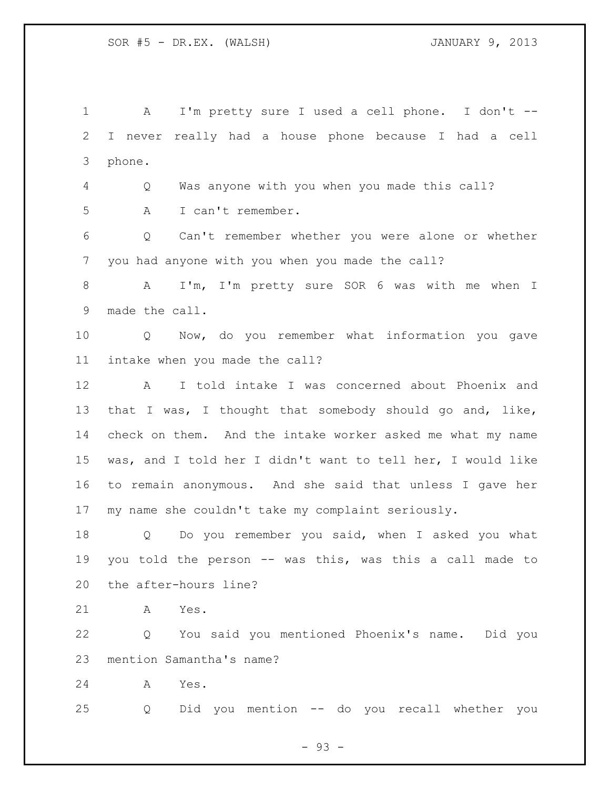A I'm pretty sure I used a cell phone. I don't -- I never really had a house phone because I had a cell phone. Q Was anyone with you when you made this call? A I can't remember. Q Can't remember whether you were alone or whether you had anyone with you when you made the call? A I'm, I'm pretty sure SOR 6 was with me when I made the call. Q Now, do you remember what information you gave intake when you made the call? A I told intake I was concerned about Phoenix and that I was, I thought that somebody should go and, like, check on them. And the intake worker asked me what my name was, and I told her I didn't want to tell her, I would like to remain anonymous. And she said that unless I gave her my name she couldn't take my complaint seriously. Q Do you remember you said, when I asked you what you told the person -- was this, was this a call made to the after-hours line? A Yes. Q You said you mentioned Phoenix's name. Did you mention Samantha's name? A Yes. Q Did you mention -- do you recall whether you

- 93 -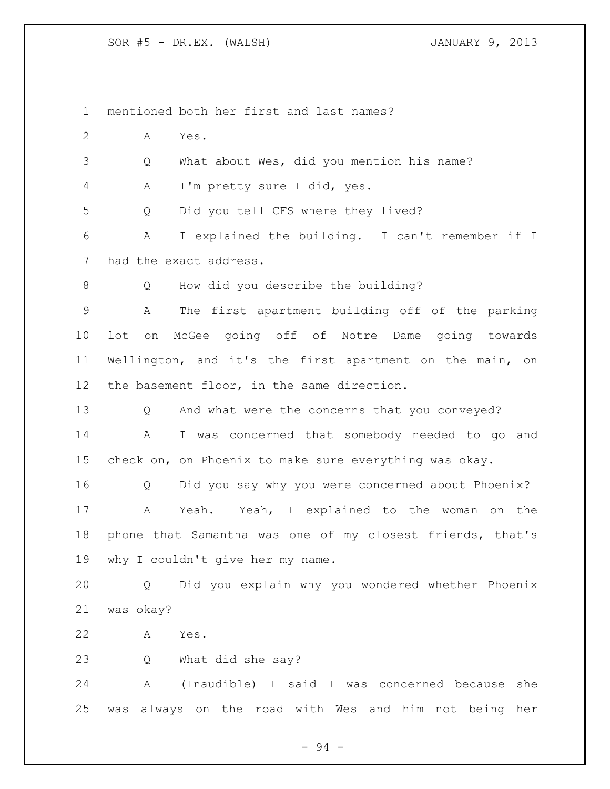mentioned both her first and last names? A Yes. Q What about Wes, did you mention his name? A I'm pretty sure I did, yes. Q Did you tell CFS where they lived? A I explained the building. I can't remember if I had the exact address. 8 O How did you describe the building? A The first apartment building off of the parking lot on McGee going off of Notre Dame going towards Wellington, and it's the first apartment on the main, on the basement floor, in the same direction. Q And what were the concerns that you conveyed? A I was concerned that somebody needed to go and check on, on Phoenix to make sure everything was okay. Q Did you say why you were concerned about Phoenix? A Yeah. Yeah, I explained to the woman on the phone that Samantha was one of my closest friends, that's 19 why I couldn't give her my name. Q Did you explain why you wondered whether Phoenix was okay? A Yes. Q What did she say? A (Inaudible) I said I was concerned because she was always on the road with Wes and him not being her

- 94 -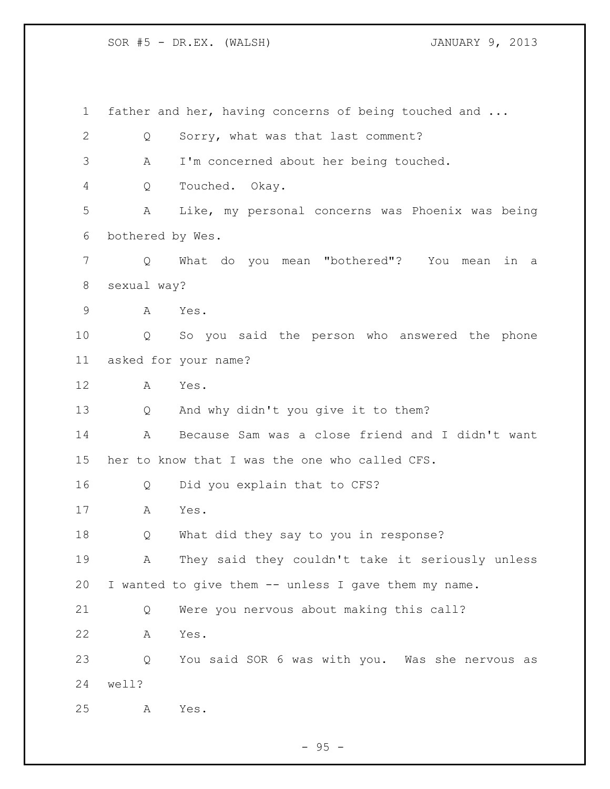father and her, having concerns of being touched and ... Q Sorry, what was that last comment? A I'm concerned about her being touched. Q Touched. Okay. A Like, my personal concerns was Phoenix was being bothered by Wes. Q What do you mean "bothered"? You mean in a sexual way? A Yes. Q So you said the person who answered the phone asked for your name? A Yes. Q And why didn't you give it to them? A Because Sam was a close friend and I didn't want her to know that I was the one who called CFS. Q Did you explain that to CFS? A Yes. Q What did they say to you in response? A They said they couldn't take it seriously unless I wanted to give them -- unless I gave them my name. Q Were you nervous about making this call? A Yes. Q You said SOR 6 was with you. Was she nervous as well? A Yes.

 $-95 -$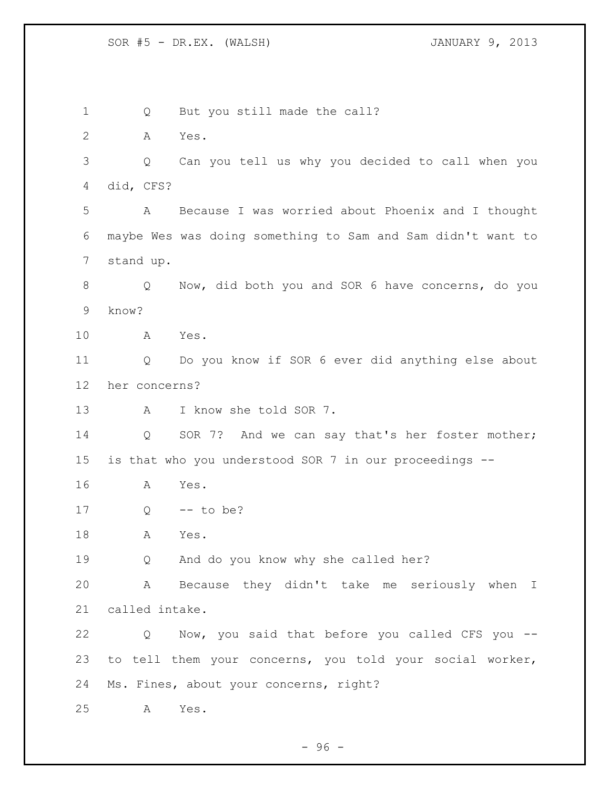1 Q But you still made the call? A Yes. Q Can you tell us why you decided to call when you did, CFS? A Because I was worried about Phoenix and I thought maybe Wes was doing something to Sam and Sam didn't want to stand up. Q Now, did both you and SOR 6 have concerns, do you know? A Yes. Q Do you know if SOR 6 ever did anything else about her concerns? A I know she told SOR 7. 14 Q SOR 7? And we can say that's her foster mother; is that who you understood SOR 7 in our proceedings -- A Yes. Q -- to be? A Yes. Q And do you know why she called her? A Because they didn't take me seriously when I called intake. Q Now, you said that before you called CFS you -- to tell them your concerns, you told your social worker, Ms. Fines, about your concerns, right? A Yes.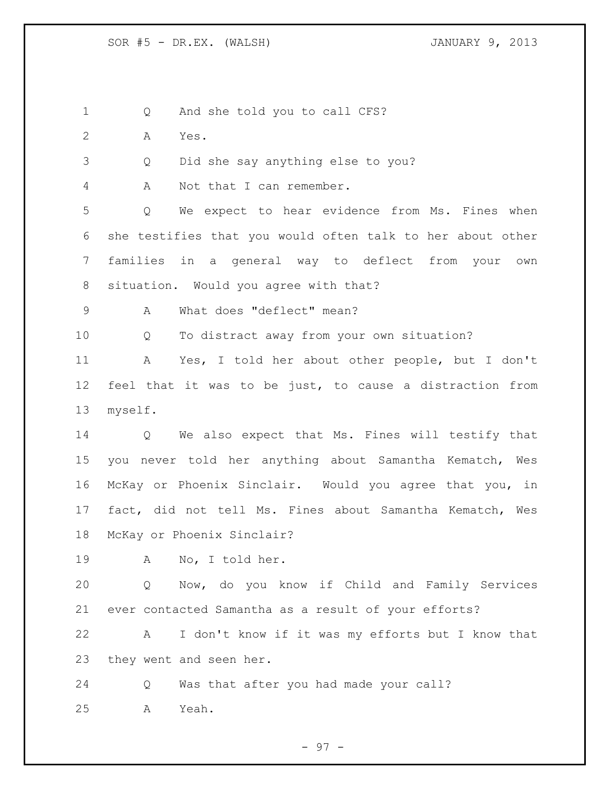1 Q And she told you to call CFS?

- A Yes.
- Q Did she say anything else to you?

A Not that I can remember.

 Q We expect to hear evidence from Ms. Fines when she testifies that you would often talk to her about other families in a general way to deflect from your own situation. Would you agree with that?

A What does "deflect" mean?

Q To distract away from your own situation?

 A Yes, I told her about other people, but I don't feel that it was to be just, to cause a distraction from myself.

 Q We also expect that Ms. Fines will testify that you never told her anything about Samantha Kematch, Wes McKay or Phoenix Sinclair. Would you agree that you, in fact, did not tell Ms. Fines about Samantha Kematch, Wes McKay or Phoenix Sinclair?

A No, I told her.

 Q Now, do you know if Child and Family Services ever contacted Samantha as a result of your efforts?

 A I don't know if it was my efforts but I know that they went and seen her.

 Q Was that after you had made your call? A Yeah.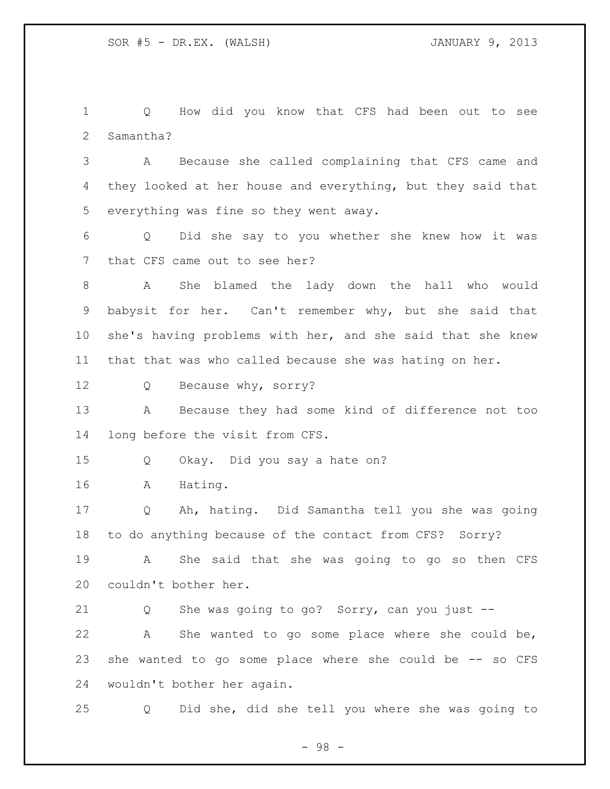Q How did you know that CFS had been out to see Samantha?

 A Because she called complaining that CFS came and they looked at her house and everything, but they said that everything was fine so they went away.

 Q Did she say to you whether she knew how it was that CFS came out to see her?

 A She blamed the lady down the hall who would babysit for her. Can't remember why, but she said that she's having problems with her, and she said that she knew that that was who called because she was hating on her.

12 Q Because why, sorry?

 A Because they had some kind of difference not too long before the visit from CFS.

Q Okay. Did you say a hate on?

A Hating.

 Q Ah, hating. Did Samantha tell you she was going to do anything because of the contact from CFS? Sorry?

 A She said that she was going to go so then CFS couldn't bother her.

 Q She was going to go? Sorry, can you just -- A She wanted to go some place where she could be, she wanted to go some place where she could be -- so CFS wouldn't bother her again.

Q Did she, did she tell you where she was going to

- 98 -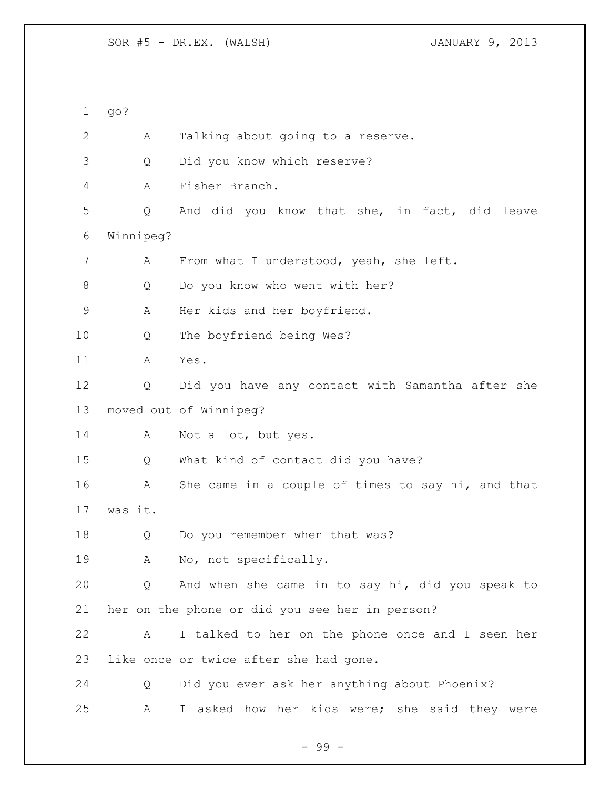go? A Talking about going to a reserve. Q Did you know which reserve? A Fisher Branch. Q And did you know that she, in fact, did leave Winnipeg? A From what I understood, yeah, she left. 8 Q Do you know who went with her? A Her kids and her boyfriend. Q The boyfriend being Wes? A Yes. Q Did you have any contact with Samantha after she moved out of Winnipeg? 14 A Not a lot, but yes. Q What kind of contact did you have? A She came in a couple of times to say hi, and that was it. Q Do you remember when that was? A No, not specifically. Q And when she came in to say hi, did you speak to her on the phone or did you see her in person? A I talked to her on the phone once and I seen her like once or twice after she had gone. Q Did you ever ask her anything about Phoenix? A I asked how her kids were; she said they were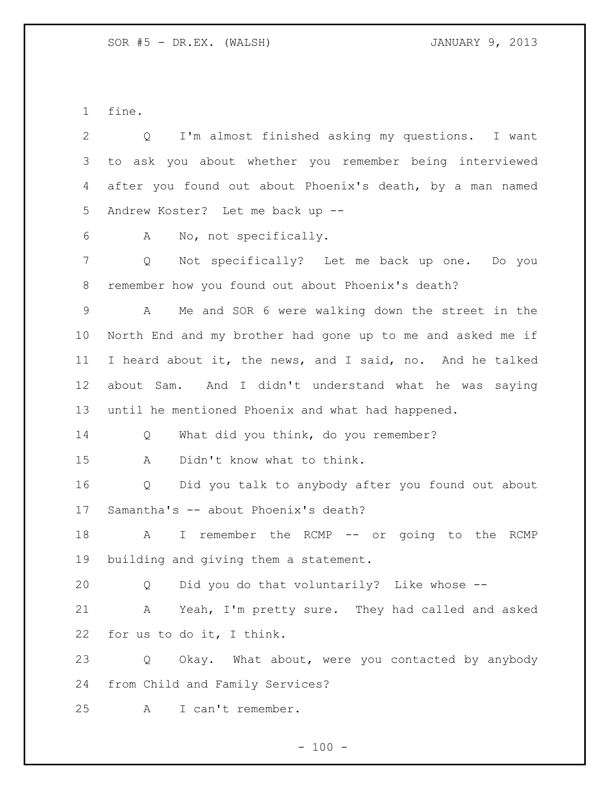fine.

| 2  | I'm almost finished asking my questions. I want<br>Q       |
|----|------------------------------------------------------------|
| 3  | to ask you about whether you remember being interviewed    |
| 4  | after you found out about Phoenix's death, by a man named  |
| 5  | Andrew Koster? Let me back up --                           |
| 6  | No, not specifically.<br>A                                 |
| 7  | Not specifically? Let me back up one. Do you<br>Q          |
| 8  | remember how you found out about Phoenix's death?          |
| 9  | Me and SOR 6 were walking down the street in the<br>A      |
| 10 | North End and my brother had gone up to me and asked me if |
| 11 | I heard about it, the news, and I said, no. And he talked  |
| 12 | about Sam. And I didn't understand what he was saying      |
| 13 | until he mentioned Phoenix and what had happened.          |
| 14 | What did you think, do you remember?<br>Q                  |
| 15 | Didn't know what to think.<br>A                            |
| 16 | Did you talk to anybody after you found out about<br>Q     |
| 17 | Samantha's -- about Phoenix's death?                       |
| 18 | I remember the RCMP -- or going to the RCMP<br>A           |
| 19 | building and giving them a statement.                      |
| 20 | Did you do that voluntarily? Like whose --<br>Q            |
| 21 | Yeah, I'm pretty sure. They had called and asked<br>A      |
| 22 | for us to do it, I think.                                  |
| 23 | Okay. What about, were you contacted by anybody<br>Q       |
| 24 | from Child and Family Services?                            |
| 25 | I can't remember.<br>A                                     |
|    |                                                            |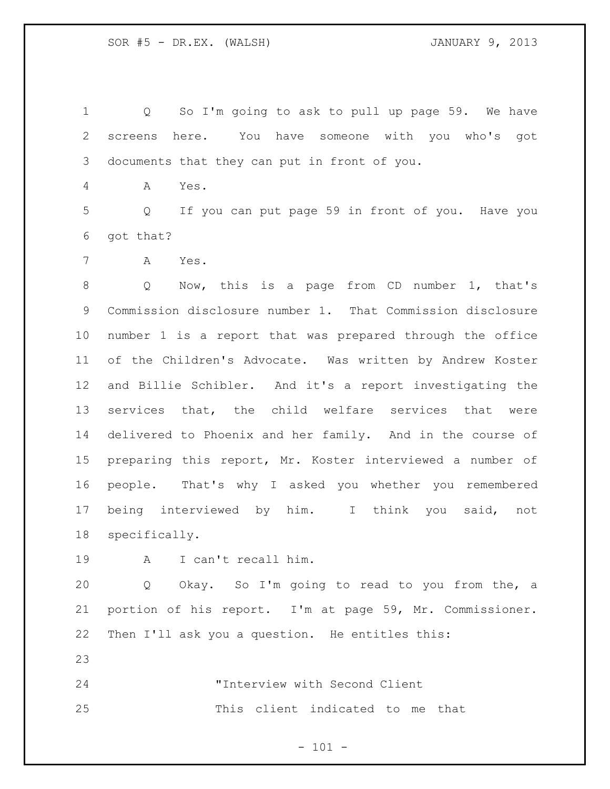Q So I'm going to ask to pull up page 59. We have screens here. You have someone with you who's got documents that they can put in front of you.

A Yes.

 Q If you can put page 59 in front of you. Have you got that?

A Yes.

 Q Now, this is a page from CD number 1, that's Commission disclosure number 1. That Commission disclosure number 1 is a report that was prepared through the office of the Children's Advocate. Was written by Andrew Koster and Billie Schibler. And it's a report investigating the services that, the child welfare services that were delivered to Phoenix and her family. And in the course of preparing this report, Mr. Koster interviewed a number of people. That's why I asked you whether you remembered being interviewed by him. I think you said, not specifically.

A I can't recall him.

 Q Okay. So I'm going to read to you from the, a portion of his report. I'm at page 59, Mr. Commissioner. Then I'll ask you a question. He entitles this:

 "Interview with Second Client This client indicated to me that

 $- 101 -$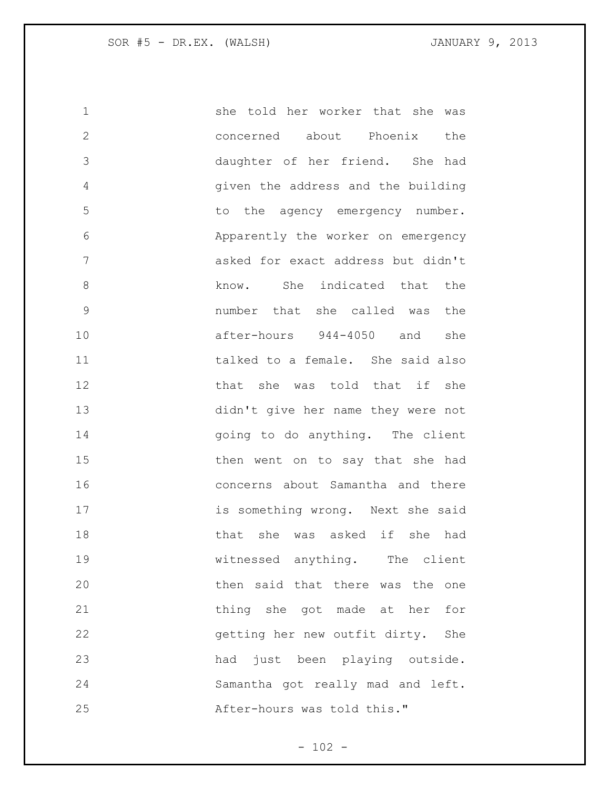she told her worker that she was concerned about Phoenix the daughter of her friend. She had given the address and the building to the agency emergency number. Apparently the worker on emergency asked for exact address but didn't 8 know. She indicated that the number that she called was the after-hours 944-4050 and she talked to a female. She said also **that she was told that if she**  didn't give her name they were not 14 and to do anything. The client then went on to say that she had concerns about Samantha and there is something wrong. Next she said that she was asked if she had witnessed anything. The client then said that there was the one thing she got made at her for getting her new outfit dirty. She had just been playing outside. Samantha got really mad and left. After-hours was told this."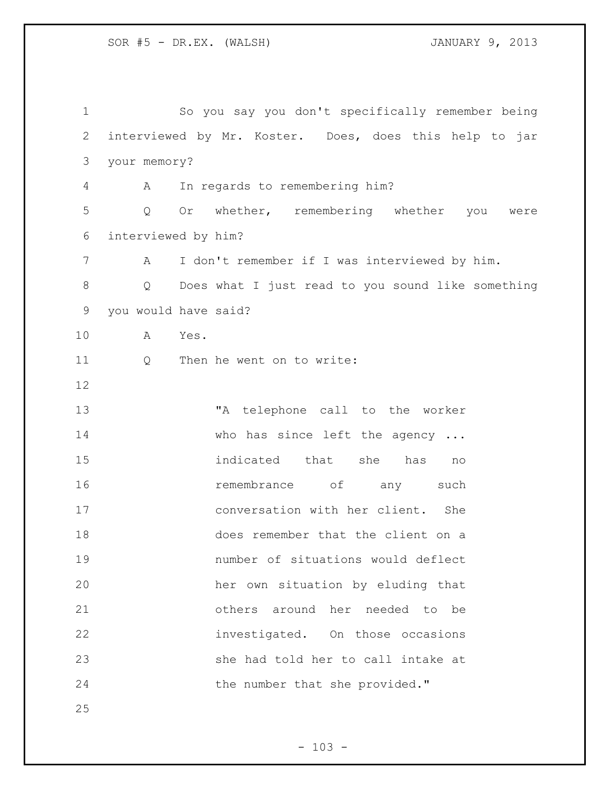| $\mathbf 1$    | So you say you don't specifically remember being       |
|----------------|--------------------------------------------------------|
| $\mathbf{2}$   | interviewed by Mr. Koster. Does, does this help to jar |
| 3              | your memory?                                           |
| $\overline{4}$ | In regards to remembering him?<br>A                    |
| 5              | Or whether, remembering whether you were<br>Q          |
| 6              | interviewed by him?                                    |
| 7              | I don't remember if I was interviewed by him.<br>A     |
| $8\,$          | Does what I just read to you sound like something<br>Q |
| $\mathsf 9$    | you would have said?                                   |
| 10             | A<br>Yes.                                              |
| 11             | Then he went on to write:<br>Q                         |
| 12             |                                                        |
| 13             | "A telephone call to the worker                        |
| 14             | who has since left the agency                          |
| 15             | indicated that she has<br>no                           |
| 16             | remembrance of any<br>such                             |
| 17             | conversation with her client. She                      |
| 18             | does remember that the client on a                     |
| 19             | number of situations would deflect                     |
| 20             | her own situation by eluding that                      |
| 21             | others around her needed to be                         |
| 22             | investigated. On those occasions                       |
| 23             | she had told her to call intake at                     |
| 24             | the number that she provided."                         |
| 25             |                                                        |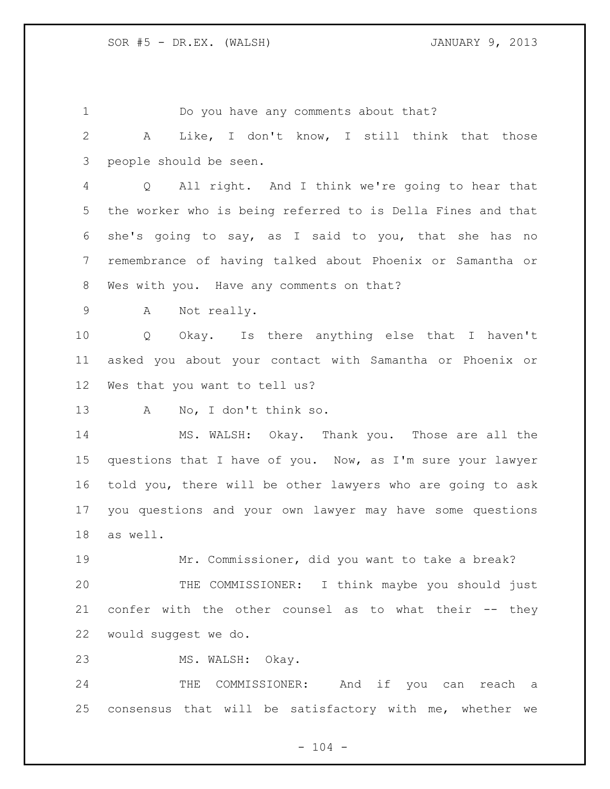Do you have any comments about that? A Like, I don't know, I still think that those people should be seen. Q All right. And I think we're going to hear that the worker who is being referred to is Della Fines and that she's going to say, as I said to you, that she has no remembrance of having talked about Phoenix or Samantha or Wes with you. Have any comments on that? A Not really. Q Okay. Is there anything else that I haven't asked you about your contact with Samantha or Phoenix or Wes that you want to tell us? A No, I don't think so. MS. WALSH: Okay. Thank you. Those are all the questions that I have of you. Now, as I'm sure your lawyer told you, there will be other lawyers who are going to ask you questions and your own lawyer may have some questions as well. Mr. Commissioner, did you want to take a break? THE COMMISSIONER: I think maybe you should just confer with the other counsel as to what their -- they would suggest we do. MS. WALSH: Okay. THE COMMISSIONER: And if you can reach a consensus that will be satisfactory with me, whether we

 $- 104 -$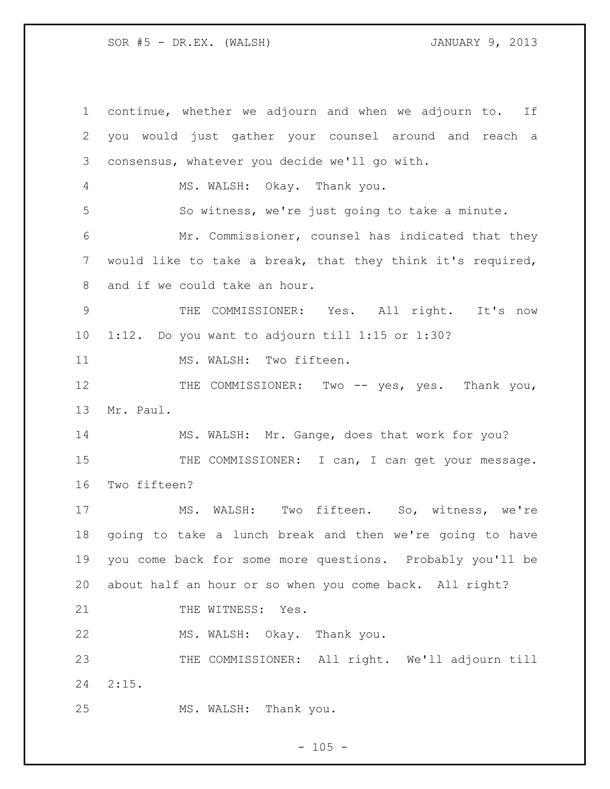continue, whether we adjourn and when we adjourn to. If you would just gather your counsel around and reach a consensus, whatever you decide we'll go with. MS. WALSH: Okay. Thank you. So witness, we're just going to take a minute. Mr. Commissioner, counsel has indicated that they would like to take a break, that they think it's required, and if we could take an hour. THE COMMISSIONER: Yes. All right. It's now 1:12. Do you want to adjourn till 1:15 or 1:30? 11 MS. WALSH: Two fifteen. 12 THE COMMISSIONER: Two -- yes, yes. Thank you, Mr. Paul. MS. WALSH: Mr. Gange, does that work for you? 15 THE COMMISSIONER: I can, I can get your message. Two fifteen? MS. WALSH: Two fifteen. So, witness, we're going to take a lunch break and then we're going to have you come back for some more questions. Probably you'll be about half an hour or so when you come back. All right? 21 THE WITNESS: Yes. MS. WALSH: Okay. Thank you. THE COMMISSIONER: All right. We'll adjourn till 2:15. MS. WALSH: Thank you.

 $- 105 -$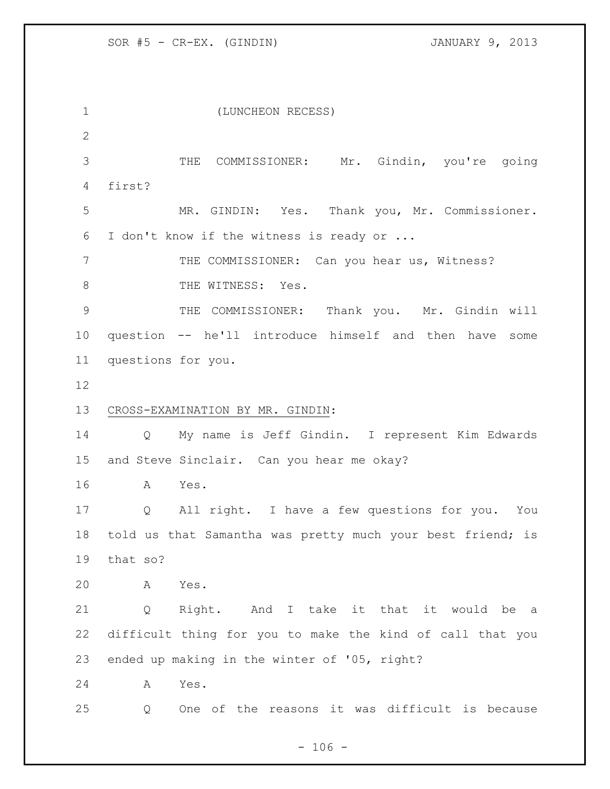(LUNCHEON RECESS) THE COMMISSIONER: Mr. Gindin, you're going first? MR. GINDIN: Yes. Thank you, Mr. Commissioner. I don't know if the witness is ready or ... THE COMMISSIONER: Can you hear us, Witness? 8 THE WITNESS: Yes. THE COMMISSIONER: Thank you. Mr. Gindin will question -- he'll introduce himself and then have some questions for you. CROSS-EXAMINATION BY MR. GINDIN: Q My name is Jeff Gindin. I represent Kim Edwards and Steve Sinclair. Can you hear me okay? A Yes. Q All right. I have a few questions for you. You 18 told us that Samantha was pretty much your best friend; is that so? A Yes. Q Right. And I take it that it would be a difficult thing for you to make the kind of call that you ended up making in the winter of '05, right? A Yes. Q One of the reasons it was difficult is because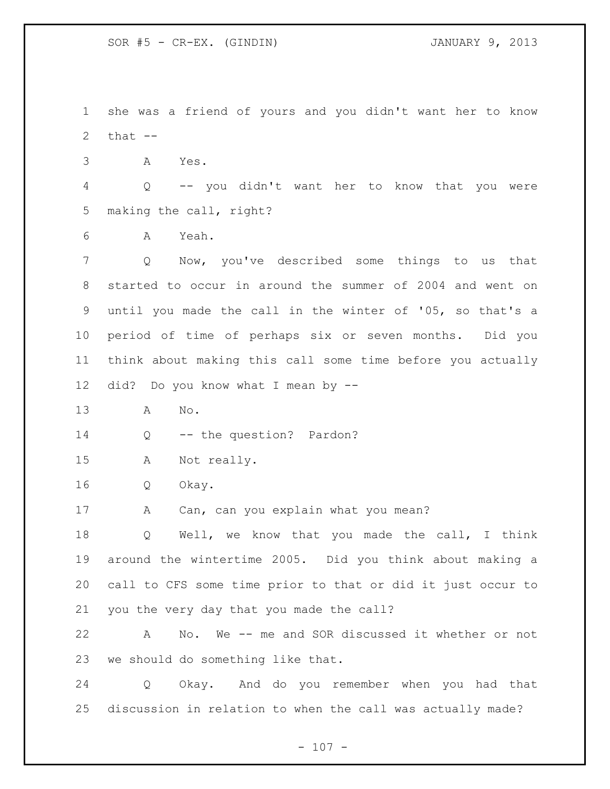she was a friend of yours and you didn't want her to know  $that$   $-$ 

A Yes.

 Q -- you didn't want her to know that you were making the call, right?

A Yeah.

 Q Now, you've described some things to us that started to occur in around the summer of 2004 and went on until you made the call in the winter of '05, so that's a period of time of perhaps six or seven months. Did you think about making this call some time before you actually did? Do you know what I mean by --

A No.

14 Q -- the question? Pardon?

A Not really.

Q Okay.

17 A Can, can you explain what you mean?

 Q Well, we know that you made the call, I think around the wintertime 2005. Did you think about making a call to CFS some time prior to that or did it just occur to you the very day that you made the call?

 A No. We -- me and SOR discussed it whether or not we should do something like that.

 Q Okay. And do you remember when you had that discussion in relation to when the call was actually made?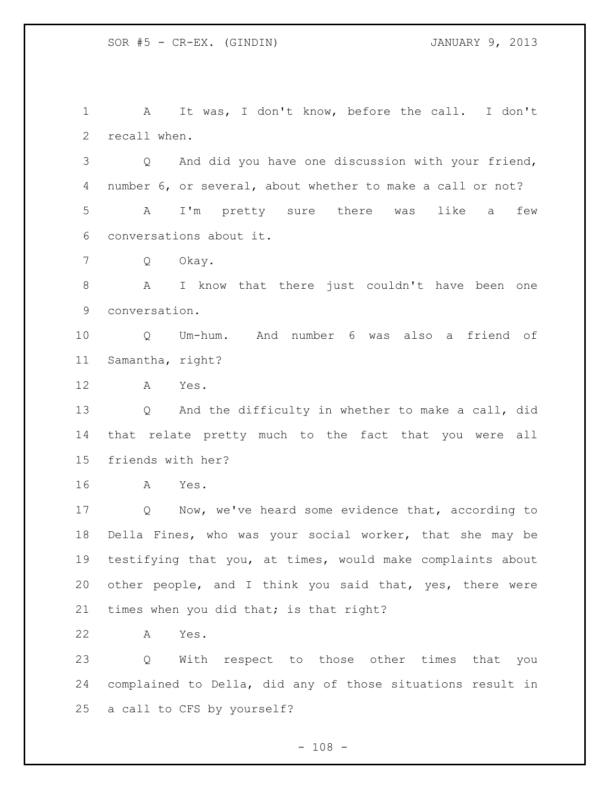A It was, I don't know, before the call. I don't recall when. Q And did you have one discussion with your friend, number 6, or several, about whether to make a call or not? A I'm pretty sure there was like a few conversations about it. Q Okay. A I know that there just couldn't have been one conversation. Q Um-hum. And number 6 was also a friend of Samantha, right? A Yes. Q And the difficulty in whether to make a call, did that relate pretty much to the fact that you were all friends with her? A Yes. Q Now, we've heard some evidence that, according to

 Della Fines, who was your social worker, that she may be testifying that you, at times, would make complaints about other people, and I think you said that, yes, there were 21 times when you did that; is that right?

A Yes.

 Q With respect to those other times that you complained to Della, did any of those situations result in a call to CFS by yourself?

 $- 108 -$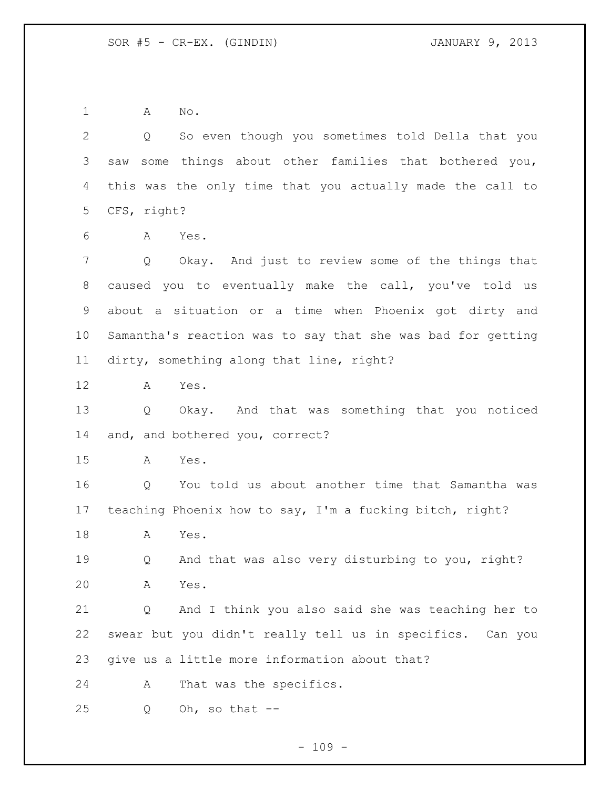A No.

 Q So even though you sometimes told Della that you saw some things about other families that bothered you, this was the only time that you actually made the call to CFS, right?

A Yes.

 Q Okay. And just to review some of the things that caused you to eventually make the call, you've told us about a situation or a time when Phoenix got dirty and Samantha's reaction was to say that she was bad for getting dirty, something along that line, right?

A Yes.

 Q Okay. And that was something that you noticed and, and bothered you, correct?

A Yes.

 Q You told us about another time that Samantha was teaching Phoenix how to say, I'm a fucking bitch, right?

A Yes.

 Q And that was also very disturbing to you, right? A Yes.

 Q And I think you also said she was teaching her to swear but you didn't really tell us in specifics. Can you give us a little more information about that?

A That was the specifics.

Q Oh, so that  $-$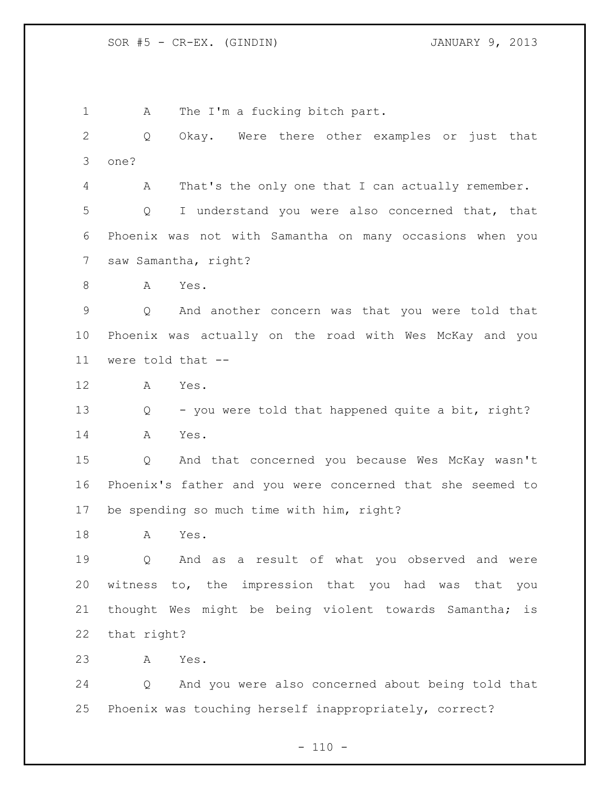1 A The I'm a fucking bitch part. Q Okay. Were there other examples or just that one? A That's the only one that I can actually remember. Q I understand you were also concerned that, that Phoenix was not with Samantha on many occasions when you saw Samantha, right? A Yes. Q And another concern was that you were told that Phoenix was actually on the road with Wes McKay and you were told that -- A Yes. 13 Q - you were told that happened quite a bit, right? A Yes. Q And that concerned you because Wes McKay wasn't Phoenix's father and you were concerned that she seemed to be spending so much time with him, right? A Yes. Q And as a result of what you observed and were witness to, the impression that you had was that you thought Wes might be being violent towards Samantha; is that right? A Yes. Q And you were also concerned about being told that Phoenix was touching herself inappropriately, correct?

 $- 110 -$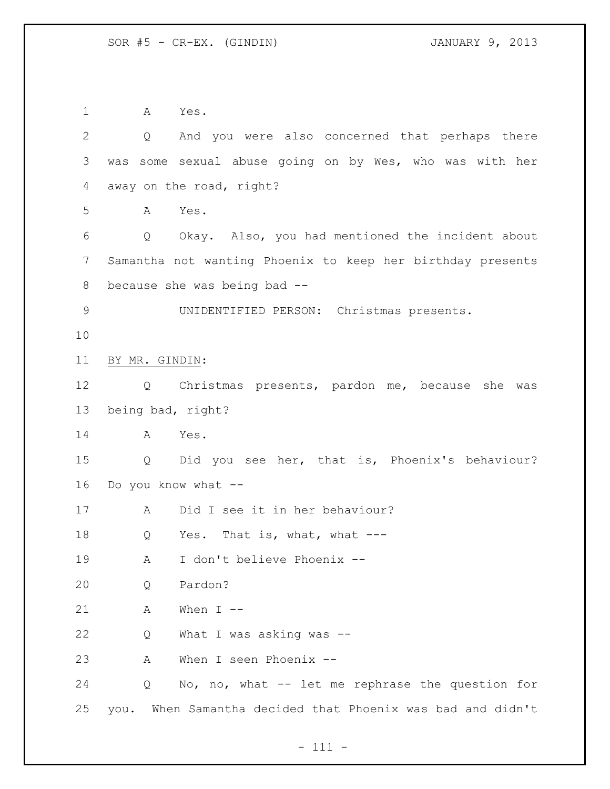A Yes. Q And you were also concerned that perhaps there was some sexual abuse going on by Wes, who was with her away on the road, right? A Yes. Q Okay. Also, you had mentioned the incident about Samantha not wanting Phoenix to keep her birthday presents because she was being bad -- UNIDENTIFIED PERSON: Christmas presents. BY MR. GINDIN: Q Christmas presents, pardon me, because she was being bad, right? A Yes. Q Did you see her, that is, Phoenix's behaviour? Do you know what -- A Did I see it in her behaviour? 18 Q Yes. That is, what, what --- A I don't believe Phoenix -- Q Pardon? A When I  $-$  Q What I was asking was -- A When I seen Phoenix -- Q No, no, what -- let me rephrase the question for you. When Samantha decided that Phoenix was bad and didn't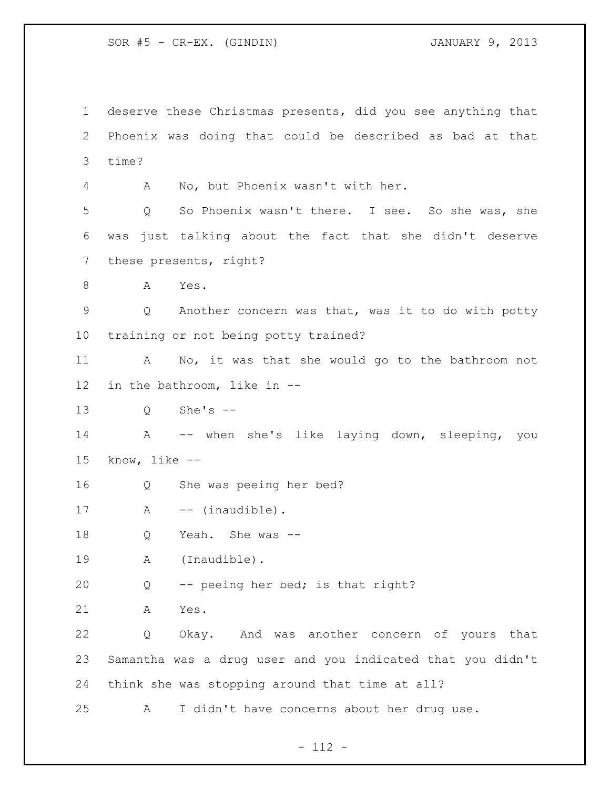SOR #5 - CR-EX. (GINDIN) JANUARY 9, 2013

 deserve these Christmas presents, did you see anything that Phoenix was doing that could be described as bad at that time? A No, but Phoenix wasn't with her. Q So Phoenix wasn't there. I see. So she was, she was just talking about the fact that she didn't deserve these presents, right? A Yes. Q Another concern was that, was it to do with potty training or not being potty trained? A No, it was that she would go to the bathroom not in the bathroom, like in -- Q She's -- A -- when she's like laying down, sleeping, you know, like -- Q She was peeing her bed? 17 A -- (inaudible). Q Yeah. She was -- A (Inaudible). Q -- peeing her bed; is that right? A Yes. Q Okay. And was another concern of yours that Samantha was a drug user and you indicated that you didn't think she was stopping around that time at all? A I didn't have concerns about her drug use.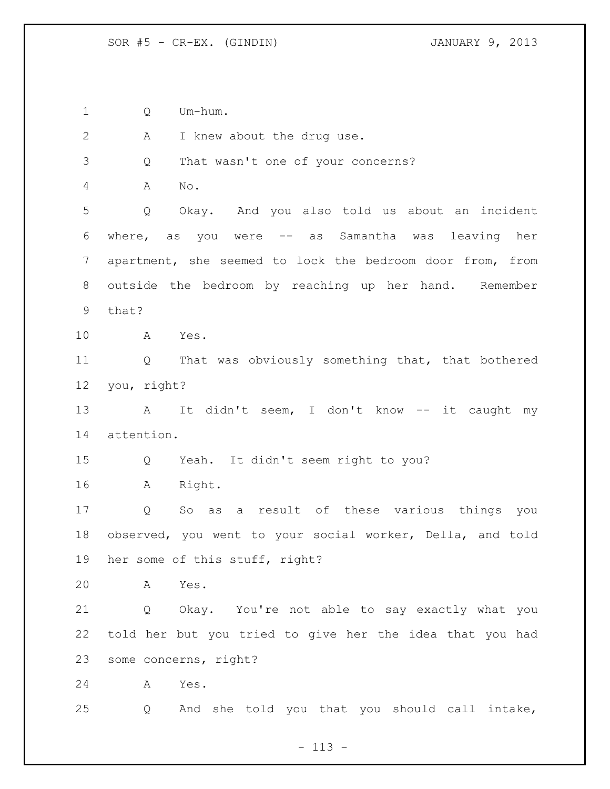Q Um-hum.

2 A I knew about the drug use. Q That wasn't one of your concerns? A No. Q Okay. And you also told us about an incident where, as you were -- as Samantha was leaving her apartment, she seemed to lock the bedroom door from, from outside the bedroom by reaching up her hand. Remember that? A Yes. Q That was obviously something that, that bothered you, right? 13 A It didn't seem, I don't know -- it caught my attention. Q Yeah. It didn't seem right to you? A Right. Q So as a result of these various things you observed, you went to your social worker, Della, and told her some of this stuff, right? A Yes. Q Okay. You're not able to say exactly what you told her but you tried to give her the idea that you had some concerns, right? A Yes. Q And she told you that you should call intake,

 $- 113 -$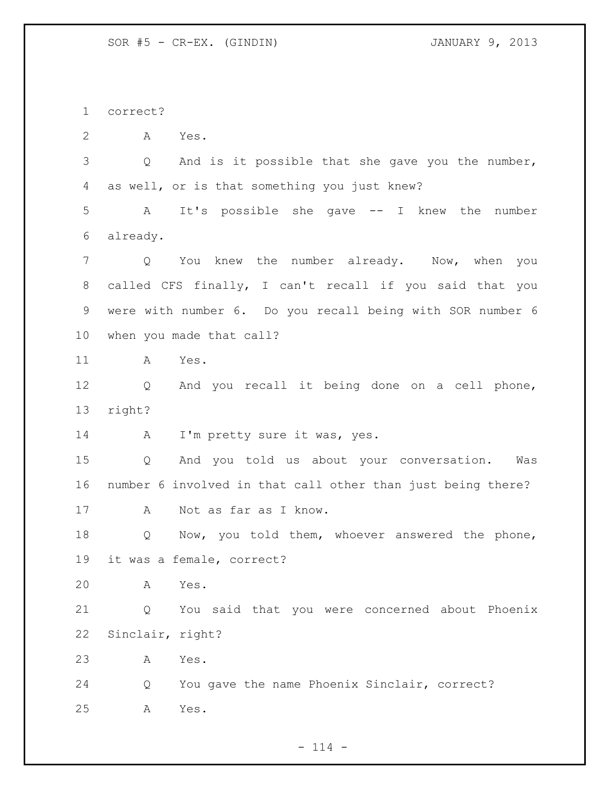correct?

A Yes.

 Q And is it possible that she gave you the number, as well, or is that something you just knew?

 A It's possible she gave -- I knew the number already.

 Q You knew the number already. Now, when you called CFS finally, I can't recall if you said that you were with number 6. Do you recall being with SOR number 6 when you made that call?

A Yes.

 Q And you recall it being done on a cell phone, right?

14 A I'm pretty sure it was, yes.

 Q And you told us about your conversation. Was number 6 involved in that call other than just being there? A Not as far as I know.

 Q Now, you told them, whoever answered the phone, it was a female, correct?

A Yes.

 Q You said that you were concerned about Phoenix Sinclair, right?

A Yes.

 Q You gave the name Phoenix Sinclair, correct? A Yes.

 $- 114 -$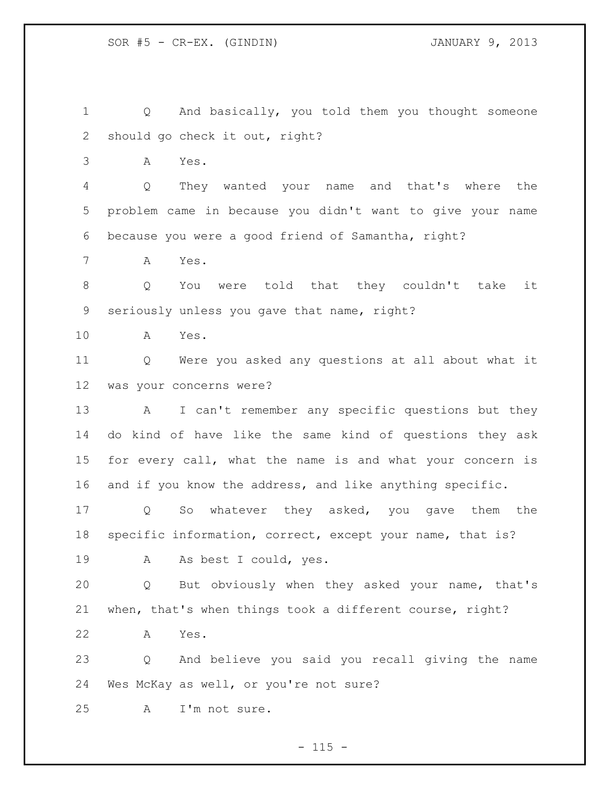Q And basically, you told them you thought someone should go check it out, right?

A Yes.

 Q They wanted your name and that's where the problem came in because you didn't want to give your name because you were a good friend of Samantha, right?

A Yes.

 Q You were told that they couldn't take it seriously unless you gave that name, right?

A Yes.

 Q Were you asked any questions at all about what it was your concerns were?

 A I can't remember any specific questions but they do kind of have like the same kind of questions they ask for every call, what the name is and what your concern is and if you know the address, and like anything specific.

 Q So whatever they asked, you gave them the specific information, correct, except your name, that is? A As best I could, yes.

 Q But obviously when they asked your name, that's when, that's when things took a different course, right?

A Yes.

 Q And believe you said you recall giving the name Wes McKay as well, or you're not sure?

A I'm not sure.

 $- 115 -$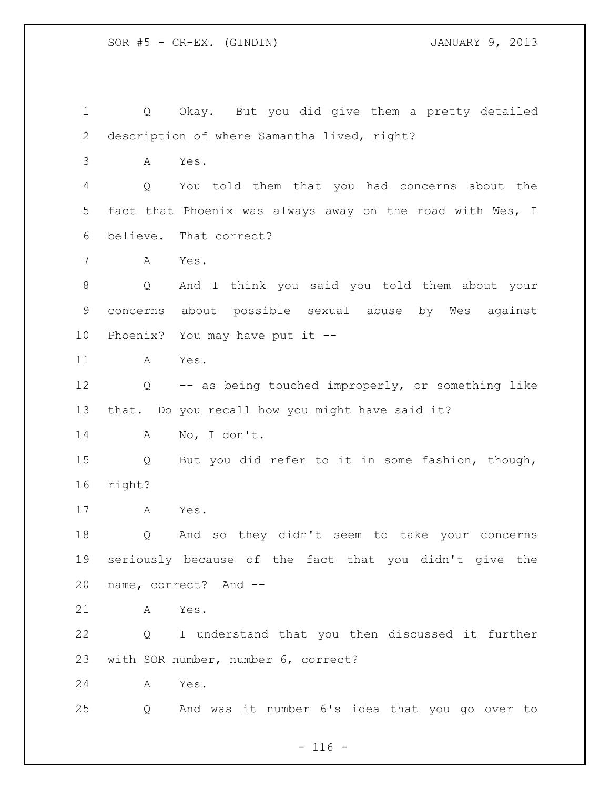Q Okay. But you did give them a pretty detailed description of where Samantha lived, right? A Yes. Q You told them that you had concerns about the fact that Phoenix was always away on the road with Wes, I believe. That correct? A Yes. Q And I think you said you told them about your concerns about possible sexual abuse by Wes against Phoenix? You may have put it -- A Yes. Q -- as being touched improperly, or something like that. Do you recall how you might have said it? A No, I don't. Q But you did refer to it in some fashion, though, right? A Yes. Q And so they didn't seem to take your concerns seriously because of the fact that you didn't give the name, correct? And -- A Yes. Q I understand that you then discussed it further with SOR number, number 6, correct? A Yes. Q And was it number 6's idea that you go over to

 $- 116 -$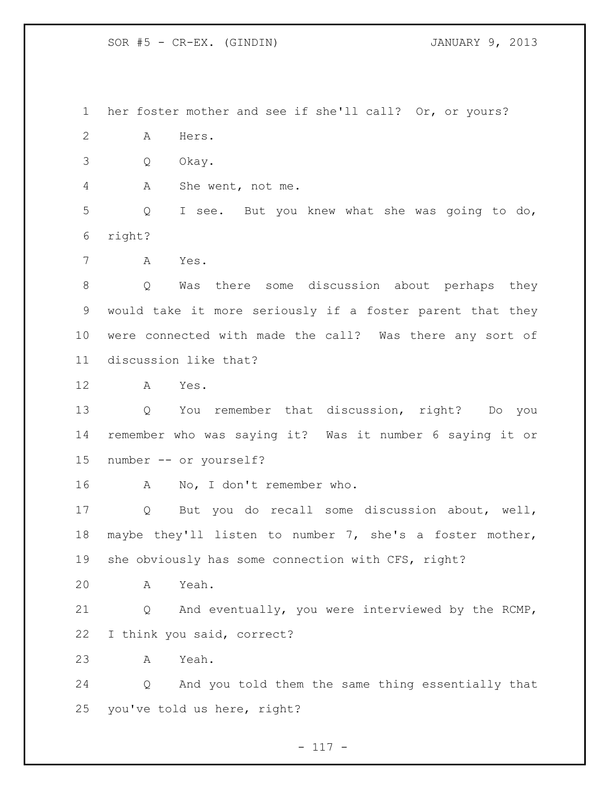SOR #5 - CR-EX. (GINDIN) JANUARY 9, 2013

 her foster mother and see if she'll call? Or, or yours? A Hers. Q Okay. A She went, not me. Q I see. But you knew what she was going to do, right? A Yes. Q Was there some discussion about perhaps they would take it more seriously if a foster parent that they were connected with made the call? Was there any sort of discussion like that? A Yes. Q You remember that discussion, right? Do you remember who was saying it? Was it number 6 saying it or number -- or yourself? A No, I don't remember who. Q But you do recall some discussion about, well, maybe they'll listen to number 7, she's a foster mother, she obviously has some connection with CFS, right? A Yeah. Q And eventually, you were interviewed by the RCMP, I think you said, correct? A Yeah. Q And you told them the same thing essentially that you've told us here, right?

 $- 117 -$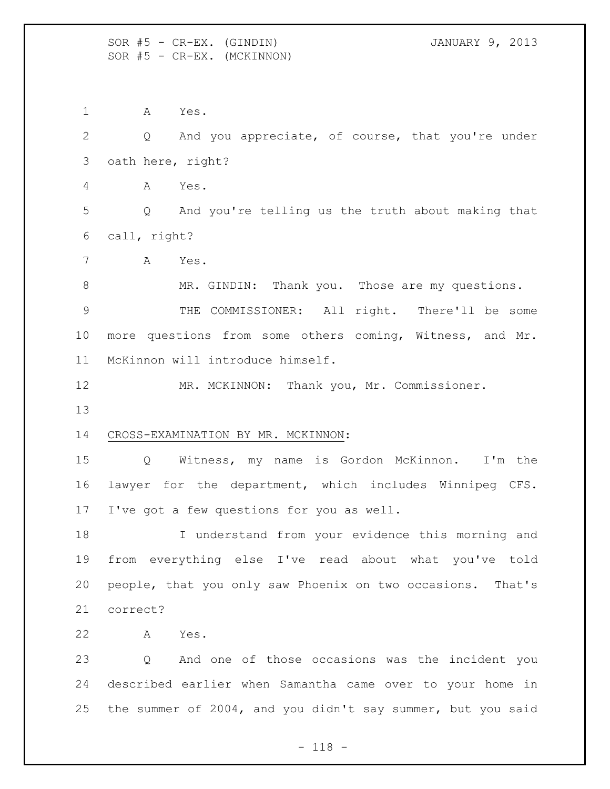SOR #5 - CR-EX. (GINDIN) JANUARY 9, 2013 SOR #5 - CR-EX. (MCKINNON)

A Yes.

 Q And you appreciate, of course, that you're under oath here, right? A Yes. Q And you're telling us the truth about making that call, right? A Yes. MR. GINDIN: Thank you. Those are my questions. THE COMMISSIONER: All right. There'll be some more questions from some others coming, Witness, and Mr. McKinnon will introduce himself. MR. MCKINNON: Thank you, Mr. Commissioner. CROSS-EXAMINATION BY MR. MCKINNON: Q Witness, my name is Gordon McKinnon. I'm the lawyer for the department, which includes Winnipeg CFS. I've got a few questions for you as well. I understand from your evidence this morning and from everything else I've read about what you've told people, that you only saw Phoenix on two occasions. That's correct? A Yes. Q And one of those occasions was the incident you described earlier when Samantha came over to your home in

the summer of 2004, and you didn't say summer, but you said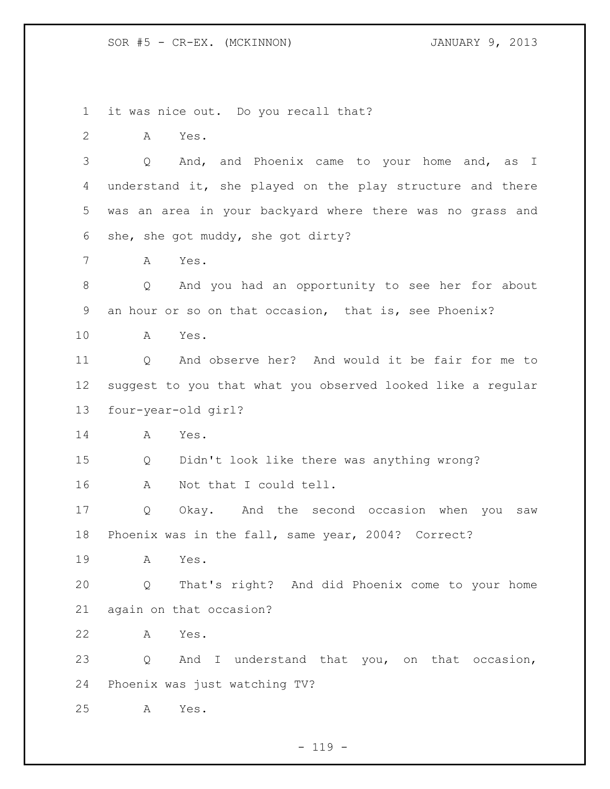it was nice out. Do you recall that?

A Yes.

 Q And, and Phoenix came to your home and, as I understand it, she played on the play structure and there was an area in your backyard where there was no grass and she, she got muddy, she got dirty?

A Yes.

 Q And you had an opportunity to see her for about an hour or so on that occasion, that is, see Phoenix?

A Yes.

 Q And observe her? And would it be fair for me to suggest to you that what you observed looked like a regular four-year-old girl?

A Yes.

 Q Didn't look like there was anything wrong? A Not that I could tell.

 Q Okay. And the second occasion when you saw Phoenix was in the fall, same year, 2004? Correct?

A Yes.

 Q That's right? And did Phoenix come to your home again on that occasion?

A Yes.

 Q And I understand that you, on that occasion, Phoenix was just watching TV?

A Yes.

 $- 119 -$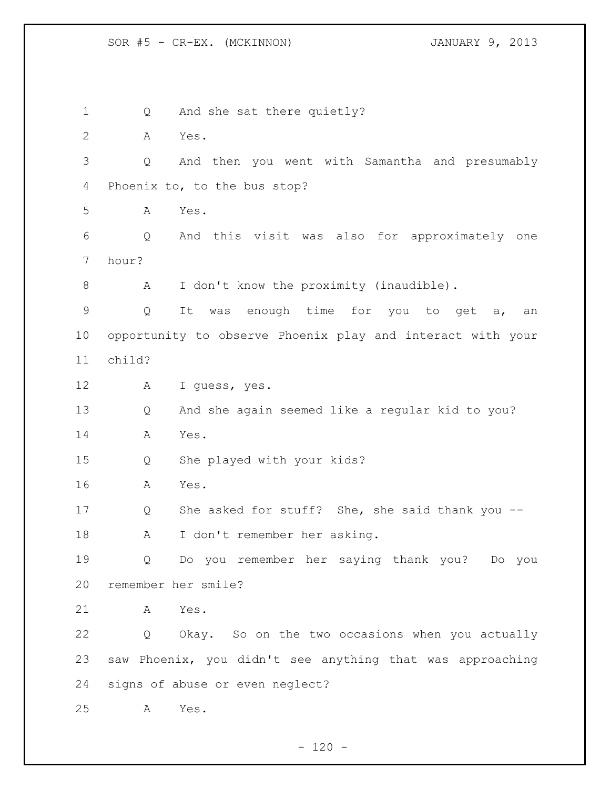1 Q And she sat there quietly? A Yes. Q And then you went with Samantha and presumably Phoenix to, to the bus stop? A Yes. Q And this visit was also for approximately one hour? 8 A I don't know the proximity (inaudible). Q It was enough time for you to get a, an opportunity to observe Phoenix play and interact with your child? A I guess, yes. Q And she again seemed like a regular kid to you? A Yes. Q She played with your kids? A Yes. Q She asked for stuff? She, she said thank you -- A I don't remember her asking. Q Do you remember her saying thank you? Do you remember her smile? A Yes. Q Okay. So on the two occasions when you actually saw Phoenix, you didn't see anything that was approaching signs of abuse or even neglect? A Yes.

 $- 120 -$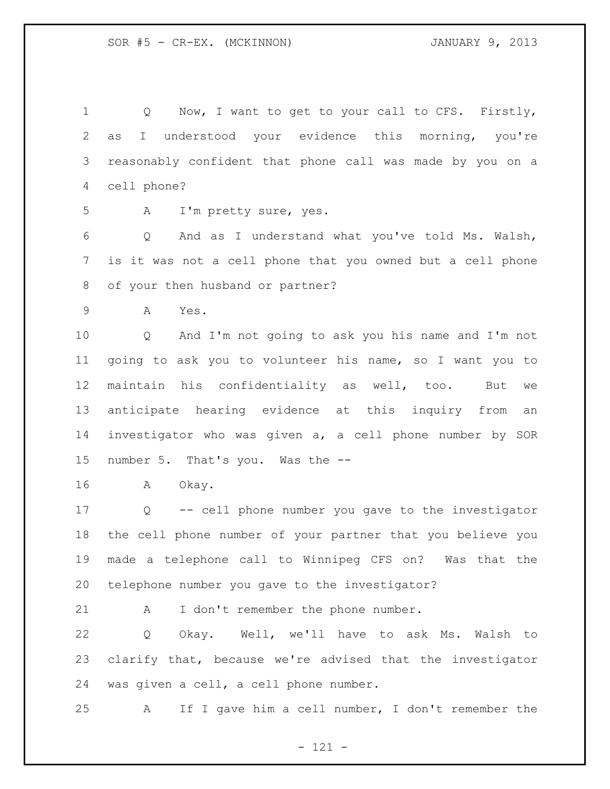Q Now, I want to get to your call to CFS. Firstly, as I understood your evidence this morning, you're reasonably confident that phone call was made by you on a cell phone?

A I'm pretty sure, yes.

 Q And as I understand what you've told Ms. Walsh, is it was not a cell phone that you owned but a cell phone of your then husband or partner?

A Yes.

 Q And I'm not going to ask you his name and I'm not going to ask you to volunteer his name, so I want you to maintain his confidentiality as well, too. But we anticipate hearing evidence at this inquiry from an investigator who was given a, a cell phone number by SOR number 5. That's you. Was the --

A Okay.

 Q -- cell phone number you gave to the investigator the cell phone number of your partner that you believe you made a telephone call to Winnipeg CFS on? Was that the telephone number you gave to the investigator?

21 A I don't remember the phone number.

 Q Okay. Well, we'll have to ask Ms. Walsh to clarify that, because we're advised that the investigator was given a cell, a cell phone number.

A If I gave him a cell number, I don't remember the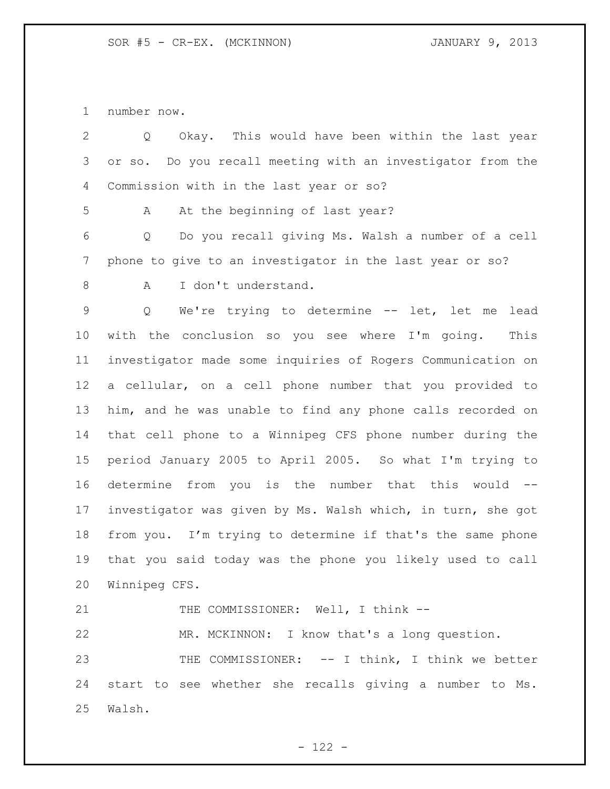number now.

| $\overline{2}$  | Okay. This would have been within the last year<br>Q        |
|-----------------|-------------------------------------------------------------|
| 3               | or so. Do you recall meeting with an investigator from the  |
| 4               | Commission with in the last year or so?                     |
| 5               | At the beginning of last year?<br>A                         |
| 6               | Do you recall giving Ms. Walsh a number of a cell<br>Q      |
| 7               | phone to give to an investigator in the last year or so?    |
| 8               | I don't understand.<br>A                                    |
| $\mathsf 9$     | Q<br>We're trying to determine -- let, let me<br>lead       |
| 10              | with the conclusion so you see where I'm going.<br>This     |
| 11              | investigator made some inquiries of Rogers Communication on |
| 12 <sub>1</sub> | a cellular, on a cell phone number that you provided to     |
| 13              | him, and he was unable to find any phone calls recorded on  |
| 14              | that cell phone to a Winnipeg CFS phone number during the   |
| 15              | period January 2005 to April 2005. So what I'm trying to    |
| 16              | determine from you is the number that this would --         |
| 17              | investigator was given by Ms. Walsh which, in turn, she got |
| 18              | from you. I'm trying to determine if that's the same phone  |
| 19              | that you said today was the phone you likely used to call   |
| 20              | Winnipeg CFS.                                               |
| 21              | THE COMMISSIONER: Well, I think --                          |
| 22              | MR. MCKINNON: I know that's a long question.                |
| 23              | THE COMMISSIONER: -- I think, I think we better             |
| 24              | start to see whether she recalls giving a number to Ms.     |
| 25              | Walsh.                                                      |
|                 |                                                             |

- 122 -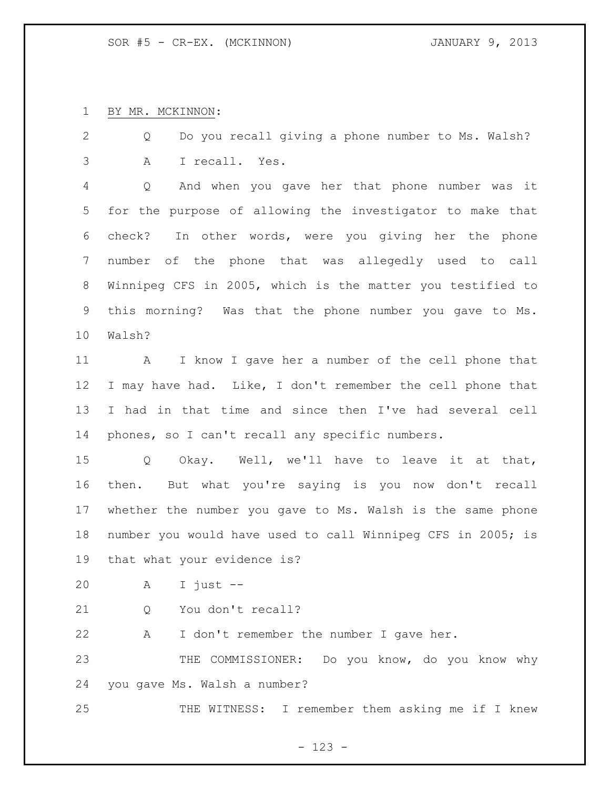BY MR. MCKINNON:

 Q Do you recall giving a phone number to Ms. Walsh? A I recall. Yes.

 Q And when you gave her that phone number was it for the purpose of allowing the investigator to make that check? In other words, were you giving her the phone number of the phone that was allegedly used to call Winnipeg CFS in 2005, which is the matter you testified to this morning? Was that the phone number you gave to Ms. Walsh?

 A I know I gave her a number of the cell phone that I may have had. Like, I don't remember the cell phone that I had in that time and since then I've had several cell phones, so I can't recall any specific numbers.

 Q Okay. Well, we'll have to leave it at that, then. But what you're saying is you now don't recall whether the number you gave to Ms. Walsh is the same phone number you would have used to call Winnipeg CFS in 2005; is that what your evidence is?

A I just --

21 0 You don't recall?

A I don't remember the number I gave her.

 THE COMMISSIONER: Do you know, do you know why you gave Ms. Walsh a number?

THE WITNESS: I remember them asking me if I knew

- 123 -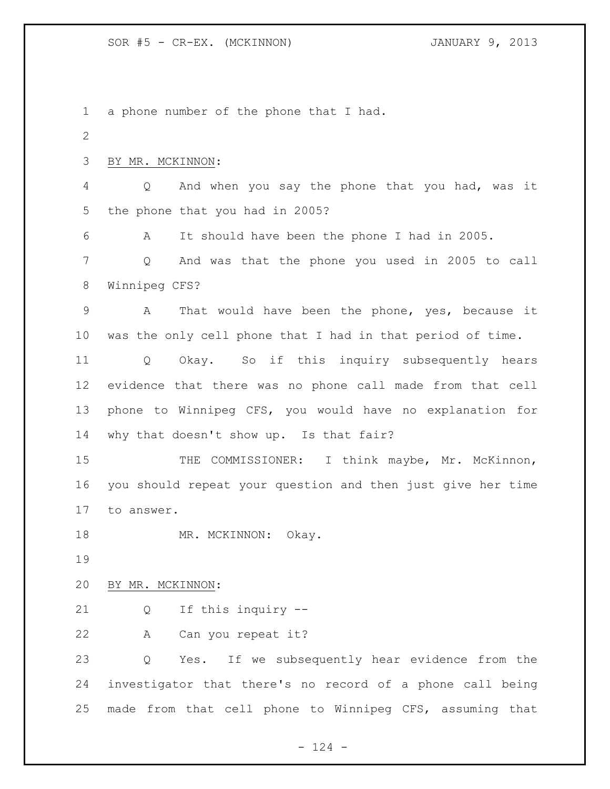a phone number of the phone that I had. BY MR. MCKINNON: Q And when you say the phone that you had, was it the phone that you had in 2005? A It should have been the phone I had in 2005. Q And was that the phone you used in 2005 to call Winnipeg CFS? A That would have been the phone, yes, because it was the only cell phone that I had in that period of time. Q Okay. So if this inquiry subsequently hears evidence that there was no phone call made from that cell phone to Winnipeg CFS, you would have no explanation for why that doesn't show up. Is that fair? 15 THE COMMISSIONER: I think maybe, Mr. McKinnon, you should repeat your question and then just give her time to answer. 18 MR. MCKINNON: Okay. BY MR. MCKINNON: Q If this inquiry -- A Can you repeat it? Q Yes. If we subsequently hear evidence from the investigator that there's no record of a phone call being made from that cell phone to Winnipeg CFS, assuming that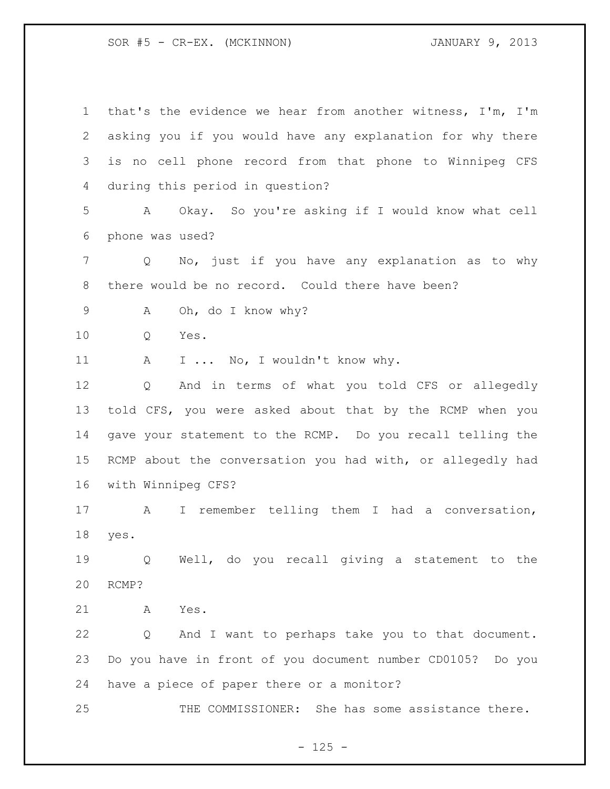| $\mathbf 1$ | that's the evidence we hear from another witness, I'm, I'm |
|-------------|------------------------------------------------------------|
| 2           | asking you if you would have any explanation for why there |
| 3           | is no cell phone record from that phone to Winnipeg CFS    |
| 4           | during this period in question?                            |
| 5           | Okay. So you're asking if I would know what cell<br>A      |
| 6           | phone was used?                                            |
| 7           | No, just if you have any explanation as to why<br>Q        |
| 8           | there would be no record. Could there have been?           |
| 9           | Oh, do I know why?<br>A                                    |
| 10          | Yes.<br>Q                                                  |
| 11          | I  No, I wouldn't know why.<br>A                           |
| 12          | And in terms of what you told CFS or allegedly<br>Q        |
| 13          | told CFS, you were asked about that by the RCMP when you   |
| 14          | gave your statement to the RCMP. Do you recall telling the |
| 15          | RCMP about the conversation you had with, or allegedly had |
| 16          | with Winnipeg CFS?                                         |
| 17          | I remember telling them I had a conversation,<br>A         |
| 18          | yes.                                                       |
| 19          | Well, do you recall giving a statement to the<br>Q         |
| 20          | RCMP?                                                      |
| 21          | Yes.<br>A                                                  |
| 22          | And I want to perhaps take you to that document.<br>Q      |
| 23          | Do you have in front of you document number CD0105? Do you |
| 24          | have a piece of paper there or a monitor?                  |
| 25          | THE COMMISSIONER: She has some assistance there.           |

- 125 -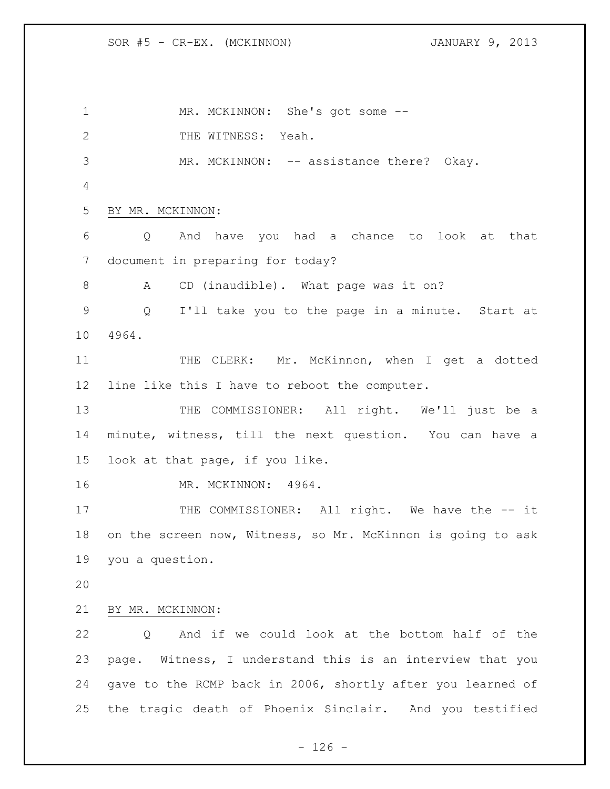1 MR. MCKINNON: She's got some --2 THE WITNESS: Yeah. MR. MCKINNON: -- assistance there? Okay. BY MR. MCKINNON: Q And have you had a chance to look at that document in preparing for today? A CD (inaudible). What page was it on? Q I'll take you to the page in a minute. Start at 4964. 11 THE CLERK: Mr. McKinnon, when I get a dotted line like this I have to reboot the computer. 13 THE COMMISSIONER: All right. We'll just be a minute, witness, till the next question. You can have a look at that page, if you like. MR. MCKINNON: 4964. 17 THE COMMISSIONER: All right. We have the -- it on the screen now, Witness, so Mr. McKinnon is going to ask you a question. BY MR. MCKINNON: Q And if we could look at the bottom half of the page. Witness, I understand this is an interview that you gave to the RCMP back in 2006, shortly after you learned of the tragic death of Phoenix Sinclair. And you testified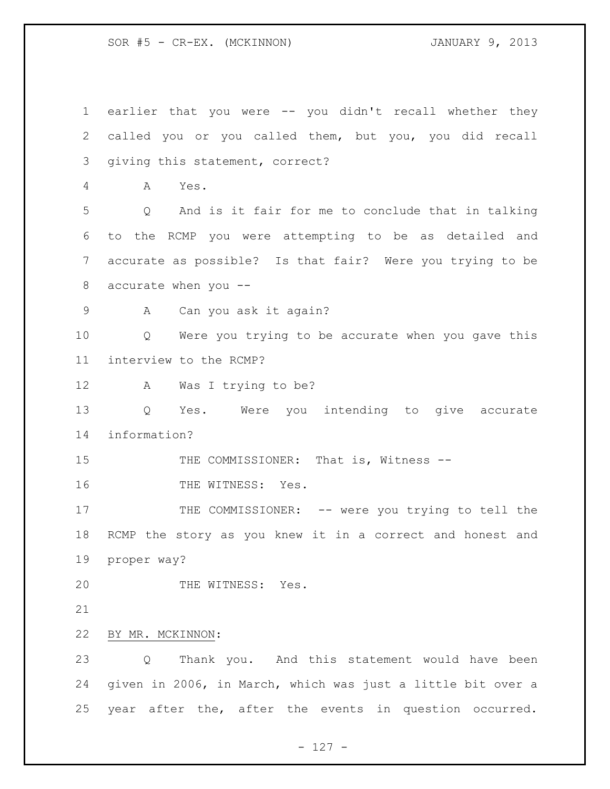earlier that you were -- you didn't recall whether they called you or you called them, but you, you did recall giving this statement, correct? A Yes. Q And is it fair for me to conclude that in talking to the RCMP you were attempting to be as detailed and accurate as possible? Is that fair? Were you trying to be accurate when you -- A Can you ask it again? Q Were you trying to be accurate when you gave this interview to the RCMP? A Was I trying to be? Q Yes. Were you intending to give accurate information? 15 THE COMMISSIONER: That is, Witness --16 THE WITNESS: Yes. 17 THE COMMISSIONER: -- were you trying to tell the RCMP the story as you knew it in a correct and honest and proper way? 20 THE WITNESS: Yes. BY MR. MCKINNON: Q Thank you. And this statement would have been given in 2006, in March, which was just a little bit over a year after the, after the events in question occurred.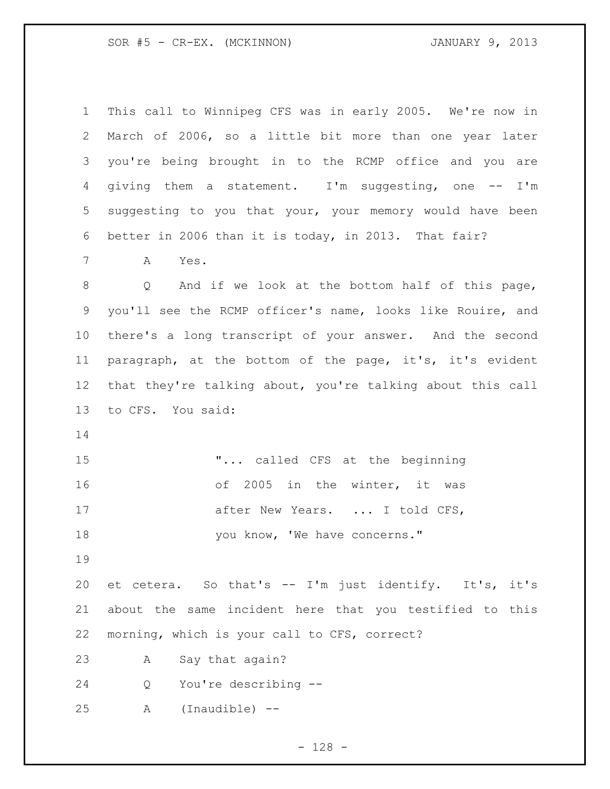| $\mathbf 1$     | This call to Winnipeg CFS was in early 2005. We're now in  |
|-----------------|------------------------------------------------------------|
| 2               | March of 2006, so a little bit more than one year later    |
| 3               | you're being brought in to the RCMP office and you are     |
| 4               | giving them a statement. I'm suggesting, one -- I'm        |
| 5               | suggesting to you that your, your memory would have been   |
| 6               | better in 2006 than it is today, in 2013. That fair?       |
| 7               | A<br>Yes.                                                  |
| 8               | And if we look at the bottom half of this page,<br>Q       |
| 9               | you'll see the RCMP officer's name, looks like Rouire, and |
| 10              | there's a long transcript of your answer. And the second   |
| 11              | paragraph, at the bottom of the page, it's, it's evident   |
| 12 <sup>°</sup> | that they're talking about, you're talking about this call |
| 13              | to CFS. You said:                                          |
| 14              |                                                            |
| 15              | " called CFS at the beginning                              |
| 16              | of 2005 in the winter, it was                              |
| 17              | after New Years.  I told CFS,                              |
| 18              | you know, 'We have concerns."                              |
| 19              |                                                            |
| 20              | et cetera. So that's -- I'm just identify. It's, it's      |
| 21              | about the same incident here that you testified to this    |
| 22              | morning, which is your call to CFS, correct?               |
| 23              | Say that again?<br>A                                       |
| 24              | You're describing --<br>Q                                  |
| 25              | (Inaudible) --<br>Α                                        |

- 128 -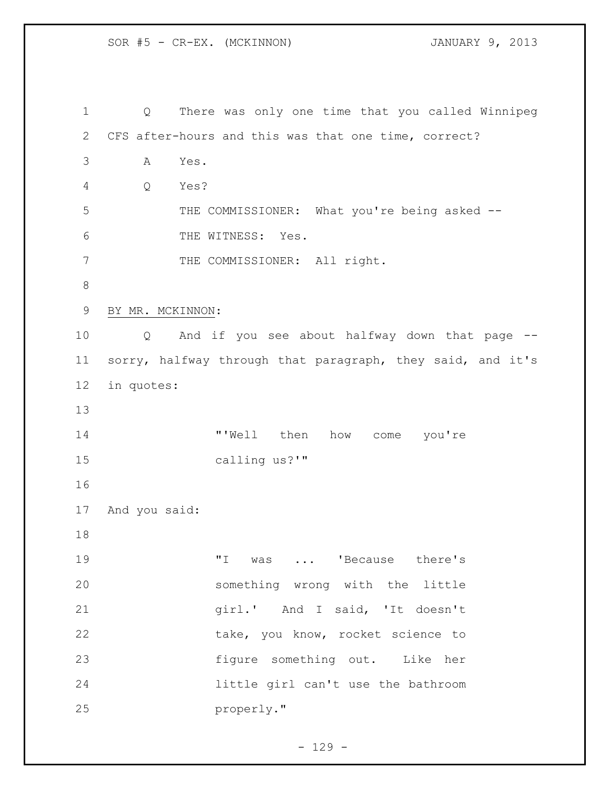SOR #5 - CR-EX. (MCKINNON) JANUARY 9, 2013 Q There was only one time that you called Winnipeg CFS after-hours and this was that one time, correct? A Yes. Q Yes? 5 THE COMMISSIONER: What you're being asked -- THE WITNESS: Yes. 7 THE COMMISSIONER: All right. BY MR. MCKINNON: Q And if you see about halfway down that page -- sorry, halfway through that paragraph, they said, and it's in quotes: **"'Well** then how come you're calling us?'" And you said: 19 T was ... 'Because there's something wrong with the little girl.' And I said, 'It doesn't 22 take, you know, rocket science to figure something out. Like her little girl can't use the bathroom properly."

 $- 129 -$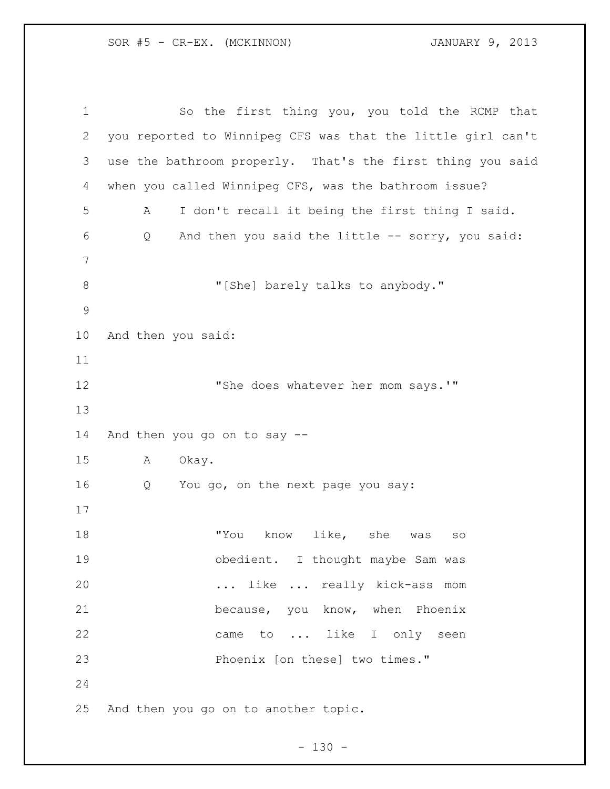So the first thing you, you told the RCMP that you reported to Winnipeg CFS was that the little girl can't use the bathroom properly. That's the first thing you said when you called Winnipeg CFS, was the bathroom issue? A I don't recall it being the first thing I said. Q And then you said the little -- sorry, you said: 8 "[She] barely talks to anybody." And then you said: **"She does whatever her mom says.'"**  And then you go on to say -- A Okay. Q You go, on the next page you say: 18 TYou know like, she was so 19 obedient. I thought maybe Sam was ... like ... really kick-ass mom because, you know, when Phoenix 22 came to ... like I only seen Phoenix [on these] two times." And then you go on to another topic.

 $- 130 -$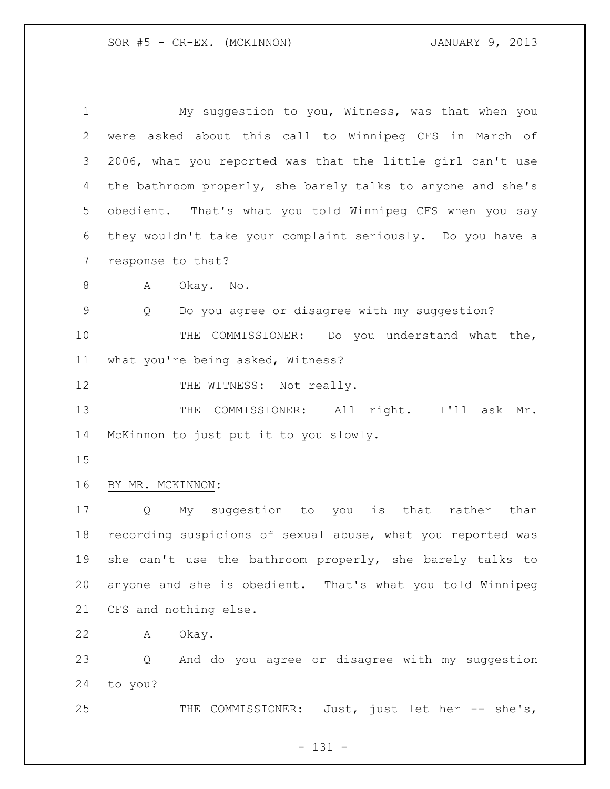My suggestion to you, Witness, was that when you were asked about this call to Winnipeg CFS in March of 2006, what you reported was that the little girl can't use the bathroom properly, she barely talks to anyone and she's obedient. That's what you told Winnipeg CFS when you say they wouldn't take your complaint seriously. Do you have a response to that? A Okay. No. Q Do you agree or disagree with my suggestion? THE COMMISSIONER: Do you understand what the, what you're being asked, Witness? 12 THE WITNESS: Not really. 13 THE COMMISSIONER: All right. I'll ask Mr. McKinnon to just put it to you slowly. BY MR. MCKINNON: Q My suggestion to you is that rather than recording suspicions of sexual abuse, what you reported was she can't use the bathroom properly, she barely talks to anyone and she is obedient. That's what you told Winnipeg CFS and nothing else. A Okay.

 Q And do you agree or disagree with my suggestion to you?

25 THE COMMISSIONER: Just, just let her -- she's,

- 131 -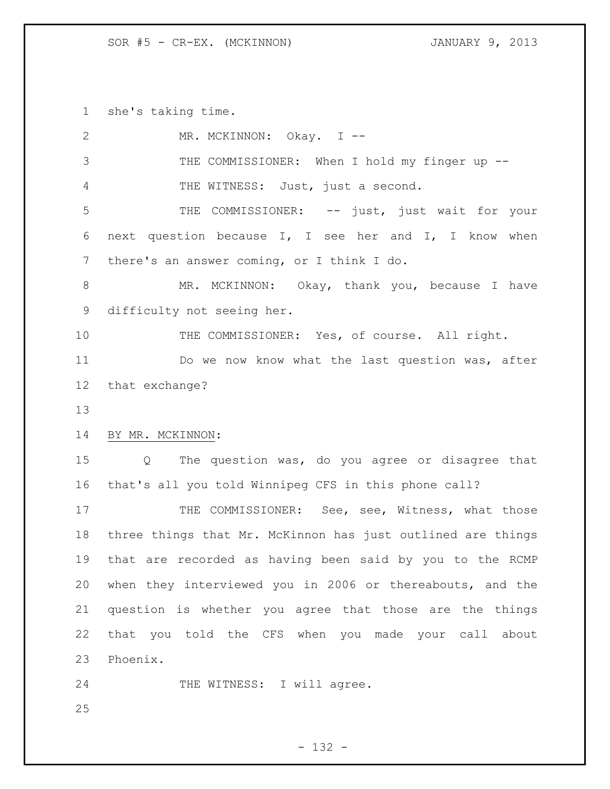she's taking time.

| 2               | MR. MCKINNON: Okay. I --                                    |
|-----------------|-------------------------------------------------------------|
| 3               | THE COMMISSIONER: When I hold my finger up --               |
| 4               | THE WITNESS: Just, just a second.                           |
| 5               | THE COMMISSIONER: -- just, just wait for your               |
| 6               | next question because I, I see her and I, I know when       |
| $7\phantom{.0}$ | there's an answer coming, or I think I do.                  |
| 8               | MR. MCKINNON: Okay, thank you, because I have               |
| 9               | difficulty not seeing her.                                  |
| 10              | THE COMMISSIONER: Yes, of course. All right.                |
| 11              | Do we now know what the last question was, after            |
| 12 <sup>°</sup> | that exchange?                                              |
| 13              |                                                             |
| 14              | BY MR. MCKINNON:                                            |
|                 |                                                             |
| 15              | The question was, do you agree or disagree that<br>Q        |
| 16              | that's all you told Winnipeg CFS in this phone call?        |
| 17              | THE COMMISSIONER: See, see, Witness, what those             |
| 18              | three things that Mr. McKinnon has just outlined are things |
| 19              | that are recorded as having been said by you to the RCMP    |
| 20              | when they interviewed you in 2006 or thereabouts, and the   |
| 21              | question is whether you agree that those are the things     |
| 22              | that you told the CFS when you made your call about         |
| 23              | Phoenix.                                                    |
| 24              | THE WITNESS: I will agree.                                  |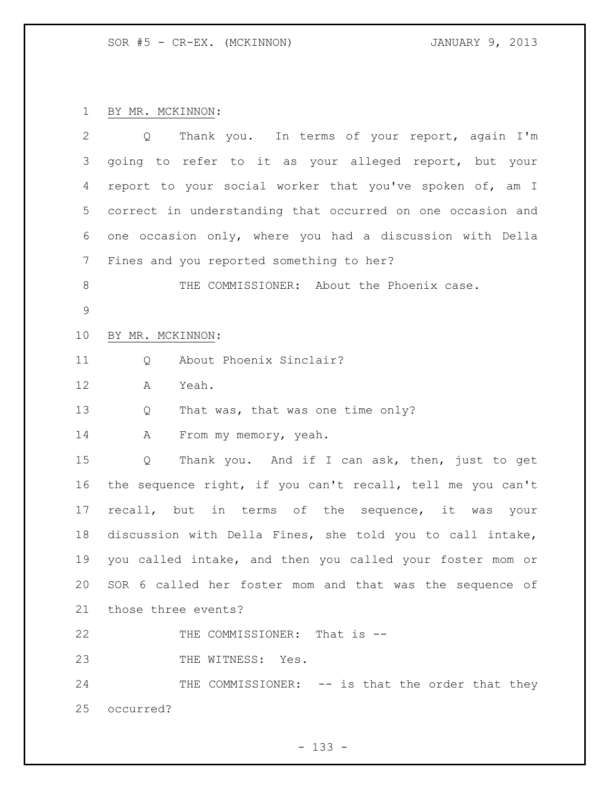BY MR. MCKINNON:

| $\overline{2}$  | Thank you. In terms of your report, again I'm<br>$Q \qquad \qquad$ |
|-----------------|--------------------------------------------------------------------|
| 3               | going to refer to it as your alleged report, but your              |
| 4               | report to your social worker that you've spoken of, am I           |
| 5               | correct in understanding that occurred on one occasion and         |
| 6               | one occasion only, where you had a discussion with Della           |
| $7\phantom{.0}$ | Fines and you reported something to her?                           |
| 8               | THE COMMISSIONER: About the Phoenix case.                          |
| $\mathcal{G}$   |                                                                    |
| 10              | BY MR. MCKINNON:                                                   |
| 11              | About Phoenix Sinclair?<br>Q                                       |
| 12              | Α<br>Yeah.                                                         |
| 13              | That was, that was one time only?<br>Q                             |
| 14              | From my memory, yeah.<br>A                                         |
| 15              | Thank you. And if I can ask, then, just to get<br>Q                |
| 16              | the sequence right, if you can't recall, tell me you can't         |
| 17              | recall, but in terms of the sequence, it was<br>your               |
| 18              | discussion with Della Fines, she told you to call intake,          |
| 19              | you called intake, and then you called your foster mom or          |
|                 | 20 SOR 6 called her foster mom and that was the sequence of        |
| 21              | those three events?                                                |
| 22              | THE COMMISSIONER: That is --                                       |
| 23              | THE WITNESS: Yes.                                                  |
| 24              | THE COMMISSIONER: -- is that the order that they                   |
| 25              | occurred?                                                          |
|                 |                                                                    |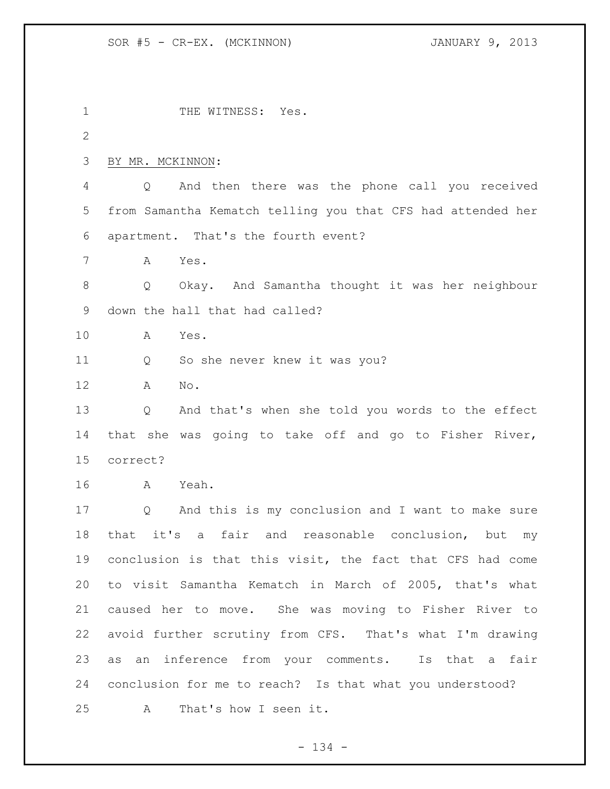1 THE WITNESS: Yes. BY MR. MCKINNON: Q And then there was the phone call you received from Samantha Kematch telling you that CFS had attended her apartment. That's the fourth event? A Yes. Q Okay. And Samantha thought it was her neighbour down the hall that had called? A Yes. Q So she never knew it was you? A No. Q And that's when she told you words to the effect that she was going to take off and go to Fisher River, correct? A Yeah. Q And this is my conclusion and I want to make sure that it's a fair and reasonable conclusion, but my conclusion is that this visit, the fact that CFS had come to visit Samantha Kematch in March of 2005, that's what caused her to move. She was moving to Fisher River to avoid further scrutiny from CFS. That's what I'm drawing as an inference from your comments. Is that a fair conclusion for me to reach? Is that what you understood? A That's how I seen it.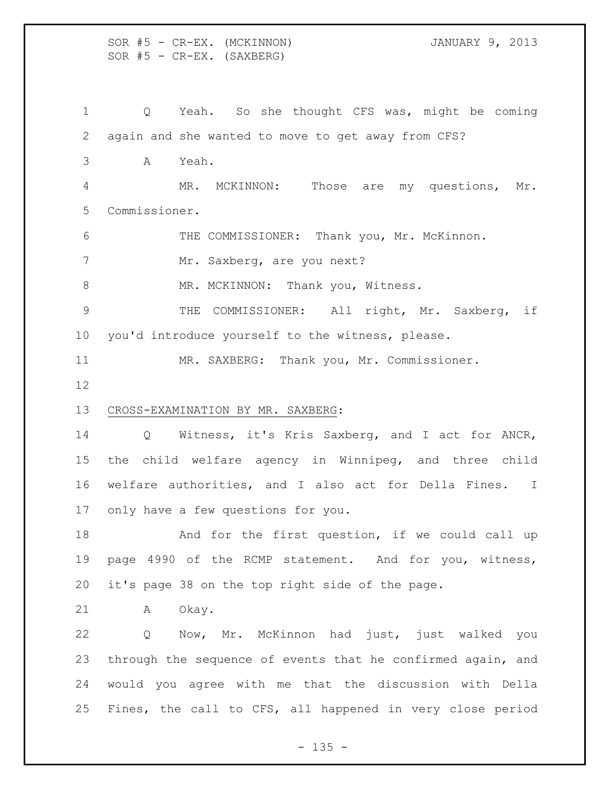SOR #5 - CR-EX. (MCKINNON) JANUARY 9, 2013  $SOR$   $#5$  -  $CR-EX.$  (SAXBERG)

 Q Yeah. So she thought CFS was, might be coming again and she wanted to move to get away from CFS? A Yeah. MR. MCKINNON: Those are my questions, Mr. Commissioner. 6 THE COMMISSIONER: Thank you, Mr. McKinnon. 7 Mr. Saxberg, are you next? 8 MR. MCKINNON: Thank you, Witness. THE COMMISSIONER: All right, Mr. Saxberg, if you'd introduce yourself to the witness, please. MR. SAXBERG: Thank you, Mr. Commissioner. CROSS-EXAMINATION BY MR. SAXBERG: Q Witness, it's Kris Saxberg, and I act for ANCR, the child welfare agency in Winnipeg, and three child welfare authorities, and I also act for Della Fines. I only have a few questions for you. 18 And for the first question, if we could call up page 4990 of the RCMP statement. And for you, witness, it's page 38 on the top right side of the page. A Okay. Q Now, Mr. McKinnon had just, just walked you through the sequence of events that he confirmed again, and would you agree with me that the discussion with Della Fines, the call to CFS, all happened in very close period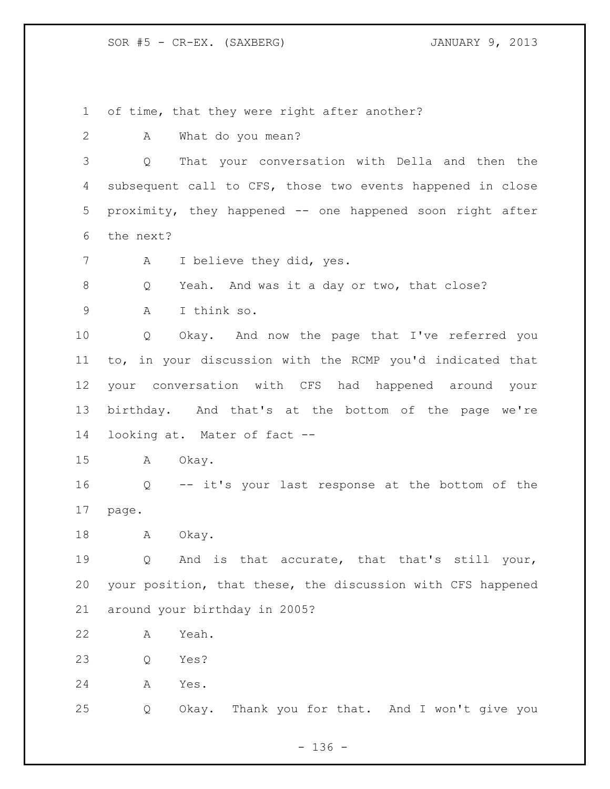SOR #5 - CR-EX. (SAXBERG) JANUARY 9, 2013

of time, that they were right after another?

A What do you mean?

 Q That your conversation with Della and then the subsequent call to CFS, those two events happened in close proximity, they happened -- one happened soon right after the next?

7 A I believe they did, yes.

8 Q Yeah. And was it a day or two, that close?

A I think so.

 Q Okay. And now the page that I've referred you to, in your discussion with the RCMP you'd indicated that your conversation with CFS had happened around your birthday. And that's at the bottom of the page we're looking at. Mater of fact --

A Okay.

 Q -- it's your last response at the bottom of the page.

18 A Okay.

 Q And is that accurate, that that's still your, your position, that these, the discussion with CFS happened around your birthday in 2005?

A Yeah.

Q Yes?

A Yes.

Q Okay. Thank you for that. And I won't give you

 $- 136 -$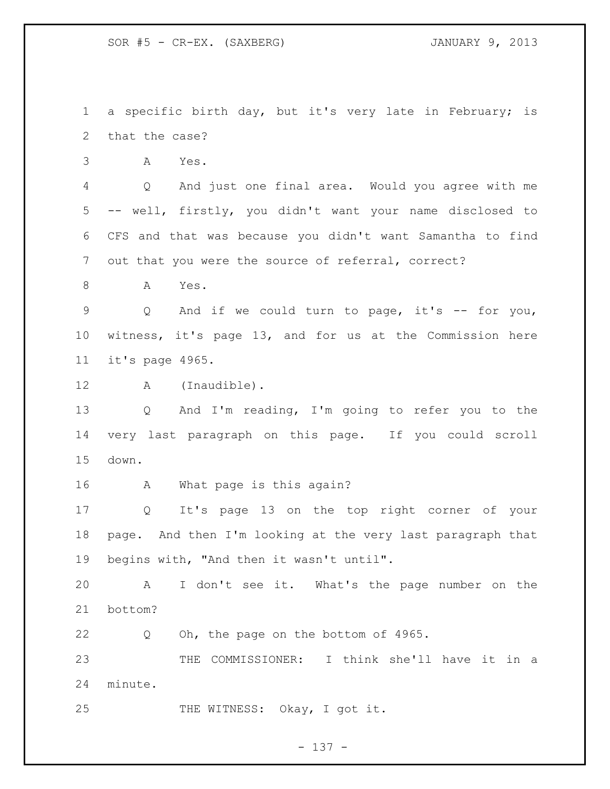SOR #5 - CR-EX. (SAXBERG) JANUARY 9, 2013

 a specific birth day, but it's very late in February; is that the case?

A Yes.

 Q And just one final area. Would you agree with me -- well, firstly, you didn't want your name disclosed to CFS and that was because you didn't want Samantha to find out that you were the source of referral, correct?

A Yes.

 Q And if we could turn to page, it's -- for you, witness, it's page 13, and for us at the Commission here it's page 4965.

12 A (Inaudible).

 Q And I'm reading, I'm going to refer you to the very last paragraph on this page. If you could scroll down.

A What page is this again?

 Q It's page 13 on the top right corner of your page. And then I'm looking at the very last paragraph that begins with, "And then it wasn't until".

 A I don't see it. What's the page number on the bottom?

Q Oh, the page on the bottom of 4965.

 THE COMMISSIONER: I think she'll have it in a minute.

25 THE WITNESS: Okay, I got it.

- 137 -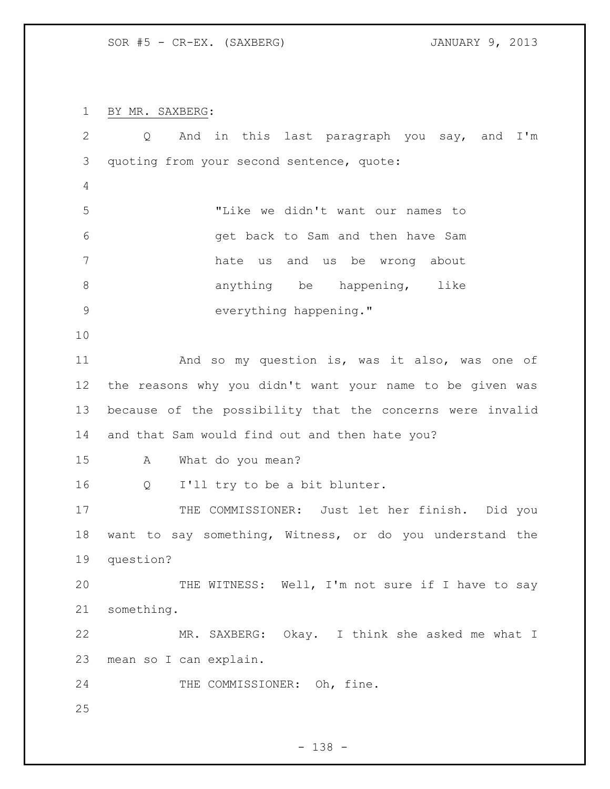SOR #5 - CR-EX. (SAXBERG) JANUARY 9, 2013

BY MR. SAXBERG:

| $\overline{2}$ | And in this last paragraph you say, and I'm<br>Q          |
|----------------|-----------------------------------------------------------|
| 3              | quoting from your second sentence, quote:                 |
| 4              |                                                           |
| 5              | "Like we didn't want our names to                         |
| 6              | get back to Sam and then have Sam                         |
| 7              | hate us and us be wrong about                             |
| $\,8\,$        | anything be<br>happening, like                            |
| $\mathsf 9$    | everything happening."                                    |
| 10             |                                                           |
| 11             | And so my question is, was it also, was one of            |
| 12             | the reasons why you didn't want your name to be given was |
| 13             | because of the possibility that the concerns were invalid |
| 14             | and that Sam would find out and then hate you?            |
| 15             | What do you mean?<br>A                                    |
| 16             | I'll try to be a bit blunter.<br>Q                        |
| 17             | THE COMMISSIONER: Just let her finish. Did you            |
| 18             | want to say something, Witness, or do you understand the  |
| 19             | question?                                                 |
| 20             | THE WITNESS: Well, I'm not sure if I have to say          |
| 21             | something.                                                |
| 22             | MR. SAXBERG: Okay. I think she asked me what I            |
| 23             | mean so I can explain.                                    |
| 24             | THE COMMISSIONER: Oh, fine.                               |
| 25             |                                                           |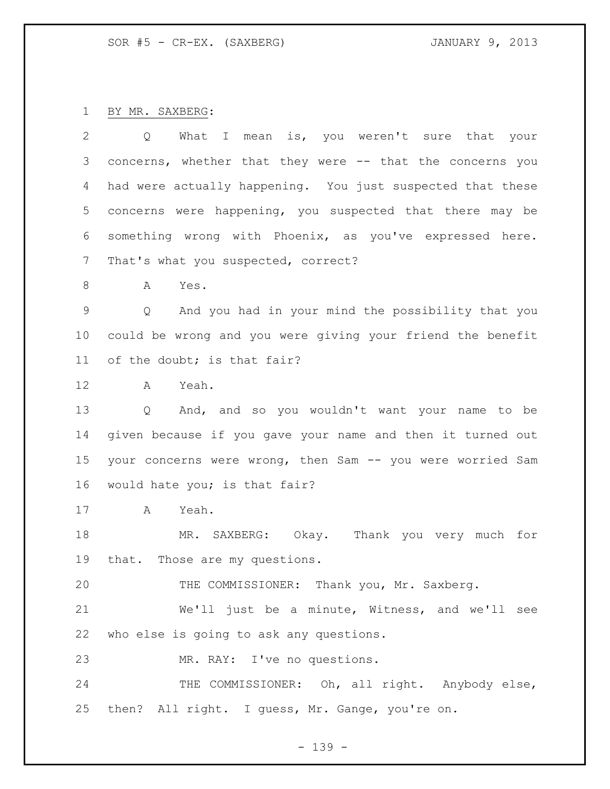BY MR. SAXBERG:

| 2       | What I mean is, you weren't sure that your<br>Q            |
|---------|------------------------------------------------------------|
| 3       | concerns, whether that they were -- that the concerns you  |
| 4       | had were actually happening. You just suspected that these |
| 5       | concerns were happening, you suspected that there may be   |
| 6       | something wrong with Phoenix, as you've expressed here.    |
| 7       | That's what you suspected, correct?                        |
| 8       | Α<br>Yes.                                                  |
| 9       | And you had in your mind the possibility that you<br>Q     |
| $10 \,$ | could be wrong and you were giving your friend the benefit |
| 11      | of the doubt; is that fair?                                |
| 12      | Yeah.<br>A                                                 |
| 13      | Q And, and so you wouldn't want your name to be            |
| 14      | given because if you gave your name and then it turned out |
| 15      | your concerns were wrong, then Sam -- you were worried Sam |
| 16      | would hate you; is that fair?                              |
| 17      | Yeah.<br>$\mathbf{A}$                                      |
| 18      | MR. SAXBERG: Okay. Thank you very much for                 |
| 19      | that. Those are my questions.                              |
| 20      | THE COMMISSIONER: Thank you, Mr. Saxberg.                  |
| 21      | We'll just be a minute, Witness, and we'll see             |
| 22      | who else is going to ask any questions.                    |
| 23      | MR. RAY: I've no questions.                                |
| 24      | THE COMMISSIONER: Oh, all right. Anybody else,             |
| 25      | then? All right. I guess, Mr. Gange, you're on.            |
|         |                                                            |

- 139 -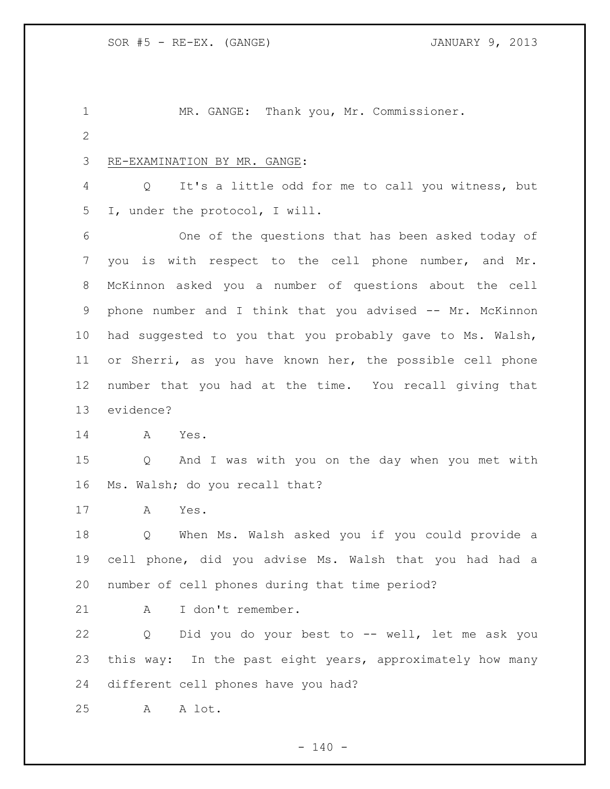MR. GANGE: Thank you, Mr. Commissioner. RE-EXAMINATION BY MR. GANGE: Q It's a little odd for me to call you witness, but I, under the protocol, I will. One of the questions that has been asked today of you is with respect to the cell phone number, and Mr. McKinnon asked you a number of questions about the cell phone number and I think that you advised -- Mr. McKinnon had suggested to you that you probably gave to Ms. Walsh, or Sherri, as you have known her, the possible cell phone number that you had at the time. You recall giving that evidence? A Yes. Q And I was with you on the day when you met with Ms. Walsh; do you recall that? A Yes. Q When Ms. Walsh asked you if you could provide a cell phone, did you advise Ms. Walsh that you had had a number of cell phones during that time period? A I don't remember. Q Did you do your best to -- well, let me ask you this way: In the past eight years, approximately how many different cell phones have you had? A A lot.

 $- 140 -$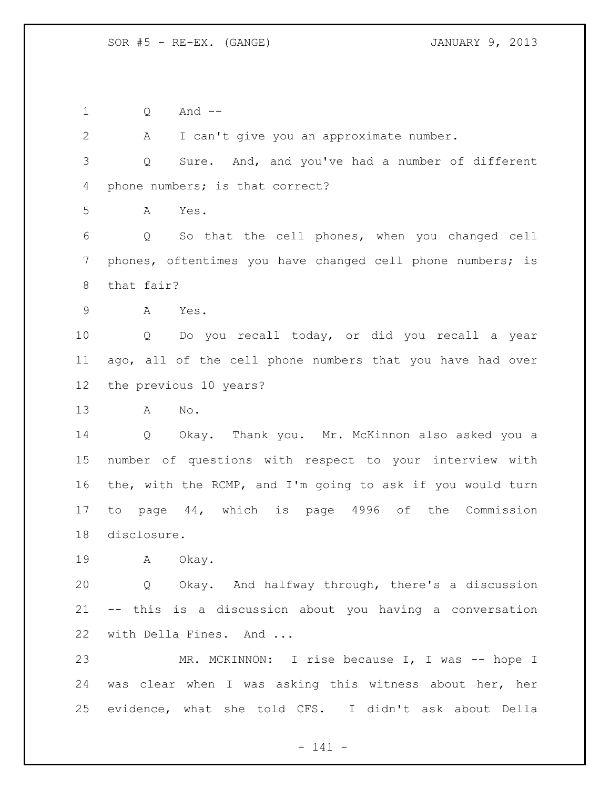Q And --

 A I can't give you an approximate number. Q Sure. And, and you've had a number of different phone numbers; is that correct? A Yes. Q So that the cell phones, when you changed cell phones, oftentimes you have changed cell phone numbers; is that fair? A Yes. Q Do you recall today, or did you recall a year ago, all of the cell phone numbers that you have had over the previous 10 years? A No. Q Okay. Thank you. Mr. McKinnon also asked you a number of questions with respect to your interview with the, with the RCMP, and I'm going to ask if you would turn to page 44, which is page 4996 of the Commission disclosure. A Okay. Q Okay. And halfway through, there's a discussion -- this is a discussion about you having a conversation with Della Fines. And ... MR. MCKINNON: I rise because I, I was -- hope I was clear when I was asking this witness about her, her evidence, what she told CFS. I didn't ask about Della

- 141 -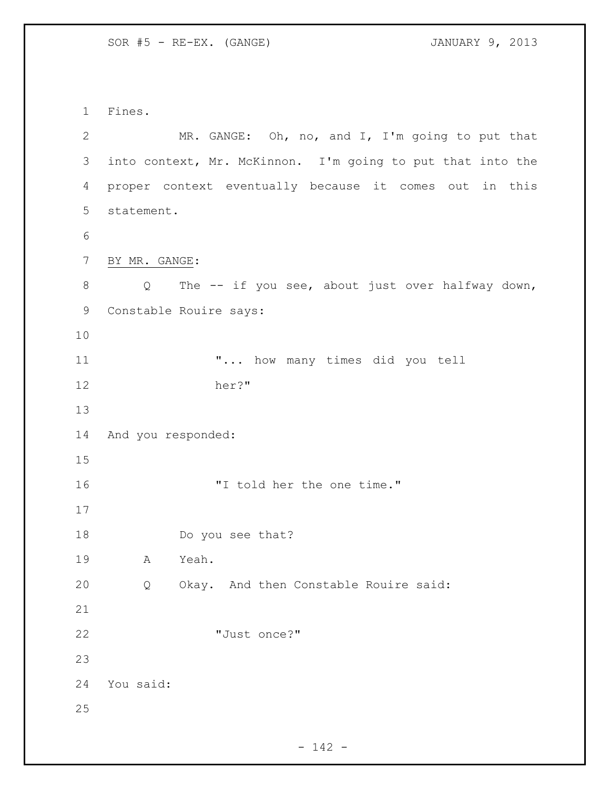SOR #5 - RE-EX. (GANGE) JANUARY 9, 2013

 Fines. MR. GANGE: Oh, no, and I, I'm going to put that into context, Mr. McKinnon. I'm going to put that into the proper context eventually because it comes out in this statement. BY MR. GANGE: 8 Q The -- if you see, about just over halfway down, Constable Rouire says: "... how many times did you tell her?" And you responded: "I told her the one time." Do you see that? A Yeah. Q Okay. And then Constable Rouire said: "Just once?" You said: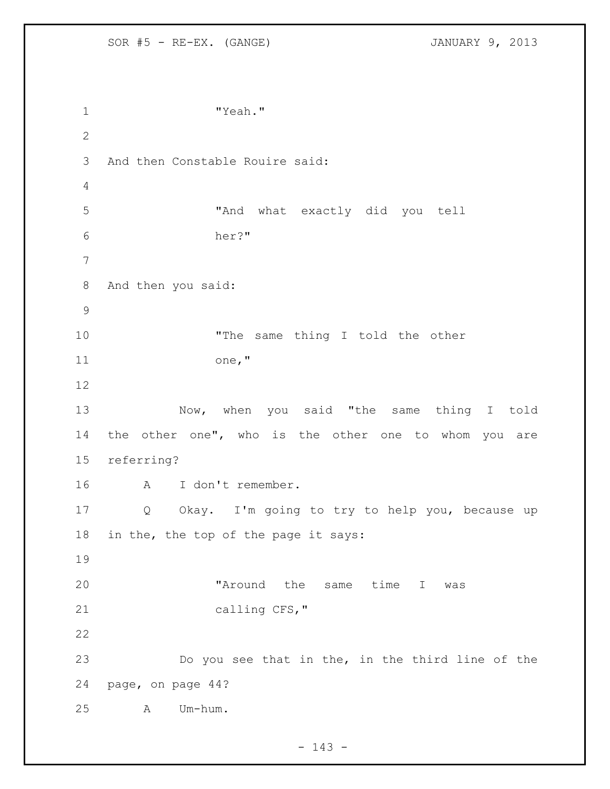SOR #5 - RE-EX. (GANGE) JANUARY 9, 2013 1 "Yeah." And then Constable Rouire said: "And what exactly did you tell her?" And then you said: 10 The same thing I told the other one," Now, when you said "the same thing I told 14 the other one", who is the other one to whom you are referring? A I don't remember. Q Okay. I'm going to try to help you, because up in the, the top of the page it says: 20 The Maround the same time I was 21 calling CFS," Do you see that in the, in the third line of the page, on page 44? A Um-hum.

 $- 143 -$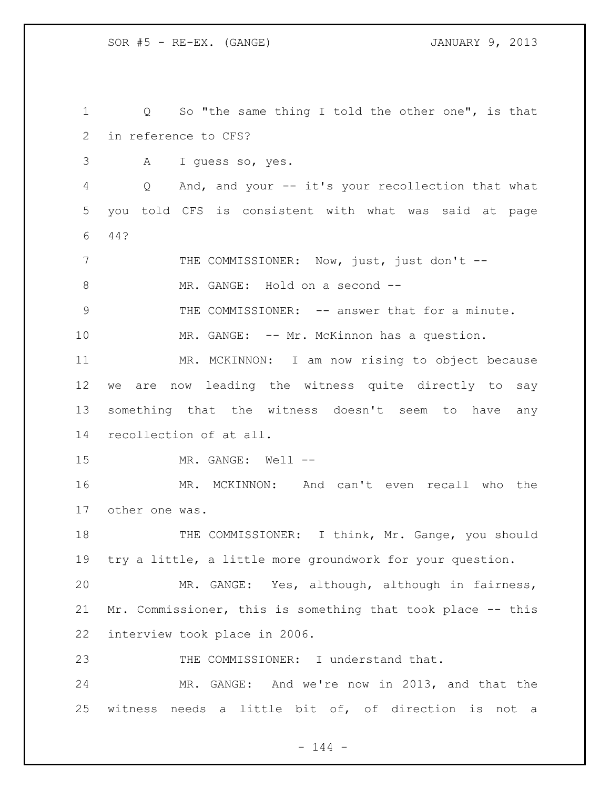SOR #5 - RE-EX. (GANGE) JANUARY 9, 2013

 Q So "the same thing I told the other one", is that in reference to CFS? A I guess so, yes. Q And, and your -- it's your recollection that what you told CFS is consistent with what was said at page 44? 7 THE COMMISSIONER: Now, just, just don't --8 MR. GANGE: Hold on a second -- THE COMMISSIONER: -- answer that for a minute. 10 MR. GANGE: -- Mr. McKinnon has a question. MR. MCKINNON: I am now rising to object because we are now leading the witness quite directly to say something that the witness doesn't seem to have any recollection of at all. MR. GANGE: Well -- MR. MCKINNON: And can't even recall who the other one was. THE COMMISSIONER: I think, Mr. Gange, you should try a little, a little more groundwork for your question. MR. GANGE: Yes, although, although in fairness, Mr. Commissioner, this is something that took place -- this interview took place in 2006. THE COMMISSIONER: I understand that. MR. GANGE: And we're now in 2013, and that the witness needs a little bit of, of direction is not a

 $- 144 -$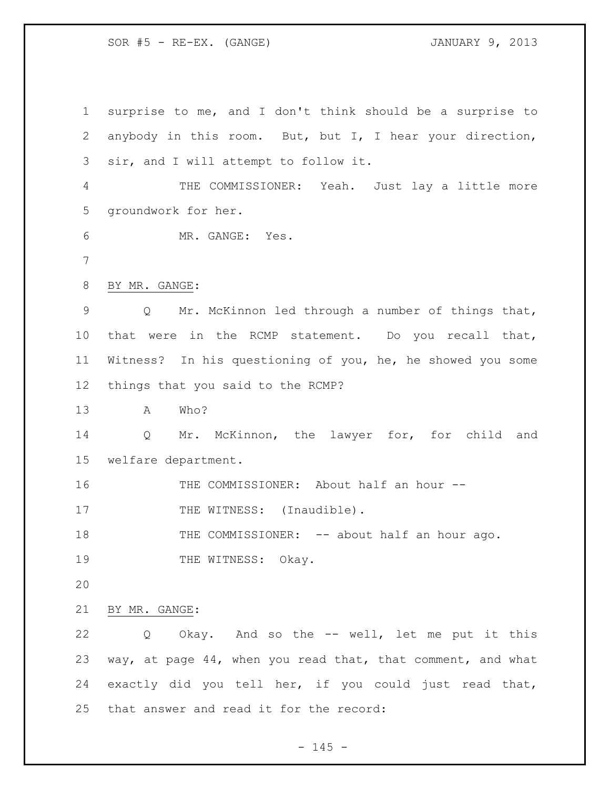SOR #5 - RE-EX. (GANGE) JANUARY 9, 2013

 surprise to me, and I don't think should be a surprise to anybody in this room. But, but I, I hear your direction, sir, and I will attempt to follow it. THE COMMISSIONER: Yeah. Just lay a little more groundwork for her. MR. GANGE: Yes. BY MR. GANGE: Q Mr. McKinnon led through a number of things that, that were in the RCMP statement. Do you recall that, Witness? In his questioning of you, he, he showed you some things that you said to the RCMP? A Who? Q Mr. McKinnon, the lawyer for, for child and welfare department. THE COMMISSIONER: About half an hour -- 17 THE WITNESS: (Inaudible). 18 THE COMMISSIONER: -- about half an hour ago. 19 THE WITNESS: Okay. BY MR. GANGE: Q Okay. And so the -- well, let me put it this way, at page 44, when you read that, that comment, and what exactly did you tell her, if you could just read that, that answer and read it for the record:

 $- 145 -$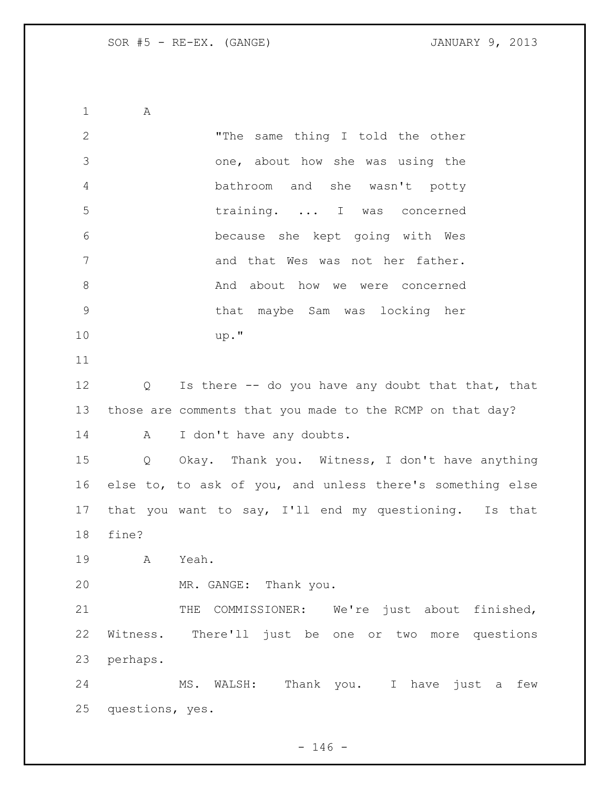A "The same thing I told the other one, about how she was using the bathroom and she wasn't potty training. ... I was concerned because she kept going with Wes 7 and that Wes was not her father. 8 And about how we were concerned that maybe Sam was locking her up." 12 Q Is there -- do you have any doubt that that, that those are comments that you made to the RCMP on that day? 14 A I don't have any doubts. Q Okay. Thank you. Witness, I don't have anything else to, to ask of you, and unless there's something else that you want to say, I'll end my questioning. Is that fine? A Yeah. MR. GANGE: Thank you. 21 THE COMMISSIONER: We're just about finished, Witness. There'll just be one or two more questions perhaps. MS. WALSH: Thank you. I have just a few questions, yes.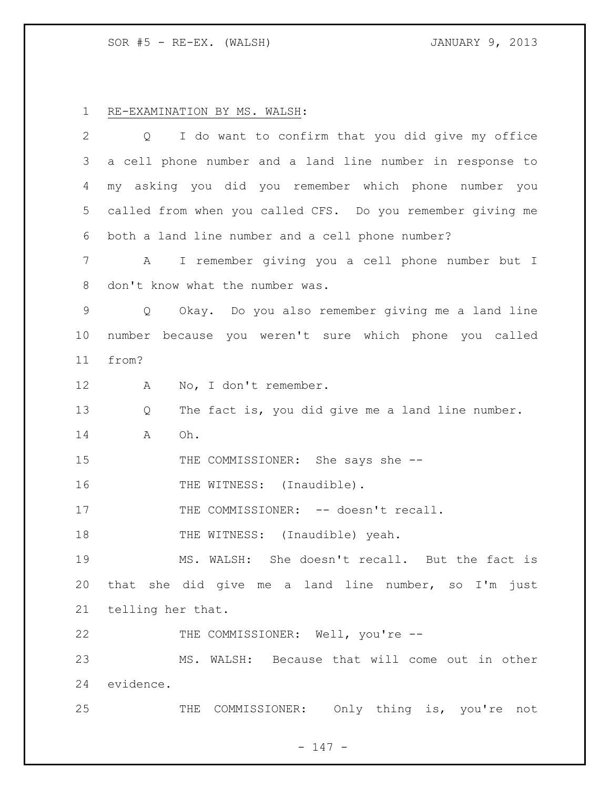RE-EXAMINATION BY MS. WALSH:

| 2           | $Q \qquad \qquad$ | I do want to confirm that you did give my office           |
|-------------|-------------------|------------------------------------------------------------|
| 3           |                   | a cell phone number and a land line number in response to  |
| 4           |                   | my asking you did you remember which phone number you      |
| 5           |                   | called from when you called CFS. Do you remember giving me |
| 6           |                   | both a land line number and a cell phone number?           |
| 7           | A                 | I remember giving you a cell phone number but I            |
| 8           |                   | don't know what the number was.                            |
| $\mathsf 9$ | $Q \qquad \qquad$ | Okay. Do you also remember giving me a land line           |
| 10          |                   | number because you weren't sure which phone you called     |
| 11          | from?             |                                                            |
| 12          | A                 | No, I don't remember.                                      |
| 13          | Q                 | The fact is, you did give me a land line number.           |
| 14          | Α                 | Oh.                                                        |
| 15          |                   | THE COMMISSIONER: She says she --                          |
| 16          |                   | THE WITNESS: (Inaudible).                                  |
| 17          |                   | THE COMMISSIONER: -- doesn't recall.                       |
| 18          |                   | THE WITNESS: (Inaudible) yeah.                             |
| 19          |                   | MS. WALSH: She doesn't recall. But the fact is             |
| 20          |                   | that she did give me a land line number, so I'm just       |
| 21          | telling her that. |                                                            |
| 22          |                   | THE COMMISSIONER: Well, you're --                          |
| 23          |                   | MS. WALSH: Because that will come out in other             |
| 24          | evidence.         |                                                            |
| 25          |                   | THE COMMISSIONER: Only thing is, you're not                |

- 147 -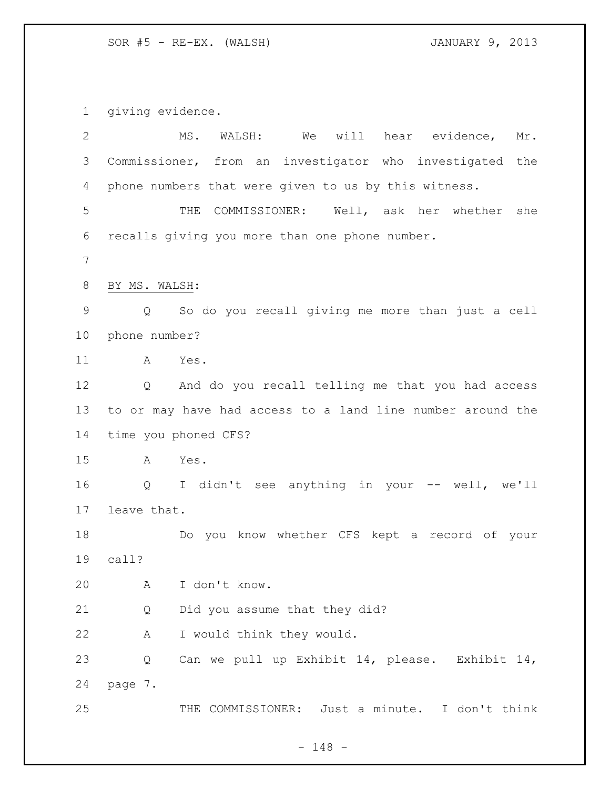giving evidence.

| $\mathbf{2}$ |                   | MS.<br>WALSH:                                              |  |  | We will hear evidence, | Mr. |
|--------------|-------------------|------------------------------------------------------------|--|--|------------------------|-----|
| 3            |                   | Commissioner, from an investigator who investigated the    |  |  |                        |     |
| 4            |                   | phone numbers that were given to us by this witness.       |  |  |                        |     |
| 5            |                   | COMMISSIONER: Well, ask her whether<br>THE                 |  |  |                        | she |
| 6            |                   | recalls giving you more than one phone number.             |  |  |                        |     |
| 7            |                   |                                                            |  |  |                        |     |
| 8            | BY MS. WALSH:     |                                                            |  |  |                        |     |
| $\mathsf 9$  | $\overline{Q}$    | So do you recall giving me more than just a cell           |  |  |                        |     |
| 10           | phone number?     |                                                            |  |  |                        |     |
| 11           | A                 | Yes.                                                       |  |  |                        |     |
| 12           | Q                 | And do you recall telling me that you had access           |  |  |                        |     |
| 13           |                   | to or may have had access to a land line number around the |  |  |                        |     |
| 14           |                   | time you phoned CFS?                                       |  |  |                        |     |
| 15           | A                 | Yes.                                                       |  |  |                        |     |
| 16           | $Q \qquad \qquad$ | I didn't see anything in your -- well, we'll               |  |  |                        |     |
| 17           | leave that.       |                                                            |  |  |                        |     |
| 18           |                   | Do you know whether CFS kept a record of your              |  |  |                        |     |
| 19           | call?             |                                                            |  |  |                        |     |
| 20           | A                 | I don't know.                                              |  |  |                        |     |
| 21           | Q                 | Did you assume that they did?                              |  |  |                        |     |
| 22           | Α                 | I would think they would.                                  |  |  |                        |     |
| 23           | Q                 | Can we pull up Exhibit 14, please. Exhibit 14,             |  |  |                        |     |
| 24           | page 7.           |                                                            |  |  |                        |     |
| 25           |                   | THE COMMISSIONER: Just a minute. I don't think             |  |  |                        |     |

- 148 -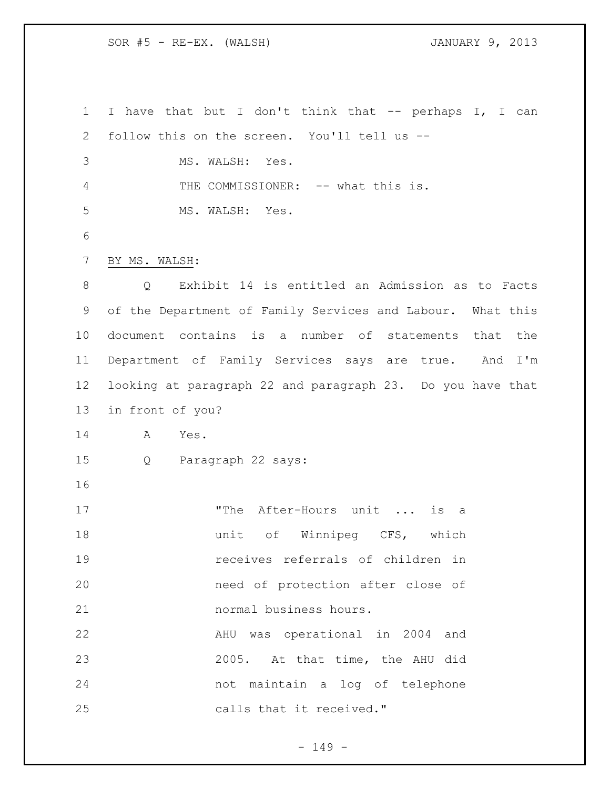I have that but I don't think that -- perhaps I, I can follow this on the screen. You'll tell us -- MS. WALSH: Yes. 4 THE COMMISSIONER: -- what this is. MS. WALSH: Yes. BY MS. WALSH: Q Exhibit 14 is entitled an Admission as to Facts of the Department of Family Services and Labour. What this document contains is a number of statements that the Department of Family Services says are true. And I'm looking at paragraph 22 and paragraph 23. Do you have that in front of you? A Yes. Q Paragraph 22 says: 17 The After-Hours unit ... is a **unit** of Winnipeg CFS, which receives referrals of children in need of protection after close of normal business hours. AHU was operational in 2004 and 2005. At that time, the AHU did not maintain a log of telephone calls that it received."

- 149 -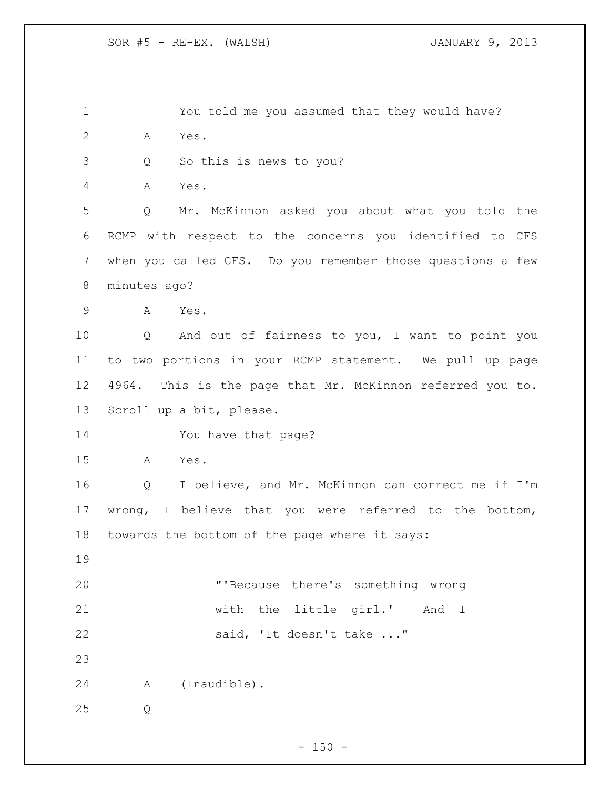You told me you assumed that they would have? A Yes.

Q So this is news to you?

A Yes.

 Q Mr. McKinnon asked you about what you told the RCMP with respect to the concerns you identified to CFS when you called CFS. Do you remember those questions a few minutes ago?

A Yes.

 Q And out of fairness to you, I want to point you to two portions in your RCMP statement. We pull up page 4964. This is the page that Mr. McKinnon referred you to. Scroll up a bit, please.

You have that page?

A Yes.

 Q I believe, and Mr. McKinnon can correct me if I'm wrong, I believe that you were referred to the bottom, towards the bottom of the page where it says:

 "'Because there's something wrong with the little girl.' And I 22 said, 'It doesn't take ..."

A (Inaudible).

Q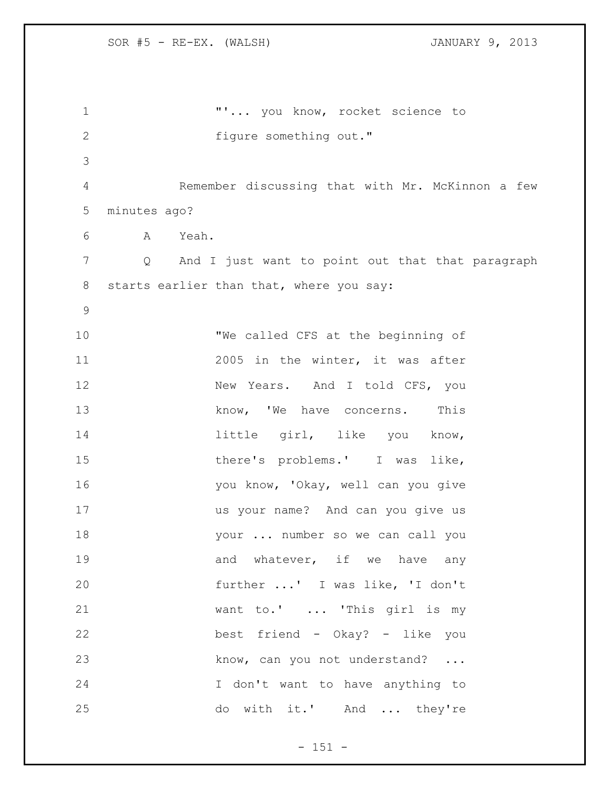**"'...** you know, rocket science to figure something out." Remember discussing that with Mr. McKinnon a few minutes ago? A Yeah. Q And I just want to point out that that paragraph starts earlier than that, where you say: "We called CFS at the beginning of 2005 in the winter, it was after 12 New Years. And I told CFS, you 13 know, 'We have concerns. This 14 11 little girl, like you know, 15 there's problems.' I was like, 16 you know, 'Okay, well can you give us your name? And can you give us your ... number so we can call you 19 and whatever, if we have any further ...' I was like, 'I don't want to.' ... 'This girl is my best friend - Okay? - like you 23 know, can you not understand? ... I don't want to have anything to do with it.' And ... they're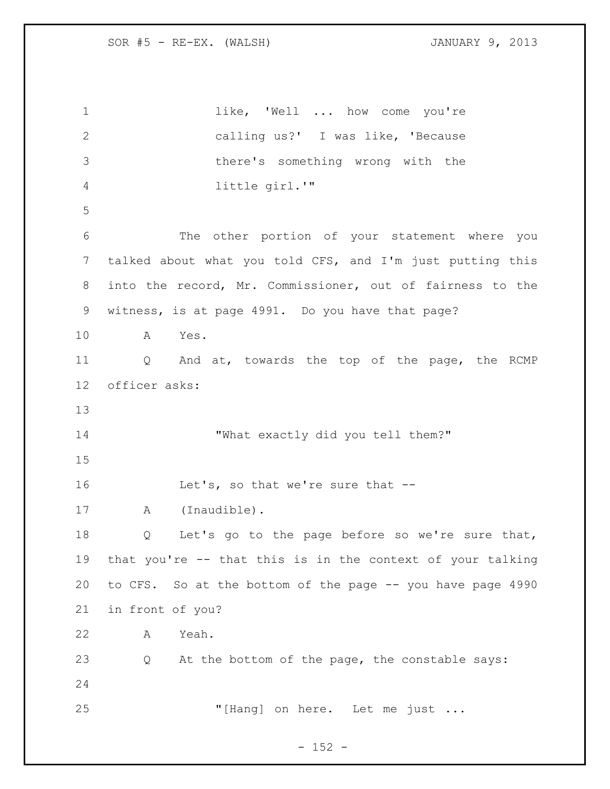1 like, 'Well ... how come you're calling us?' I was like, 'Because there's something wrong with the little girl.'" The other portion of your statement where you talked about what you told CFS, and I'm just putting this into the record, Mr. Commissioner, out of fairness to the witness, is at page 4991. Do you have that page? A Yes. Q And at, towards the top of the page, the RCMP officer asks: 14 "What exactly did you tell them?" 16 Let's, so that we're sure that -- A (Inaudible). Q Let's go to the page before so we're sure that, that you're -- that this is in the context of your talking to CFS. So at the bottom of the page -- you have page 4990 in front of you? A Yeah. Q At the bottom of the page, the constable says: "[Hang] on here. Let me just ...

 $- 152 -$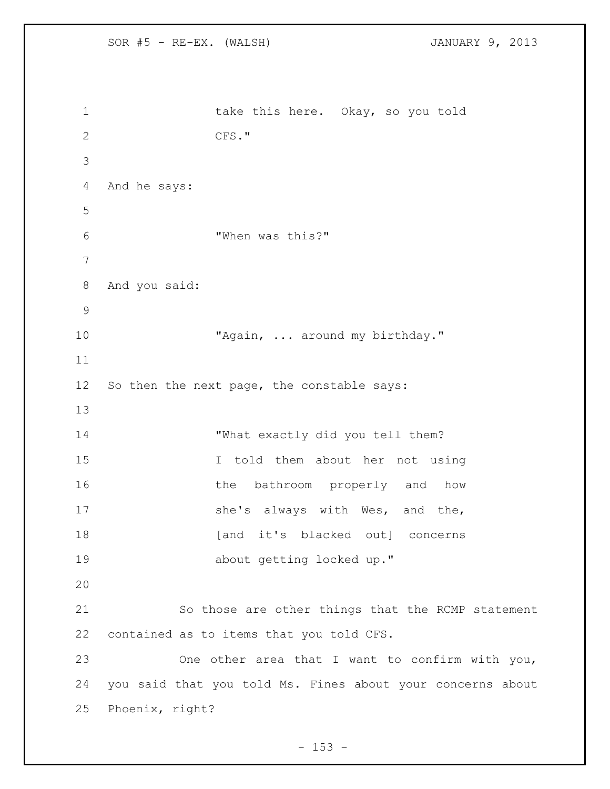SOR #5 - RE-EX. (WALSH) JANUARY 9, 2013 1 take this here. Okay, so you told CFS." And he says: "When was this?" And you said: 10 "Again, ... around my birthday." So then the next page, the constable says: "What exactly did you tell them? I told them about her not using 16 the bathroom properly and how 17 she's always with Wes, and the, 18 [and it's blacked out] concerns about getting locked up." So those are other things that the RCMP statement contained as to items that you told CFS. One other area that I want to confirm with you, you said that you told Ms. Fines about your concerns about Phoenix, right?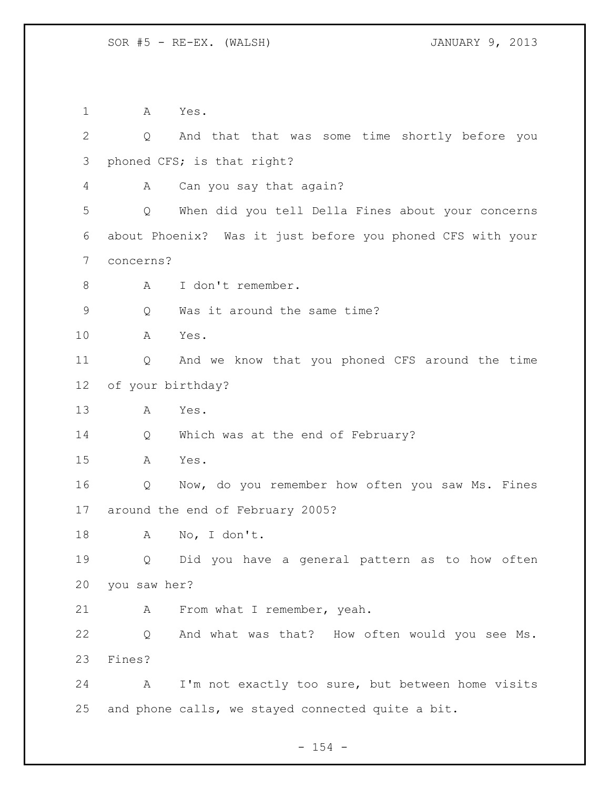A Yes. Q And that that was some time shortly before you phoned CFS; is that right? A Can you say that again? Q When did you tell Della Fines about your concerns about Phoenix? Was it just before you phoned CFS with your concerns? A I don't remember. Q Was it around the same time? A Yes. Q And we know that you phoned CFS around the time of your birthday? A Yes. Q Which was at the end of February? A Yes. Q Now, do you remember how often you saw Ms. Fines around the end of February 2005? A No, I don't. Q Did you have a general pattern as to how often you saw her? 21 A From what I remember, yeah. Q And what was that? How often would you see Ms. Fines? A I'm not exactly too sure, but between home visits and phone calls, we stayed connected quite a bit.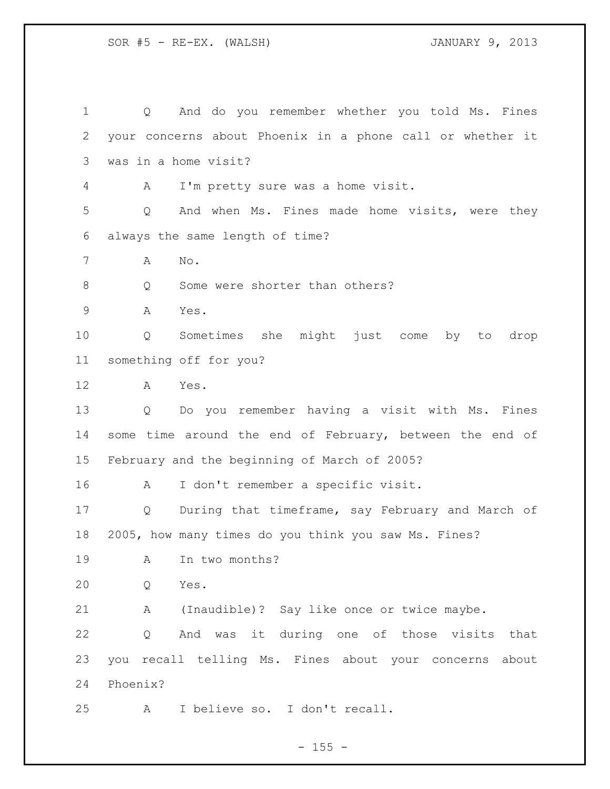Q And do you remember whether you told Ms. Fines your concerns about Phoenix in a phone call or whether it was in a home visit? A I'm pretty sure was a home visit. Q And when Ms. Fines made home visits, were they always the same length of time? A No. 8 Q Some were shorter than others? A Yes. Q Sometimes she might just come by to drop something off for you? A Yes. Q Do you remember having a visit with Ms. Fines some time around the end of February, between the end of February and the beginning of March of 2005? A I don't remember a specific visit. Q During that timeframe, say February and March of 2005, how many times do you think you saw Ms. Fines? A In two months? Q Yes. A (Inaudible)? Say like once or twice maybe. Q And was it during one of those visits that you recall telling Ms. Fines about your concerns about Phoenix? A I believe so. I don't recall.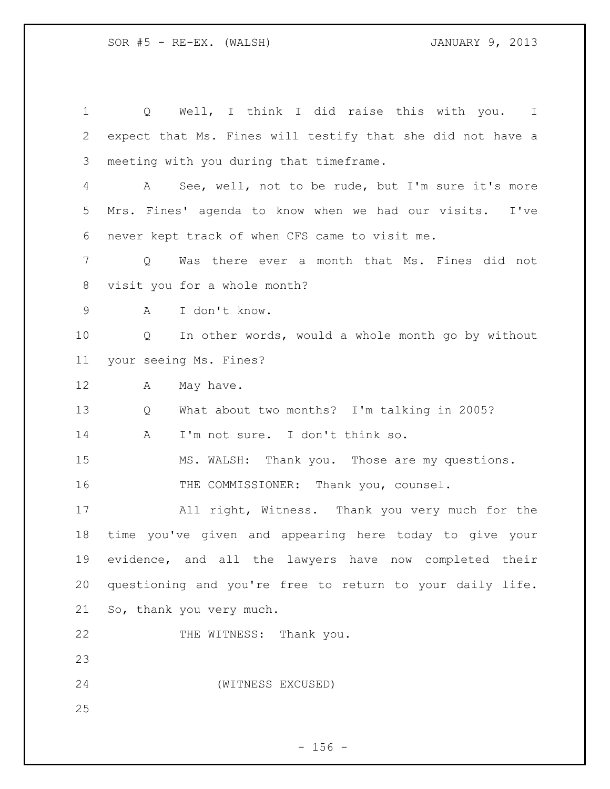Q Well, I think I did raise this with you. I expect that Ms. Fines will testify that she did not have a meeting with you during that timeframe. A See, well, not to be rude, but I'm sure it's more Mrs. Fines' agenda to know when we had our visits. I've never kept track of when CFS came to visit me. Q Was there ever a month that Ms. Fines did not visit you for a whole month? A I don't know. Q In other words, would a whole month go by without your seeing Ms. Fines? 12 A May have. Q What about two months? I'm talking in 2005? A I'm not sure. I don't think so. MS. WALSH: Thank you. Those are my questions. 16 THE COMMISSIONER: Thank you, counsel. All right, Witness. Thank you very much for the time you've given and appearing here today to give your evidence, and all the lawyers have now completed their questioning and you're free to return to your daily life. So, thank you very much. 22 THE WITNESS: Thank you. (WITNESS EXCUSED)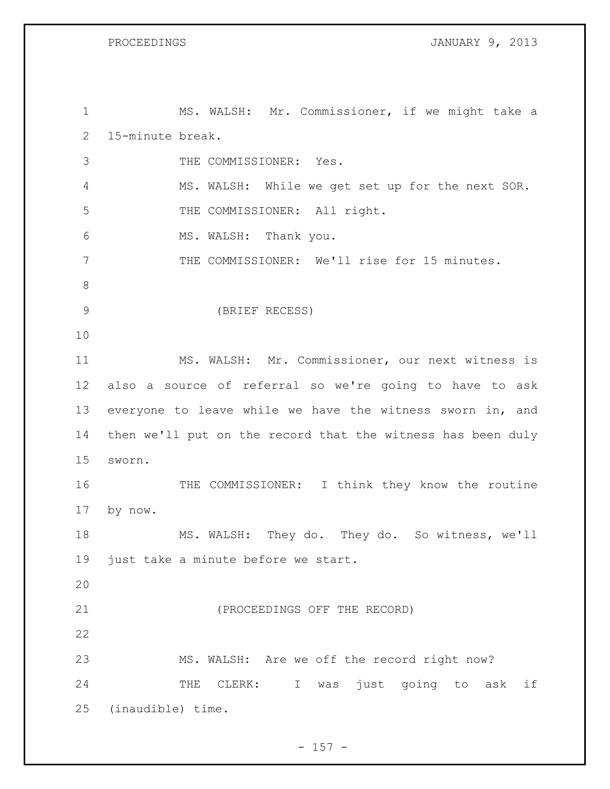PROCEEDINGS JANUARY 9, 2013

 MS. WALSH: Mr. Commissioner, if we might take a 15-minute break. THE COMMISSIONER: Yes. MS. WALSH: While we get set up for the next SOR. 5 THE COMMISSIONER: All right. MS. WALSH: Thank you. 7 THE COMMISSIONER: We'll rise for 15 minutes. (BRIEF RECESS) MS. WALSH: Mr. Commissioner, our next witness is also a source of referral so we're going to have to ask everyone to leave while we have the witness sworn in, and then we'll put on the record that the witness has been duly sworn. 16 THE COMMISSIONER: I think they know the routine by now. MS. WALSH: They do. They do. So witness, we'll 19 just take a minute before we start. (PROCEEDINGS OFF THE RECORD) MS. WALSH: Are we off the record right now? 24 THE CLERK: I was just going to ask if (inaudible) time.

 $- 157 -$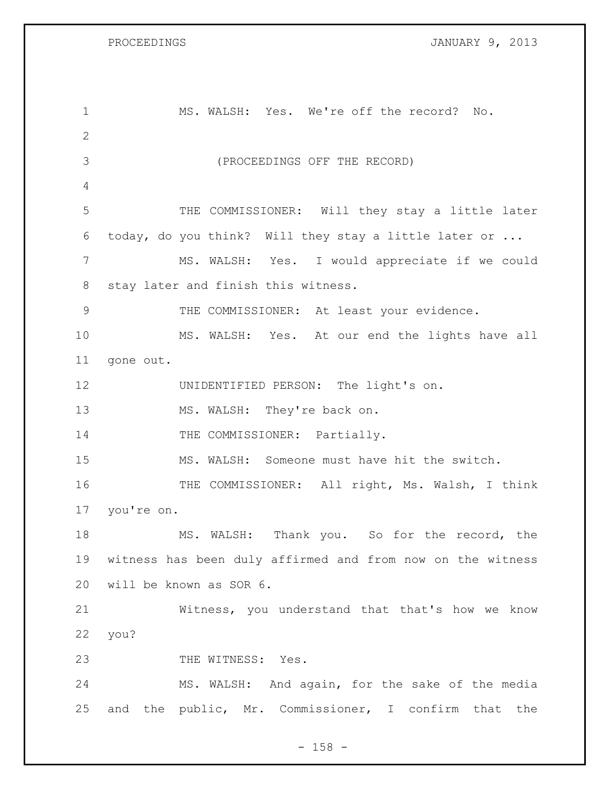PROCEEDINGS **DROCEEDINGS JANUARY 9, 2013** 

| $\mathbf 1$  | MS. WALSH: Yes. We're off the record? No.                  |
|--------------|------------------------------------------------------------|
| $\mathbf{2}$ |                                                            |
| 3            | (PROCEEDINGS OFF THE RECORD)                               |
| 4            |                                                            |
| 5            | THE COMMISSIONER: Will they stay a little later            |
| 6            | today, do you think? Will they stay a little later or      |
| 7            | MS. WALSH: Yes. I would appreciate if we could             |
| 8            | stay later and finish this witness.                        |
| $\mathsf 9$  | THE COMMISSIONER: At least your evidence.                  |
| 10           | MS. WALSH: Yes. At our end the lights have all             |
| 11           | gone out.                                                  |
| 12           | UNIDENTIFIED PERSON: The light's on.                       |
| 13           | MS. WALSH: They're back on.                                |
| 14           | THE COMMISSIONER: Partially.                               |
| 15           | MS. WALSH: Someone must have hit the switch.               |
| 16           | THE COMMISSIONER: All right, Ms. Walsh, I think            |
| 17           | you're on.                                                 |
| 18           | MS. WALSH: Thank you. So for the record, the               |
| 19           | witness has been duly affirmed and from now on the witness |
| 20           | will be known as SOR 6.                                    |
| 21           | Witness, you understand that that's how we know            |
| 22           | you?                                                       |
| 23           | THE WITNESS: Yes.                                          |
| 24           | MS. WALSH: And again, for the sake of the media            |
| 25           | the public, Mr. Commissioner, I confirm that the<br>and    |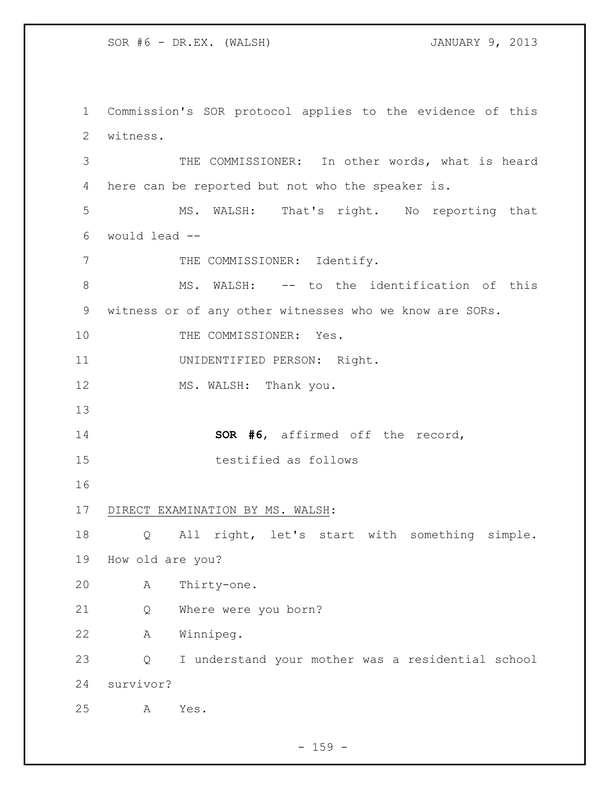Commission's SOR protocol applies to the evidence of this witness. THE COMMISSIONER: In other words, what is heard here can be reported but not who the speaker is. MS. WALSH: That's right. No reporting that would lead -- 7 THE COMMISSIONER: Identify. 8 MS. WALSH: -- to the identification of this witness or of any other witnesses who we know are SORs. 10 THE COMMISSIONER: Yes. UNIDENTIFIED PERSON: Right. 12 MS. WALSH: Thank you. **SOR #6**, affirmed off the record, testified as follows DIRECT EXAMINATION BY MS. WALSH: Q All right, let's start with something simple. How old are you? A Thirty-one. Q Where were you born? A Winnipeg. Q I understand your mother was a residential school survivor? A Yes.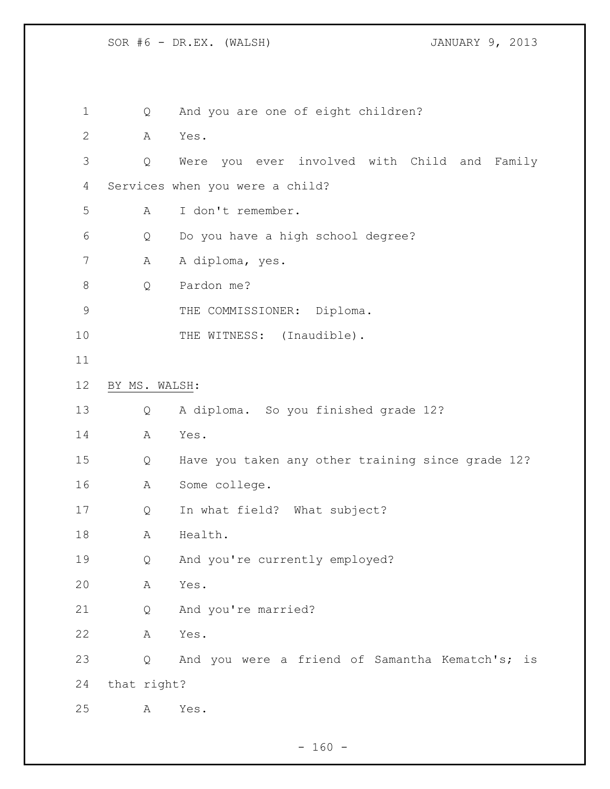Q And you are one of eight children? A Yes. Q Were you ever involved with Child and Family Services when you were a child? A I don't remember. Q Do you have a high school degree? 7 A A diploma, yes. Q Pardon me? 9 THE COMMISSIONER: Diploma. 10 THE WITNESS: (Inaudible). BY MS. WALSH: Q A diploma. So you finished grade 12? A Yes. Q Have you taken any other training since grade 12? A Some college. Q In what field? What subject? 18 A Health. Q And you're currently employed? A Yes. Q And you're married? A Yes. Q And you were a friend of Samantha Kematch's; is that right? A Yes.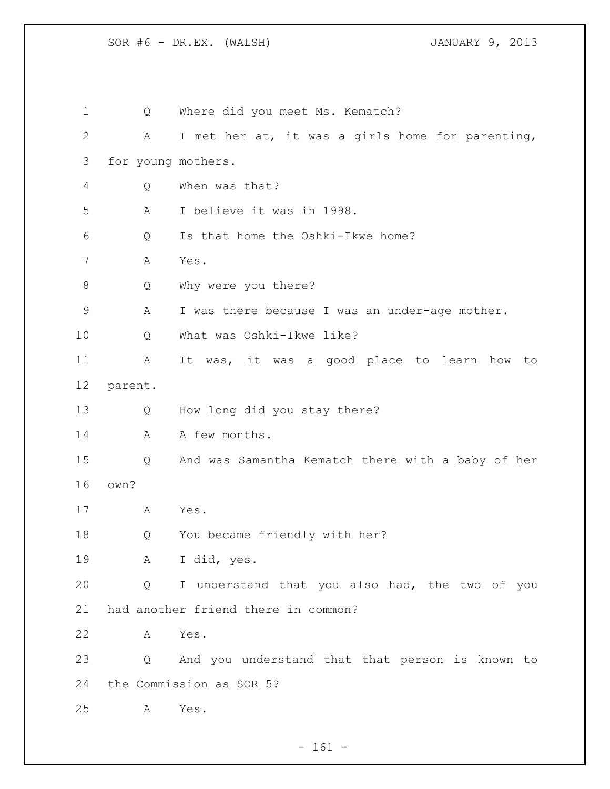1 Q Where did you meet Ms. Kematch? A I met her at, it was a girls home for parenting, for young mothers. Q When was that? A I believe it was in 1998. Q Is that home the Oshki-Ikwe home? A Yes. Q Why were you there? A I was there because I was an under-age mother. Q What was Oshki-Ikwe like? A It was, it was a good place to learn how to parent. Q How long did you stay there? 14 A A few months. Q And was Samantha Kematch there with a baby of her own? A Yes. Q You became friendly with her? A I did, yes. Q I understand that you also had, the two of you had another friend there in common? A Yes. Q And you understand that that person is known to the Commission as SOR 5? A Yes.

- 161 -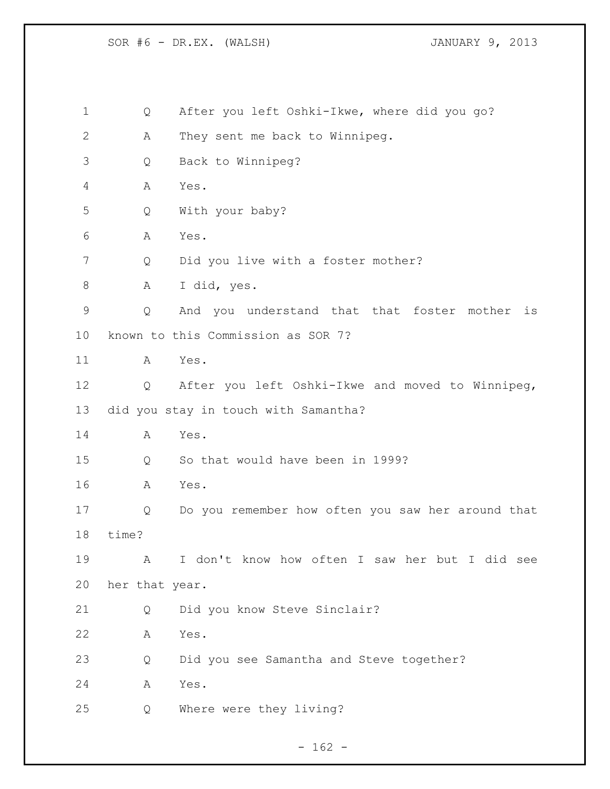Q After you left Oshki-Ikwe, where did you go? A They sent me back to Winnipeg. Q Back to Winnipeg? A Yes. Q With your baby? A Yes. Q Did you live with a foster mother? A I did, yes. Q And you understand that that foster mother is known to this Commission as SOR 7? A Yes. Q After you left Oshki-Ikwe and moved to Winnipeg, did you stay in touch with Samantha? A Yes. Q So that would have been in 1999? A Yes. Q Do you remember how often you saw her around that time? A I don't know how often I saw her but I did see her that year. Q Did you know Steve Sinclair? A Yes. Q Did you see Samantha and Steve together? A Yes. Q Where were they living?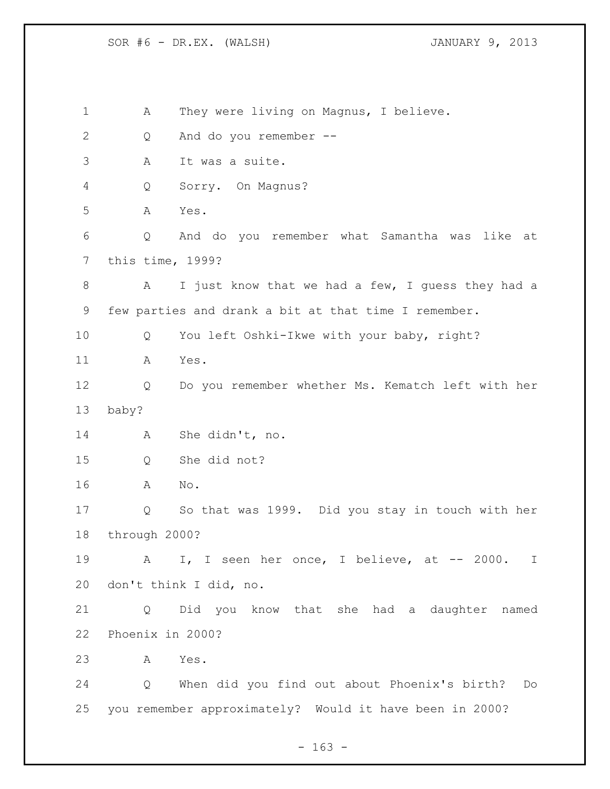A They were living on Magnus, I believe. Q And do you remember -- A It was a suite. Q Sorry. On Magnus? A Yes. Q And do you remember what Samantha was like at this time, 1999? A I just know that we had a few, I guess they had a few parties and drank a bit at that time I remember. Q You left Oshki-Ikwe with your baby, right? A Yes. Q Do you remember whether Ms. Kematch left with her baby? A She didn't, no. Q She did not? A No. Q So that was 1999. Did you stay in touch with her through 2000? A I, I seen her once, I believe, at -- 2000. I don't think I did, no. Q Did you know that she had a daughter named Phoenix in 2000? A Yes. Q When did you find out about Phoenix's birth? Do you remember approximately? Would it have been in 2000?

 $- 163 -$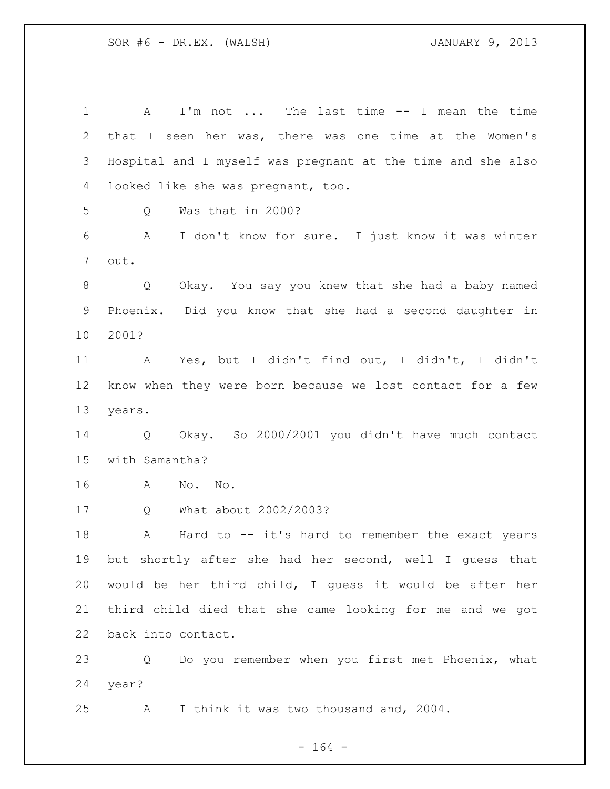A I'm not ... The last time -- I mean the time that I seen her was, there was one time at the Women's Hospital and I myself was pregnant at the time and she also looked like she was pregnant, too. Q Was that in 2000? A I don't know for sure. I just know it was winter out. Q Okay. You say you knew that she had a baby named Phoenix. Did you know that she had a second daughter in 2001? A Yes, but I didn't find out, I didn't, I didn't know when they were born because we lost contact for a few years. Q Okay. So 2000/2001 you didn't have much contact with Samantha? A No. No. Q What about 2002/2003? A Hard to -- it's hard to remember the exact years but shortly after she had her second, well I guess that would be her third child, I guess it would be after her third child died that she came looking for me and we got back into contact. Q Do you remember when you first met Phoenix, what year? A I think it was two thousand and, 2004.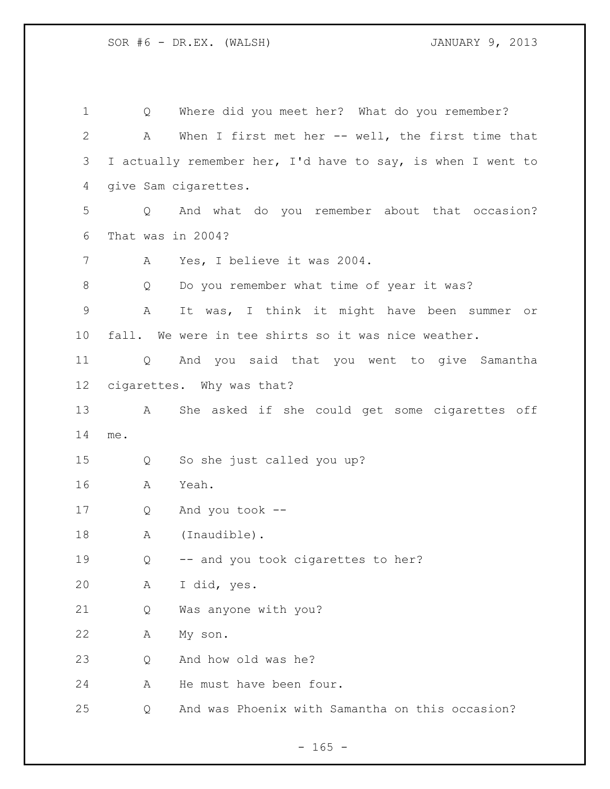| 1            | Q                 | Where did you meet her? What do you remember?               |
|--------------|-------------------|-------------------------------------------------------------|
| $\mathbf{2}$ | A                 | When I first met her $--$ well, the first time that         |
| 3            |                   | I actually remember her, I'd have to say, is when I went to |
| 4            |                   | give Sam cigarettes.                                        |
| 5            | Q                 | And what do you remember about that occasion?               |
| 6            | That was in 2004? |                                                             |
| 7            | A                 | Yes, I believe it was 2004.                                 |
| 8            | Q                 | Do you remember what time of year it was?                   |
| $\mathsf 9$  | A                 | It was, I think it might have been summer<br>or             |
| 10           |                   | fall. We were in tee shirts so it was nice weather.         |
| 11           |                   | Q And you said that you went to give Samantha               |
| 12           |                   | cigarettes. Why was that?                                   |
| 13           | A                 | She asked if she could get some cigarettes off              |
| 14           | me.               |                                                             |
| 15           | Q                 | So she just called you up?                                  |
| 16           | A                 | Yeah.                                                       |
| 17           | Q                 | And you took --                                             |
| 18           | А                 | (Inaudible).                                                |
| 19           | Q                 | -- and you took cigarettes to her?                          |
| 20           | А                 | I did, yes.                                                 |
| 21           | Q                 | Was anyone with you?                                        |
| 22           | Α                 | My son.                                                     |
| 23           | Q                 | And how old was he?                                         |
| 24           | Α                 | He must have been four.                                     |
| 25           | Q                 | And was Phoenix with Samantha on this occasion?             |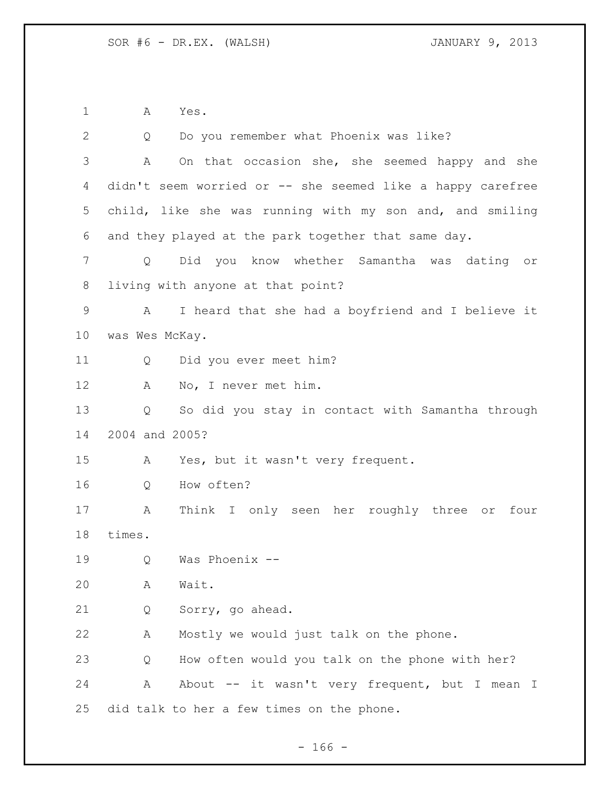A Yes.

| $\overline{2}$ | Q              | Do you remember what Phoenix was like?                     |
|----------------|----------------|------------------------------------------------------------|
| 3              | A              | On that occasion she, she seemed happy and she             |
| 4              |                | didn't seem worried or -- she seemed like a happy carefree |
| 5              |                | child, like she was running with my son and, and smiling   |
| 6              |                | and they played at the park together that same day.        |
| 7              | Q              | Did you know whether Samantha was dating or                |
| 8              |                | living with anyone at that point?                          |
| $\mathsf 9$    | A              | I heard that she had a boyfriend and I believe it          |
| 10             | was Wes McKay. |                                                            |
| 11             | Q              | Did you ever meet him?                                     |
| 12             | A              | No, I never met him.                                       |
| 13             | Q              | So did you stay in contact with Samantha through           |
| 14             | 2004 and 2005? |                                                            |
| 15             | A              | Yes, but it wasn't very frequent.                          |
| 16             | Q              | How often?                                                 |
| 17             | A              | Think I only seen her roughly three or four                |
| 18             | times.         |                                                            |
| 19             | Q              | Was Phoenix --                                             |
| 20             | Α              | Wait.                                                      |
| 21             | Q              | Sorry, go ahead.                                           |
| 22             | Α              | Mostly we would just talk on the phone.                    |
| 23             | Q              | How often would you talk on the phone with her?            |
| 24             | Α              | About -- it wasn't very frequent, but I mean I             |
| 25             |                | did talk to her a few times on the phone.                  |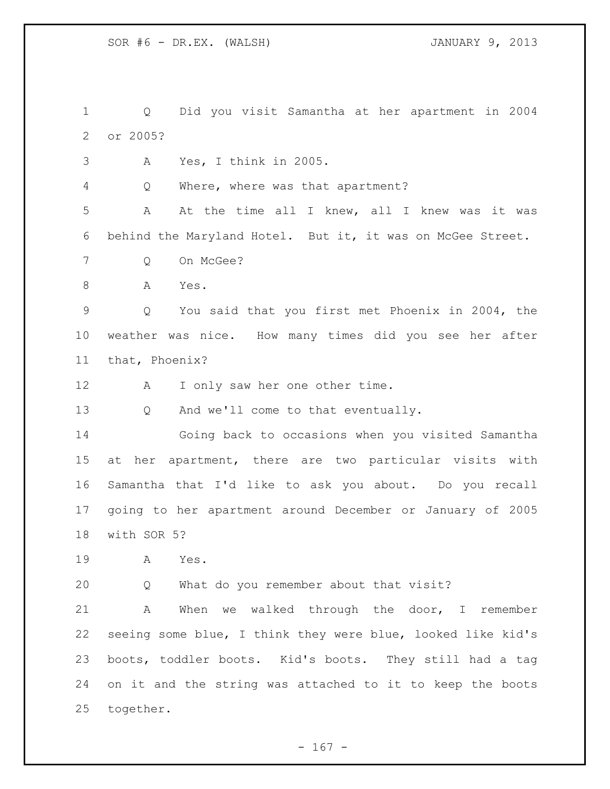Q Did you visit Samantha at her apartment in 2004 or 2005?

A Yes, I think in 2005.

Q Where, where was that apartment?

 A At the time all I knew, all I knew was it was behind the Maryland Hotel. But it, it was on McGee Street.

- Q On McGee?
- A Yes.

 Q You said that you first met Phoenix in 2004, the weather was nice. How many times did you see her after that, Phoenix?

12 A I only saw her one other time.

Q And we'll come to that eventually.

 Going back to occasions when you visited Samantha at her apartment, there are two particular visits with Samantha that I'd like to ask you about. Do you recall going to her apartment around December or January of 2005 with SOR 5?

A Yes.

Q What do you remember about that visit?

 A When we walked through the door, I remember seeing some blue, I think they were blue, looked like kid's boots, toddler boots. Kid's boots. They still had a tag on it and the string was attached to it to keep the boots together.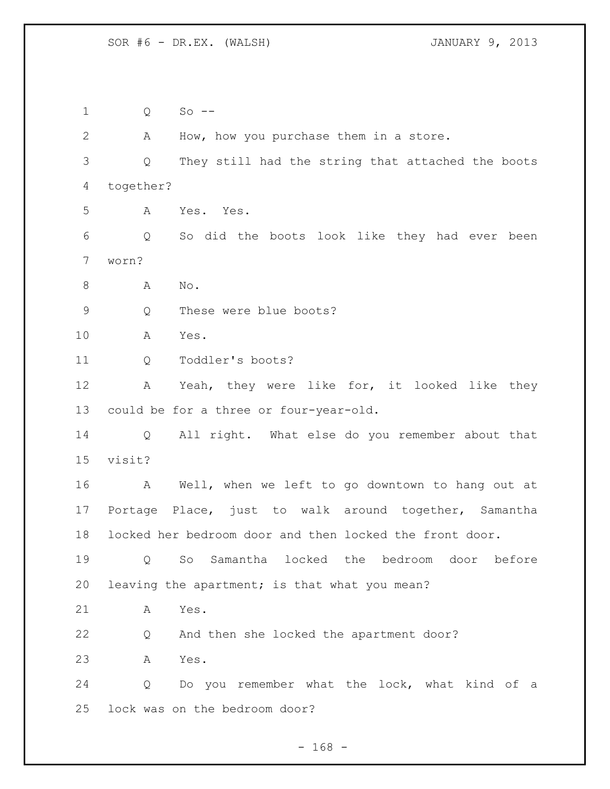Q So -- A How, how you purchase them in a store. Q They still had the string that attached the boots together? A Yes. Yes. Q So did the boots look like they had ever been worn? 8 A No. Q These were blue boots? A Yes. Q Toddler's boots? A Yeah, they were like for, it looked like they could be for a three or four-year-old. Q All right. What else do you remember about that visit? A Well, when we left to go downtown to hang out at Portage Place, just to walk around together, Samantha locked her bedroom door and then locked the front door. Q So Samantha locked the bedroom door before leaving the apartment; is that what you mean? A Yes. Q And then she locked the apartment door? A Yes. Q Do you remember what the lock, what kind of a lock was on the bedroom door?

- 168 -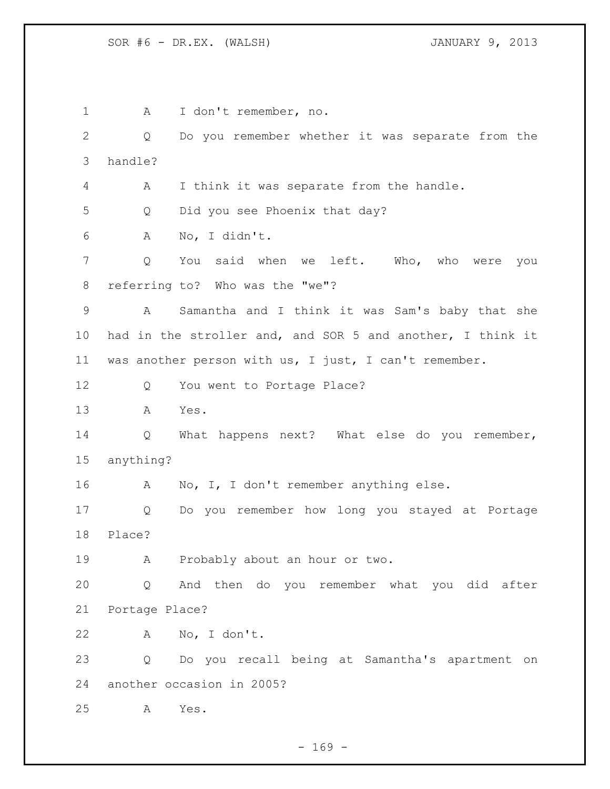1 A I don't remember, no. Q Do you remember whether it was separate from the handle? A I think it was separate from the handle. Q Did you see Phoenix that day? A No, I didn't. Q You said when we left. Who, who were you referring to? Who was the "we"? A Samantha and I think it was Sam's baby that she had in the stroller and, and SOR 5 and another, I think it was another person with us, I just, I can't remember. 12 Q You went to Portage Place? A Yes. Q What happens next? What else do you remember, anything? A No, I, I don't remember anything else. Q Do you remember how long you stayed at Portage Place? A Probably about an hour or two. Q And then do you remember what you did after Portage Place? A No, I don't. Q Do you recall being at Samantha's apartment on another occasion in 2005? A Yes.

 $- 169 -$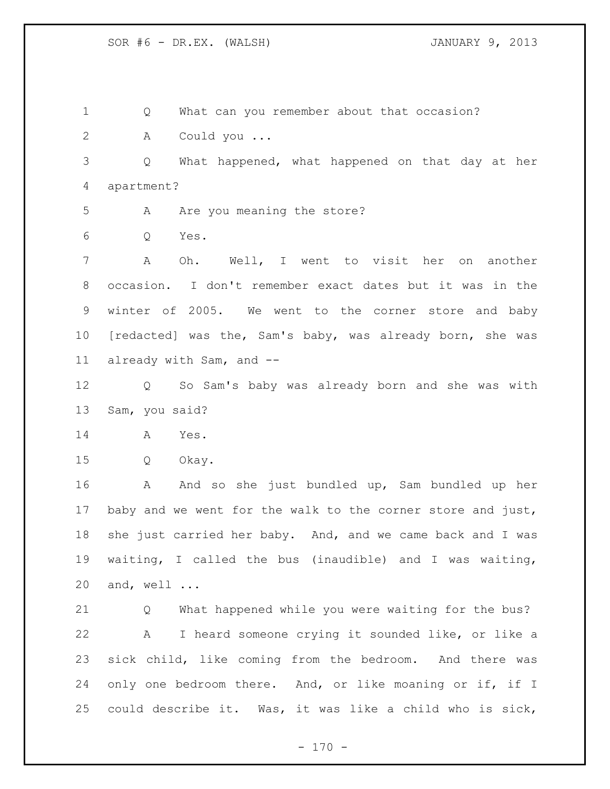Q What can you remember about that occasion? A Could you ... Q What happened, what happened on that day at her apartment? 5 A Are you meaning the store? Q Yes. A Oh. Well, I went to visit her on another occasion. I don't remember exact dates but it was in the winter of 2005. We went to the corner store and baby [redacted] was the, Sam's baby, was already born, she was already with Sam, and -- Q So Sam's baby was already born and she was with Sam, you said? A Yes. Q Okay. A And so she just bundled up, Sam bundled up her baby and we went for the walk to the corner store and just, 18 she just carried her baby. And, and we came back and I was waiting, I called the bus (inaudible) and I was waiting, and, well ... Q What happened while you were waiting for the bus? A I heard someone crying it sounded like, or like a sick child, like coming from the bedroom. And there was only one bedroom there. And, or like moaning or if, if I could describe it. Was, it was like a child who is sick,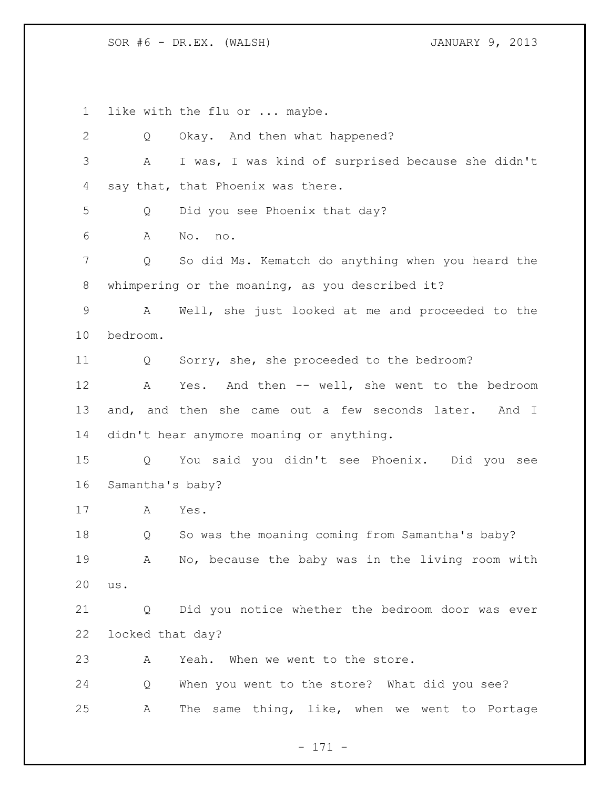like with the flu or ... maybe.

| $\mathbf{2}$ | Q                | Okay. And then what happened?                         |
|--------------|------------------|-------------------------------------------------------|
| 3            | Α                | I was, I was kind of surprised because she didn't     |
| 4            |                  | say that, that Phoenix was there.                     |
| 5            | Q                | Did you see Phoenix that day?                         |
| 6            | А                | No. no.                                               |
| 7            | Q                | So did Ms. Kematch do anything when you heard the     |
| 8            |                  | whimpering or the moaning, as you described it?       |
| $\mathsf 9$  | Α                | Well, she just looked at me and proceeded to the      |
| 10           | bedroom.         |                                                       |
| 11           | Q                | Sorry, she, she proceeded to the bedroom?             |
| 12           | A                | Yes. And then -- well, she went to the bedroom        |
| 13           |                  | and, and then she came out a few seconds later. And I |
| 14           |                  | didn't hear anymore moaning or anything.              |
| 15           | Q                | You said you didn't see Phoenix. Did you see          |
| 16           | Samantha's baby? |                                                       |
| 17           | A                | Yes.                                                  |
| 18           | Q                | So was the moaning coming from Samantha's baby?       |
| 19           | A                | No, because the baby was in the living room with      |
| 20           | us.              |                                                       |
| 21           | Q                | Did you notice whether the bedroom door was ever      |
| 22           | locked that day? |                                                       |
| 23           | A                | Yeah. When we went to the store.                      |
| 24           | Q                | When you went to the store? What did you see?         |
|              |                  |                                                       |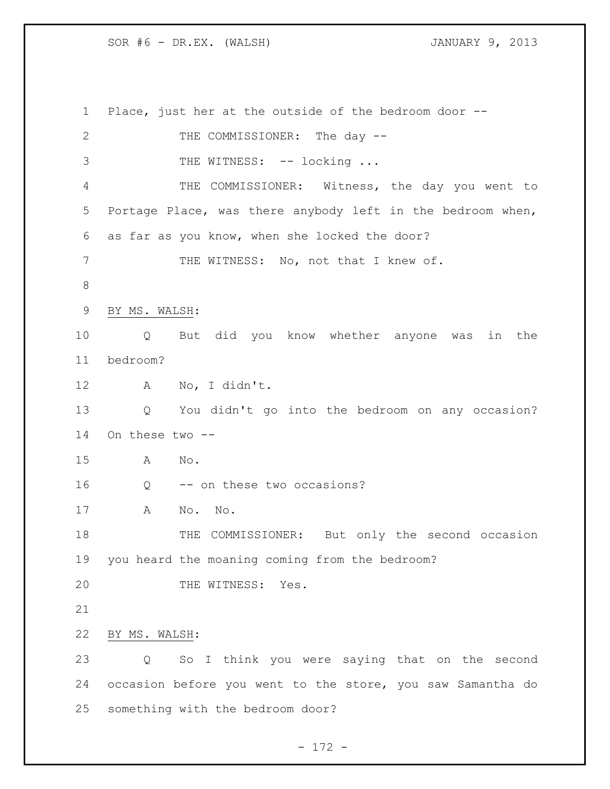Place, just her at the outside of the bedroom door -- 2 THE COMMISSIONER: The day --3 THE WITNESS: -- locking ... THE COMMISSIONER: Witness, the day you went to Portage Place, was there anybody left in the bedroom when, as far as you know, when she locked the door? 7 THE WITNESS: No, not that I knew of. BY MS. WALSH: Q But did you know whether anyone was in the bedroom? A No, I didn't. Q You didn't go into the bedroom on any occasion? On these two -- A No. 16 Q -- on these two occasions? A No. No. 18 THE COMMISSIONER: But only the second occasion you heard the moaning coming from the bedroom? 20 THE WITNESS: Yes. BY MS. WALSH: Q So I think you were saying that on the second occasion before you went to the store, you saw Samantha do something with the bedroom door?

- 172 -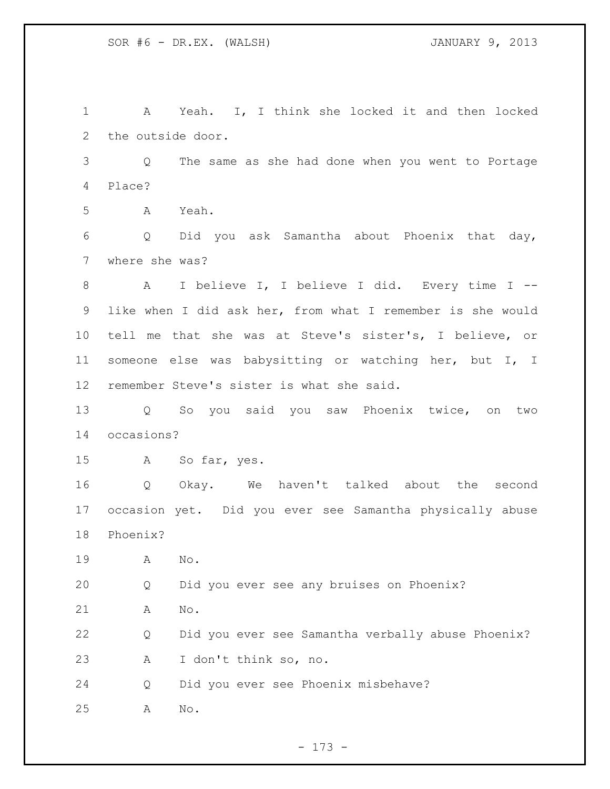A Yeah. I, I think she locked it and then locked the outside door. Q The same as she had done when you went to Portage Place? A Yeah. Q Did you ask Samantha about Phoenix that day, where she was? A I believe I, I believe I did. Every time I -- like when I did ask her, from what I remember is she would tell me that she was at Steve's sister's, I believe, or someone else was babysitting or watching her, but I, I remember Steve's sister is what she said. Q So you said you saw Phoenix twice, on two occasions? A So far, yes. Q Okay. We haven't talked about the second occasion yet. Did you ever see Samantha physically abuse Phoenix? A No. Q Did you ever see any bruises on Phoenix? A No. Q Did you ever see Samantha verbally abuse Phoenix? A I don't think so, no. Q Did you ever see Phoenix misbehave? A No.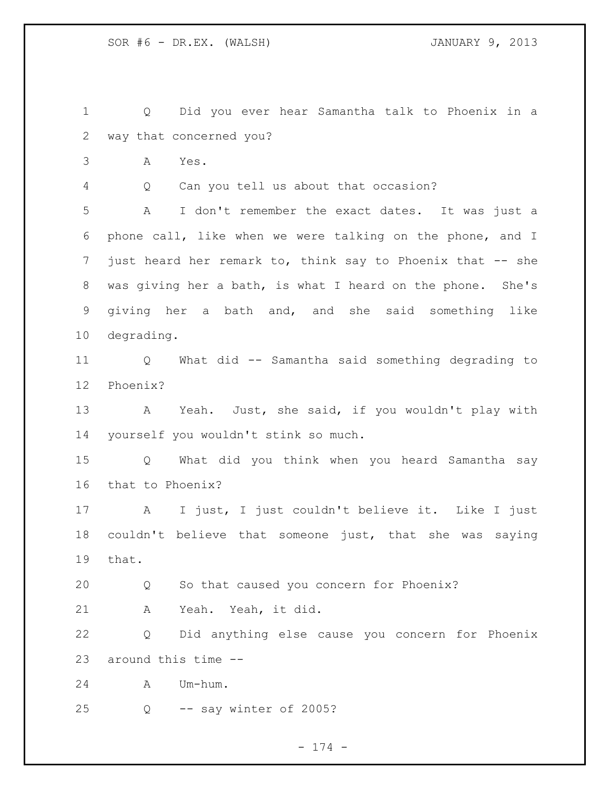Q Did you ever hear Samantha talk to Phoenix in a way that concerned you?

A Yes.

Q Can you tell us about that occasion?

 A I don't remember the exact dates. It was just a phone call, like when we were talking on the phone, and I 7 just heard her remark to, think say to Phoenix that -- she was giving her a bath, is what I heard on the phone. She's giving her a bath and, and she said something like degrading.

 Q What did -- Samantha said something degrading to Phoenix?

 A Yeah. Just, she said, if you wouldn't play with yourself you wouldn't stink so much.

 Q What did you think when you heard Samantha say that to Phoenix?

 A I just, I just couldn't believe it. Like I just couldn't believe that someone just, that she was saying that.

Q So that caused you concern for Phoenix?

A Yeah. Yeah, it did.

 Q Did anything else cause you concern for Phoenix around this time --

A Um-hum.

Q -- say winter of 2005?

- 174 -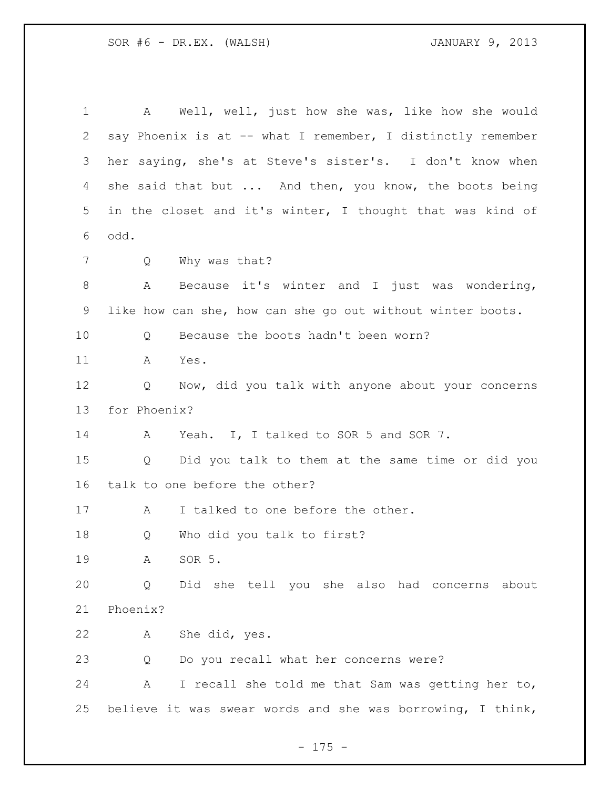A Well, well, just how she was, like how she would say Phoenix is at -- what I remember, I distinctly remember her saying, she's at Steve's sister's. I don't know when 4 she said that but ... And then, you know, the boots being in the closet and it's winter, I thought that was kind of odd. Q Why was that? A Because it's winter and I just was wondering, like how can she, how can she go out without winter boots. 10 0 Because the boots hadn't been worn? A Yes. 12 Q Now, did you talk with anyone about your concerns for Phoenix? 14 A Yeah. I, I talked to SOR 5 and SOR 7. Q Did you talk to them at the same time or did you talk to one before the other? 17 A I talked to one before the other. Q Who did you talk to first? A SOR 5. Q Did she tell you she also had concerns about Phoenix? A She did, yes. Q Do you recall what her concerns were? A I recall she told me that Sam was getting her to, believe it was swear words and she was borrowing, I think,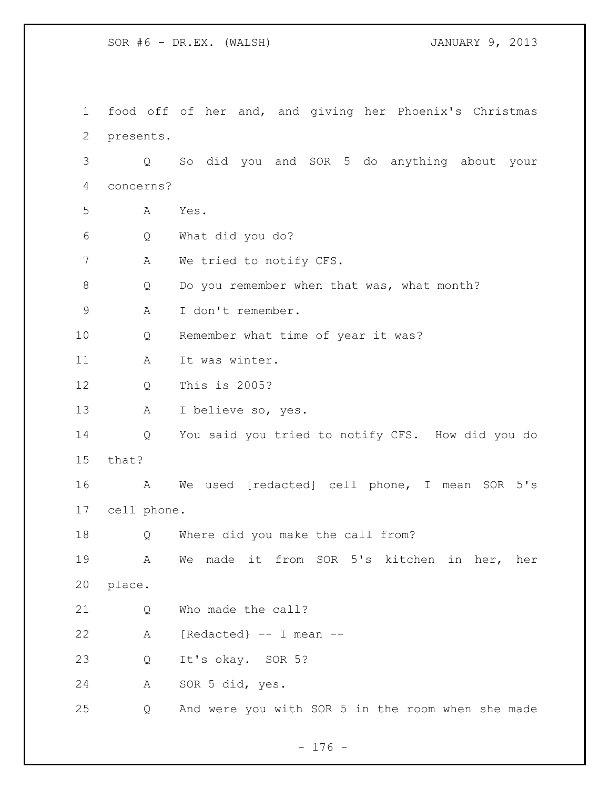food off of her and, and giving her Phoenix's Christmas presents. Q So did you and SOR 5 do anything about your concerns? A Yes. Q What did you do? A We tried to notify CFS. Q Do you remember when that was, what month? A I don't remember. Q Remember what time of year it was? 11 A It was winter. Q This is 2005? A I believe so, yes. Q You said you tried to notify CFS. How did you do that? A We used [redacted] cell phone, I mean SOR 5's cell phone. Q Where did you make the call from? A We made it from SOR 5's kitchen in her, her place. 21 Q Who made the call? A [Redacted} -- I mean -- Q It's okay. SOR 5? A SOR 5 did, yes. Q And were you with SOR 5 in the room when she made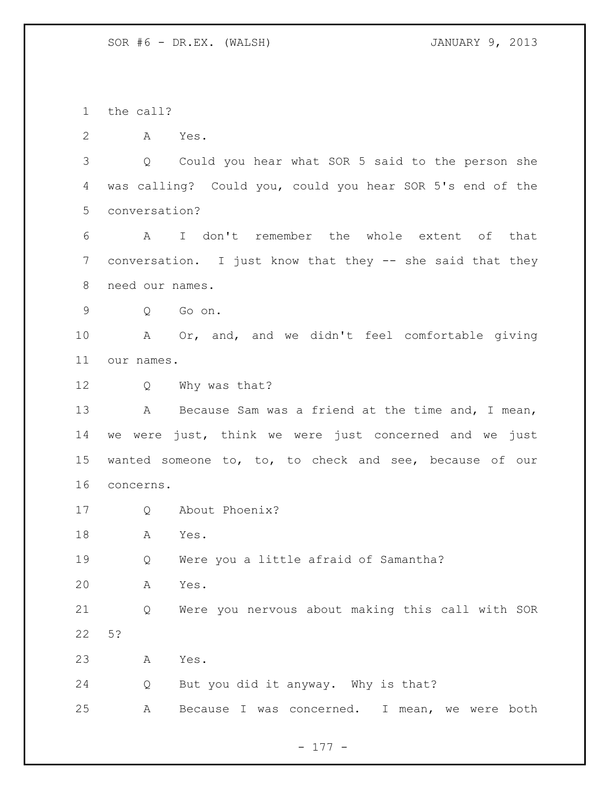the call?

A Yes.

 Q Could you hear what SOR 5 said to the person she was calling? Could you, could you hear SOR 5's end of the conversation?

 A I don't remember the whole extent of that conversation. I just know that they -- she said that they need our names.

Q Go on.

 A Or, and, and we didn't feel comfortable giving our names.

Q Why was that?

13 A Because Sam was a friend at the time and, I mean, we were just, think we were just concerned and we just wanted someone to, to, to check and see, because of our concerns.

Q About Phoenix?

A Yes.

Q Were you a little afraid of Samantha?

A Yes.

 Q Were you nervous about making this call with SOR 5?

A Yes.

Q But you did it anyway. Why is that?

A Because I was concerned. I mean, we were both

- 177 -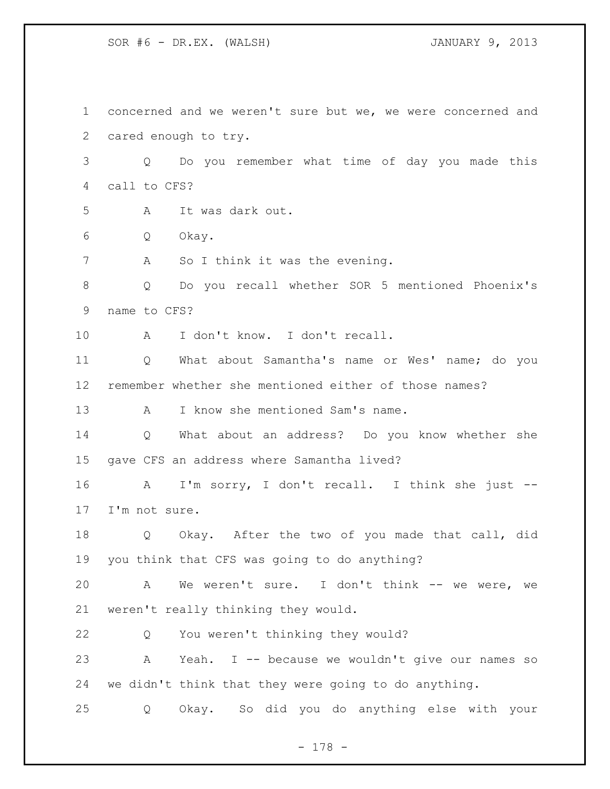SOR #6 - DR.EX. (WALSH) JANUARY 9, 2013

 concerned and we weren't sure but we, we were concerned and cared enough to try. Q Do you remember what time of day you made this call to CFS? A It was dark out. Q Okay. 7 A So I think it was the evening. Q Do you recall whether SOR 5 mentioned Phoenix's name to CFS? A I don't know. I don't recall. Q What about Samantha's name or Wes' name; do you remember whether she mentioned either of those names? 13 A I know she mentioned Sam's name. Q What about an address? Do you know whether she gave CFS an address where Samantha lived? A I'm sorry, I don't recall. I think she just -- I'm not sure. Q Okay. After the two of you made that call, did you think that CFS was going to do anything? A We weren't sure. I don't think -- we were, we weren't really thinking they would. Q You weren't thinking they would? A Yeah. I -- because we wouldn't give our names so we didn't think that they were going to do anything. Q Okay. So did you do anything else with your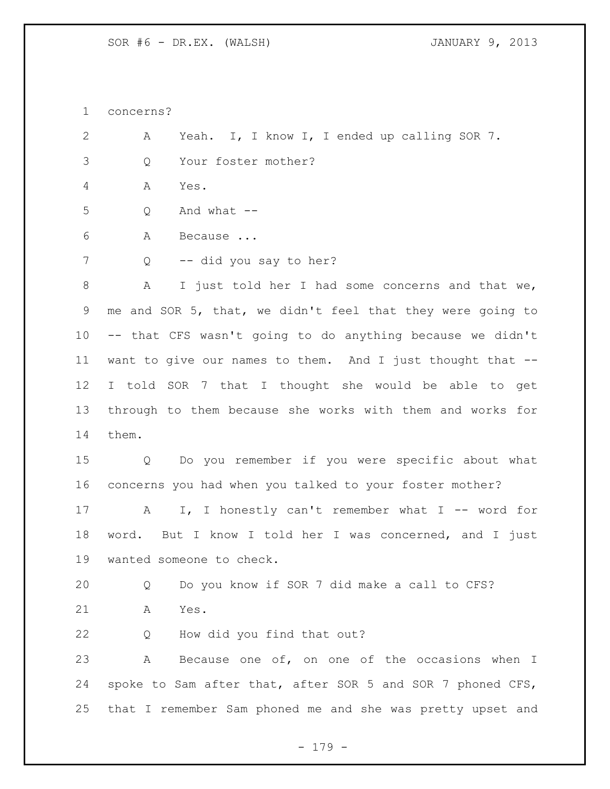concerns?

 A Yeah. I, I know I, I ended up calling SOR 7. Q Your foster mother?

A Yes.

Q And what --

A Because ...

Q -- did you say to her?

 A I just told her I had some concerns and that we, me and SOR 5, that, we didn't feel that they were going to -- that CFS wasn't going to do anything because we didn't want to give our names to them. And I just thought that -- I told SOR 7 that I thought she would be able to get through to them because she works with them and works for them.

 Q Do you remember if you were specific about what concerns you had when you talked to your foster mother?

17 A I, I honestly can't remember what I -- word for word. But I know I told her I was concerned, and I just wanted someone to check.

 Q Do you know if SOR 7 did make a call to CFS? A Yes.

Q How did you find that out?

 A Because one of, on one of the occasions when I spoke to Sam after that, after SOR 5 and SOR 7 phoned CFS, that I remember Sam phoned me and she was pretty upset and

- 179 -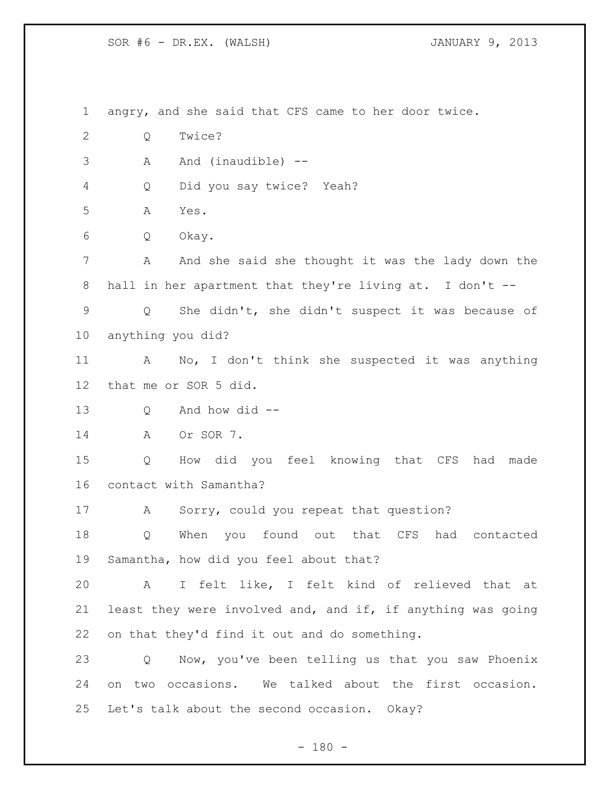SOR #6 - DR.EX. (WALSH) JANUARY 9, 2013

 angry, and she said that CFS came to her door twice. Q Twice? A And (inaudible) -- Q Did you say twice? Yeah? A Yes. Q Okay. A And she said she thought it was the lady down the hall in her apartment that they're living at. I don't -- Q She didn't, she didn't suspect it was because of anything you did? A No, I don't think she suspected it was anything that me or SOR 5 did. Q And how did -- A Or SOR 7. Q How did you feel knowing that CFS had made contact with Samantha? 17 A Sorry, could you repeat that question? Q When you found out that CFS had contacted Samantha, how did you feel about that? A I felt like, I felt kind of relieved that at least they were involved and, and if, if anything was going on that they'd find it out and do something. Q Now, you've been telling us that you saw Phoenix on two occasions. We talked about the first occasion. Let's talk about the second occasion. Okay?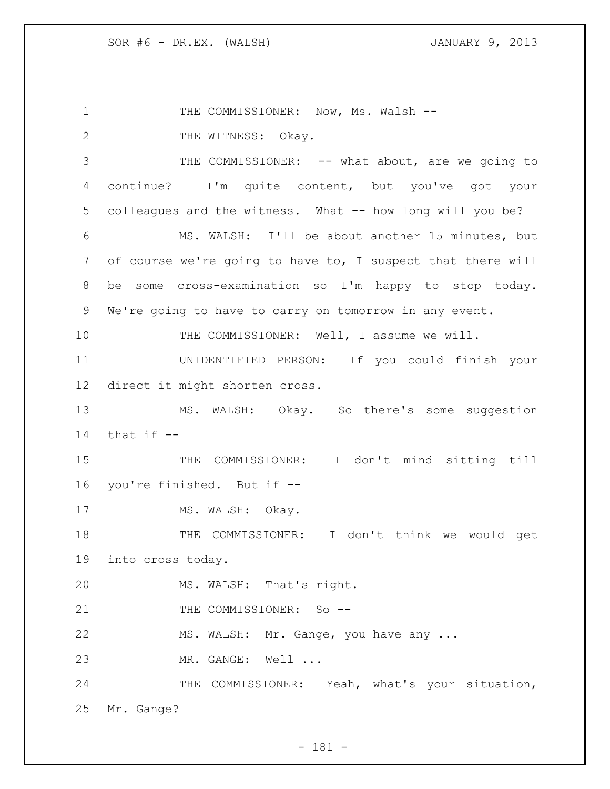1 THE COMMISSIONER: Now, Ms. Walsh --2 THE WITNESS: Okay. 3 THE COMMISSIONER: -- what about, are we going to continue? I'm quite content, but you've got your colleagues and the witness. What -- how long will you be? MS. WALSH: I'll be about another 15 minutes, but of course we're going to have to, I suspect that there will be some cross-examination so I'm happy to stop today. We're going to have to carry on tomorrow in any event. 10 THE COMMISSIONER: Well, I assume we will. UNIDENTIFIED PERSON: If you could finish your direct it might shorten cross. MS. WALSH: Okay. So there's some suggestion 14 that  $if --$  THE COMMISSIONER: I don't mind sitting till you're finished. But if -- 17 MS. WALSH: Okay. THE COMMISSIONER: I don't think we would get into cross today. MS. WALSH: That's right. 21 THE COMMISSIONER: So --22 MS. WALSH: Mr. Gange, you have any ... MR. GANGE: Well ... 24 THE COMMISSIONER: Yeah, what's your situation, Mr. Gange?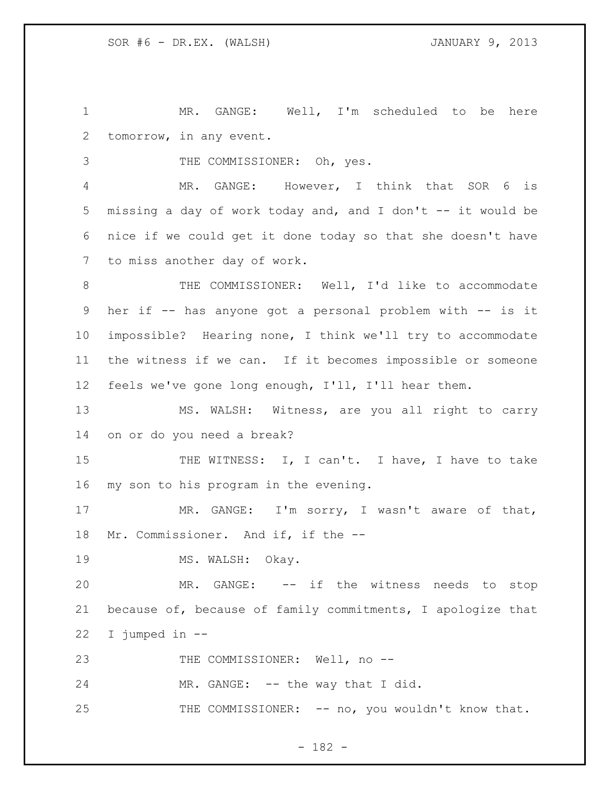MR. GANGE: Well, I'm scheduled to be here tomorrow, in any event.

3 THE COMMISSIONER: Oh, yes.

 MR. GANGE: However, I think that SOR 6 is missing a day of work today and, and I don't -- it would be nice if we could get it done today so that she doesn't have to miss another day of work.

8 THE COMMISSIONER: Well, I'd like to accommodate her if -- has anyone got a personal problem with -- is it impossible? Hearing none, I think we'll try to accommodate the witness if we can. If it becomes impossible or someone feels we've gone long enough, I'll, I'll hear them.

13 MS. WALSH: Witness, are you all right to carry on or do you need a break?

15 THE WITNESS: I, I can't. I have, I have to take my son to his program in the evening.

 MR. GANGE: I'm sorry, I wasn't aware of that, Mr. Commissioner. And if, if the --

19 MS. WALSH: Okay.

 MR. GANGE: -- if the witness needs to stop because of, because of family commitments, I apologize that I jumped in --

23 THE COMMISSIONER: Well, no --

24 MR. GANGE: -- the way that I did.

25 THE COMMISSIONER: -- no, you wouldn't know that.

- 182 -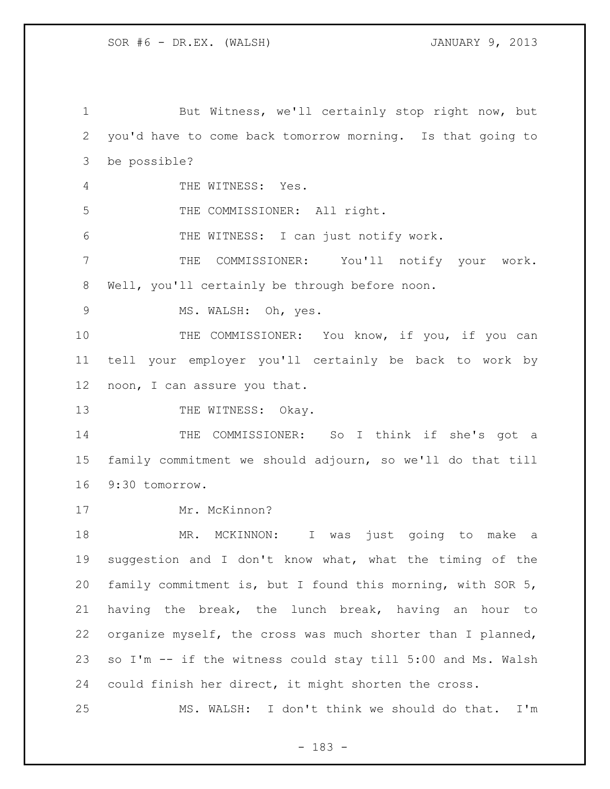1 But Witness, we'll certainly stop right now, but you'd have to come back tomorrow morning. Is that going to be possible? THE WITNESS: Yes. THE COMMISSIONER: All right. THE WITNESS: I can just notify work. THE COMMISSIONER: You'll notify your work. Well, you'll certainly be through before noon. 9 MS. WALSH: Oh, yes. 10 THE COMMISSIONER: You know, if you, if you can tell your employer you'll certainly be back to work by noon, I can assure you that. 13 THE WITNESS: Okay. THE COMMISSIONER: So I think if she's got a family commitment we should adjourn, so we'll do that till 9:30 tomorrow. 17 Mr. McKinnon? 18 MR. MCKINNON: I was just going to make a suggestion and I don't know what, what the timing of the family commitment is, but I found this morning, with SOR 5, having the break, the lunch break, having an hour to organize myself, the cross was much shorter than I planned, so I'm -- if the witness could stay till 5:00 and Ms. Walsh could finish her direct, it might shorten the cross. MS. WALSH: I don't think we should do that. I'm